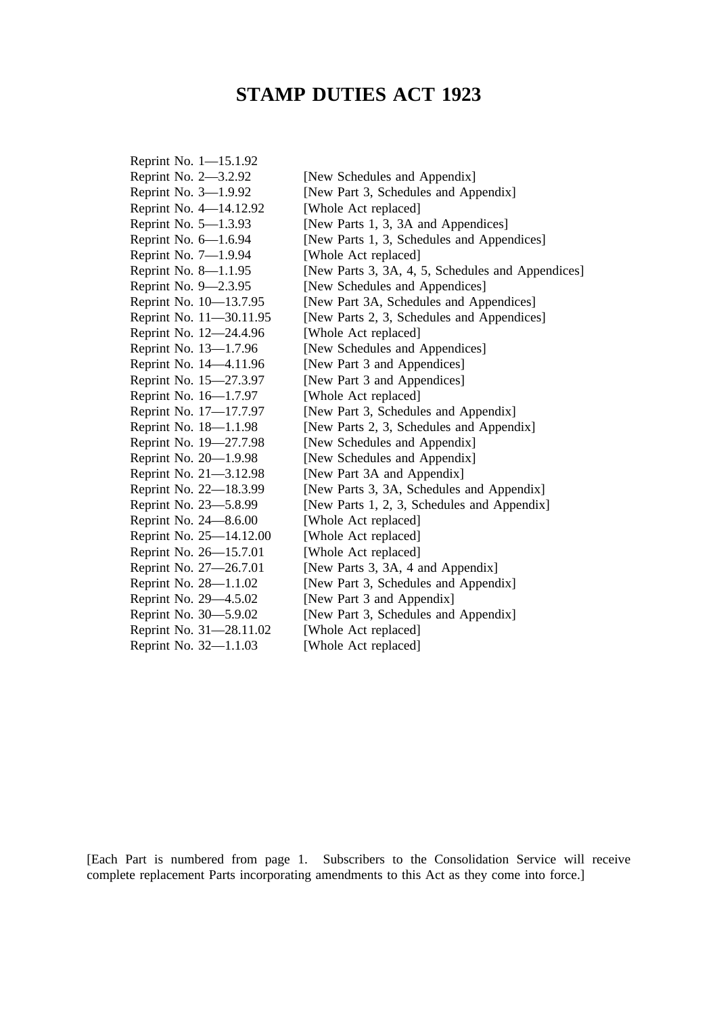# **STAMP DUTIES ACT 1923**

| Reprint No. 1-15.1.92   |                                                   |
|-------------------------|---------------------------------------------------|
| Reprint No. 2-3.2.92    | [New Schedules and Appendix]                      |
| Reprint No. 3-1.9.92    | [New Part 3, Schedules and Appendix]              |
| Reprint No. 4-14.12.92  | [Whole Act replaced]                              |
| Reprint No. 5-1.3.93    | [New Parts 1, 3, 3A and Appendices]               |
| Reprint No. 6-1.6.94    | [New Parts 1, 3, Schedules and Appendices]        |
| Reprint No. 7-1.9.94    | [Whole Act replaced]                              |
| Reprint No. 8-1.1.95    | [New Parts 3, 3A, 4, 5, Schedules and Appendices] |
| Reprint No. 9-2.3.95    | [New Schedules and Appendices]                    |
| Reprint No. 10-13.7.95  | [New Part 3A, Schedules and Appendices]           |
| Reprint No. 11-30.11.95 | [New Parts 2, 3, Schedules and Appendices]        |
| Reprint No. 12-24.4.96  | [Whole Act replaced]                              |
| Reprint No. 13-1.7.96   | [New Schedules and Appendices]                    |
| Reprint No. 14–4.11.96  | [New Part 3 and Appendices]                       |
| Reprint No. 15-27.3.97  | [New Part 3 and Appendices]                       |
| Reprint No. 16-1.7.97   | [Whole Act replaced]                              |
| Reprint No. 17-17.7.97  | [New Part 3, Schedules and Appendix]              |
| Reprint No. 18-1.1.98   | [New Parts 2, 3, Schedules and Appendix]          |
| Reprint No. 19-27.7.98  | [New Schedules and Appendix]                      |
| Reprint No. 20-1.9.98   | [New Schedules and Appendix]                      |
| Reprint No. 21-3.12.98  | [New Part 3A and Appendix]                        |
| Reprint No. 22-18.3.99  | [New Parts 3, 3A, Schedules and Appendix]         |
| Reprint No. 23-5.8.99   | [New Parts 1, 2, 3, Schedules and Appendix]       |
| Reprint No. 24-8.6.00   | [Whole Act replaced]                              |
| Reprint No. 25-14.12.00 | [Whole Act replaced]                              |
| Reprint No. 26–15.7.01  | [Whole Act replaced]                              |
| Reprint No. 27-26.7.01  | [New Parts 3, 3A, 4 and Appendix]                 |
| Reprint No. 28-1.1.02   | [New Part 3, Schedules and Appendix]              |
| Reprint No. 29-4.5.02   | [New Part 3 and Appendix]                         |
| Reprint No. 30-5.9.02   | [New Part 3, Schedules and Appendix]              |
| Reprint No. 31-28.11.02 | [Whole Act replaced]                              |
| Reprint No. 32-1.1.03   | [Whole Act replaced]                              |

[Each Part is numbered from page 1. Subscribers to the Consolidation Service will receive complete replacement Parts incorporating amendments to this Act as they come into force.]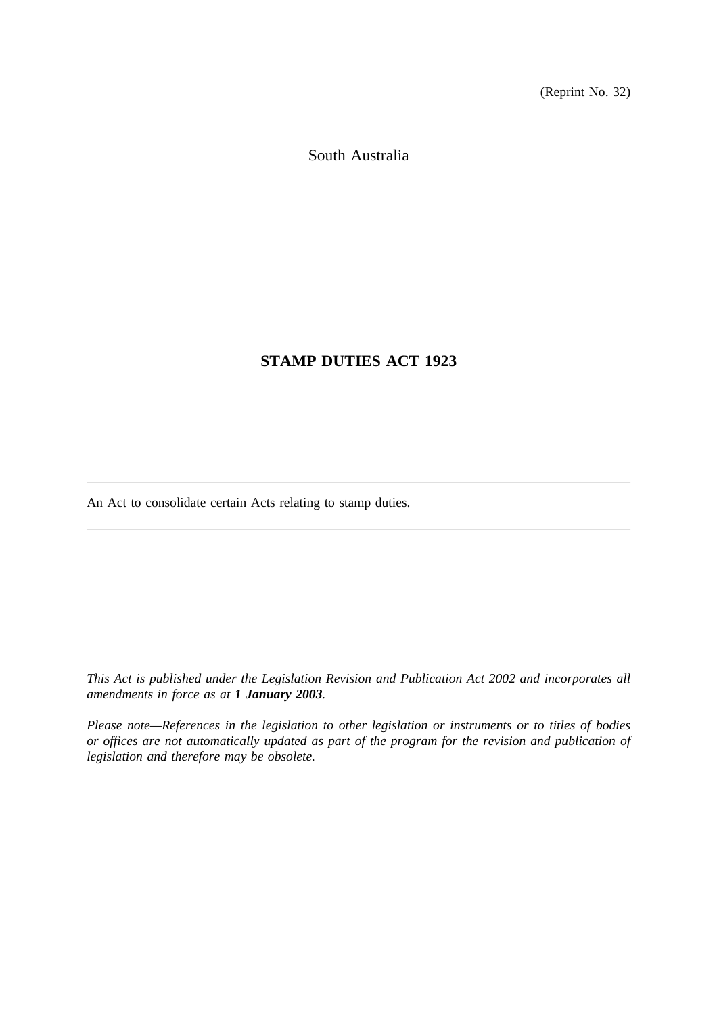(Reprint No. 32)

South Australia

## **STAMP DUTIES ACT 1923**

An Act to consolidate certain Acts relating to stamp duties.

*This Act is published under the Legislation Revision and Publication Act 2002 and incorporates all amendments in force as at 1 January 2003.*

*Please note—References in the legislation to other legislation or instruments or to titles of bodies or offices are not automatically updated as part of the program for the revision and publication of legislation and therefore may be obsolete.*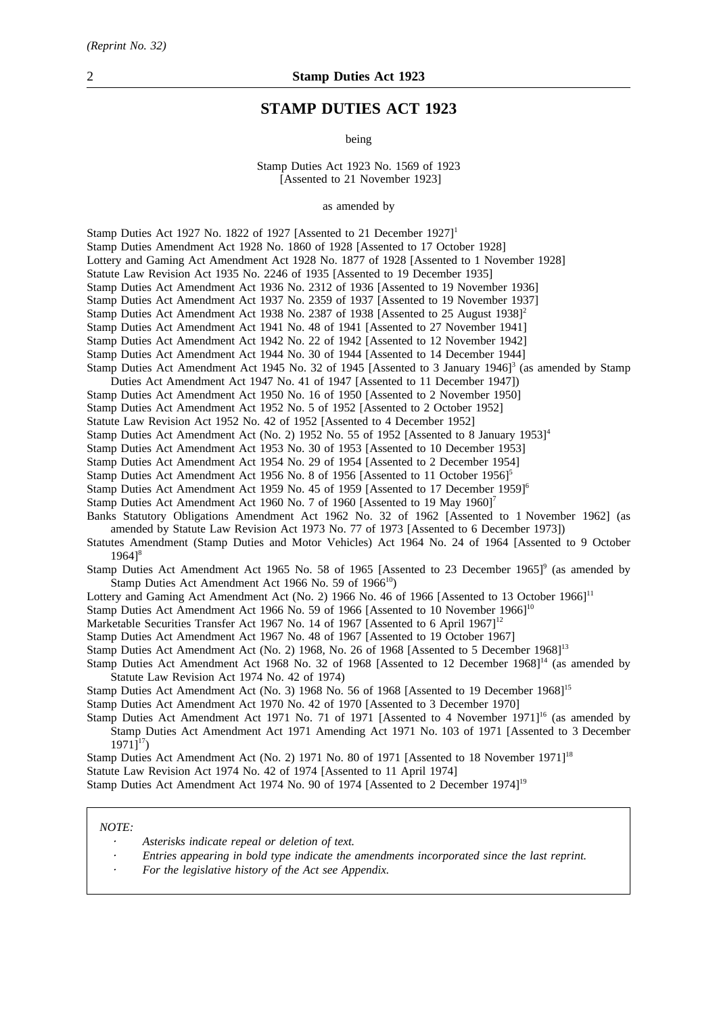## **STAMP DUTIES ACT 1923**

being

Stamp Duties Act 1923 No. 1569 of 1923 [Assented to 21 November 1923]

as amended by

Stamp Duties Act 1927 No. 1822 of 1927 [Assented to 21 December 1927]<sup>1</sup> Stamp Duties Amendment Act 1928 No. 1860 of 1928 [Assented to 17 October 1928] Lottery and Gaming Act Amendment Act 1928 No. 1877 of 1928 [Assented to 1 November 1928] Statute Law Revision Act 1935 No. 2246 of 1935 [Assented to 19 December 1935] Stamp Duties Act Amendment Act 1936 No. 2312 of 1936 [Assented to 19 November 1936] Stamp Duties Act Amendment Act 1937 No. 2359 of 1937 [Assented to 19 November 1937] Stamp Duties Act Amendment Act 1938 No. 2387 of 1938 [Assented to 25 August 1938]<sup>2</sup> Stamp Duties Act Amendment Act 1941 No. 48 of 1941 [Assented to 27 November 1941] Stamp Duties Act Amendment Act 1942 No. 22 of 1942 [Assented to 12 November 1942] Stamp Duties Act Amendment Act 1944 No. 30 of 1944 [Assented to 14 December 1944] Stamp Duties Act Amendment Act 1945 No. 32 of 1945 [Assented to 3 January 1946]<sup>3</sup> (as amended by Stamp Duties Act Amendment Act 1947 No. 41 of 1947 [Assented to 11 December 1947]) Stamp Duties Act Amendment Act 1950 No. 16 of 1950 [Assented to 2 November 1950] Stamp Duties Act Amendment Act 1952 No. 5 of 1952 [Assented to 2 October 1952] Statute Law Revision Act 1952 No. 42 of 1952 [Assented to 4 December 1952] Stamp Duties Act Amendment Act (No. 2) 1952 No. 55 of 1952 [Assented to 8 January 1953]<sup>4</sup> Stamp Duties Act Amendment Act 1953 No. 30 of 1953 [Assented to 10 December 1953] Stamp Duties Act Amendment Act 1954 No. 29 of 1954 [Assented to 2 December 1954] Stamp Duties Act Amendment Act 1956 No. 8 of 1956 [Assented to 11 October 1956]<sup>5</sup> Stamp Duties Act Amendment Act 1959 No. 45 of 1959 [Assented to 17 December 1959]6 Stamp Duties Act Amendment Act 1960 No. 7 of 1960 [Assented to 19 May 1960]<sup>7</sup> Banks Statutory Obligations Amendment Act 1962 No. 32 of 1962 [Assented to 1 November 1962] (as amended by Statute Law Revision Act 1973 No. 77 of 1973 [Assented to 6 December 1973]) Statutes Amendment (Stamp Duties and Motor Vehicles) Act 1964 No. 24 of 1964 [Assented to 9 October  $1964$ <sup>8</sup> Stamp Duties Act Amendment Act 1965 No. 58 of 1965 [Assented to 23 December 1965]<sup>9</sup> (as amended by Stamp Duties Act Amendment Act 1966 No. 59 of  $1966^{10}$ ) Lottery and Gaming Act Amendment Act (No. 2) 1966 No. 46 of 1966 [Assented to 13 October 1966]<sup>11</sup> Stamp Duties Act Amendment Act 1966 No. 59 of 1966 [Assented to 10 November 1966]<sup>10</sup> Marketable Securities Transfer Act 1967 No. 14 of 1967 [Assented to 6 April 1967]<sup>12</sup> Stamp Duties Act Amendment Act 1967 No. 48 of 1967 [Assented to 19 October 1967] Stamp Duties Act Amendment Act (No. 2) 1968, No. 26 of 1968 [Assented to 5 December 1968]<sup>13</sup> Stamp Duties Act Amendment Act 1968 No. 32 of 1968 [Assented to 12 December 1968]<sup>14</sup> (as amended by Statute Law Revision Act 1974 No. 42 of 1974) Stamp Duties Act Amendment Act (No. 3) 1968 No. 56 of 1968 [Assented to 19 December 1968]<sup>15</sup> Stamp Duties Act Amendment Act 1970 No. 42 of 1970 [Assented to 3 December 1970] Stamp Duties Act Amendment Act 1971 No. 71 of 1971 [Assented to 4 November 1971]<sup>16</sup> (as amended by Stamp Duties Act Amendment Act 1971 Amending Act 1971 No. 103 of 1971 [Assented to 3 December  $1971$ <sup>17</sup>) Stamp Duties Act Amendment Act (No. 2) 1971 No. 80 of 1971 [Assented to 18 November 1971]<sup>18</sup> Statute Law Revision Act 1974 No. 42 of 1974 [Assented to 11 April 1974] Stamp Duties Act Amendment Act 1974 No. 90 of 1974 [Assented to 2 December 1974]19

#### *NOTE:*

- *Asterisks indicate repeal or deletion of text.*
- *Entries appearing in bold type indicate the amendments incorporated since the last reprint.*
- *For the legislative history of the Act see Appendix.*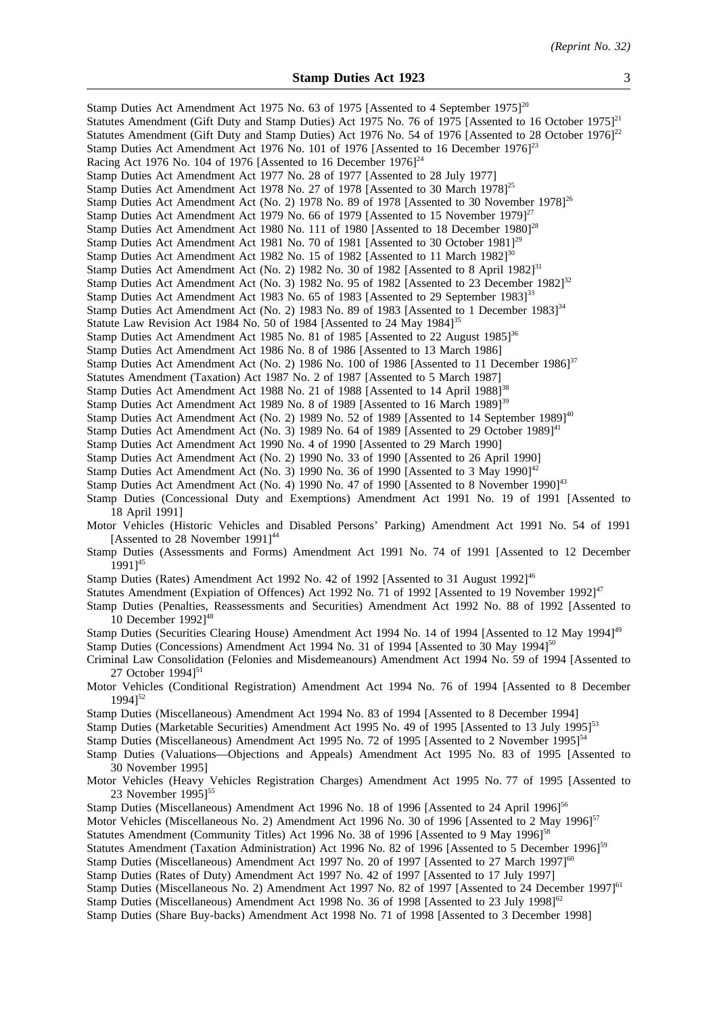| Stamp Duties Act Amendment Act 1975 No. 63 of 1975 [Assented to 4 September 1975] <sup>20</sup><br>Statutes Amendment (Gift Duty and Stamp Duties) Act 1975 No. 76 of 1975 [Assented to 16 October 1975] <sup>21</sup><br>Statutes Amendment (Gift Duty and Stamp Duties) Act 1976 No. 54 of 1976 [Assented to 28 October 1976] <sup>22</sup><br>Stamp Duties Act Amendment Act 1976 No. 101 of 1976 [Assented to 16 December 1976] <sup>23</sup><br>Racing Act 1976 No. 104 of 1976 [Assented to 16 December $1976$ ] <sup>24</sup><br>Stamp Duties Act Amendment Act 1977 No. 28 of 1977 [Assented to 28 July 1977]<br>Stamp Duties Act Amendment Act 1978 No. 27 of 1978 [Assented to 30 March 1978] <sup>25</sup><br>Stamp Duties Act Amendment Act (No. 2) 1978 No. 89 of 1978 [Assented to 30 November 1978] <sup>26</sup><br>Stamp Duties Act Amendment Act 1979 No. 66 of 1979 [Assented to 15 November 1979] $^{27}$<br>Stamp Duties Act Amendment Act 1980 No. 111 of 1980 [Assented to 18 December 1980] <sup>28</sup><br>Stamp Duties Act Amendment Act 1981 No. 70 of 1981 [Assented to 30 October 1981] <sup>29</sup><br>Stamp Duties Act Amendment Act 1982 No. 15 of 1982 [Assented to 11 March 1982] <sup>30</sup><br>Stamp Duties Act Amendment Act (No. 2) 1982 No. 30 of 1982 [Assented to 8 April 1982] <sup>31</sup><br>Stamp Duties Act Amendment Act (No. 3) 1982 No. 95 of 1982 [Assented to 23 December 1982] <sup>32</sup><br>Stamp Duties Act Amendment Act 1983 No. 65 of 1983 [Assented to 29 September 1983] <sup>33</sup><br>Stamp Duties Act Amendment Act (No. 2) 1983 No. 89 of 1983 [Assented to 1 December 1983] <sup>34</sup><br>Statute Law Revision Act 1984 No. 50 of 1984 [Assented to 24 May 1984] <sup>35</sup><br>Stamp Duties Act Amendment Act 1985 No. 81 of 1985 [Assented to 22 August 1985] <sup>36</sup><br>Stamp Duties Act Amendment Act 1986 No. 8 of 1986 [Assented to 13 March 1986]<br>Stamp Duties Act Amendment Act (No. 2) 1986 No. 100 of 1986 [Assented to 11 December 1986] <sup>37</sup> |
|-----------------------------------------------------------------------------------------------------------------------------------------------------------------------------------------------------------------------------------------------------------------------------------------------------------------------------------------------------------------------------------------------------------------------------------------------------------------------------------------------------------------------------------------------------------------------------------------------------------------------------------------------------------------------------------------------------------------------------------------------------------------------------------------------------------------------------------------------------------------------------------------------------------------------------------------------------------------------------------------------------------------------------------------------------------------------------------------------------------------------------------------------------------------------------------------------------------------------------------------------------------------------------------------------------------------------------------------------------------------------------------------------------------------------------------------------------------------------------------------------------------------------------------------------------------------------------------------------------------------------------------------------------------------------------------------------------------------------------------------------------------------------------------------------------------------------------------------------------------------------------------------------------------------------------------------------------------------------------------------------------------------------------------------------------------|
| Statutes Amendment (Taxation) Act 1987 No. 2 of 1987 [Assented to 5 March 1987]                                                                                                                                                                                                                                                                                                                                                                                                                                                                                                                                                                                                                                                                                                                                                                                                                                                                                                                                                                                                                                                                                                                                                                                                                                                                                                                                                                                                                                                                                                                                                                                                                                                                                                                                                                                                                                                                                                                                                                           |
| Stamp Duties Act Amendment Act 1988 No. 21 of 1988 [Assented to 14 April 1988] <sup>38</sup>                                                                                                                                                                                                                                                                                                                                                                                                                                                                                                                                                                                                                                                                                                                                                                                                                                                                                                                                                                                                                                                                                                                                                                                                                                                                                                                                                                                                                                                                                                                                                                                                                                                                                                                                                                                                                                                                                                                                                              |
| Stamp Duties Act Amendment Act 1989 No. 8 of 1989 [Assented to 16 March 1989] <sup>39</sup>                                                                                                                                                                                                                                                                                                                                                                                                                                                                                                                                                                                                                                                                                                                                                                                                                                                                                                                                                                                                                                                                                                                                                                                                                                                                                                                                                                                                                                                                                                                                                                                                                                                                                                                                                                                                                                                                                                                                                               |
| Stamp Duties Act Amendment Act (No. 2) 1989 No. 52 of 1989 [Assented to 14 September 1989] <sup>40</sup>                                                                                                                                                                                                                                                                                                                                                                                                                                                                                                                                                                                                                                                                                                                                                                                                                                                                                                                                                                                                                                                                                                                                                                                                                                                                                                                                                                                                                                                                                                                                                                                                                                                                                                                                                                                                                                                                                                                                                  |
| Stamp Duties Act Amendment Act (No. 3) 1989 No. 64 of 1989 [Assented to 29 October 1989] <sup>41</sup>                                                                                                                                                                                                                                                                                                                                                                                                                                                                                                                                                                                                                                                                                                                                                                                                                                                                                                                                                                                                                                                                                                                                                                                                                                                                                                                                                                                                                                                                                                                                                                                                                                                                                                                                                                                                                                                                                                                                                    |
| Stamp Duties Act Amendment Act 1990 No. 4 of 1990 [Assented to 29 March 1990]<br>Stamp Duties Act Amendment Act (No. 2) 1990 No. 33 of 1990 [Assented to 26 April 1990]                                                                                                                                                                                                                                                                                                                                                                                                                                                                                                                                                                                                                                                                                                                                                                                                                                                                                                                                                                                                                                                                                                                                                                                                                                                                                                                                                                                                                                                                                                                                                                                                                                                                                                                                                                                                                                                                                   |
| Stamp Duties Act Amendment Act (No. 3) 1990 No. 36 of 1990 [Assented to 3 May 1990] <sup>42</sup>                                                                                                                                                                                                                                                                                                                                                                                                                                                                                                                                                                                                                                                                                                                                                                                                                                                                                                                                                                                                                                                                                                                                                                                                                                                                                                                                                                                                                                                                                                                                                                                                                                                                                                                                                                                                                                                                                                                                                         |
| Stamp Duties Act Amendment Act (No. 4) 1990 No. 47 of 1990 [Assented to 8 November 1990] <sup>43</sup>                                                                                                                                                                                                                                                                                                                                                                                                                                                                                                                                                                                                                                                                                                                                                                                                                                                                                                                                                                                                                                                                                                                                                                                                                                                                                                                                                                                                                                                                                                                                                                                                                                                                                                                                                                                                                                                                                                                                                    |
| Stamp Duties (Concessional Duty and Exemptions) Amendment Act 1991 No. 19 of 1991 [Assented to<br>18 April 1991]                                                                                                                                                                                                                                                                                                                                                                                                                                                                                                                                                                                                                                                                                                                                                                                                                                                                                                                                                                                                                                                                                                                                                                                                                                                                                                                                                                                                                                                                                                                                                                                                                                                                                                                                                                                                                                                                                                                                          |
| Motor Vehicles (Historic Vehicles and Disabled Persons' Parking) Amendment Act 1991 No. 54 of 1991<br>[Assented to 28 November 1991] <sup>44</sup>                                                                                                                                                                                                                                                                                                                                                                                                                                                                                                                                                                                                                                                                                                                                                                                                                                                                                                                                                                                                                                                                                                                                                                                                                                                                                                                                                                                                                                                                                                                                                                                                                                                                                                                                                                                                                                                                                                        |
| Stamp Duties (Assessments and Forms) Amendment Act 1991 No. 74 of 1991 [Assented to 12 December<br>$19911^{45}$                                                                                                                                                                                                                                                                                                                                                                                                                                                                                                                                                                                                                                                                                                                                                                                                                                                                                                                                                                                                                                                                                                                                                                                                                                                                                                                                                                                                                                                                                                                                                                                                                                                                                                                                                                                                                                                                                                                                           |
| Stamp Duties (Rates) Amendment Act 1992 No. 42 of 1992 [Assented to 31 August 1992] <sup>46</sup><br>Statutes Amendment (Expiation of Offences) Act 1992 No. 71 of 1992 [Assented to 19 November 1992] <sup>47</sup><br>Stamp Duties (Penalties, Reassessments and Securities) Amendment Act 1992 No. 88 of 1992 [Assented to<br>10 December 1992] <sup>48</sup>                                                                                                                                                                                                                                                                                                                                                                                                                                                                                                                                                                                                                                                                                                                                                                                                                                                                                                                                                                                                                                                                                                                                                                                                                                                                                                                                                                                                                                                                                                                                                                                                                                                                                          |
| Stamp Duties (Securities Clearing House) Amendment Act 1994 No. 14 of 1994 [Assented to 12 May 1994] <sup>49</sup>                                                                                                                                                                                                                                                                                                                                                                                                                                                                                                                                                                                                                                                                                                                                                                                                                                                                                                                                                                                                                                                                                                                                                                                                                                                                                                                                                                                                                                                                                                                                                                                                                                                                                                                                                                                                                                                                                                                                        |
| Stamp Duties (Concessions) Amendment Act 1994 No. 31 of 1994 [Assented to 30 May 1994] <sup>50</sup><br>Criminal Law Consolidation (Felonies and Misdemeanours) Amendment Act 1994 No. 59 of 1994 [Assented to<br>27 October $1994$ <sup>51</sup>                                                                                                                                                                                                                                                                                                                                                                                                                                                                                                                                                                                                                                                                                                                                                                                                                                                                                                                                                                                                                                                                                                                                                                                                                                                                                                                                                                                                                                                                                                                                                                                                                                                                                                                                                                                                         |
| Motor Vehicles (Conditional Registration) Amendment Act 1994 No. 76 of 1994 [Assented to 8 December<br>$19941^{52}$                                                                                                                                                                                                                                                                                                                                                                                                                                                                                                                                                                                                                                                                                                                                                                                                                                                                                                                                                                                                                                                                                                                                                                                                                                                                                                                                                                                                                                                                                                                                                                                                                                                                                                                                                                                                                                                                                                                                       |
| Stamp Duties (Miscellaneous) Amendment Act 1994 No. 83 of 1994 [Assented to 8 December 1994]<br>Stamp Duties (Marketable Securities) Amendment Act 1995 No. 49 of 1995 [Assented to 13 July 1995] <sup>53</sup><br>Stamp Duties (Miscellaneous) Amendment Act 1995 No. 72 of 1995 [Assented to 2 November 1995] <sup>54</sup><br>Stamp Duties (Valuations—Objections and Appeals) Amendment Act 1995 No. 83 of 1995 [Assented to                                                                                                                                                                                                                                                                                                                                                                                                                                                                                                                                                                                                                                                                                                                                                                                                                                                                                                                                                                                                                                                                                                                                                                                                                                                                                                                                                                                                                                                                                                                                                                                                                          |
| 30 November 1995]                                                                                                                                                                                                                                                                                                                                                                                                                                                                                                                                                                                                                                                                                                                                                                                                                                                                                                                                                                                                                                                                                                                                                                                                                                                                                                                                                                                                                                                                                                                                                                                                                                                                                                                                                                                                                                                                                                                                                                                                                                         |
| Motor Vehicles (Heavy Vehicles Registration Charges) Amendment Act 1995 No. 77 of 1995 [Assented to<br>23 November $1995$ <sup>55</sup>                                                                                                                                                                                                                                                                                                                                                                                                                                                                                                                                                                                                                                                                                                                                                                                                                                                                                                                                                                                                                                                                                                                                                                                                                                                                                                                                                                                                                                                                                                                                                                                                                                                                                                                                                                                                                                                                                                                   |
| Stamp Duties (Miscellaneous) Amendment Act 1996 No. 18 of 1996 [Assented to 24 April 1996] <sup>56</sup><br>Motor Vehicles (Miscellaneous No. 2) Amendment Act 1996 No. 30 of 1996 [Assented to 2 May 1996] <sup>57</sup><br>Statutes Amendment (Community Titles) Act 1996 No. 38 of 1996 [Assented to 9 May 1996] <sup>58</sup><br>Statutes Amendment (Taxation Administration) Act 1996 No. 82 of 1996 [Assented to 5 December 1996] <sup>59</sup><br>Stamp Duties (Miscellaneous) Amendment Act 1997 No. 20 of 1997 [Assented to 27 March 1997] <sup>60</sup><br>Stamp Duties (Rates of Duty) Amendment Act 1997 No. 42 of 1997 [Assented to 17 July 1997]<br>Stamp Duties (Miscellaneous No. 2) Amendment Act 1997 No. 82 of 1997 [Assented to 24 December 1997] <sup>61</sup><br>Stamp Duties (Miscellaneous) Amendment Act 1998 No. 36 of 1998 [Assented to 23 July 1998] <sup>62</sup><br>Stamp Duties (Share Buy-backs) Amendment Act 1998 No. 71 of 1998 [Assented to 3 December 1998]                                                                                                                                                                                                                                                                                                                                                                                                                                                                                                                                                                                                                                                                                                                                                                                                                                                                                                                                                                                                                                                          |
|                                                                                                                                                                                                                                                                                                                                                                                                                                                                                                                                                                                                                                                                                                                                                                                                                                                                                                                                                                                                                                                                                                                                                                                                                                                                                                                                                                                                                                                                                                                                                                                                                                                                                                                                                                                                                                                                                                                                                                                                                                                           |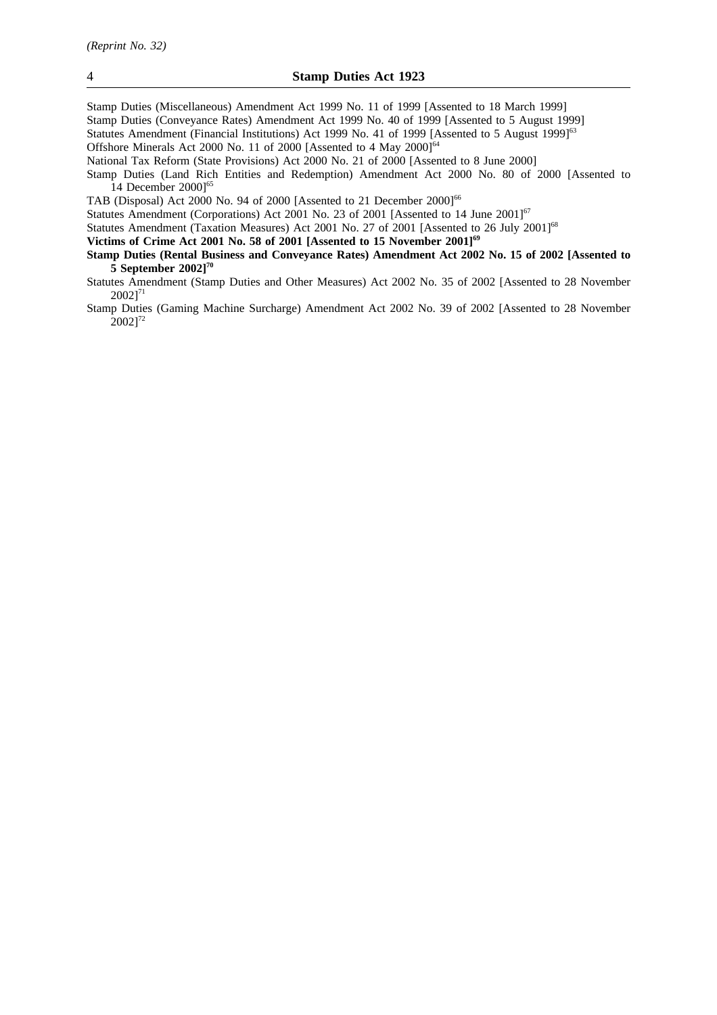Stamp Duties (Miscellaneous) Amendment Act 1999 No. 11 of 1999 [Assented to 18 March 1999] Stamp Duties (Conveyance Rates) Amendment Act 1999 No. 40 of 1999 [Assented to 5 August 1999] Statutes Amendment (Financial Institutions) Act 1999 No. 41 of 1999 [Assented to 5 August 1999]<sup>63</sup> Offshore Minerals Act 2000 No. 11 of 2000 [Assented to 4 May 2000]<sup>64</sup>

National Tax Reform (State Provisions) Act 2000 No. 21 of 2000 [Assented to 8 June 2000]

Stamp Duties (Land Rich Entities and Redemption) Amendment Act 2000 No. 80 of 2000 [Assented to 14 December 2000]<sup>65</sup>

TAB (Disposal) Act 2000 No. 94 of 2000 [Assented to 21 December 2000]<sup>66</sup>

Statutes Amendment (Corporations) Act 2001 No. 23 of 2001 [Assented to 14 June 2001]<sup>67</sup>

Statutes Amendment (Taxation Measures) Act 2001 No. 27 of 2001 [Assented to 26 July 2001]<sup>68</sup>

Victims of Crime Act 2001 No. 58 of 2001 [Assented to 15 November 2001]<sup>69</sup>

**Stamp Duties (Rental Business and Conveyance Rates) Amendment Act 2002 No. 15 of 2002 [Assented to 5 September 2002]70**

Stamp Duties (Gaming Machine Surcharge) Amendment Act 2002 No. 39 of 2002 [Assented to 28 November  $[2002]^{72}$ 

Statutes Amendment (Stamp Duties and Other Measures) Act 2002 No. 35 of 2002 [Assented to 28 November  $2002$ ]<sup>71</sup>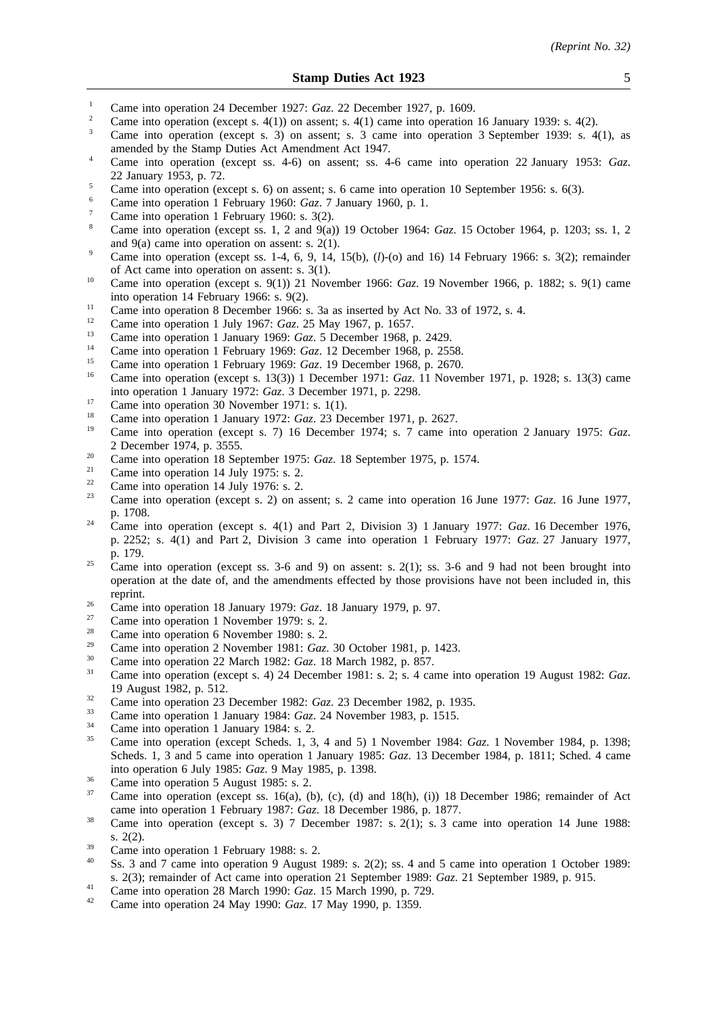- <sup>1</sup> Came into operation 24 December 1927: *Gaz.* 22 December 1927, p. 1609.
- <sup>2</sup> Came into operation (except s. 4(1)) on assent; s. 4(1) came into operation 16 January 1939: s. 4(2).
- <sup>3</sup> Came into operation (except s. 3) on assent; s. 3 came into operation 3 September 1939: s. 4(1), as amended by the Stamp Duties Act Amendment Act 1947.
- <sup>4</sup> Came into operation (except ss. 4-6) on assent; ss. 4-6 came into operation 22 January 1953: *Gaz*. 22 January 1953, p. 72.
- <sup>5</sup> Came into operation (except s. 6) on assent; s. 6 came into operation 10 September 1956: s. 6(3).
- <sup>6</sup> Came into operation 1 February 1960: *Gaz*. 7 January 1960, p. 1.
- Came into operation 1 February 1960: s. 3(2).
- <sup>8</sup> Came into operation (except ss. 1, 2 and 9(a)) 19 October 1964: *Gaz*. 15 October 1964, p. 1203; ss. 1, 2 and 9(a) came into operation on assent: s. 2(1).
- <sup>9</sup> Came into operation (except ss. 1-4, 6, 9, 14, 15(b),  $(l)$ -(o) and 16) 14 February 1966: s. 3(2); remainder of Act came into operation on assent: s. 3(1).
- <sup>10</sup> Came into operation (except s. 9(1)) 21 November 1966: *Gaz*. 19 November 1966, p. 1882; s. 9(1) came into operation 14 February 1966: s. 9(2).
- <sup>11</sup> Came into operation 8 December 1966: s. 3a as inserted by Act No. 33 of 1972, s. 4.
- <sup>12</sup> Came into operation 1 July 1967: *Gaz*. 25 May 1967, p. 1657.
- <sup>13</sup> Came into operation 1 January 1969: *Gaz*. 5 December 1968, p. 2429.
- <sup>14</sup> Came into operation 1 February 1969: *Gaz.* 12 December 1968, p. 2558.<br><sup>15</sup> Came into apartice 1 February 1969: *Gaz.* 19 December 1968, p. 2579.
- <sup>15</sup> Came into operation 1 February 1969: *Gaz*. 19 December 1968, p. 2670.
- <sup>16</sup> Came into operation (except s. 13(3)) 1 December 1971: *Gaz*. 11 November 1971, p. 1928; s. 13(3) came into operation 1 January 1972: *Gaz*. 3 December 1971, p. 2298.
- <sup>17</sup> Came into operation 30 November 1971: s. 1(1).
- <sup>18</sup> Came into operation 1 January 1972: *Gaz*. 23 December 1971, p. 2627.
- <sup>19</sup> Came into operation (except s. 7) 16 December 1974; s. 7 came into operation 2 January 1975: *Gaz*. 2 December 1974, p. 3555.
- <sup>20</sup> Came into operation 18 September 1975: *Gaz*. 18 September 1975, p. 1574.
- <sup>21</sup> Came into operation 14 July 1975: s. 2.<br>
<sup>22</sup> Came into operation 14 July 1976: s. 2.
- <sup>22</sup> Came into operation 14 July 1976: s. 2.<br><sup>23</sup> Came into operation (execute 2) on a
- <sup>23</sup> Came into operation (except s. 2) on assent; s. 2 came into operation 16 June 1977: *Gaz*. 16 June 1977, p. 1708.
- <sup>24</sup> Came into operation (except s. 4(1) and Part 2, Division 3) 1 January 1977: *Gaz*. 16 December 1976, p. 2252; s. 4(1) and Part 2, Division 3 came into operation 1 February 1977: *Gaz*. 27 January 1977, p. 179.
- <sup>25</sup> Came into operation (except ss. 3-6 and 9) on assent: s. 2(1); ss. 3-6 and 9 had not been brought into operation at the date of, and the amendments effected by those provisions have not been included in, this reprint.
- <sup>26</sup> Came into operation 18 January 1979: *Gaz*. 18 January 1979, p. 97.
- $\frac{27}{28}$  Came into operation 1 November 1979: s. 2.
- <sup>28</sup> Came into operation 6 November 1980: s. 2.
- <sup>29</sup> Came into operation 2 November 1981: *Gaz*. 30 October 1981, p. 1423.
- <sup>30</sup> Came into operation 22 March 1982: *Gaz*. 18 March 1982, p. 857.
- <sup>31</sup> Came into operation (except s. 4) 24 December 1981: s. 2; s. 4 came into operation 19 August 1982: *Gaz*. 19 August 1982, p. 512.
- <sup>32</sup> Came into operation 23 December 1982: *Gaz.* 23 December 1982, p. 1935.
- <sup>33</sup> Came into operation 1 January 1984: *Gaz*. 24 November 1983, p. 1515.
- $\frac{34}{35}$  Came into operation 1 January 1984: s. 2.
- <sup>35</sup> Came into operation (except Scheds. 1, 3, 4 and 5) 1 November 1984: *Gaz*. 1 November 1984, p. 1398; Scheds. 1, 3 and 5 came into operation 1 January 1985: *Gaz*. 13 December 1984, p. 1811; Sched. 4 came into operation 6 July 1985: *Gaz*. 9 May 1985, p. 1398.
- $\frac{36}{37}$  Came into operation 5 August 1985: s. 2.
- Came into operation (except ss. 16(a), (b), (c), (d) and  $18(h)$ , (i)) 18 December 1986; remainder of Act came into operation 1 February 1987: *Gaz*. 18 December 1986, p. 1877.
- <sup>38</sup> Came into operation (except s. 3) 7 December 1987: s. 2(1); s. 3 came into operation 14 June 1988: s. 2(2).
- $\frac{39}{40}$  Came into operation 1 February 1988: s. 2.
- Ss. 3 and 7 came into operation 9 August 1989: s. 2(2); ss. 4 and 5 came into operation 1 October 1989: s. 2(3); remainder of Act came into operation 21 September 1989: *Gaz*. 21 September 1989, p. 915.
- <sup>41</sup> Came into operation 28 March 1990: *Gaz*. 15 March 1990, p. 729.
- <sup>42</sup> Came into operation 24 May 1990: *Gaz*. 17 May 1990, p. 1359.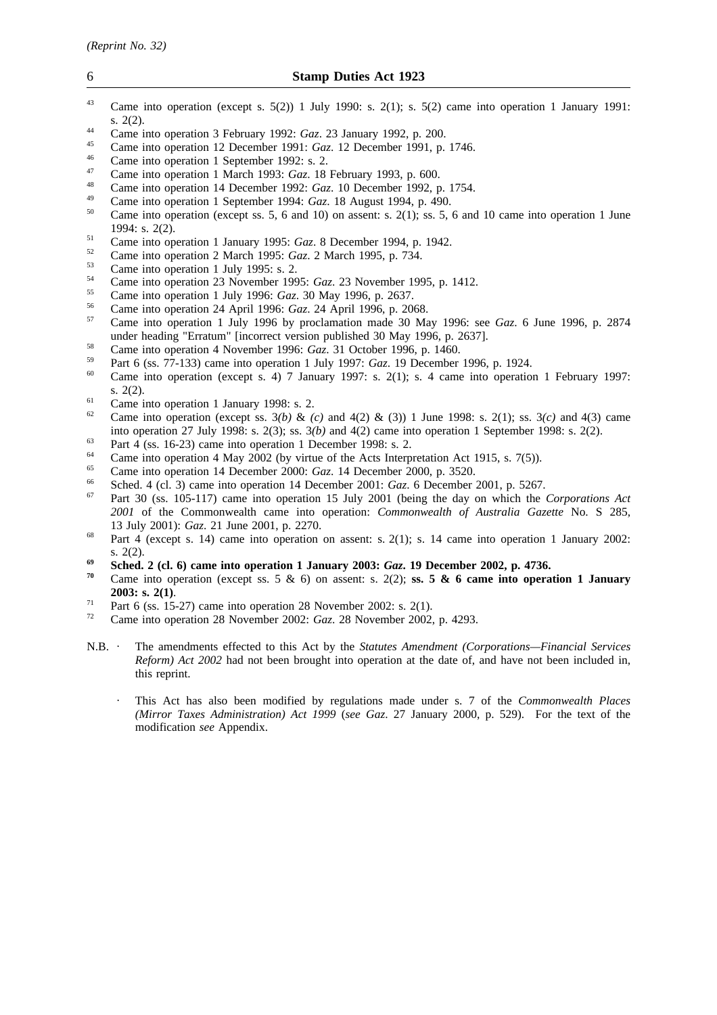- <sup>43</sup> Came into operation (except s. 5(2)) 1 July 1990: s. 2(1); s. 5(2) came into operation 1 January 1991: s. 2(2).
- <sup>44</sup> Came into operation 3 February 1992: *Gaz*. 23 January 1992, p. 200.
- <sup>45</sup> Came into operation 12 December 1991: *Gaz*. 12 December 1991, p. 1746.
- $^{46}$  Came into operation 1 September 1992: s. 2.
- <sup>47</sup> Came into operation 1 March 1993: *Gaz*. 18 February 1993, p. 600.
- <sup>48</sup> Came into operation 14 December 1992: *Gaz*. 10 December 1992, p. 1754.
- <sup>49</sup> Came into operation 1 September 1994: *Gaz*. 18 August 1994, p. 490.
- Came into operation (except ss. 5, 6 and 10) on assent: s. 2(1); ss. 5, 6 and 10 came into operation 1 June 1994: s. 2(2).
- <sup>51</sup> Came into operation 1 January 1995: *Gaz*. 8 December 1994, p. 1942.
- <sup>52</sup> Came into operation 2 March 1995: *Gaz*. 2 March 1995, p. 734.
- $^{53}$  Came into operation 1 July 1995: s. 2.
- <sup>54</sup> Came into operation 23 November 1995: *Gaz*. 23 November 1995, p. 1412.
- <sup>55</sup> Came into operation 1 July 1996: *Gaz*. 30 May 1996, p. 2637.
- <sup>56</sup> Came into operation 24 April 1996: *Gaz*. 24 April 1996, p. 2068.
- <sup>57</sup> Came into operation 1 July 1996 by proclamation made 30 May 1996: see *Gaz*. 6 June 1996, p. 2874 under heading "Erratum" [incorrect version published 30 May 1996, p. 2637].
- <sup>58</sup> Came into operation 4 November 1996: *Gaz*. 31 October 1996, p. 1460.
- <sup>59</sup> Part 6 (ss. 77-133) came into operation 1 July 1997: *Gaz*. 19 December 1996, p. 1924.
- Came into operation (except s. 4) 7 January 1997: s. 2(1); s. 4 came into operation 1 February 1997: s. 2(2).
- <sup>61</sup> Came into operation 1 January 1998: s. 2.<br><sup>62</sup> Came into operation (queent se.  $2(h)$ , 8-
- <sup>62</sup> Came into operation (except ss. 3*(b)* & *(c)* and 4(2) & (3)) 1 June 1998: s. 2(1); ss. 3*(c)* and 4(3) came into operation 27 July 1998: s. 2(3); ss. 3*(b)* and 4(2) came into operation 1 September 1998: s. 2(2).
- $\frac{63}{64}$  Part 4 (ss. 16-23) came into operation 1 December 1998: s. 2.
- <sup>64</sup> Came into operation 4 May 2002 (by virtue of the Acts Interpretation Act 1915, s. 7(5)).
- <sup>65</sup> Came into operation 14 December 2000: *Gaz*. 14 December 2000, p. 3520.
- <sup>66</sup> Sched. 4 (cl. 3) came into operation 14 December 2001: *Gaz*. 6 December 2001, p. 5267.
- <sup>67</sup> Part 30 (ss. 105-117) came into operation 15 July 2001 (being the day on which the *Corporations Act 2001* of the Commonwealth came into operation: *Commonwealth of Australia Gazette* No. S 285, 13 July 2001): *Gaz*. 21 June 2001, p. 2270.
- <sup>68</sup> Part 4 (except s. 14) came into operation on assent: s. 2(1); s. 14 came into operation 1 January 2002: s. 2(2).
- **<sup>69</sup> Sched. 2 (cl. 6) came into operation 1 January 2003:** *Gaz***. 19 December 2002, p. 4736.**
- Came into operation (except ss. 5  $\&$  6) on assent: s. 2(2); **ss. 5**  $\&$  **6 came into operation 1 January 2003: s. 2(1)**.
- <sup>71</sup> Part 6 (ss. 15-27) came into operation 28 November 2002: s. 2(1).<br> $\frac{72}{12}$  Came into operation 28 November 2002:  $\frac{72}{12}$  Came 2002
- <sup>72</sup> Came into operation 28 November 2002: *Gaz*. 28 November 2002, p. 4293.
- N.B. The amendments effected to this Act by the *Statutes Amendment (Corporations—Financial Services Reform) Act 2002* had not been brought into operation at the date of, and have not been included in, this reprint.
	- This Act has also been modified by regulations made under s. 7 of the *Commonwealth Places (Mirror Taxes Administration) Act 1999* (*see Gaz*. 27 January 2000, p. 529). For the text of the modification *see* Appendix.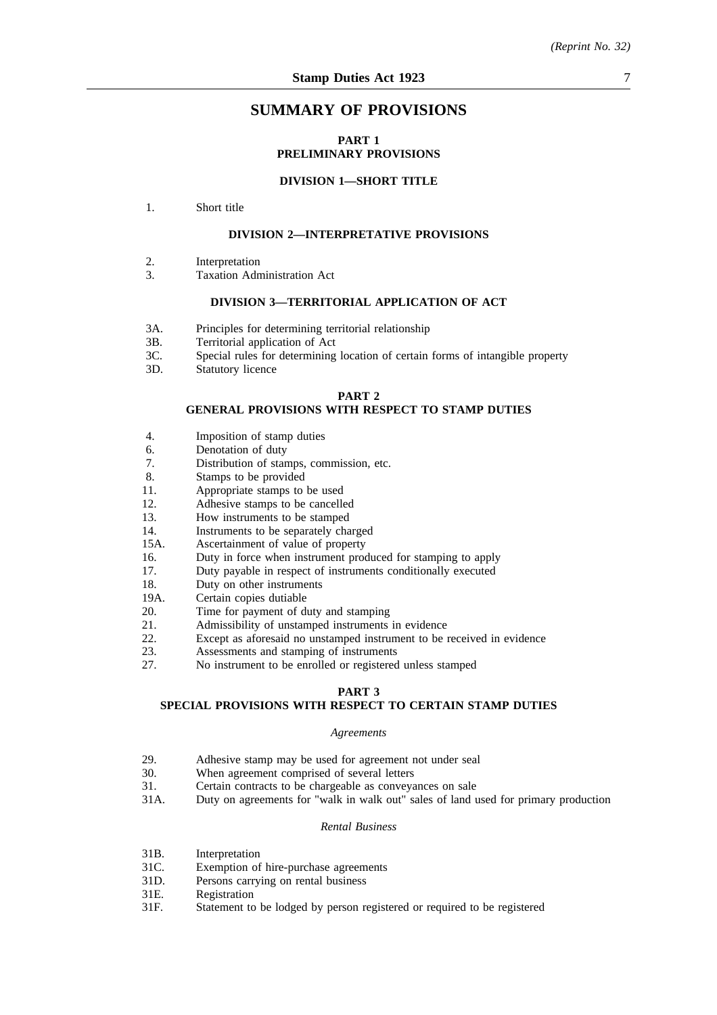## **SUMMARY OF PROVISIONS**

## **PART 1 PRELIMINARY PROVISIONS**

### **DIVISION 1—SHORT TITLE**

1. Short title

## **DIVISION 2—INTERPRETATIVE PROVISIONS**

- 2. Interpretation
- 3. Taxation Administration Act

#### **DIVISION 3—TERRITORIAL APPLICATION OF ACT**

- 3A. Principles for determining territorial relationship
- 3B. Territorial application of Act
- 3C. Special rules for determining location of certain forms of intangible property
- 3D. Statutory licence

#### **PART 2**

#### **GENERAL PROVISIONS WITH RESPECT TO STAMP DUTIES**

- 4. Imposition of stamp duties
- 6. Denotation of duty
- 7. Distribution of stamps, commission, etc.
- 8. Stamps to be provided
- 11. Appropriate stamps to be used
- 12. Adhesive stamps to be cancelled
- 13. How instruments to be stamped
- 14. Instruments to be separately charged
- 15A. Ascertainment of value of property
- 16. Duty in force when instrument produced for stamping to apply
- 17. Duty payable in respect of instruments conditionally executed
- 18. Duty on other instruments
- 19A. Certain copies dutiable
- 20. Time for payment of duty and stamping
- 21. Admissibility of unstamped instruments in evidence
- 22. Except as aforesaid no unstamped instrument to be received in evidence<br>23. Assessments and stamping of instruments
- 23. Assessments and stamping of instruments<br>27. No instrument to be enrolled or registered
- No instrument to be enrolled or registered unless stamped

## **PART 3**

## **SPECIAL PROVISIONS WITH RESPECT TO CERTAIN STAMP DUTIES**

#### *Agreements*

- 29. Adhesive stamp may be used for agreement not under seal<br>30. When agreement comprised of several letters
- 30. When agreement comprised of several letters<br>31. Certain contracts to be chargeable as conveva
- 31. Certain contracts to be chargeable as conveyances on sale<br>31A. Duty on agreements for "walk in walk out" sales of land r
- Duty on agreements for "walk in walk out" sales of land used for primary production

## *Rental Business*

- 31B. Interpretation
- 31C. Exemption of hire-purchase agreements
- 31D. Persons carrying on rental business
- 31E. Registration<br>31E. Statement to
- Statement to be lodged by person registered or required to be registered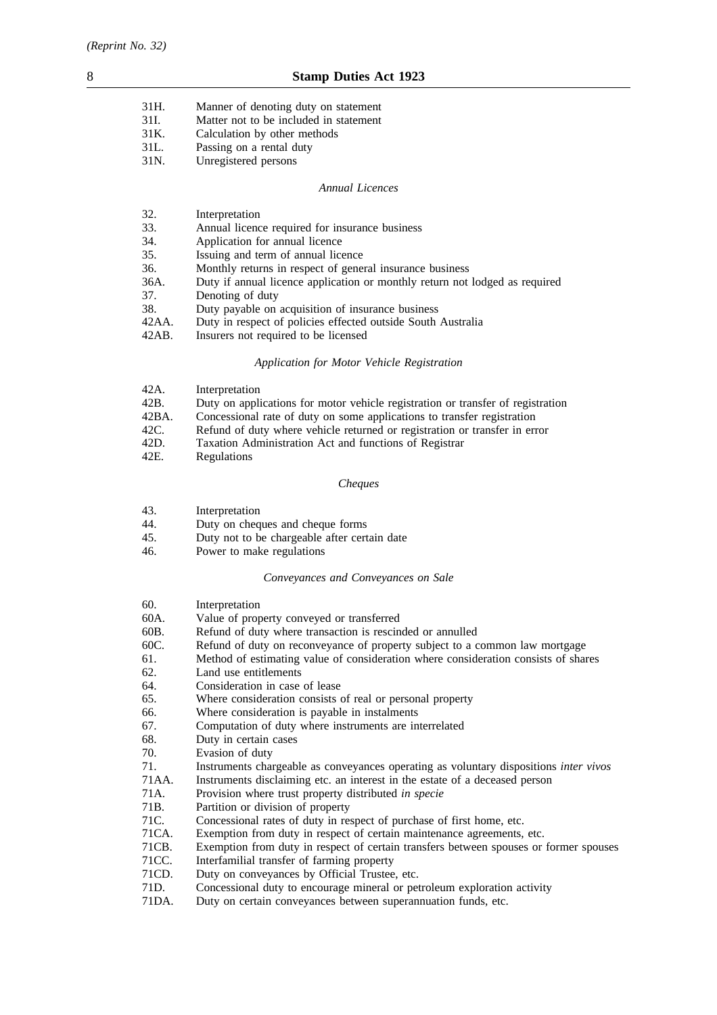| 31H. | Manner of denoting duty on statement   |
|------|----------------------------------------|
| 31I. | Matter not to be included in statement |
| 31K. | Calculation by other methods           |
| 31L. | Passing on a rental duty               |
| 31N. | Unregistered persons                   |

### *Annual Licences*

| 32.      | Interpretation                                                              |
|----------|-----------------------------------------------------------------------------|
| 33.      | Annual licence required for insurance business                              |
| 34.      | Application for annual licence                                              |
| 35.      | Issuing and term of annual licence                                          |
| 36.      | Monthly returns in respect of general insurance business                    |
| 36A.     | Duty if annual licence application or monthly return not lodged as required |
| 37.      | Denoting of duty                                                            |
| 38.      | Duty payable on acquisition of insurance business                           |
| 42AA.    | Duty in respect of policies effected outside South Australia                |
| $42AB$ . | Insurers not required to be licensed                                        |

## *Application for Motor Vehicle Registration*

| 42A.  | Interpretation                                                                  |
|-------|---------------------------------------------------------------------------------|
| 42B.  | Duty on applications for motor vehicle registration or transfer of registration |
| 42BA. | Concessional rate of duty on some applications to transfer registration         |
| 42C.  | Refund of duty where vehicle returned or registration or transfer in error      |
| 42D.  | Taxation Administration Act and functions of Registrar                          |
| 42E.  | Regulations                                                                     |

## *Cheques*

| 43. | Interpretation |
|-----|----------------|
|-----|----------------|

- 44. Duty on cheques and cheque forms
- 45. Duty not to be chargeable after certain date
- 46. Power to make regulations

## *Conveyances and Conveyances on Sale*

| 60.   | Interpretation                                                                        |
|-------|---------------------------------------------------------------------------------------|
| 60A.  | Value of property conveyed or transferred                                             |
| 60B.  | Refund of duty where transaction is rescinded or annulled                             |
| 60C.  | Refund of duty on reconveyance of property subject to a common law mortgage           |
| 61.   | Method of estimating value of consideration where consideration consists of shares    |
| 62.   | Land use entitlements                                                                 |
| 64.   | Consideration in case of lease                                                        |
| 65.   | Where consideration consists of real or personal property                             |
| 66.   | Where consideration is payable in instalments                                         |
| 67.   | Computation of duty where instruments are interrelated                                |
| 68.   | Duty in certain cases                                                                 |
| 70.   | Evasion of duty                                                                       |
| 71.   | Instruments chargeable as conveyances operating as voluntary dispositions inter vivos |
| 71AA. | Instruments disclaiming etc. an interest in the estate of a deceased person           |
| 71A.  | Provision where trust property distributed in specie                                  |
| 71B.  | Partition or division of property                                                     |
| 71C.  | Concessional rates of duty in respect of purchase of first home, etc.                 |
| 71CA. | Exemption from duty in respect of certain maintenance agreements, etc.                |
| 71CB. | Exemption from duty in respect of certain transfers between spouses or former spouses |
| 71CC. | Interfamilial transfer of farming property                                            |
| 71CD. | Duty on conveyances by Official Trustee, etc.                                         |
| 71D.  | Concessional duty to encourage mineral or petroleum exploration activity              |
| 71DA. | Duty on certain conveyances between superannuation funds, etc.                        |
|       |                                                                                       |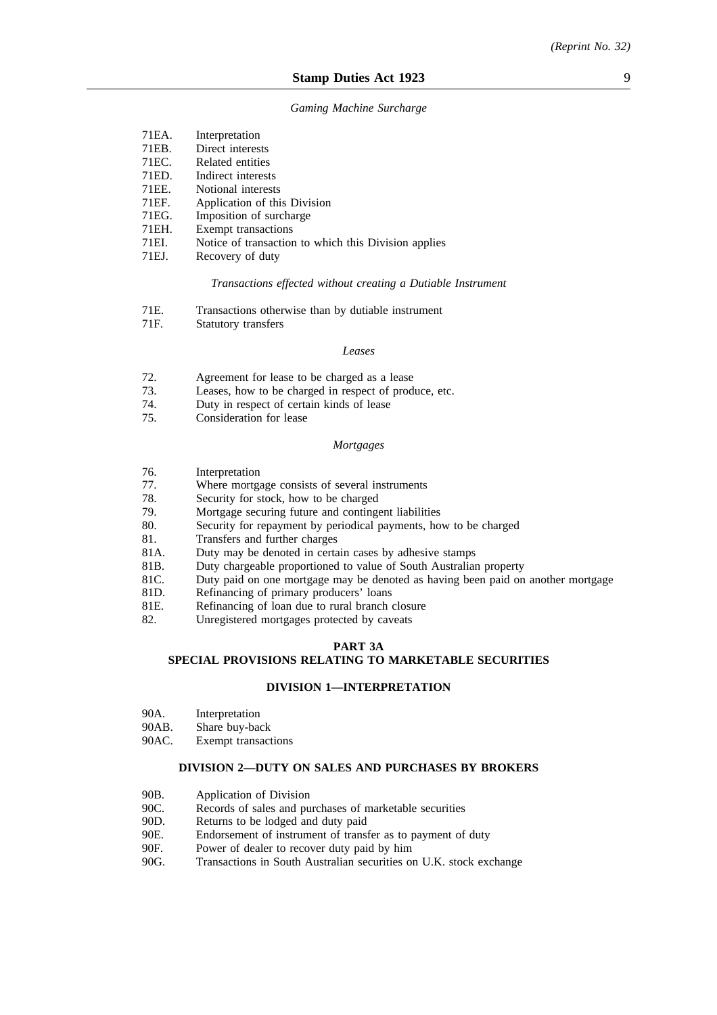#### *Gaming Machine Surcharge*

| 71 EA.             | Interpretation                                       |
|--------------------|------------------------------------------------------|
| 71EB.              | Direct interests                                     |
| 71 <sub>EC</sub> . | Related entities                                     |
| 71ED.              | Indirect interests                                   |
| 71EE.              | Notional interests                                   |
| 71EF.              | Application of this Division                         |
| 71EG.              | Imposition of surcharge                              |
| 71EH.              | Exempt transactions                                  |
| 71EI.              | Notice of transaction to which this Division applies |
| 71EJ.              | Recovery of duty                                     |
|                    |                                                      |

#### *Transactions effected without creating a Dutiable Instrument*

| 71E. | Transactions otherwise than by dutiable instrument |  |  |  |
|------|----------------------------------------------------|--|--|--|
|      |                                                    |  |  |  |

71F. Statutory transfers

#### *Leases*

- 72. Agreement for lease to be charged as a lease<br>73. Leases, how to be charged in respect of prod
- 73. Leases, how to be charged in respect of produce, etc.<br>74. Duty in respect of certain kinds of lease
- 74. Duty in respect of certain kinds of lease
- Consideration for lease

#### *Mortgages*

- 76. Interpretation<br>77 Where mortes
- 77. Where mortgage consists of several instruments<br>78. Security for stock, how to be charged
- 78. Security for stock, how to be charged<br>79. Mortgage securing future and contingent
- Mortgage securing future and contingent liabilities
- 80. Security for repayment by periodical payments, how to be charged
- 81. Transfers and further charges
- 81A. Duty may be denoted in certain cases by adhesive stamps
- 81B. Duty chargeable proportioned to value of South Australian property
- 81C. Duty paid on one mortgage may be denoted as having been paid on another mortgage
- 81D. Refinancing of primary producers' loans
- 81E. Refinancing of loan due to rural branch closure
- 82. Unregistered mortgages protected by caveats

#### **PART 3A**

## **SPECIAL PROVISIONS RELATING TO MARKETABLE SECURITIES**

#### **DIVISION 1—INTERPRETATION**

- 90A. Interpretation
- 90AB. Share buy-back
- 90AC. Exempt transactions

#### **DIVISION 2—DUTY ON SALES AND PURCHASES BY BROKERS**

- 90B. Application of Division
- 90C. Records of sales and purchases of marketable securities
- 90D. Returns to be lodged and duty paid
- 90E. Endorsement of instrument of transfer as to payment of duty
- 90F. Power of dealer to recover duty paid by him
- 90G. Transactions in South Australian securities on U.K. stock exchange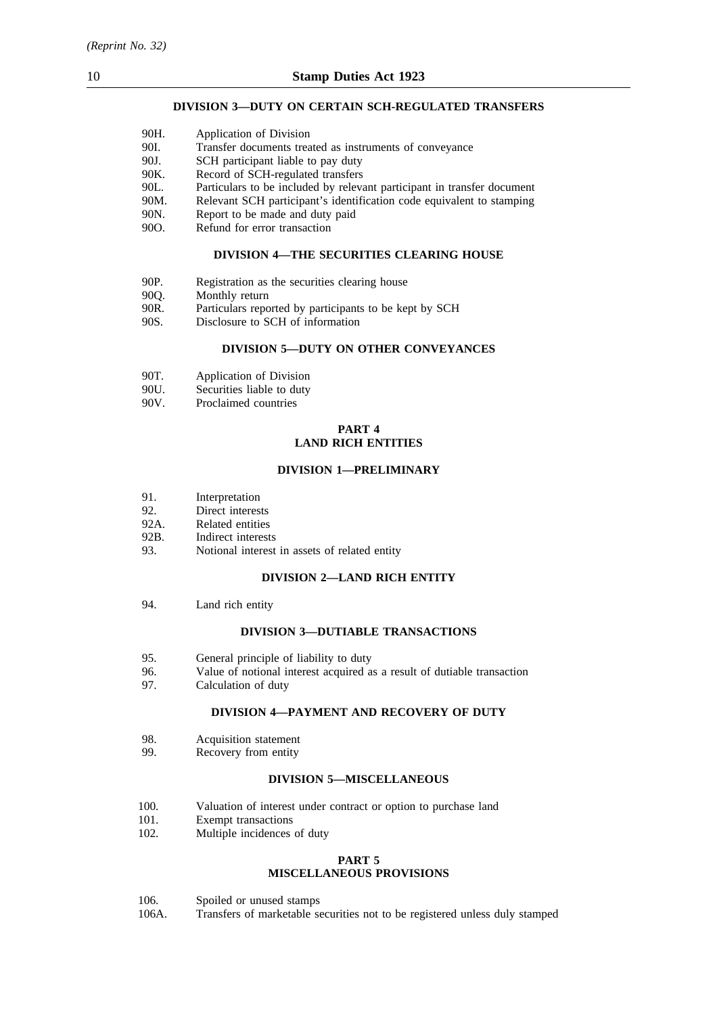## **DIVISION 3—DUTY ON CERTAIN SCH-REGULATED TRANSFERS**

| 90H. | Application of Division                                                 |
|------|-------------------------------------------------------------------------|
| 90I. | Transfer documents treated as instruments of conveyance                 |
| 90J. | SCH participant liable to pay duty                                      |
| 90K. | Record of SCH-regulated transfers                                       |
| 90L. | Particulars to be included by relevant participant in transfer document |
| 90M. | Relevant SCH participant's identification code equivalent to stamping   |
| 90N. | Report to be made and duty paid                                         |
| 90O. | Refund for error transaction                                            |
|      |                                                                         |

## **DIVISION 4—THE SECURITIES CLEARING HOUSE**

- 90P. Registration as the securities clearing house
- 90Q. Monthly return
- 90R. Particulars reported by participants to be kept by SCH
- 90S. Disclosure to SCH of information

## **DIVISION 5—DUTY ON OTHER CONVEYANCES**

- 90T. Application of Division<br>90U. Securities liable to duty
- 90U. Securities liable to duty<br>90V. Proclaimed countries
- Proclaimed countries

## **PART 4 LAND RICH ENTITIES**

#### **DIVISION 1—PRELIMINARY**

- 91. Interpretation
- 92. Direct interests
- 92A. Related entities
- 92B. Indirect interests
- 93. Notional interest in assets of related entity

## **DIVISION 2—LAND RICH ENTITY**

94. Land rich entity

## **DIVISION 3—DUTIABLE TRANSACTIONS**

- 95. General principle of liability to duty
- 96. Value of notional interest acquired as a result of dutiable transaction
- 97. Calculation of duty

## **DIVISION 4—PAYMENT AND RECOVERY OF DUTY**

- 98. Acquisition statement<br>99. Recovery from entity
- Recovery from entity

#### **DIVISION 5—MISCELLANEOUS**

- 100. Valuation of interest under contract or option to purchase land
- 101. Exempt transactions
- 102. Multiple incidences of duty

## **PART 5 MISCELLANEOUS PROVISIONS**

- 106. Spoiled or unused stamps
- 106A. Transfers of marketable securities not to be registered unless duly stamped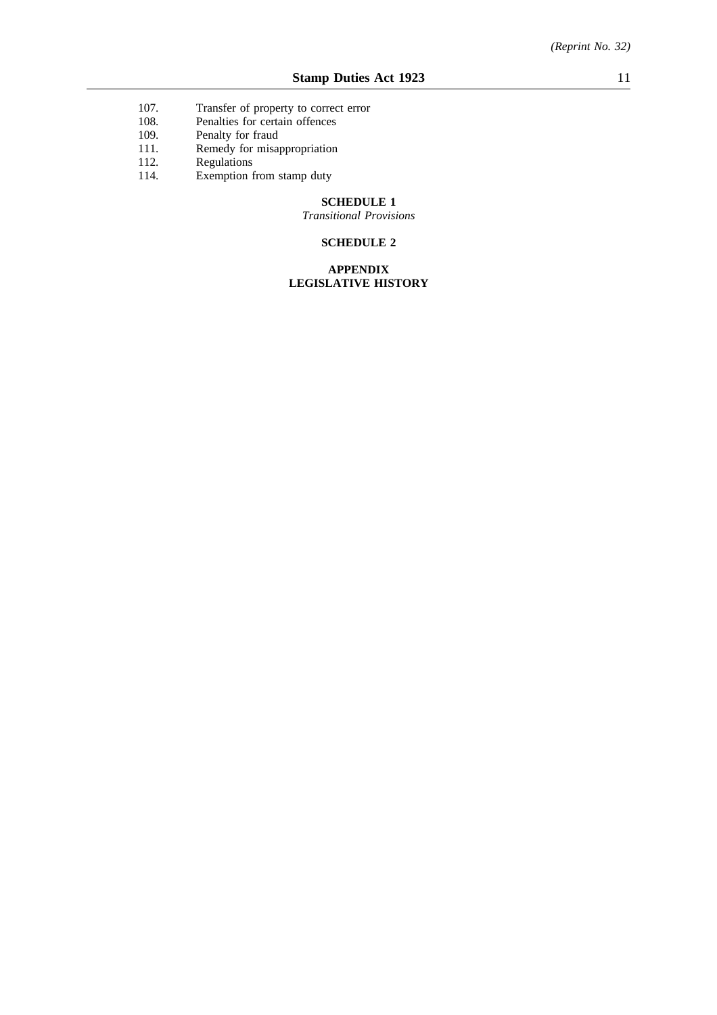- 107. Transfer of property to correct error<br>108. Penalties for certain offences
- Penalties for certain offences
- 109. Penalty for fraud
- 111. Remedy for misappropriation
- 112. Regulations
- 114. Exemption from stamp duty

## **SCHEDULE 1**

*Transitional Provisions*

## **SCHEDULE 2**

## **APPENDIX LEGISLATIVE HISTORY**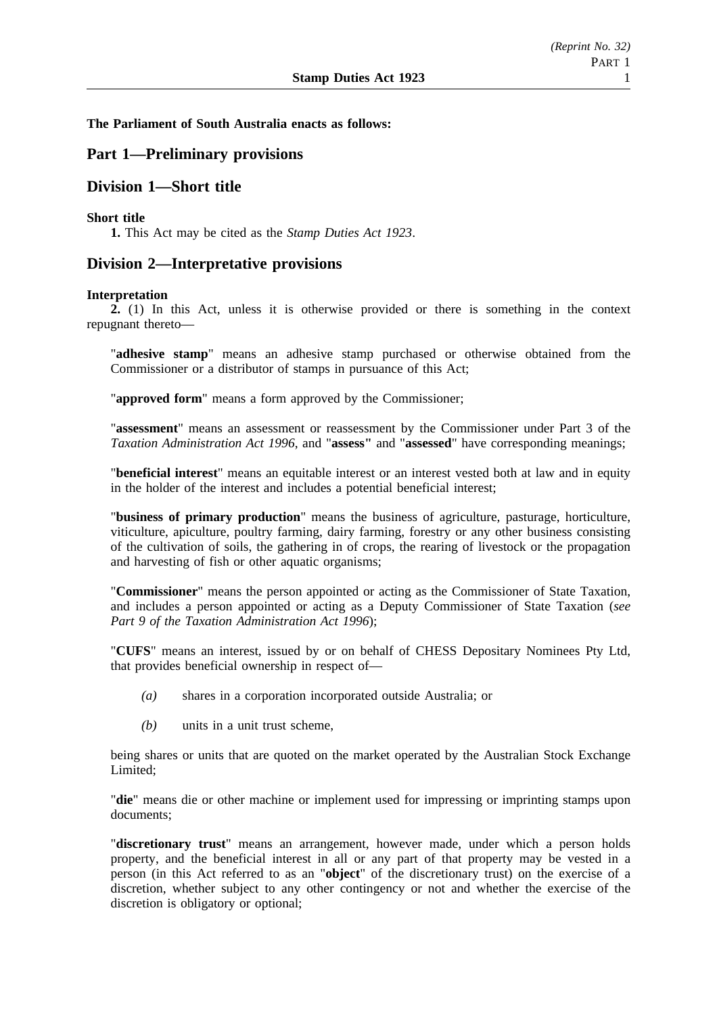## **The Parliament of South Australia enacts as follows:**

## **Part 1—Preliminary provisions**

## **Division 1—Short title**

## **Short title**

**1.** This Act may be cited as the *Stamp Duties Act 1923*.

## **Division 2—Interpretative provisions**

## **Interpretation**

**2.** (1) In this Act, unless it is otherwise provided or there is something in the context repugnant thereto—

"**adhesive stamp**" means an adhesive stamp purchased or otherwise obtained from the Commissioner or a distributor of stamps in pursuance of this Act;

"**approved form**" means a form approved by the Commissioner;

"**assessment**" means an assessment or reassessment by the Commissioner under Part 3 of the *Taxation Administration Act 1996*, and "**assess"** and "**assessed**" have corresponding meanings;

"**beneficial interest**" means an equitable interest or an interest vested both at law and in equity in the holder of the interest and includes a potential beneficial interest;

"**business of primary production**" means the business of agriculture, pasturage, horticulture, viticulture, apiculture, poultry farming, dairy farming, forestry or any other business consisting of the cultivation of soils, the gathering in of crops, the rearing of livestock or the propagation and harvesting of fish or other aquatic organisms;

"**Commissioner**" means the person appointed or acting as the Commissioner of State Taxation, and includes a person appointed or acting as a Deputy Commissioner of State Taxation (*see Part 9 of the Taxation Administration Act 1996*);

"**CUFS**" means an interest, issued by or on behalf of CHESS Depositary Nominees Pty Ltd, that provides beneficial ownership in respect of—

- *(a)* shares in a corporation incorporated outside Australia; or
- *(b)* units in a unit trust scheme,

being shares or units that are quoted on the market operated by the Australian Stock Exchange Limited;

"**die**" means die or other machine or implement used for impressing or imprinting stamps upon documents;

"**discretionary trust**" means an arrangement, however made, under which a person holds property, and the beneficial interest in all or any part of that property may be vested in a person (in this Act referred to as an "**object**" of the discretionary trust) on the exercise of a discretion, whether subject to any other contingency or not and whether the exercise of the discretion is obligatory or optional;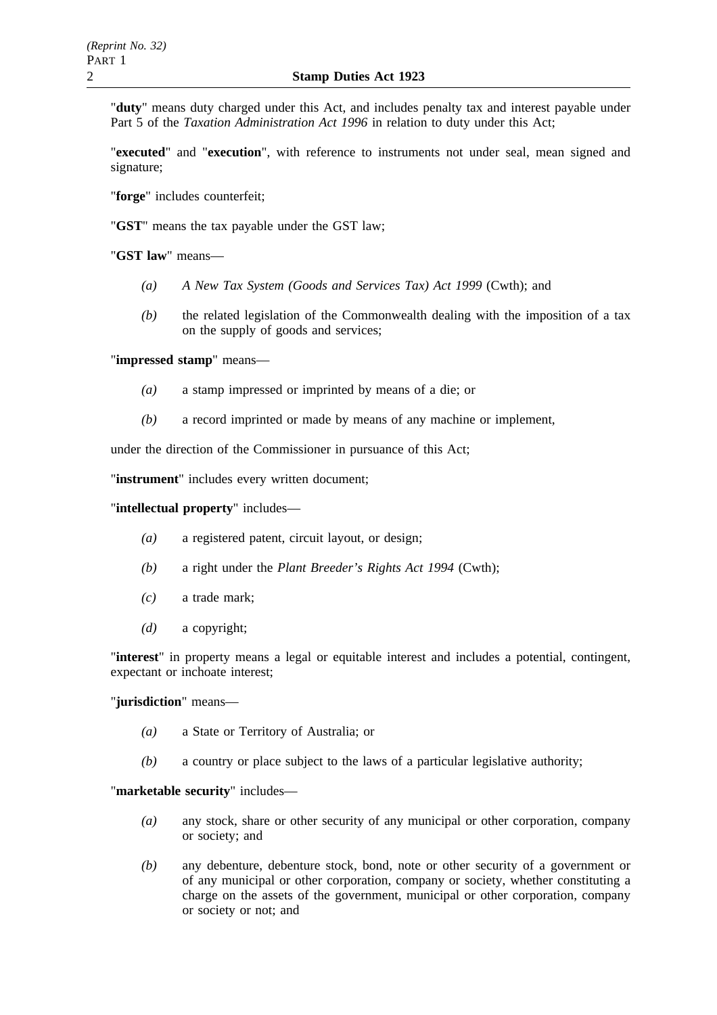"**duty**" means duty charged under this Act, and includes penalty tax and interest payable under Part 5 of the *Taxation Administration Act 1996* in relation to duty under this Act;

"**executed**" and "**execution**", with reference to instruments not under seal, mean signed and signature;

"**forge**" includes counterfeit;

"**GST**" means the tax payable under the GST law;

"**GST law**" means—

- *(a) A New Tax System (Goods and Services Tax) Act 1999* (Cwth); and
- *(b)* the related legislation of the Commonwealth dealing with the imposition of a tax on the supply of goods and services;

"**impressed stamp**" means—

- *(a)* a stamp impressed or imprinted by means of a die; or
- *(b)* a record imprinted or made by means of any machine or implement,

under the direction of the Commissioner in pursuance of this Act;

"**instrument**" includes every written document;

"**intellectual property**" includes—

- *(a)* a registered patent, circuit layout, or design;
- *(b)* a right under the *Plant Breeder's Rights Act 1994* (Cwth);
- *(c)* a trade mark;
- *(d)* a copyright;

"**interest**" in property means a legal or equitable interest and includes a potential, contingent, expectant or inchoate interest;

## "**jurisdiction**" means—

- *(a)* a State or Territory of Australia; or
- *(b)* a country or place subject to the laws of a particular legislative authority;

"**marketable security**" includes—

- *(a)* any stock, share or other security of any municipal or other corporation, company or society; and
- *(b)* any debenture, debenture stock, bond, note or other security of a government or of any municipal or other corporation, company or society, whether constituting a charge on the assets of the government, municipal or other corporation, company or society or not; and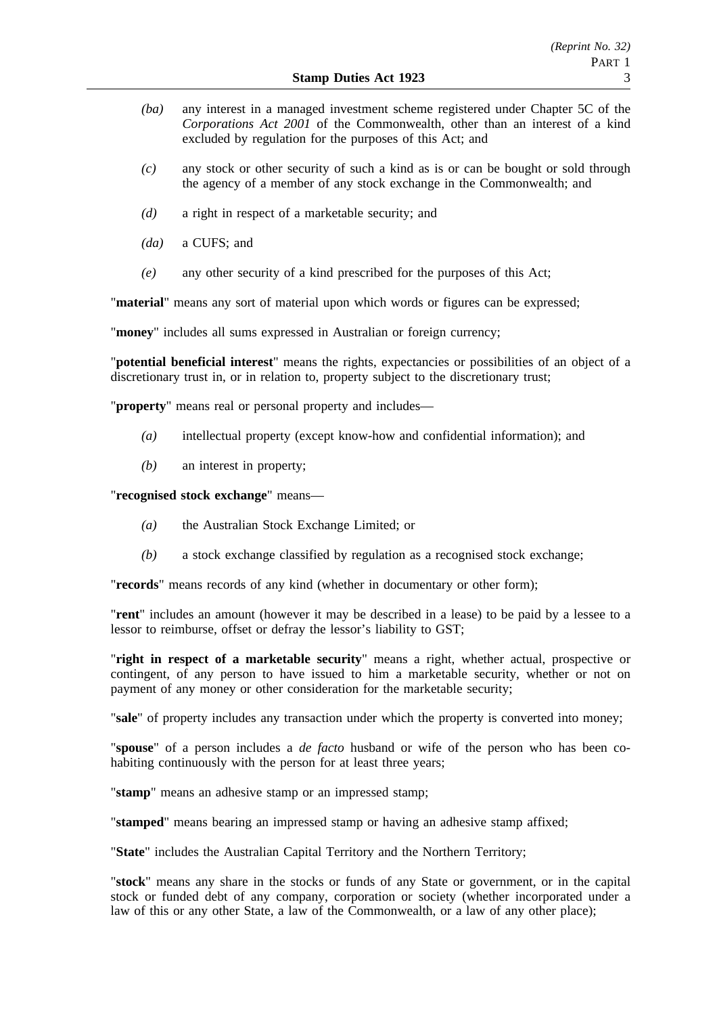- *(ba)* any interest in a managed investment scheme registered under Chapter 5C of the *Corporations Act 2001* of the Commonwealth, other than an interest of a kind excluded by regulation for the purposes of this Act; and
- *(c)* any stock or other security of such a kind as is or can be bought or sold through the agency of a member of any stock exchange in the Commonwealth; and
- *(d)* a right in respect of a marketable security; and
- *(da)* a CUFS; and
- *(e)* any other security of a kind prescribed for the purposes of this Act;

"**material**" means any sort of material upon which words or figures can be expressed;

"**money**" includes all sums expressed in Australian or foreign currency;

"**potential beneficial interest**" means the rights, expectancies or possibilities of an object of a discretionary trust in, or in relation to, property subject to the discretionary trust;

"**property**" means real or personal property and includes—

- *(a)* intellectual property (except know-how and confidential information); and
- *(b)* an interest in property;

"**recognised stock exchange**" means—

- *(a)* the Australian Stock Exchange Limited; or
- *(b)* a stock exchange classified by regulation as a recognised stock exchange;

"**records**" means records of any kind (whether in documentary or other form);

"**rent**" includes an amount (however it may be described in a lease) to be paid by a lessee to a lessor to reimburse, offset or defray the lessor's liability to GST;

"**right in respect of a marketable security**" means a right, whether actual, prospective or contingent, of any person to have issued to him a marketable security, whether or not on payment of any money or other consideration for the marketable security;

"**sale**" of property includes any transaction under which the property is converted into money;

"**spouse**" of a person includes a *de facto* husband or wife of the person who has been cohabiting continuously with the person for at least three years;

"**stamp**" means an adhesive stamp or an impressed stamp;

"**stamped**" means bearing an impressed stamp or having an adhesive stamp affixed;

"**State**" includes the Australian Capital Territory and the Northern Territory;

"**stock**" means any share in the stocks or funds of any State or government, or in the capital stock or funded debt of any company, corporation or society (whether incorporated under a law of this or any other State, a law of the Commonwealth, or a law of any other place);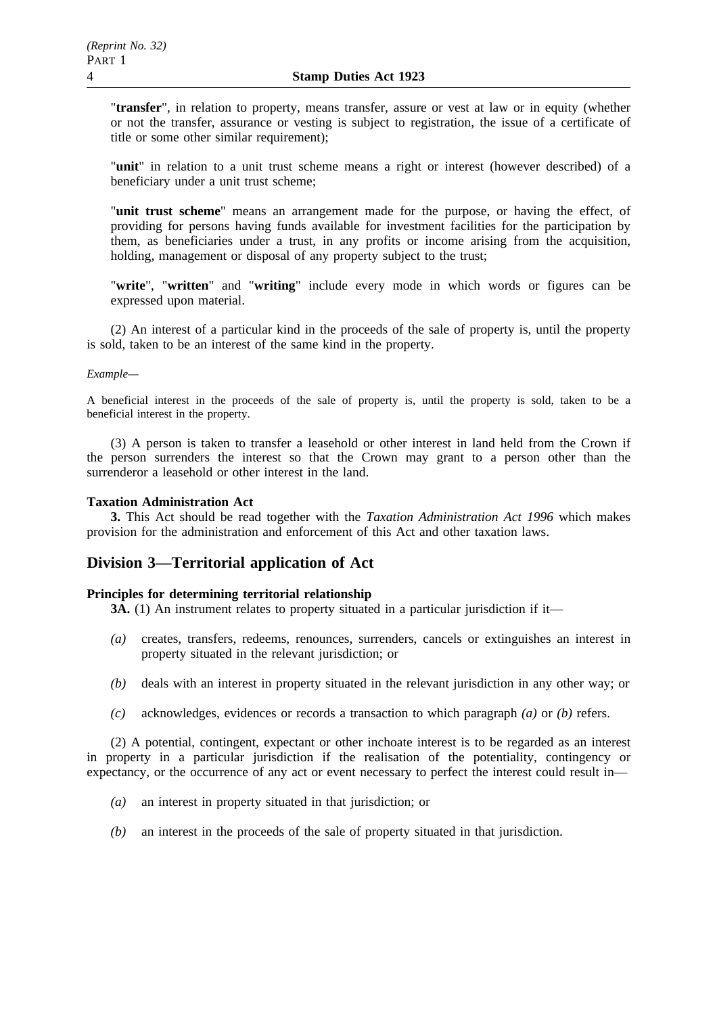"**transfer**", in relation to property, means transfer, assure or vest at law or in equity (whether or not the transfer, assurance or vesting is subject to registration, the issue of a certificate of title or some other similar requirement);

"**unit**" in relation to a unit trust scheme means a right or interest (however described) of a beneficiary under a unit trust scheme;

"**unit trust scheme**" means an arrangement made for the purpose, or having the effect, of providing for persons having funds available for investment facilities for the participation by them, as beneficiaries under a trust, in any profits or income arising from the acquisition, holding, management or disposal of any property subject to the trust;

"**write**", "**written**" and "**writing**" include every mode in which words or figures can be expressed upon material.

(2) An interest of a particular kind in the proceeds of the sale of property is, until the property is sold, taken to be an interest of the same kind in the property.

#### *Example—*

A beneficial interest in the proceeds of the sale of property is, until the property is sold, taken to be a beneficial interest in the property.

(3) A person is taken to transfer a leasehold or other interest in land held from the Crown if the person surrenders the interest so that the Crown may grant to a person other than the surrenderor a leasehold or other interest in the land.

## **Taxation Administration Act**

**3.** This Act should be read together with the *Taxation Administration Act 1996* which makes provision for the administration and enforcement of this Act and other taxation laws.

## **Division 3—Territorial application of Act**

## **Principles for determining territorial relationship**

**3A.** (1) An instrument relates to property situated in a particular jurisdiction if it—

- *(a)* creates, transfers, redeems, renounces, surrenders, cancels or extinguishes an interest in property situated in the relevant jurisdiction; or
- *(b)* deals with an interest in property situated in the relevant jurisdiction in any other way; or
- *(c)* acknowledges, evidences or records a transaction to which paragraph *(a)* or *(b)* refers.

(2) A potential, contingent, expectant or other inchoate interest is to be regarded as an interest in property in a particular jurisdiction if the realisation of the potentiality, contingency or expectancy, or the occurrence of any act or event necessary to perfect the interest could result in—

- *(a)* an interest in property situated in that jurisdiction; or
- *(b)* an interest in the proceeds of the sale of property situated in that jurisdiction.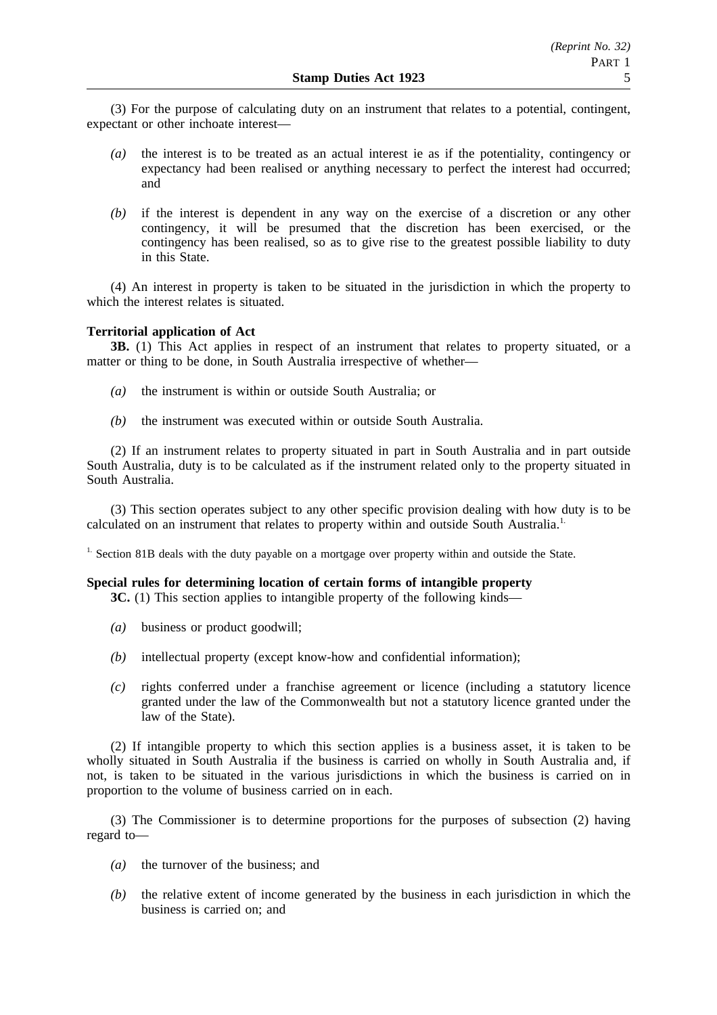(3) For the purpose of calculating duty on an instrument that relates to a potential, contingent, expectant or other inchoate interest—

- *(a)* the interest is to be treated as an actual interest ie as if the potentiality, contingency or expectancy had been realised or anything necessary to perfect the interest had occurred; and
- *(b)* if the interest is dependent in any way on the exercise of a discretion or any other contingency, it will be presumed that the discretion has been exercised, or the contingency has been realised, so as to give rise to the greatest possible liability to duty in this State.

(4) An interest in property is taken to be situated in the jurisdiction in which the property to which the interest relates is situated.

## **Territorial application of Act**

**3B.** (1) This Act applies in respect of an instrument that relates to property situated, or a matter or thing to be done, in South Australia irrespective of whether—

- *(a)* the instrument is within or outside South Australia; or
- *(b)* the instrument was executed within or outside South Australia.

(2) If an instrument relates to property situated in part in South Australia and in part outside South Australia, duty is to be calculated as if the instrument related only to the property situated in South Australia.

(3) This section operates subject to any other specific provision dealing with how duty is to be calculated on an instrument that relates to property within and outside South Australia.<sup>1.</sup>

<sup>1.</sup> Section 81B deals with the duty payable on a mortgage over property within and outside the State.

## **Special rules for determining location of certain forms of intangible property**

**3C.** (1) This section applies to intangible property of the following kinds—

- *(a)* business or product goodwill;
- *(b)* intellectual property (except know-how and confidential information);
- *(c)* rights conferred under a franchise agreement or licence (including a statutory licence granted under the law of the Commonwealth but not a statutory licence granted under the law of the State).

(2) If intangible property to which this section applies is a business asset, it is taken to be wholly situated in South Australia if the business is carried on wholly in South Australia and, if not, is taken to be situated in the various jurisdictions in which the business is carried on in proportion to the volume of business carried on in each.

(3) The Commissioner is to determine proportions for the purposes of subsection (2) having regard to—

- *(a)* the turnover of the business; and
- *(b)* the relative extent of income generated by the business in each jurisdiction in which the business is carried on; and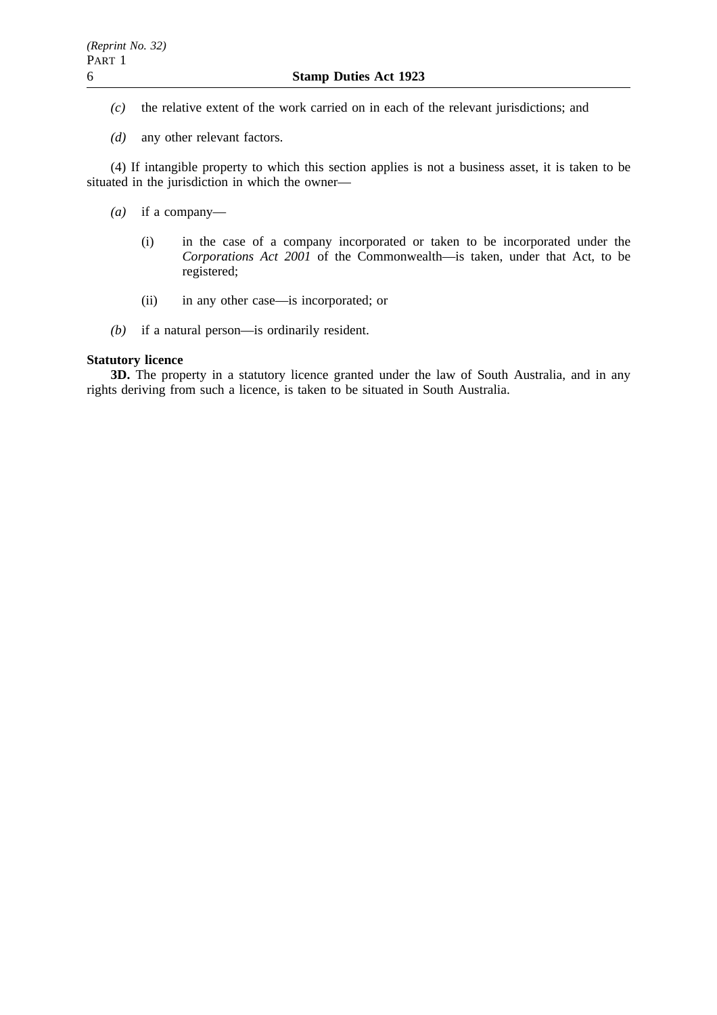- *(c)* the relative extent of the work carried on in each of the relevant jurisdictions; and
- *(d)* any other relevant factors.

(4) If intangible property to which this section applies is not a business asset, it is taken to be situated in the jurisdiction in which the owner—

- *(a)* if a company—
	- (i) in the case of a company incorporated or taken to be incorporated under the *Corporations Act 2001* of the Commonwealth—is taken, under that Act, to be registered;
	- (ii) in any other case—is incorporated; or
- *(b)* if a natural person—is ordinarily resident.

## **Statutory licence**

**3D.** The property in a statutory licence granted under the law of South Australia, and in any rights deriving from such a licence, is taken to be situated in South Australia.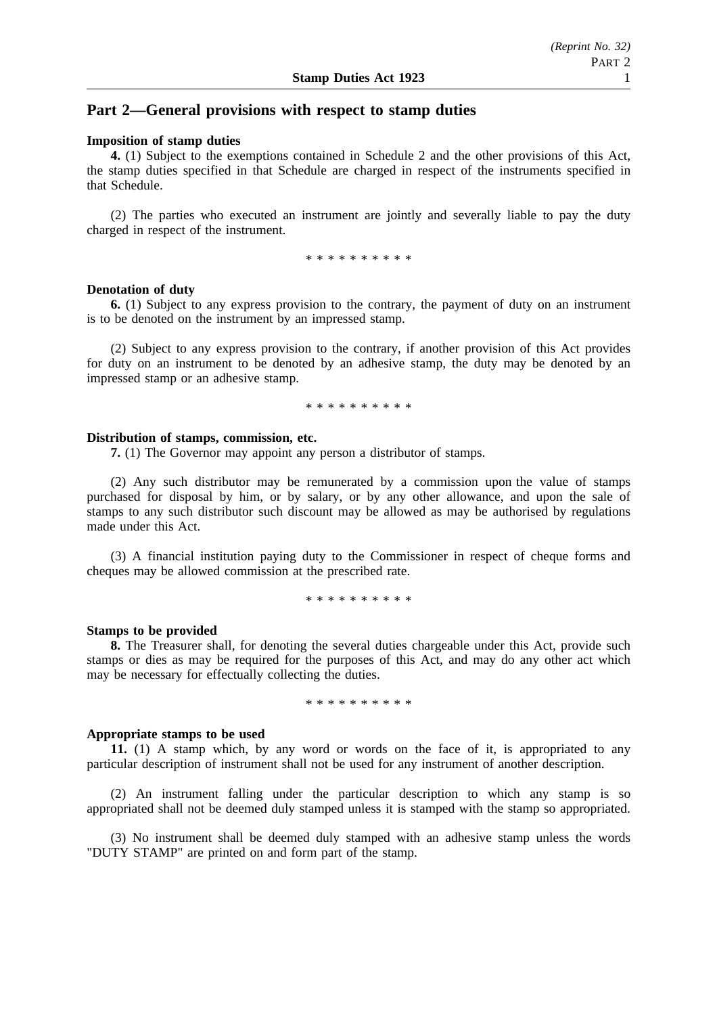## **Part 2—General provisions with respect to stamp duties**

#### **Imposition of stamp duties**

**4.** (1) Subject to the exemptions contained in Schedule 2 and the other provisions of this Act, the stamp duties specified in that Schedule are charged in respect of the instruments specified in that Schedule.

(2) The parties who executed an instrument are jointly and severally liable to pay the duty charged in respect of the instrument.

\*\*\*\*\*\*\*\*\*\*

#### **Denotation of duty**

**6.** (1) Subject to any express provision to the contrary, the payment of duty on an instrument is to be denoted on the instrument by an impressed stamp.

(2) Subject to any express provision to the contrary, if another provision of this Act provides for duty on an instrument to be denoted by an adhesive stamp, the duty may be denoted by an impressed stamp or an adhesive stamp.

\*\*\*\*\*\*\*\*\*\*

#### **Distribution of stamps, commission, etc.**

**7.** (1) The Governor may appoint any person a distributor of stamps.

(2) Any such distributor may be remunerated by a commission upon the value of stamps purchased for disposal by him, or by salary, or by any other allowance, and upon the sale of stamps to any such distributor such discount may be allowed as may be authorised by regulations made under this Act.

(3) A financial institution paying duty to the Commissioner in respect of cheque forms and cheques may be allowed commission at the prescribed rate.

\*\*\*\*\*\*\*\*\*\*

#### **Stamps to be provided**

**8.** The Treasurer shall, for denoting the several duties chargeable under this Act, provide such stamps or dies as may be required for the purposes of this Act, and may do any other act which may be necessary for effectually collecting the duties.

\*\*\*\*\*\*\*\*\*\*

#### **Appropriate stamps to be used**

**11.** (1) A stamp which, by any word or words on the face of it, is appropriated to any particular description of instrument shall not be used for any instrument of another description.

(2) An instrument falling under the particular description to which any stamp is so appropriated shall not be deemed duly stamped unless it is stamped with the stamp so appropriated.

(3) No instrument shall be deemed duly stamped with an adhesive stamp unless the words "DUTY STAMP" are printed on and form part of the stamp.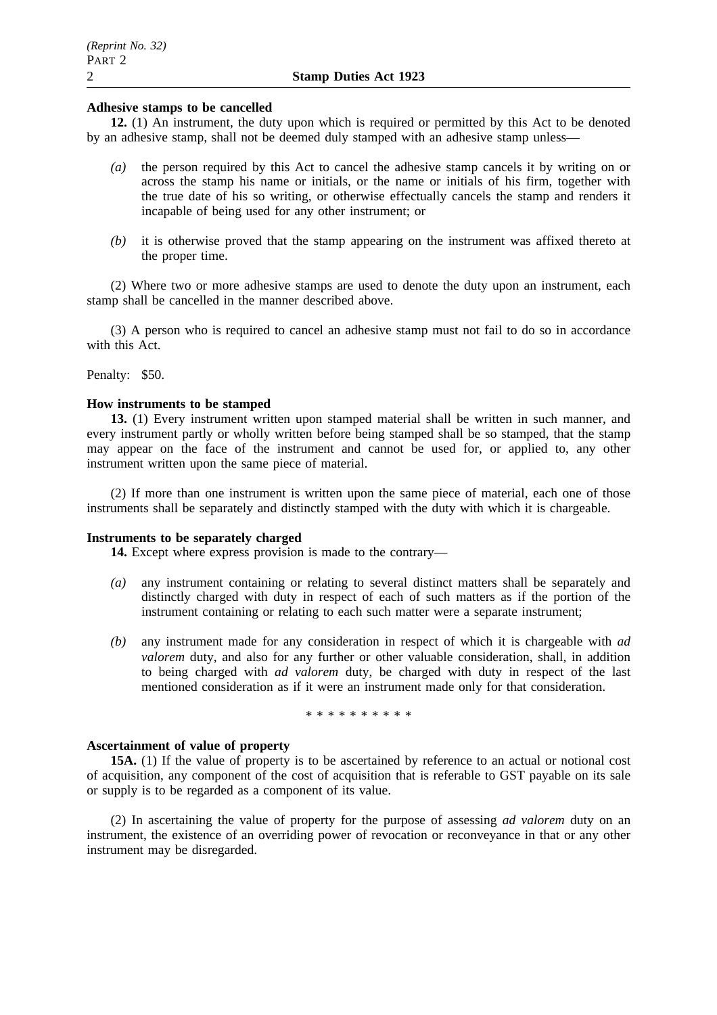## **Adhesive stamps to be cancelled**

**12.** (1) An instrument, the duty upon which is required or permitted by this Act to be denoted by an adhesive stamp, shall not be deemed duly stamped with an adhesive stamp unless—

- *(a)* the person required by this Act to cancel the adhesive stamp cancels it by writing on or across the stamp his name or initials, or the name or initials of his firm, together with the true date of his so writing, or otherwise effectually cancels the stamp and renders it incapable of being used for any other instrument; or
- *(b)* it is otherwise proved that the stamp appearing on the instrument was affixed thereto at the proper time.

(2) Where two or more adhesive stamps are used to denote the duty upon an instrument, each stamp shall be cancelled in the manner described above.

(3) A person who is required to cancel an adhesive stamp must not fail to do so in accordance with this Act.

Penalty: \$50.

#### **How instruments to be stamped**

**13.** (1) Every instrument written upon stamped material shall be written in such manner, and every instrument partly or wholly written before being stamped shall be so stamped, that the stamp may appear on the face of the instrument and cannot be used for, or applied to, any other instrument written upon the same piece of material.

(2) If more than one instrument is written upon the same piece of material, each one of those instruments shall be separately and distinctly stamped with the duty with which it is chargeable.

#### **Instruments to be separately charged**

**14.** Except where express provision is made to the contrary—

- *(a)* any instrument containing or relating to several distinct matters shall be separately and distinctly charged with duty in respect of each of such matters as if the portion of the instrument containing or relating to each such matter were a separate instrument;
- *(b)* any instrument made for any consideration in respect of which it is chargeable with *ad valorem* duty, and also for any further or other valuable consideration, shall, in addition to being charged with *ad valorem* duty, be charged with duty in respect of the last mentioned consideration as if it were an instrument made only for that consideration.

\*\*\*\*\*\*\*\*\*\*

## **Ascertainment of value of property**

**15A.** (1) If the value of property is to be ascertained by reference to an actual or notional cost of acquisition, any component of the cost of acquisition that is referable to GST payable on its sale or supply is to be regarded as a component of its value.

(2) In ascertaining the value of property for the purpose of assessing *ad valorem* duty on an instrument, the existence of an overriding power of revocation or reconveyance in that or any other instrument may be disregarded.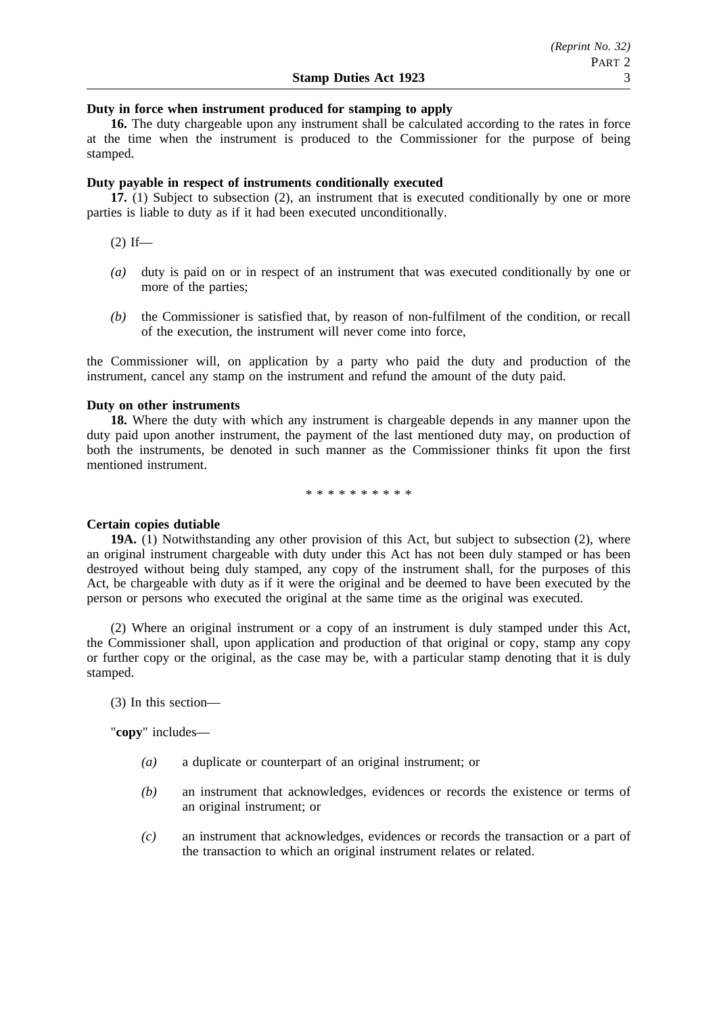## **Duty in force when instrument produced for stamping to apply**

**16.** The duty chargeable upon any instrument shall be calculated according to the rates in force at the time when the instrument is produced to the Commissioner for the purpose of being stamped.

#### **Duty payable in respect of instruments conditionally executed**

**17.** (1) Subject to subsection (2), an instrument that is executed conditionally by one or more parties is liable to duty as if it had been executed unconditionally.

 $(2)$  If—

- *(a)* duty is paid on or in respect of an instrument that was executed conditionally by one or more of the parties;
- *(b)* the Commissioner is satisfied that, by reason of non-fulfilment of the condition, or recall of the execution, the instrument will never come into force,

the Commissioner will, on application by a party who paid the duty and production of the instrument, cancel any stamp on the instrument and refund the amount of the duty paid.

#### **Duty on other instruments**

**18.** Where the duty with which any instrument is chargeable depends in any manner upon the duty paid upon another instrument, the payment of the last mentioned duty may, on production of both the instruments, be denoted in such manner as the Commissioner thinks fit upon the first mentioned instrument.

\*\*\*\*\*\*\*\*\*\*

#### **Certain copies dutiable**

**19A.** (1) Notwithstanding any other provision of this Act, but subject to subsection (2), where an original instrument chargeable with duty under this Act has not been duly stamped or has been destroyed without being duly stamped, any copy of the instrument shall, for the purposes of this Act, be chargeable with duty as if it were the original and be deemed to have been executed by the person or persons who executed the original at the same time as the original was executed.

(2) Where an original instrument or a copy of an instrument is duly stamped under this Act, the Commissioner shall, upon application and production of that original or copy, stamp any copy or further copy or the original, as the case may be, with a particular stamp denoting that it is duly stamped.

(3) In this section—

"**copy**" includes—

- *(a)* a duplicate or counterpart of an original instrument; or
- *(b)* an instrument that acknowledges, evidences or records the existence or terms of an original instrument; or
- *(c)* an instrument that acknowledges, evidences or records the transaction or a part of the transaction to which an original instrument relates or related.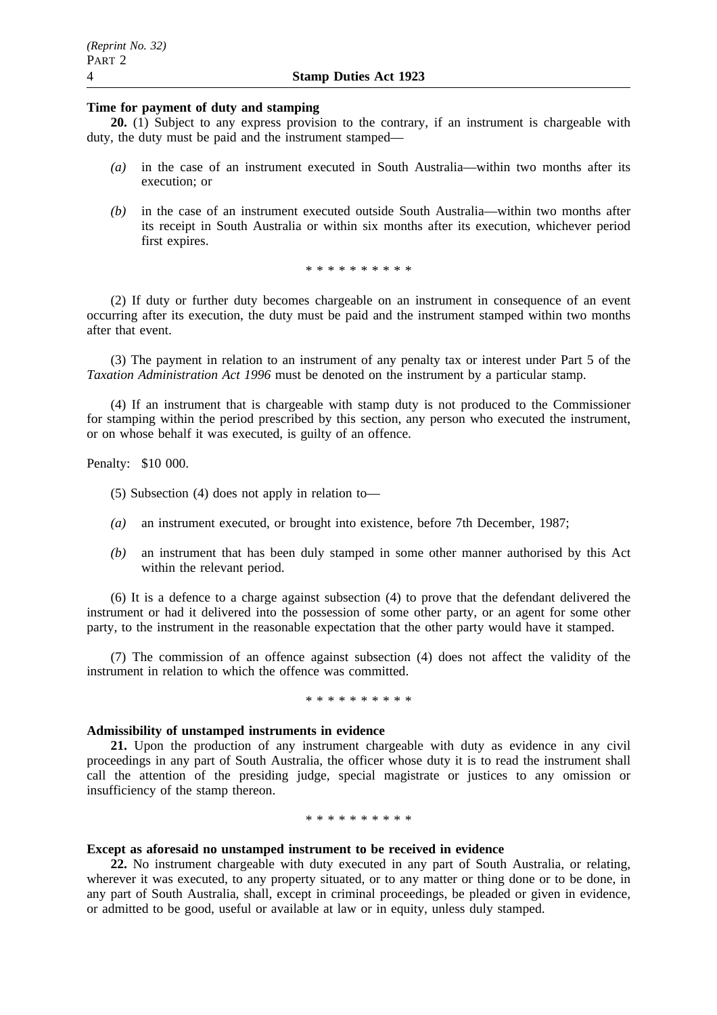## **Time for payment of duty and stamping**

**20.** (1) Subject to any express provision to the contrary, if an instrument is chargeable with duty, the duty must be paid and the instrument stamped—

- *(a)* in the case of an instrument executed in South Australia—within two months after its execution; or
- *(b)* in the case of an instrument executed outside South Australia—within two months after its receipt in South Australia or within six months after its execution, whichever period first expires.

\*\*\*\*\*\*\*\*\*\*

(2) If duty or further duty becomes chargeable on an instrument in consequence of an event occurring after its execution, the duty must be paid and the instrument stamped within two months after that event.

(3) The payment in relation to an instrument of any penalty tax or interest under Part 5 of the *Taxation Administration Act 1996* must be denoted on the instrument by a particular stamp.

(4) If an instrument that is chargeable with stamp duty is not produced to the Commissioner for stamping within the period prescribed by this section, any person who executed the instrument, or on whose behalf it was executed, is guilty of an offence.

Penalty: \$10 000.

(5) Subsection (4) does not apply in relation to—

- *(a)* an instrument executed, or brought into existence, before 7th December, 1987;
- *(b)* an instrument that has been duly stamped in some other manner authorised by this Act within the relevant period.

(6) It is a defence to a charge against subsection (4) to prove that the defendant delivered the instrument or had it delivered into the possession of some other party, or an agent for some other party, to the instrument in the reasonable expectation that the other party would have it stamped.

(7) The commission of an offence against subsection (4) does not affect the validity of the instrument in relation to which the offence was committed.

#### \*\*\*\*\*\*\*\*\*\*

#### **Admissibility of unstamped instruments in evidence**

**21.** Upon the production of any instrument chargeable with duty as evidence in any civil proceedings in any part of South Australia, the officer whose duty it is to read the instrument shall call the attention of the presiding judge, special magistrate or justices to any omission or insufficiency of the stamp thereon.

#### \*\*\*\*\*\*\*\*\*\*

### **Except as aforesaid no unstamped instrument to be received in evidence**

**22.** No instrument chargeable with duty executed in any part of South Australia, or relating, wherever it was executed, to any property situated, or to any matter or thing done or to be done, in any part of South Australia, shall, except in criminal proceedings, be pleaded or given in evidence, or admitted to be good, useful or available at law or in equity, unless duly stamped.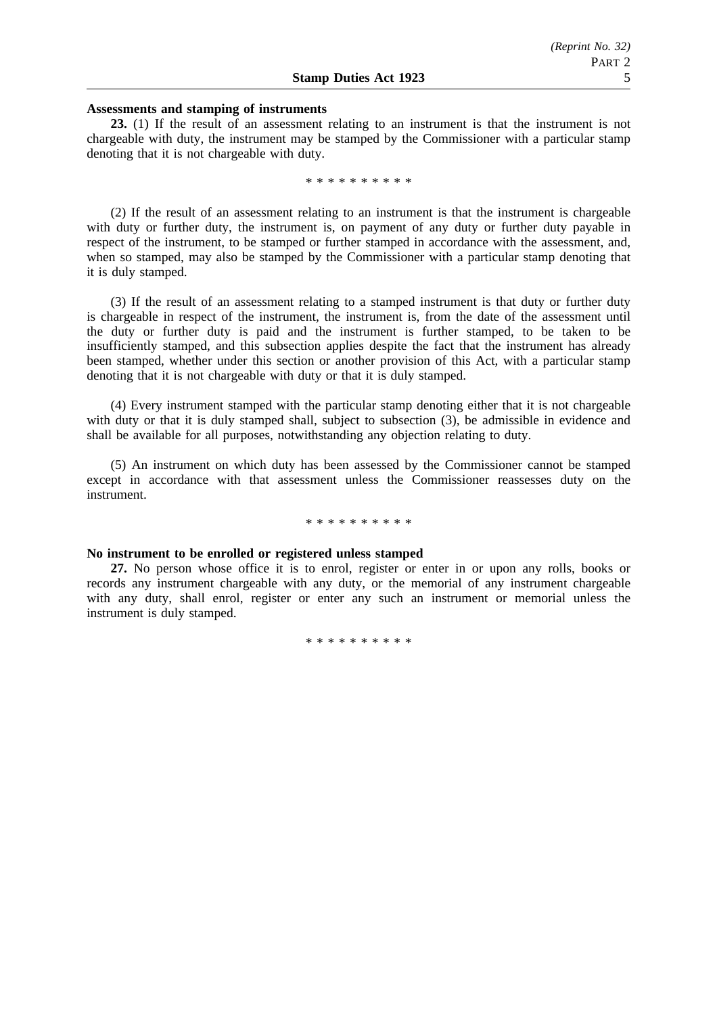#### **Assessments and stamping of instruments**

**23.** (1) If the result of an assessment relating to an instrument is that the instrument is not chargeable with duty, the instrument may be stamped by the Commissioner with a particular stamp denoting that it is not chargeable with duty.

\*\*\*\*\*\*\*\*\*\*

(2) If the result of an assessment relating to an instrument is that the instrument is chargeable with duty or further duty, the instrument is, on payment of any duty or further duty payable in respect of the instrument, to be stamped or further stamped in accordance with the assessment, and, when so stamped, may also be stamped by the Commissioner with a particular stamp denoting that it is duly stamped.

(3) If the result of an assessment relating to a stamped instrument is that duty or further duty is chargeable in respect of the instrument, the instrument is, from the date of the assessment until the duty or further duty is paid and the instrument is further stamped, to be taken to be insufficiently stamped, and this subsection applies despite the fact that the instrument has already been stamped, whether under this section or another provision of this Act, with a particular stamp denoting that it is not chargeable with duty or that it is duly stamped.

(4) Every instrument stamped with the particular stamp denoting either that it is not chargeable with duty or that it is duly stamped shall, subject to subsection (3), be admissible in evidence and shall be available for all purposes, notwithstanding any objection relating to duty.

(5) An instrument on which duty has been assessed by the Commissioner cannot be stamped except in accordance with that assessment unless the Commissioner reassesses duty on the instrument.

#### \*\*\*\*\*\*\*\*\*\*

#### **No instrument to be enrolled or registered unless stamped**

**27.** No person whose office it is to enrol, register or enter in or upon any rolls, books or records any instrument chargeable with any duty, or the memorial of any instrument chargeable with any duty, shall enrol, register or enter any such an instrument or memorial unless the instrument is duly stamped.

\*\*\*\*\*\*\*\*\*\*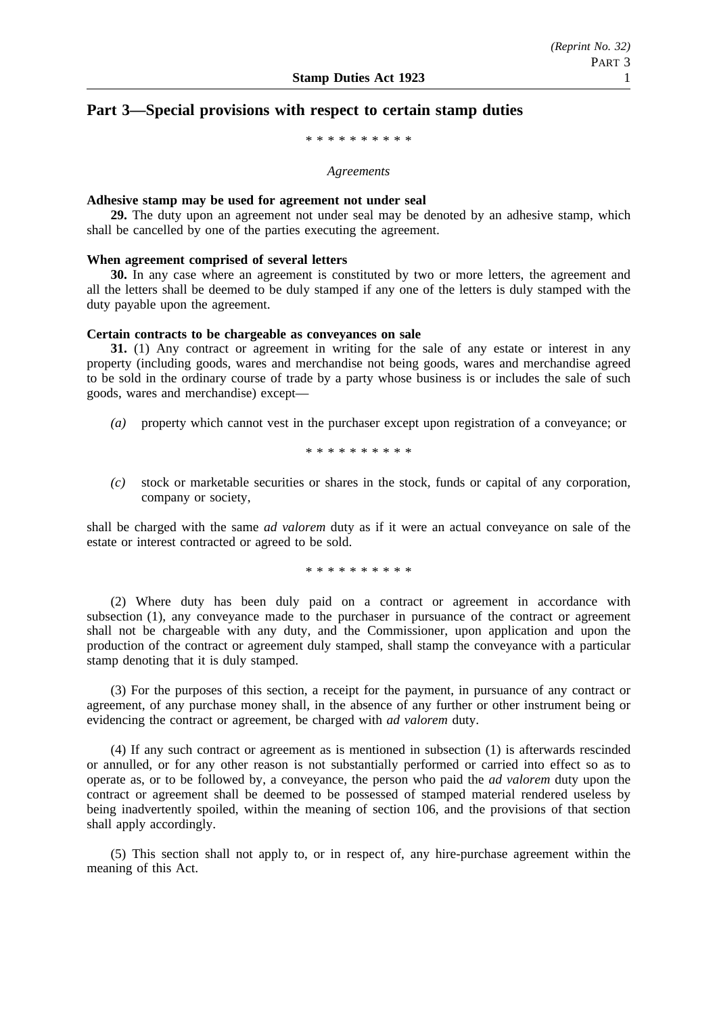## **Part 3—Special provisions with respect to certain stamp duties**

\*\*\*\*\*\*\*\*\*\*

#### *Agreements*

#### **Adhesive stamp may be used for agreement not under seal**

**29.** The duty upon an agreement not under seal may be denoted by an adhesive stamp, which shall be cancelled by one of the parties executing the agreement.

#### **When agreement comprised of several letters**

**30.** In any case where an agreement is constituted by two or more letters, the agreement and all the letters shall be deemed to be duly stamped if any one of the letters is duly stamped with the duty payable upon the agreement.

#### **Certain contracts to be chargeable as conveyances on sale**

**31.** (1) Any contract or agreement in writing for the sale of any estate or interest in any property (including goods, wares and merchandise not being goods, wares and merchandise agreed to be sold in the ordinary course of trade by a party whose business is or includes the sale of such goods, wares and merchandise) except—

*(a)* property which cannot vest in the purchaser except upon registration of a conveyance; or

\*\*\*\*\*\*\*\*\*\*

*(c)* stock or marketable securities or shares in the stock, funds or capital of any corporation, company or society,

shall be charged with the same *ad valorem* duty as if it were an actual conveyance on sale of the estate or interest contracted or agreed to be sold.

\*\*\*\*\*\*\*\*\*\*

(2) Where duty has been duly paid on a contract or agreement in accordance with subsection (1), any conveyance made to the purchaser in pursuance of the contract or agreement shall not be chargeable with any duty, and the Commissioner, upon application and upon the production of the contract or agreement duly stamped, shall stamp the conveyance with a particular stamp denoting that it is duly stamped.

(3) For the purposes of this section, a receipt for the payment, in pursuance of any contract or agreement, of any purchase money shall, in the absence of any further or other instrument being or evidencing the contract or agreement, be charged with *ad valorem* duty.

(4) If any such contract or agreement as is mentioned in subsection (1) is afterwards rescinded or annulled, or for any other reason is not substantially performed or carried into effect so as to operate as, or to be followed by, a conveyance, the person who paid the *ad valorem* duty upon the contract or agreement shall be deemed to be possessed of stamped material rendered useless by being inadvertently spoiled, within the meaning of section 106, and the provisions of that section shall apply accordingly.

(5) This section shall not apply to, or in respect of, any hire-purchase agreement within the meaning of this Act.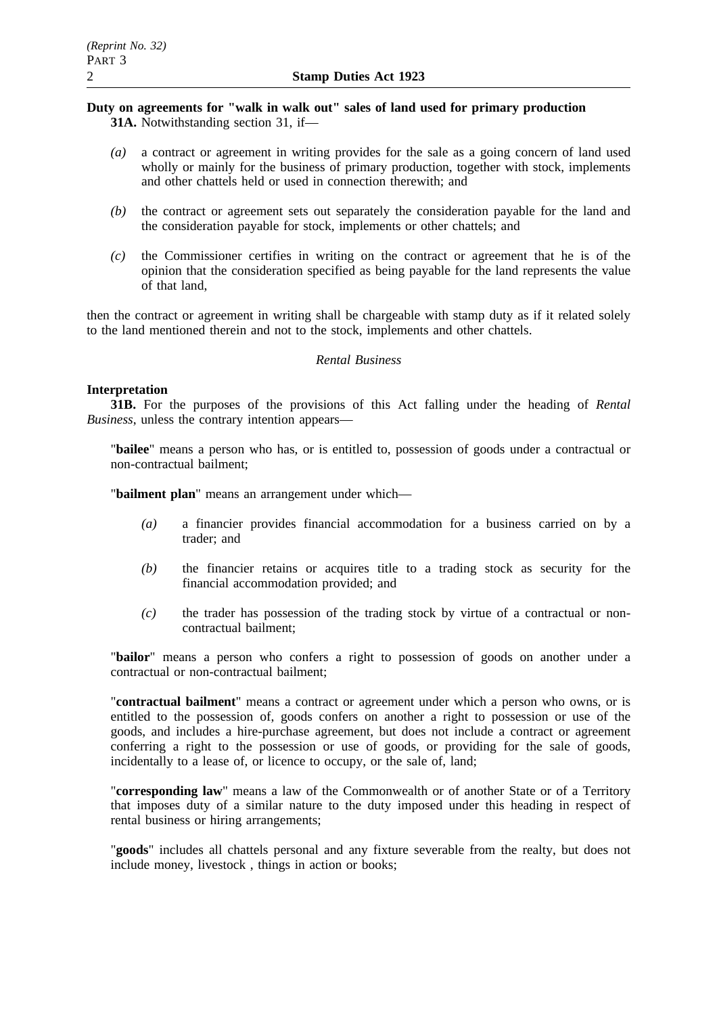## **Duty on agreements for "walk in walk out" sales of land used for primary production 31A.** Notwithstanding section 31, if—

- *(a)* a contract or agreement in writing provides for the sale as a going concern of land used wholly or mainly for the business of primary production, together with stock, implements and other chattels held or used in connection therewith; and
- *(b)* the contract or agreement sets out separately the consideration payable for the land and the consideration payable for stock, implements or other chattels; and
- *(c)* the Commissioner certifies in writing on the contract or agreement that he is of the opinion that the consideration specified as being payable for the land represents the value of that land,

then the contract or agreement in writing shall be chargeable with stamp duty as if it related solely to the land mentioned therein and not to the stock, implements and other chattels.

## *Rental Business*

## **Interpretation**

**31B.** For the purposes of the provisions of this Act falling under the heading of *Rental Business*, unless the contrary intention appears—

"**bailee**" means a person who has, or is entitled to, possession of goods under a contractual or non-contractual bailment;

"**bailment plan**" means an arrangement under which—

- *(a)* a financier provides financial accommodation for a business carried on by a trader; and
- *(b)* the financier retains or acquires title to a trading stock as security for the financial accommodation provided; and
- *(c)* the trader has possession of the trading stock by virtue of a contractual or noncontractual bailment;

"**bailor**" means a person who confers a right to possession of goods on another under a contractual or non-contractual bailment;

"**contractual bailment**" means a contract or agreement under which a person who owns, or is entitled to the possession of, goods confers on another a right to possession or use of the goods, and includes a hire-purchase agreement, but does not include a contract or agreement conferring a right to the possession or use of goods, or providing for the sale of goods, incidentally to a lease of, or licence to occupy, or the sale of, land;

"**corresponding law**" means a law of the Commonwealth or of another State or of a Territory that imposes duty of a similar nature to the duty imposed under this heading in respect of rental business or hiring arrangements;

"**goods**" includes all chattels personal and any fixture severable from the realty, but does not include money, livestock , things in action or books;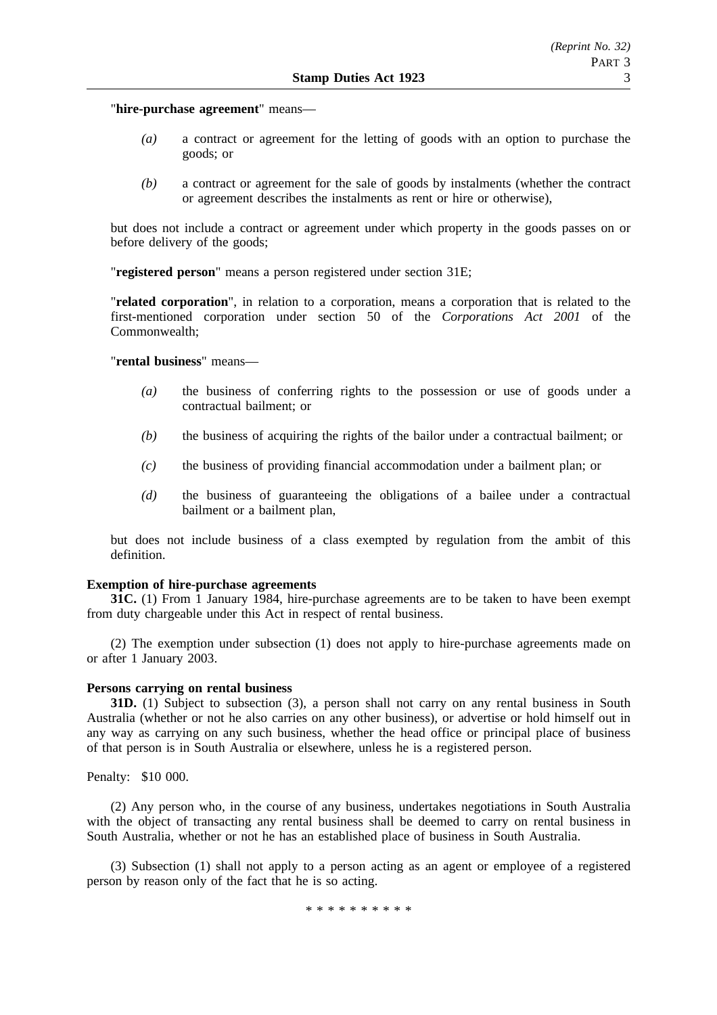"**hire-purchase agreement**" means—

- *(a)* a contract or agreement for the letting of goods with an option to purchase the goods; or
- *(b)* a contract or agreement for the sale of goods by instalments (whether the contract or agreement describes the instalments as rent or hire or otherwise),

but does not include a contract or agreement under which property in the goods passes on or before delivery of the goods;

"**registered person**" means a person registered under section 31E;

"**related corporation**", in relation to a corporation, means a corporation that is related to the first-mentioned corporation under section 50 of the *Corporations Act 2001* of the Commonwealth;

"**rental business**" means—

- *(a)* the business of conferring rights to the possession or use of goods under a contractual bailment; or
- *(b)* the business of acquiring the rights of the bailor under a contractual bailment; or
- *(c)* the business of providing financial accommodation under a bailment plan; or
- *(d)* the business of guaranteeing the obligations of a bailee under a contractual bailment or a bailment plan,

but does not include business of a class exempted by regulation from the ambit of this definition.

#### **Exemption of hire-purchase agreements**

**31C.** (1) From 1 January 1984, hire-purchase agreements are to be taken to have been exempt from duty chargeable under this Act in respect of rental business.

(2) The exemption under subsection (1) does not apply to hire-purchase agreements made on or after 1 January 2003.

## **Persons carrying on rental business**

**31D.** (1) Subject to subsection (3), a person shall not carry on any rental business in South Australia (whether or not he also carries on any other business), or advertise or hold himself out in any way as carrying on any such business, whether the head office or principal place of business of that person is in South Australia or elsewhere, unless he is a registered person.

Penalty: \$10 000.

(2) Any person who, in the course of any business, undertakes negotiations in South Australia with the object of transacting any rental business shall be deemed to carry on rental business in South Australia, whether or not he has an established place of business in South Australia.

(3) Subsection (1) shall not apply to a person acting as an agent or employee of a registered person by reason only of the fact that he is so acting.

\*\*\*\*\*\*\*\*\*\*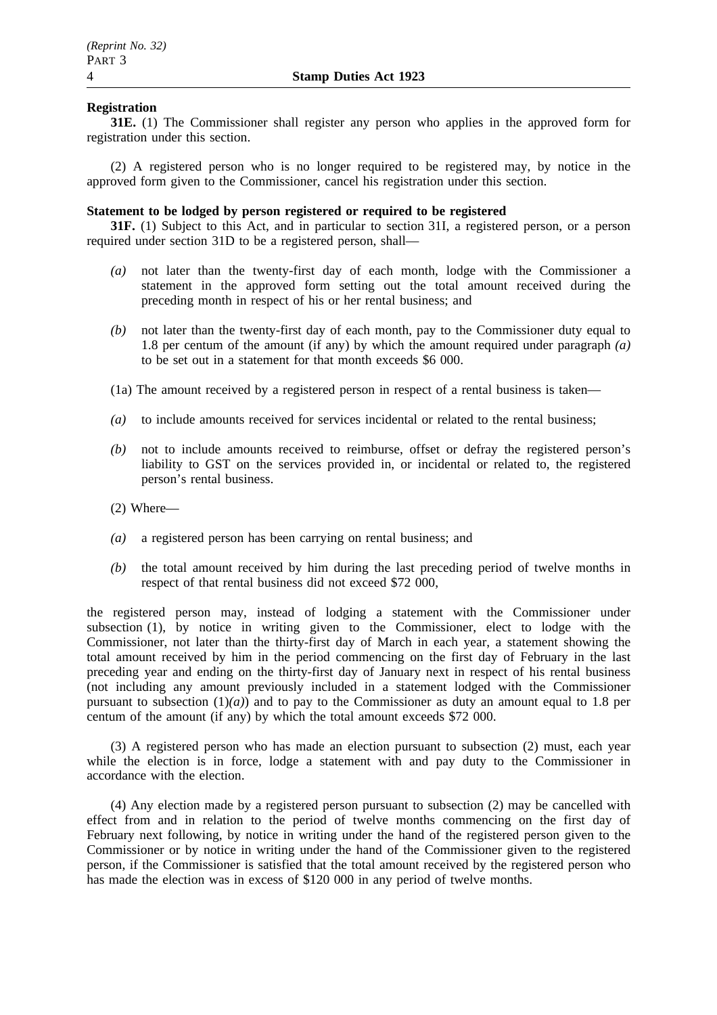## **Registration**

**31E.** (1) The Commissioner shall register any person who applies in the approved form for registration under this section.

(2) A registered person who is no longer required to be registered may, by notice in the approved form given to the Commissioner, cancel his registration under this section.

## **Statement to be lodged by person registered or required to be registered**

**31F.** (1) Subject to this Act, and in particular to section 31I, a registered person, or a person required under section 31D to be a registered person, shall—

- *(a)* not later than the twenty-first day of each month, lodge with the Commissioner a statement in the approved form setting out the total amount received during the preceding month in respect of his or her rental business; and
- *(b)* not later than the twenty-first day of each month, pay to the Commissioner duty equal to 1.8 per centum of the amount (if any) by which the amount required under paragraph *(a)* to be set out in a statement for that month exceeds \$6 000.
- (1a) The amount received by a registered person in respect of a rental business is taken—
- *(a)* to include amounts received for services incidental or related to the rental business;
- *(b)* not to include amounts received to reimburse, offset or defray the registered person's liability to GST on the services provided in, or incidental or related to, the registered person's rental business.
- (2) Where—
- *(a)* a registered person has been carrying on rental business; and
- *(b)* the total amount received by him during the last preceding period of twelve months in respect of that rental business did not exceed \$72 000,

the registered person may, instead of lodging a statement with the Commissioner under subsection (1), by notice in writing given to the Commissioner, elect to lodge with the Commissioner, not later than the thirty-first day of March in each year, a statement showing the total amount received by him in the period commencing on the first day of February in the last preceding year and ending on the thirty-first day of January next in respect of his rental business (not including any amount previously included in a statement lodged with the Commissioner pursuant to subsection  $(1)(a)$  and to pay to the Commissioner as duty an amount equal to 1.8 per centum of the amount (if any) by which the total amount exceeds \$72 000.

(3) A registered person who has made an election pursuant to subsection (2) must, each year while the election is in force, lodge a statement with and pay duty to the Commissioner in accordance with the election.

(4) Any election made by a registered person pursuant to subsection (2) may be cancelled with effect from and in relation to the period of twelve months commencing on the first day of February next following, by notice in writing under the hand of the registered person given to the Commissioner or by notice in writing under the hand of the Commissioner given to the registered person, if the Commissioner is satisfied that the total amount received by the registered person who has made the election was in excess of \$120 000 in any period of twelve months.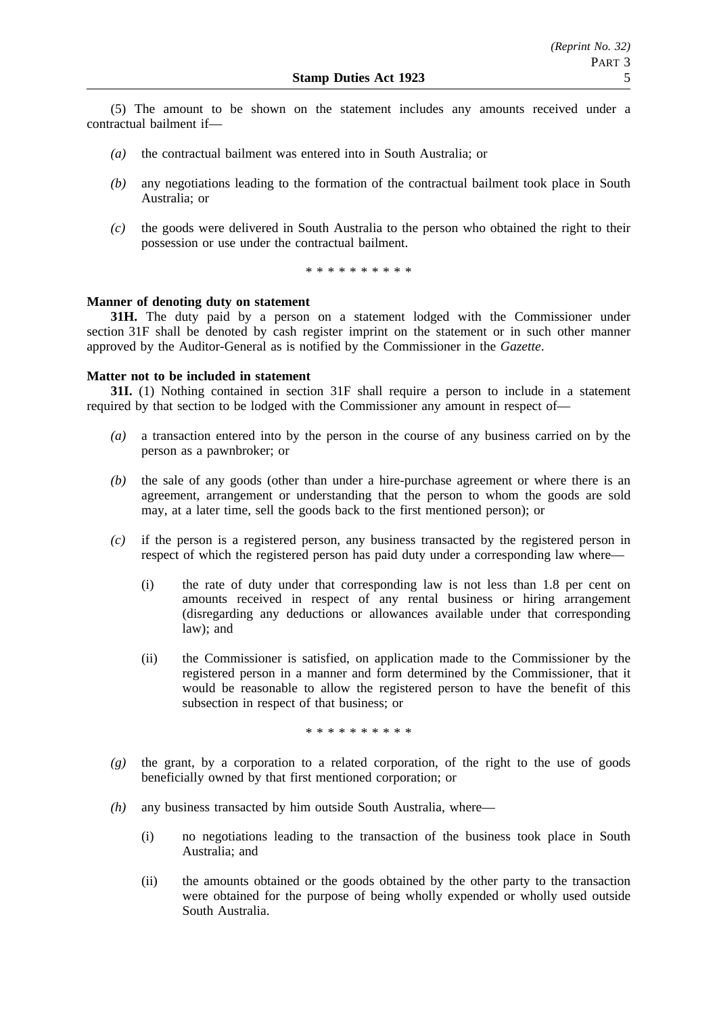(5) The amount to be shown on the statement includes any amounts received under a contractual bailment if—

- *(a)* the contractual bailment was entered into in South Australia; or
- *(b)* any negotiations leading to the formation of the contractual bailment took place in South Australia; or
- *(c)* the goods were delivered in South Australia to the person who obtained the right to their possession or use under the contractual bailment.

\*\*\*\*\*\*\*\*\*\*

## **Manner of denoting duty on statement**

**31H.** The duty paid by a person on a statement lodged with the Commissioner under section 31F shall be denoted by cash register imprint on the statement or in such other manner approved by the Auditor-General as is notified by the Commissioner in the *Gazette*.

## **Matter not to be included in statement**

**31I.** (1) Nothing contained in section 31F shall require a person to include in a statement required by that section to be lodged with the Commissioner any amount in respect of—

- *(a)* a transaction entered into by the person in the course of any business carried on by the person as a pawnbroker; or
- *(b)* the sale of any goods (other than under a hire-purchase agreement or where there is an agreement, arrangement or understanding that the person to whom the goods are sold may, at a later time, sell the goods back to the first mentioned person); or
- *(c)* if the person is a registered person, any business transacted by the registered person in respect of which the registered person has paid duty under a corresponding law where—
	- (i) the rate of duty under that corresponding law is not less than 1.8 per cent on amounts received in respect of any rental business or hiring arrangement (disregarding any deductions or allowances available under that corresponding law); and
	- (ii) the Commissioner is satisfied, on application made to the Commissioner by the registered person in a manner and form determined by the Commissioner, that it would be reasonable to allow the registered person to have the benefit of this subsection in respect of that business; or

\*\*\*\*\*\*\*\*\*\*

- *(g)* the grant, by a corporation to a related corporation, of the right to the use of goods beneficially owned by that first mentioned corporation; or
- *(h)* any business transacted by him outside South Australia, where—
	- (i) no negotiations leading to the transaction of the business took place in South Australia; and
	- (ii) the amounts obtained or the goods obtained by the other party to the transaction were obtained for the purpose of being wholly expended or wholly used outside South Australia.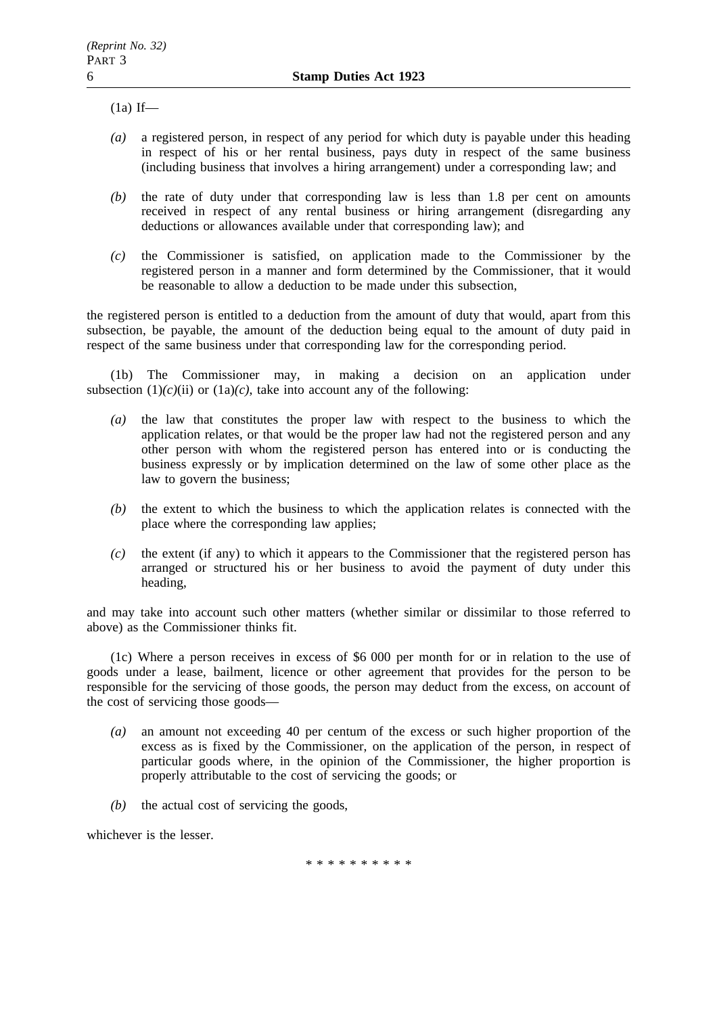$(1a)$  If—

- *(a)* a registered person, in respect of any period for which duty is payable under this heading in respect of his or her rental business, pays duty in respect of the same business (including business that involves a hiring arrangement) under a corresponding law; and
- *(b)* the rate of duty under that corresponding law is less than 1.8 per cent on amounts received in respect of any rental business or hiring arrangement (disregarding any deductions or allowances available under that corresponding law); and
- *(c)* the Commissioner is satisfied, on application made to the Commissioner by the registered person in a manner and form determined by the Commissioner, that it would be reasonable to allow a deduction to be made under this subsection,

the registered person is entitled to a deduction from the amount of duty that would, apart from this subsection, be payable, the amount of the deduction being equal to the amount of duty paid in respect of the same business under that corresponding law for the corresponding period.

(1b) The Commissioner may, in making a decision on an application under subsection  $(1)(c)(ii)$  or  $(1a)(c)$ , take into account any of the following:

- *(a)* the law that constitutes the proper law with respect to the business to which the application relates, or that would be the proper law had not the registered person and any other person with whom the registered person has entered into or is conducting the business expressly or by implication determined on the law of some other place as the law to govern the business;
- *(b)* the extent to which the business to which the application relates is connected with the place where the corresponding law applies;
- *(c)* the extent (if any) to which it appears to the Commissioner that the registered person has arranged or structured his or her business to avoid the payment of duty under this heading,

and may take into account such other matters (whether similar or dissimilar to those referred to above) as the Commissioner thinks fit.

(1c) Where a person receives in excess of \$6 000 per month for or in relation to the use of goods under a lease, bailment, licence or other agreement that provides for the person to be responsible for the servicing of those goods, the person may deduct from the excess, on account of the cost of servicing those goods—

- *(a)* an amount not exceeding 40 per centum of the excess or such higher proportion of the excess as is fixed by the Commissioner, on the application of the person, in respect of particular goods where, in the opinion of the Commissioner, the higher proportion is properly attributable to the cost of servicing the goods; or
- *(b)* the actual cost of servicing the goods,

whichever is the lesser.

\*\*\*\*\*\*\*\*\*\*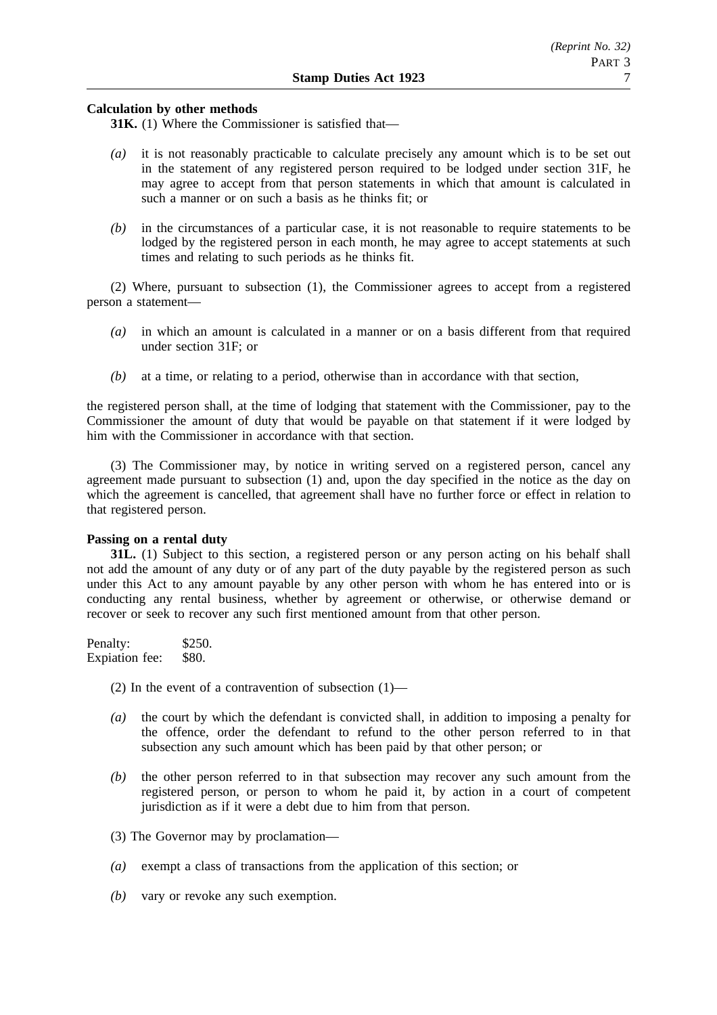## **Calculation by other methods**

**31K.** (1) Where the Commissioner is satisfied that—

- *(a)* it is not reasonably practicable to calculate precisely any amount which is to be set out in the statement of any registered person required to be lodged under section 31F, he may agree to accept from that person statements in which that amount is calculated in such a manner or on such a basis as he thinks fit; or
- *(b)* in the circumstances of a particular case, it is not reasonable to require statements to be lodged by the registered person in each month, he may agree to accept statements at such times and relating to such periods as he thinks fit.

(2) Where, pursuant to subsection (1), the Commissioner agrees to accept from a registered person a statement—

- *(a)* in which an amount is calculated in a manner or on a basis different from that required under section 31F; or
- *(b)* at a time, or relating to a period, otherwise than in accordance with that section,

the registered person shall, at the time of lodging that statement with the Commissioner, pay to the Commissioner the amount of duty that would be payable on that statement if it were lodged by him with the Commissioner in accordance with that section.

(3) The Commissioner may, by notice in writing served on a registered person, cancel any agreement made pursuant to subsection (1) and, upon the day specified in the notice as the day on which the agreement is cancelled, that agreement shall have no further force or effect in relation to that registered person.

## **Passing on a rental duty**

**31L.** (1) Subject to this section, a registered person or any person acting on his behalf shall not add the amount of any duty or of any part of the duty payable by the registered person as such under this Act to any amount payable by any other person with whom he has entered into or is conducting any rental business, whether by agreement or otherwise, or otherwise demand or recover or seek to recover any such first mentioned amount from that other person.

Penalty: \$250. Expiation fee: \$80.

(2) In the event of a contravention of subsection  $(1)$ —

- *(a)* the court by which the defendant is convicted shall, in addition to imposing a penalty for the offence, order the defendant to refund to the other person referred to in that subsection any such amount which has been paid by that other person; or
- *(b)* the other person referred to in that subsection may recover any such amount from the registered person, or person to whom he paid it, by action in a court of competent jurisdiction as if it were a debt due to him from that person.
- (3) The Governor may by proclamation—
- *(a)* exempt a class of transactions from the application of this section; or
- *(b)* vary or revoke any such exemption.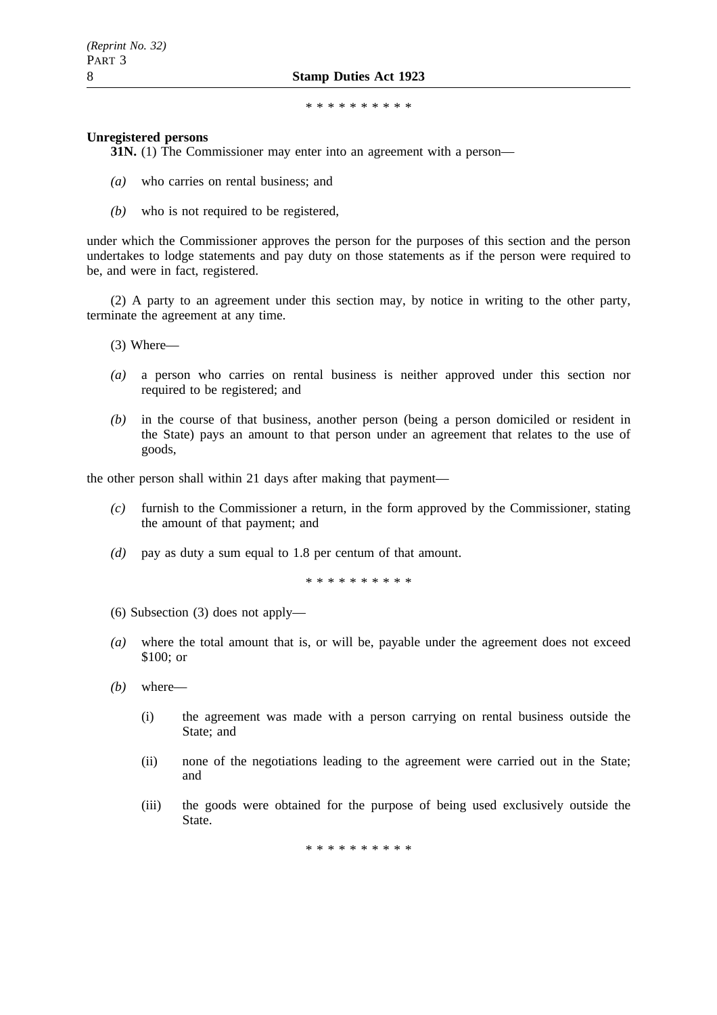#### \*\*\*\*\*\*\*\*\*\*

#### **Unregistered persons**

**31N.** (1) The Commissioner may enter into an agreement with a person—

- *(a)* who carries on rental business; and
- *(b)* who is not required to be registered,

under which the Commissioner approves the person for the purposes of this section and the person undertakes to lodge statements and pay duty on those statements as if the person were required to be, and were in fact, registered.

(2) A party to an agreement under this section may, by notice in writing to the other party, terminate the agreement at any time.

(3) Where—

- *(a)* a person who carries on rental business is neither approved under this section nor required to be registered; and
- *(b)* in the course of that business, another person (being a person domiciled or resident in the State) pays an amount to that person under an agreement that relates to the use of goods,

the other person shall within 21 days after making that payment—

- *(c)* furnish to the Commissioner a return, in the form approved by the Commissioner, stating the amount of that payment; and
- *(d)* pay as duty a sum equal to 1.8 per centum of that amount.

\*\*\*\*\*\*\*\*\*\*

- (6) Subsection (3) does not apply—
- *(a)* where the total amount that is, or will be, payable under the agreement does not exceed \$100; or
- *(b)* where—
	- (i) the agreement was made with a person carrying on rental business outside the State; and
	- (ii) none of the negotiations leading to the agreement were carried out in the State; and
	- (iii) the goods were obtained for the purpose of being used exclusively outside the State.

\*\*\*\*\*\*\*\*\*\*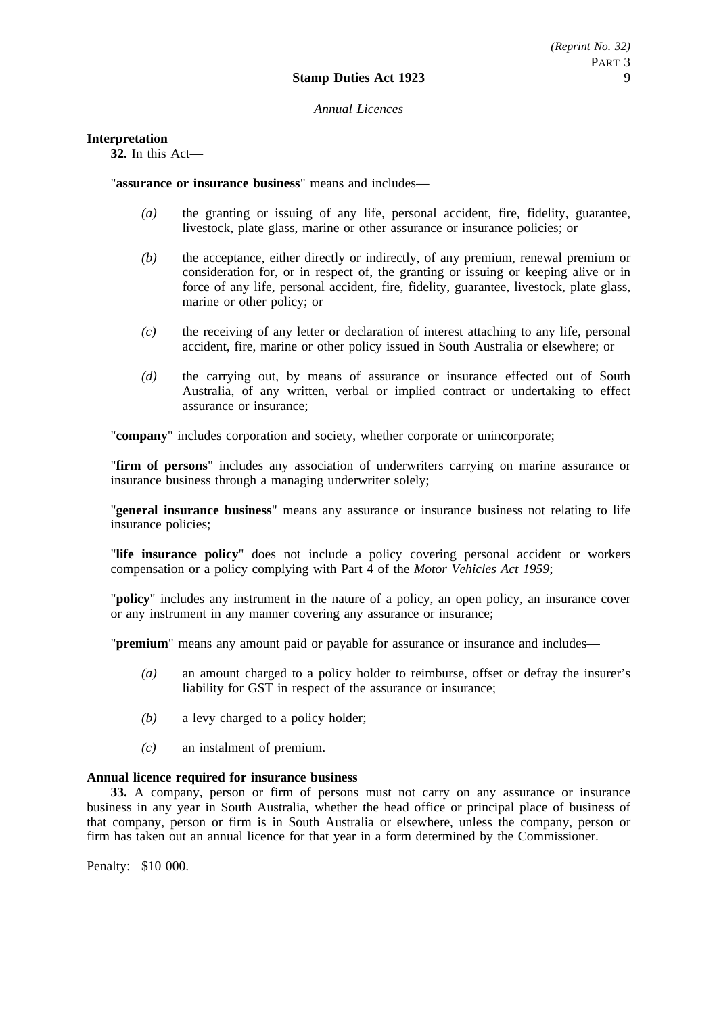#### *Annual Licences*

## **Interpretation**

**32.** In this Act—

"**assurance or insurance business**" means and includes—

- *(a)* the granting or issuing of any life, personal accident, fire, fidelity, guarantee, livestock, plate glass, marine or other assurance or insurance policies; or
- *(b)* the acceptance, either directly or indirectly, of any premium, renewal premium or consideration for, or in respect of, the granting or issuing or keeping alive or in force of any life, personal accident, fire, fidelity, guarantee, livestock, plate glass, marine or other policy; or
- *(c)* the receiving of any letter or declaration of interest attaching to any life, personal accident, fire, marine or other policy issued in South Australia or elsewhere; or
- *(d)* the carrying out, by means of assurance or insurance effected out of South Australia, of any written, verbal or implied contract or undertaking to effect assurance or insurance;

"**company**" includes corporation and society, whether corporate or unincorporate;

"**firm of persons**" includes any association of underwriters carrying on marine assurance or insurance business through a managing underwriter solely;

"**general insurance business**" means any assurance or insurance business not relating to life insurance policies;

"**life insurance policy**" does not include a policy covering personal accident or workers compensation or a policy complying with Part 4 of the *Motor Vehicles Act 1959*;

"**policy**" includes any instrument in the nature of a policy, an open policy, an insurance cover or any instrument in any manner covering any assurance or insurance;

"**premium**" means any amount paid or payable for assurance or insurance and includes—

- *(a)* an amount charged to a policy holder to reimburse, offset or defray the insurer's liability for GST in respect of the assurance or insurance;
- *(b)* a levy charged to a policy holder;
- *(c)* an instalment of premium.

### **Annual licence required for insurance business**

**33.** A company, person or firm of persons must not carry on any assurance or insurance business in any year in South Australia, whether the head office or principal place of business of that company, person or firm is in South Australia or elsewhere, unless the company, person or firm has taken out an annual licence for that year in a form determined by the Commissioner.

Penalty: \$10 000.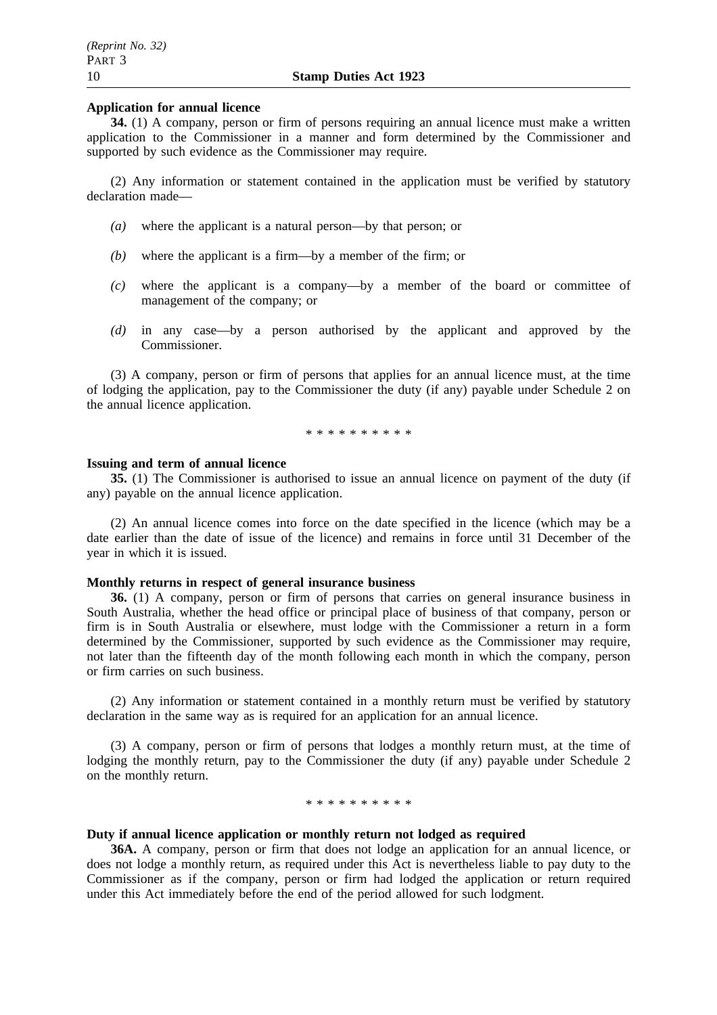## **Application for annual licence**

**34.** (1) A company, person or firm of persons requiring an annual licence must make a written application to the Commissioner in a manner and form determined by the Commissioner and supported by such evidence as the Commissioner may require.

(2) Any information or statement contained in the application must be verified by statutory declaration made—

- *(a)* where the applicant is a natural person—by that person; or
- *(b)* where the applicant is a firm—by a member of the firm; or
- *(c)* where the applicant is a company—by a member of the board or committee of management of the company; or
- *(d)* in any case—by a person authorised by the applicant and approved by the Commissioner.

(3) A company, person or firm of persons that applies for an annual licence must, at the time of lodging the application, pay to the Commissioner the duty (if any) payable under Schedule 2 on the annual licence application.

\*\*\*\*\*\*\*\*\*\*

#### **Issuing and term of annual licence**

**35.** (1) The Commissioner is authorised to issue an annual licence on payment of the duty (if any) payable on the annual licence application.

(2) An annual licence comes into force on the date specified in the licence (which may be a date earlier than the date of issue of the licence) and remains in force until 31 December of the year in which it is issued.

#### **Monthly returns in respect of general insurance business**

**36.** (1) A company, person or firm of persons that carries on general insurance business in South Australia, whether the head office or principal place of business of that company, person or firm is in South Australia or elsewhere, must lodge with the Commissioner a return in a form determined by the Commissioner, supported by such evidence as the Commissioner may require, not later than the fifteenth day of the month following each month in which the company, person or firm carries on such business.

(2) Any information or statement contained in a monthly return must be verified by statutory declaration in the same way as is required for an application for an annual licence.

(3) A company, person or firm of persons that lodges a monthly return must, at the time of lodging the monthly return, pay to the Commissioner the duty (if any) payable under Schedule 2 on the monthly return.

\*\*\*\*\*\*\*\*\*\*

## **Duty if annual licence application or monthly return not lodged as required**

**36A.** A company, person or firm that does not lodge an application for an annual licence, or does not lodge a monthly return, as required under this Act is nevertheless liable to pay duty to the Commissioner as if the company, person or firm had lodged the application or return required under this Act immediately before the end of the period allowed for such lodgment.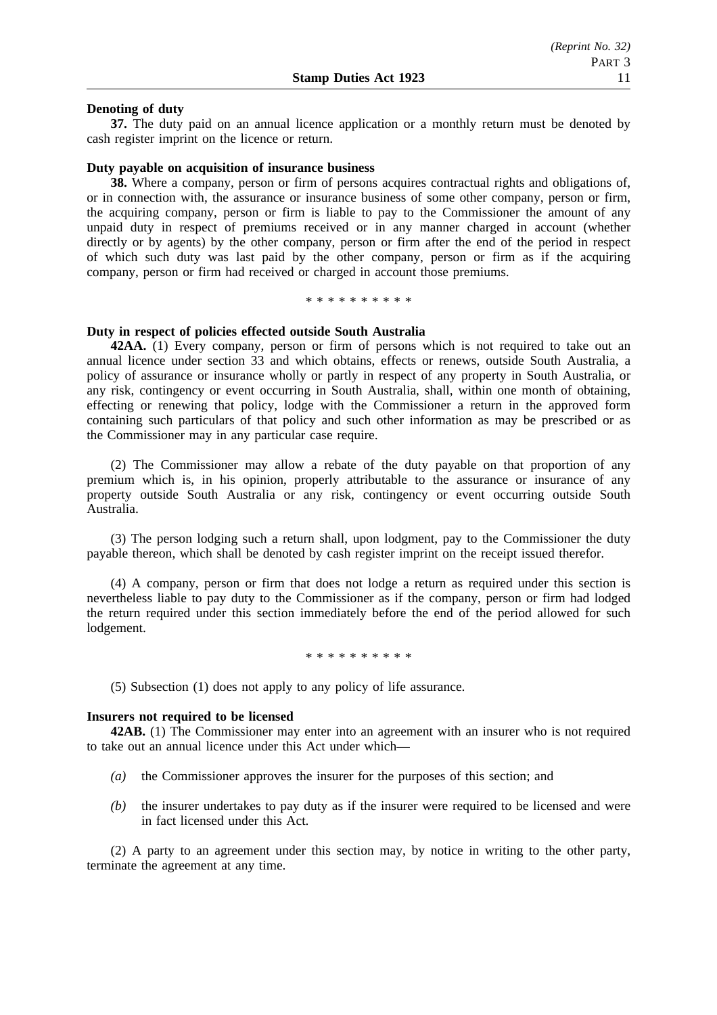#### **Denoting of duty**

**37.** The duty paid on an annual licence application or a monthly return must be denoted by cash register imprint on the licence or return.

#### **Duty payable on acquisition of insurance business**

**38.** Where a company, person or firm of persons acquires contractual rights and obligations of, or in connection with, the assurance or insurance business of some other company, person or firm, the acquiring company, person or firm is liable to pay to the Commissioner the amount of any unpaid duty in respect of premiums received or in any manner charged in account (whether directly or by agents) by the other company, person or firm after the end of the period in respect of which such duty was last paid by the other company, person or firm as if the acquiring company, person or firm had received or charged in account those premiums.

\*\*\*\*\*\*\*\*\*\*

#### **Duty in respect of policies effected outside South Australia**

**42AA.** (1) Every company, person or firm of persons which is not required to take out an annual licence under section 33 and which obtains, effects or renews, outside South Australia, a policy of assurance or insurance wholly or partly in respect of any property in South Australia, or any risk, contingency or event occurring in South Australia, shall, within one month of obtaining, effecting or renewing that policy, lodge with the Commissioner a return in the approved form containing such particulars of that policy and such other information as may be prescribed or as the Commissioner may in any particular case require.

(2) The Commissioner may allow a rebate of the duty payable on that proportion of any premium which is, in his opinion, properly attributable to the assurance or insurance of any property outside South Australia or any risk, contingency or event occurring outside South Australia.

(3) The person lodging such a return shall, upon lodgment, pay to the Commissioner the duty payable thereon, which shall be denoted by cash register imprint on the receipt issued therefor.

(4) A company, person or firm that does not lodge a return as required under this section is nevertheless liable to pay duty to the Commissioner as if the company, person or firm had lodged the return required under this section immediately before the end of the period allowed for such lodgement.

\*\*\*\*\*\*\*\*\*\*\*\*\*\*\*\*\*

(5) Subsection (1) does not apply to any policy of life assurance.

#### **Insurers not required to be licensed**

**42AB.** (1) The Commissioner may enter into an agreement with an insurer who is not required to take out an annual licence under this Act under which—

- *(a)* the Commissioner approves the insurer for the purposes of this section; and
- *(b)* the insurer undertakes to pay duty as if the insurer were required to be licensed and were in fact licensed under this Act.

(2) A party to an agreement under this section may, by notice in writing to the other party, terminate the agreement at any time.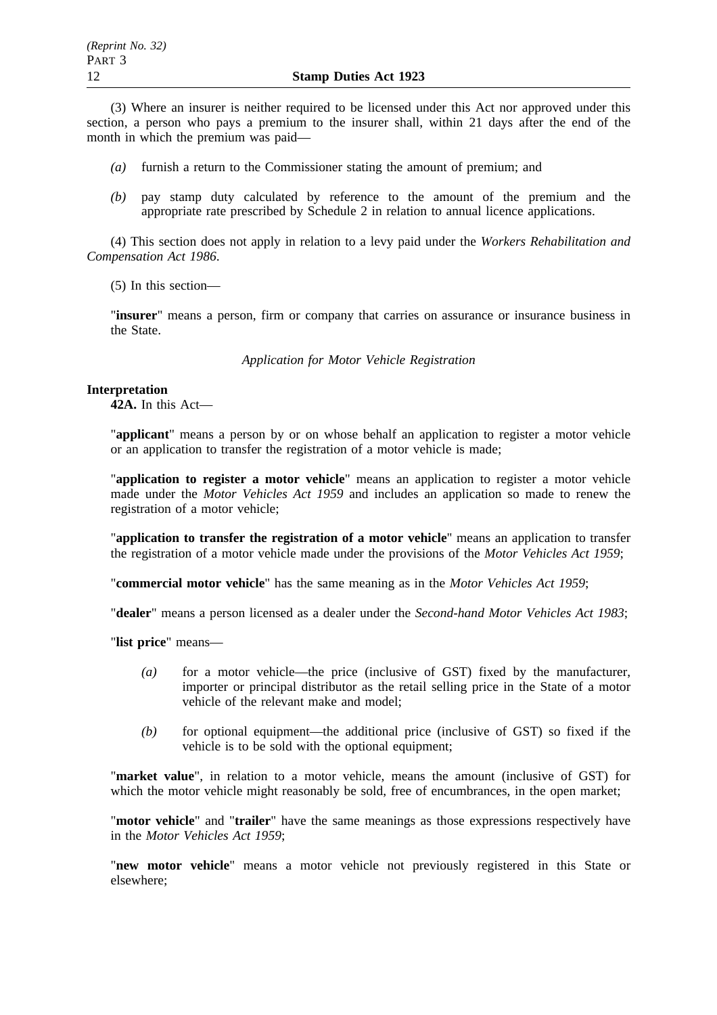(3) Where an insurer is neither required to be licensed under this Act nor approved under this section, a person who pays a premium to the insurer shall, within 21 days after the end of the month in which the premium was paid—

- *(a)* furnish a return to the Commissioner stating the amount of premium; and
- *(b)* pay stamp duty calculated by reference to the amount of the premium and the appropriate rate prescribed by Schedule 2 in relation to annual licence applications.

(4) This section does not apply in relation to a levy paid under the *Workers Rehabilitation and Compensation Act 1986*.

(5) In this section—

"**insurer**" means a person, firm or company that carries on assurance or insurance business in the State.

*Application for Motor Vehicle Registration*

#### **Interpretation**

**42A.** In this Act—

"**applicant**" means a person by or on whose behalf an application to register a motor vehicle or an application to transfer the registration of a motor vehicle is made;

"**application to register a motor vehicle**" means an application to register a motor vehicle made under the *Motor Vehicles Act 1959* and includes an application so made to renew the registration of a motor vehicle;

"**application to transfer the registration of a motor vehicle**" means an application to transfer the registration of a motor vehicle made under the provisions of the *Motor Vehicles Act 1959*;

"**commercial motor vehicle**" has the same meaning as in the *Motor Vehicles Act 1959*;

"**dealer**" means a person licensed as a dealer under the *Second-hand Motor Vehicles Act 1983*;

"**list price**" means—

- *(a)* for a motor vehicle—the price (inclusive of GST) fixed by the manufacturer, importer or principal distributor as the retail selling price in the State of a motor vehicle of the relevant make and model;
- *(b)* for optional equipment—the additional price (inclusive of GST) so fixed if the vehicle is to be sold with the optional equipment;

"**market value**", in relation to a motor vehicle, means the amount (inclusive of GST) for which the motor vehicle might reasonably be sold, free of encumbrances, in the open market;

"**motor vehicle**" and "**trailer**" have the same meanings as those expressions respectively have in the *Motor Vehicles Act 1959*;

"**new motor vehicle**" means a motor vehicle not previously registered in this State or elsewhere;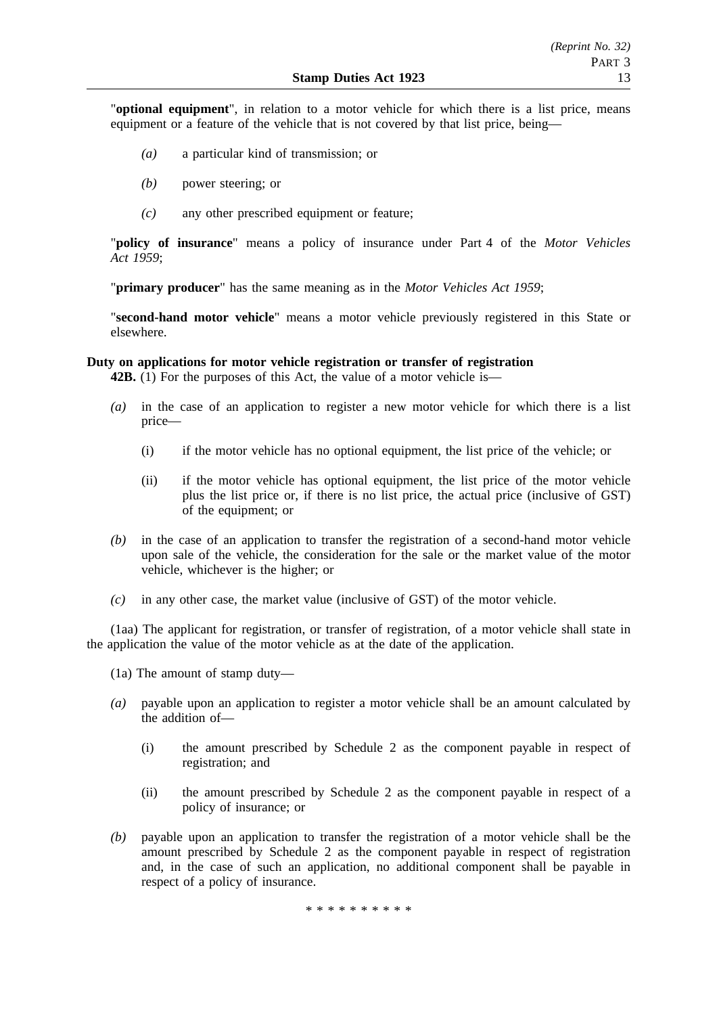"**optional equipment**", in relation to a motor vehicle for which there is a list price, means equipment or a feature of the vehicle that is not covered by that list price, being—

- *(a)* a particular kind of transmission; or
- *(b)* power steering; or
- *(c)* any other prescribed equipment or feature;

"**policy of insurance**" means a policy of insurance under Part 4 of the *Motor Vehicles Act 1959*;

"**primary producer**" has the same meaning as in the *Motor Vehicles Act 1959*;

"**second-hand motor vehicle**" means a motor vehicle previously registered in this State or elsewhere.

# **Duty on applications for motor vehicle registration or transfer of registration**

**42B.** (1) For the purposes of this Act, the value of a motor vehicle is—

- *(a)* in the case of an application to register a new motor vehicle for which there is a list price—
	- (i) if the motor vehicle has no optional equipment, the list price of the vehicle; or
	- (ii) if the motor vehicle has optional equipment, the list price of the motor vehicle plus the list price or, if there is no list price, the actual price (inclusive of GST) of the equipment; or
- *(b)* in the case of an application to transfer the registration of a second-hand motor vehicle upon sale of the vehicle, the consideration for the sale or the market value of the motor vehicle, whichever is the higher; or
- *(c)* in any other case, the market value (inclusive of GST) of the motor vehicle.

(1aa) The applicant for registration, or transfer of registration, of a motor vehicle shall state in the application the value of the motor vehicle as at the date of the application.

- (1a) The amount of stamp duty—
- *(a)* payable upon an application to register a motor vehicle shall be an amount calculated by the addition of—
	- (i) the amount prescribed by Schedule 2 as the component payable in respect of registration; and
	- (ii) the amount prescribed by Schedule 2 as the component payable in respect of a policy of insurance; or
- *(b)* payable upon an application to transfer the registration of a motor vehicle shall be the amount prescribed by Schedule 2 as the component payable in respect of registration and, in the case of such an application, no additional component shall be payable in respect of a policy of insurance.

\*\*\*\*\*\*\*\*\*\*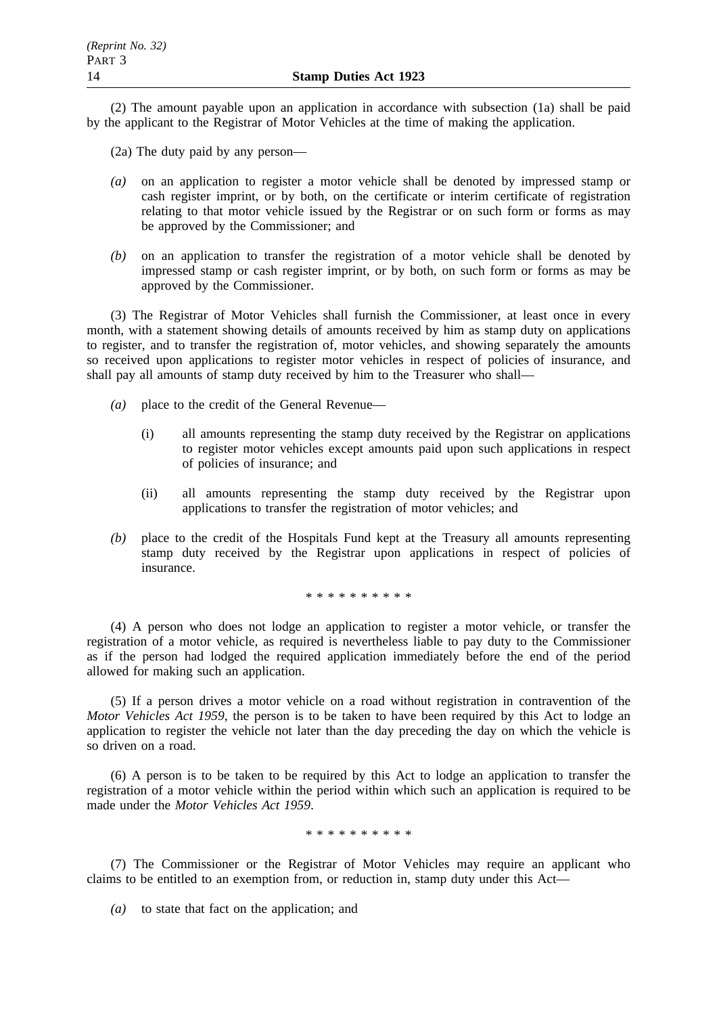(2) The amount payable upon an application in accordance with subsection (1a) shall be paid by the applicant to the Registrar of Motor Vehicles at the time of making the application.

- (2a) The duty paid by any person—
- *(a)* on an application to register a motor vehicle shall be denoted by impressed stamp or cash register imprint, or by both, on the certificate or interim certificate of registration relating to that motor vehicle issued by the Registrar or on such form or forms as may be approved by the Commissioner; and
- *(b)* on an application to transfer the registration of a motor vehicle shall be denoted by impressed stamp or cash register imprint, or by both, on such form or forms as may be approved by the Commissioner.

(3) The Registrar of Motor Vehicles shall furnish the Commissioner, at least once in every month, with a statement showing details of amounts received by him as stamp duty on applications to register, and to transfer the registration of, motor vehicles, and showing separately the amounts so received upon applications to register motor vehicles in respect of policies of insurance, and shall pay all amounts of stamp duty received by him to the Treasurer who shall—

- *(a)* place to the credit of the General Revenue—
	- (i) all amounts representing the stamp duty received by the Registrar on applications to register motor vehicles except amounts paid upon such applications in respect of policies of insurance; and
	- (ii) all amounts representing the stamp duty received by the Registrar upon applications to transfer the registration of motor vehicles; and
- *(b)* place to the credit of the Hospitals Fund kept at the Treasury all amounts representing stamp duty received by the Registrar upon applications in respect of policies of insurance.

\*\*\*\*\*\*\*\*\*\*

(4) A person who does not lodge an application to register a motor vehicle, or transfer the registration of a motor vehicle, as required is nevertheless liable to pay duty to the Commissioner as if the person had lodged the required application immediately before the end of the period allowed for making such an application.

(5) If a person drives a motor vehicle on a road without registration in contravention of the *Motor Vehicles Act 1959*, the person is to be taken to have been required by this Act to lodge an application to register the vehicle not later than the day preceding the day on which the vehicle is so driven on a road.

(6) A person is to be taken to be required by this Act to lodge an application to transfer the registration of a motor vehicle within the period within which such an application is required to be made under the *Motor Vehicles Act 1959*.

#### \*\*\*\*\*\*\*\*\*\*

(7) The Commissioner or the Registrar of Motor Vehicles may require an applicant who claims to be entitled to an exemption from, or reduction in, stamp duty under this Act—

*(a)* to state that fact on the application; and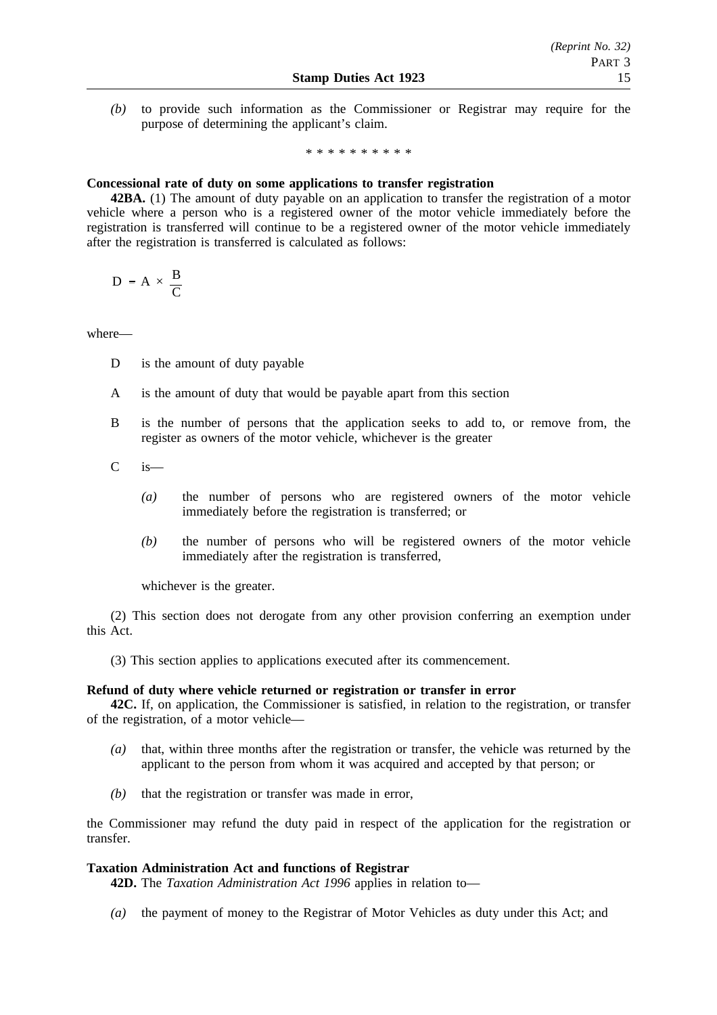*(b)* to provide such information as the Commissioner or Registrar may require for the purpose of determining the applicant's claim.

\*\*\*\*\*\*\*\*\*\*

# **Concessional rate of duty on some applications to transfer registration**

**42BA.** (1) The amount of duty payable on an application to transfer the registration of a motor vehicle where a person who is a registered owner of the motor vehicle immediately before the registration is transferred will continue to be a registered owner of the motor vehicle immediately after the registration is transferred is calculated as follows:

$$
D = A \times \frac{B}{C}
$$

where—

- D is the amount of duty payable
- A is the amount of duty that would be payable apart from this section
- B is the number of persons that the application seeks to add to, or remove from, the register as owners of the motor vehicle, whichever is the greater
- C is—
	- *(a)* the number of persons who are registered owners of the motor vehicle immediately before the registration is transferred; or
	- *(b)* the number of persons who will be registered owners of the motor vehicle immediately after the registration is transferred,

whichever is the greater.

(2) This section does not derogate from any other provision conferring an exemption under this Act.

(3) This section applies to applications executed after its commencement.

## **Refund of duty where vehicle returned or registration or transfer in error**

**42C.** If, on application, the Commissioner is satisfied, in relation to the registration, or transfer of the registration, of a motor vehicle—

- *(a)* that, within three months after the registration or transfer, the vehicle was returned by the applicant to the person from whom it was acquired and accepted by that person; or
- *(b)* that the registration or transfer was made in error,

the Commissioner may refund the duty paid in respect of the application for the registration or transfer.

# **Taxation Administration Act and functions of Registrar**

**42D.** The *Taxation Administration Act 1996* applies in relation to—

*(a)* the payment of money to the Registrar of Motor Vehicles as duty under this Act; and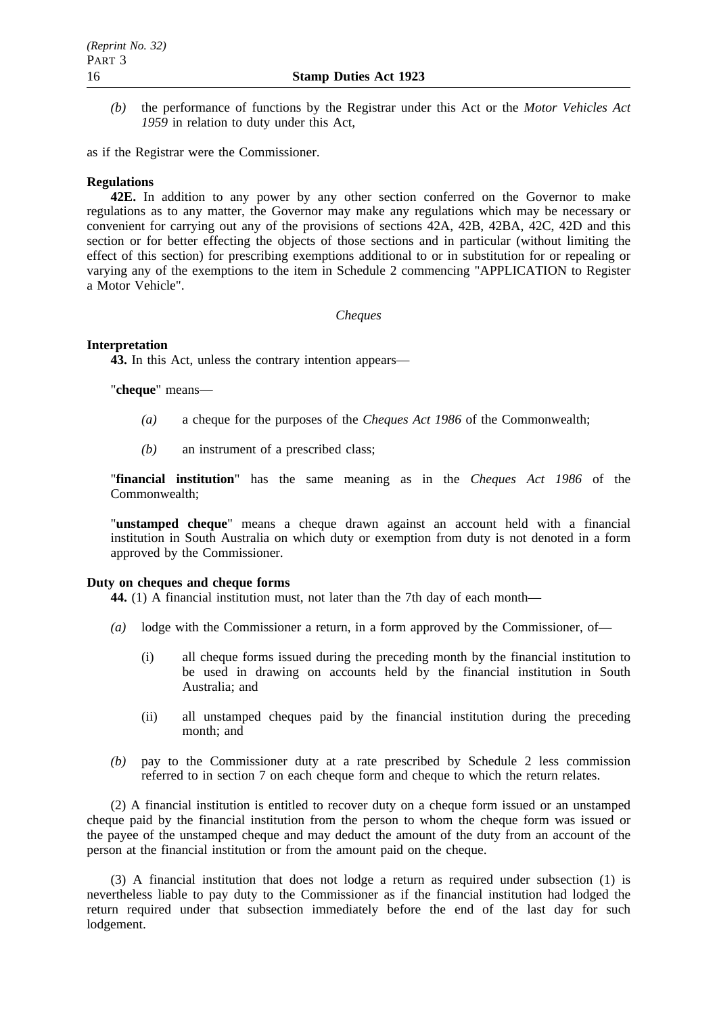*(b)* the performance of functions by the Registrar under this Act or the *Motor Vehicles Act 1959* in relation to duty under this Act,

as if the Registrar were the Commissioner.

# **Regulations**

**42E.** In addition to any power by any other section conferred on the Governor to make regulations as to any matter, the Governor may make any regulations which may be necessary or convenient for carrying out any of the provisions of sections 42A, 42B, 42BA, 42C, 42D and this section or for better effecting the objects of those sections and in particular (without limiting the effect of this section) for prescribing exemptions additional to or in substitution for or repealing or varying any of the exemptions to the item in Schedule 2 commencing "APPLICATION to Register a Motor Vehicle".

*Cheques*

# **Interpretation**

**43.** In this Act, unless the contrary intention appears—

"**cheque**" means—

- *(a)* a cheque for the purposes of the *Cheques Act 1986* of the Commonwealth;
- *(b)* an instrument of a prescribed class;

"**financial institution**" has the same meaning as in the *Cheques Act 1986* of the Commonwealth;

"**unstamped cheque**" means a cheque drawn against an account held with a financial institution in South Australia on which duty or exemption from duty is not denoted in a form approved by the Commissioner.

## **Duty on cheques and cheque forms**

**44.** (1) A financial institution must, not later than the 7th day of each month—

- *(a)* lodge with the Commissioner a return, in a form approved by the Commissioner, of—
	- (i) all cheque forms issued during the preceding month by the financial institution to be used in drawing on accounts held by the financial institution in South Australia; and
	- (ii) all unstamped cheques paid by the financial institution during the preceding month; and
- *(b)* pay to the Commissioner duty at a rate prescribed by Schedule 2 less commission referred to in section 7 on each cheque form and cheque to which the return relates.

(2) A financial institution is entitled to recover duty on a cheque form issued or an unstamped cheque paid by the financial institution from the person to whom the cheque form was issued or the payee of the unstamped cheque and may deduct the amount of the duty from an account of the person at the financial institution or from the amount paid on the cheque.

(3) A financial institution that does not lodge a return as required under subsection (1) is nevertheless liable to pay duty to the Commissioner as if the financial institution had lodged the return required under that subsection immediately before the end of the last day for such lodgement.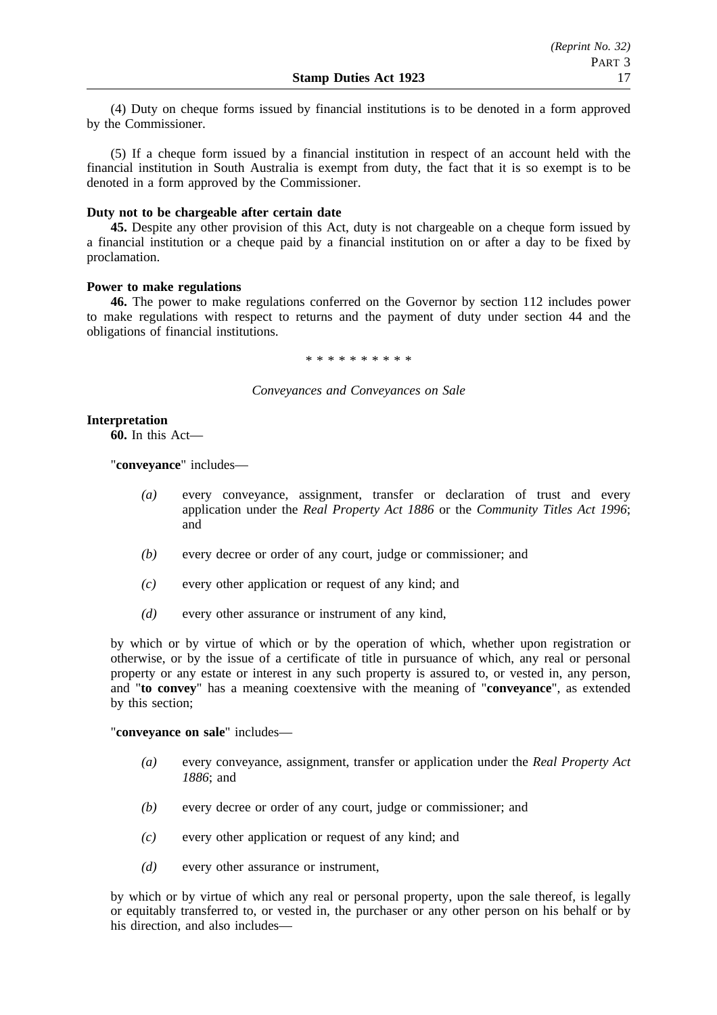(4) Duty on cheque forms issued by financial institutions is to be denoted in a form approved by the Commissioner.

(5) If a cheque form issued by a financial institution in respect of an account held with the financial institution in South Australia is exempt from duty, the fact that it is so exempt is to be denoted in a form approved by the Commissioner.

# **Duty not to be chargeable after certain date**

**45.** Despite any other provision of this Act, duty is not chargeable on a cheque form issued by a financial institution or a cheque paid by a financial institution on or after a day to be fixed by proclamation.

## **Power to make regulations**

**46.** The power to make regulations conferred on the Governor by section 112 includes power to make regulations with respect to returns and the payment of duty under section 44 and the obligations of financial institutions.

\*\*\*\*\*\*\*\*\*\*

## *Conveyances and Conveyances on Sale*

# **Interpretation**

**60.** In this Act—

"**conveyance**" includes—

- *(a)* every conveyance, assignment, transfer or declaration of trust and every application under the *Real Property Act 1886* or the *Community Titles Act 1996*; and
- *(b)* every decree or order of any court, judge or commissioner; and
- *(c)* every other application or request of any kind; and
- *(d)* every other assurance or instrument of any kind,

by which or by virtue of which or by the operation of which, whether upon registration or otherwise, or by the issue of a certificate of title in pursuance of which, any real or personal property or any estate or interest in any such property is assured to, or vested in, any person, and "**to convey**" has a meaning coextensive with the meaning of "**conveyance**", as extended by this section;

"**conveyance on sale**" includes—

- *(a)* every conveyance, assignment, transfer or application under the *Real Property Act 1886*; and
- *(b)* every decree or order of any court, judge or commissioner; and
- *(c)* every other application or request of any kind; and
- *(d)* every other assurance or instrument,

by which or by virtue of which any real or personal property, upon the sale thereof, is legally or equitably transferred to, or vested in, the purchaser or any other person on his behalf or by his direction, and also includes—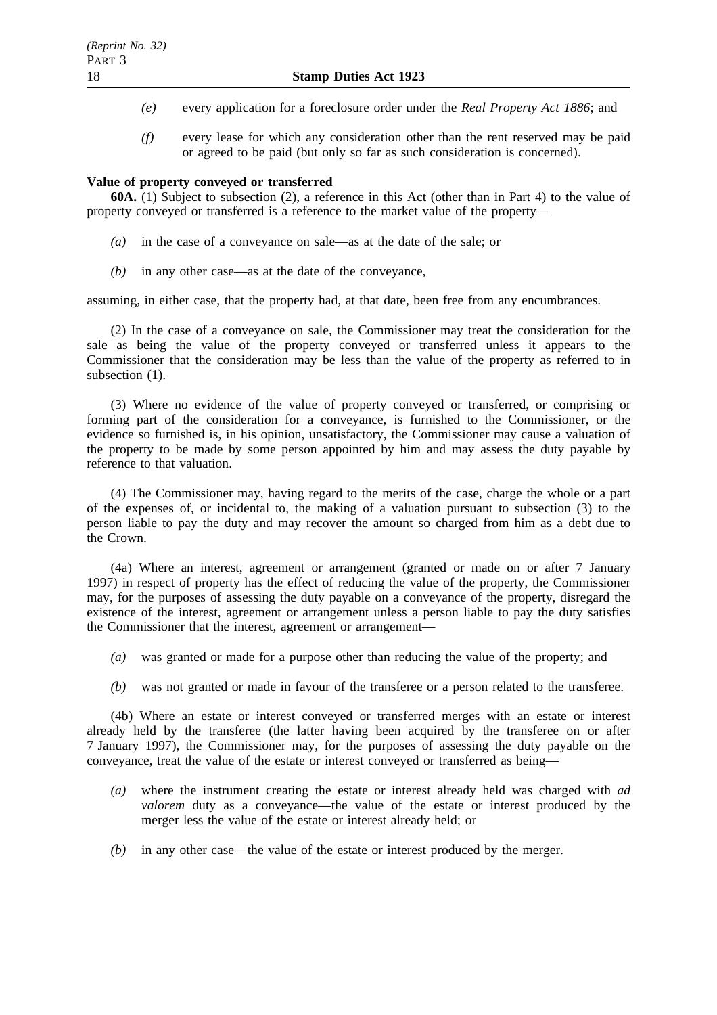- *(e)* every application for a foreclosure order under the *Real Property Act 1886*; and
- *(f)* every lease for which any consideration other than the rent reserved may be paid or agreed to be paid (but only so far as such consideration is concerned).

# **Value of property conveyed or transferred**

**60A.** (1) Subject to subsection (2), a reference in this Act (other than in Part 4) to the value of property conveyed or transferred is a reference to the market value of the property—

- *(a)* in the case of a conveyance on sale—as at the date of the sale; or
- *(b)* in any other case—as at the date of the conveyance,

assuming, in either case, that the property had, at that date, been free from any encumbrances.

(2) In the case of a conveyance on sale, the Commissioner may treat the consideration for the sale as being the value of the property conveyed or transferred unless it appears to the Commissioner that the consideration may be less than the value of the property as referred to in subsection (1).

(3) Where no evidence of the value of property conveyed or transferred, or comprising or forming part of the consideration for a conveyance, is furnished to the Commissioner, or the evidence so furnished is, in his opinion, unsatisfactory, the Commissioner may cause a valuation of the property to be made by some person appointed by him and may assess the duty payable by reference to that valuation.

(4) The Commissioner may, having regard to the merits of the case, charge the whole or a part of the expenses of, or incidental to, the making of a valuation pursuant to subsection (3) to the person liable to pay the duty and may recover the amount so charged from him as a debt due to the Crown.

(4a) Where an interest, agreement or arrangement (granted or made on or after 7 January 1997) in respect of property has the effect of reducing the value of the property, the Commissioner may, for the purposes of assessing the duty payable on a conveyance of the property, disregard the existence of the interest, agreement or arrangement unless a person liable to pay the duty satisfies the Commissioner that the interest, agreement or arrangement—

- *(a)* was granted or made for a purpose other than reducing the value of the property; and
- *(b)* was not granted or made in favour of the transferee or a person related to the transferee.

(4b) Where an estate or interest conveyed or transferred merges with an estate or interest already held by the transferee (the latter having been acquired by the transferee on or after 7 January 1997), the Commissioner may, for the purposes of assessing the duty payable on the conveyance, treat the value of the estate or interest conveyed or transferred as being—

- *(a)* where the instrument creating the estate or interest already held was charged with *ad valorem* duty as a conveyance—the value of the estate or interest produced by the merger less the value of the estate or interest already held; or
- *(b)* in any other case—the value of the estate or interest produced by the merger.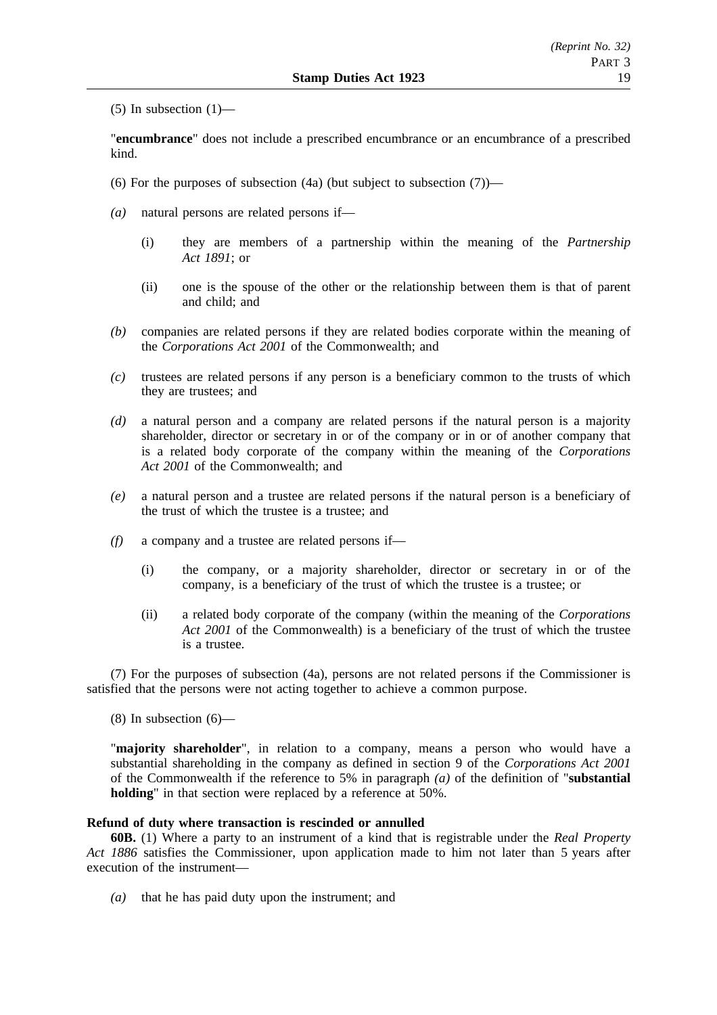(5) In subsection  $(1)$ —

"**encumbrance**" does not include a prescribed encumbrance or an encumbrance of a prescribed kind.

- (6) For the purposes of subsection  $(4a)$  (but subject to subsection  $(7)$ )—
- *(a)* natural persons are related persons if—
	- (i) they are members of a partnership within the meaning of the *Partnership Act 1891*; or
	- (ii) one is the spouse of the other or the relationship between them is that of parent and child; and
- *(b)* companies are related persons if they are related bodies corporate within the meaning of the *Corporations Act 2001* of the Commonwealth; and
- *(c)* trustees are related persons if any person is a beneficiary common to the trusts of which they are trustees; and
- *(d)* a natural person and a company are related persons if the natural person is a majority shareholder, director or secretary in or of the company or in or of another company that is a related body corporate of the company within the meaning of the *Corporations Act 2001* of the Commonwealth; and
- *(e)* a natural person and a trustee are related persons if the natural person is a beneficiary of the trust of which the trustee is a trustee; and
- *(f)* a company and a trustee are related persons if—
	- (i) the company, or a majority shareholder, director or secretary in or of the company, is a beneficiary of the trust of which the trustee is a trustee; or
	- (ii) a related body corporate of the company (within the meaning of the *Corporations Act 2001* of the Commonwealth) is a beneficiary of the trust of which the trustee is a trustee.

(7) For the purposes of subsection (4a), persons are not related persons if the Commissioner is satisfied that the persons were not acting together to achieve a common purpose.

 $(8)$  In subsection  $(6)$ —

"**majority shareholder**", in relation to a company, means a person who would have a substantial shareholding in the company as defined in section 9 of the *Corporations Act 2001* of the Commonwealth if the reference to 5% in paragraph *(a)* of the definition of "**substantial holding**" in that section were replaced by a reference at 50%.

## **Refund of duty where transaction is rescinded or annulled**

**60B.** (1) Where a party to an instrument of a kind that is registrable under the *Real Property Act 1886* satisfies the Commissioner, upon application made to him not later than 5 years after execution of the instrument—

*(a)* that he has paid duty upon the instrument; and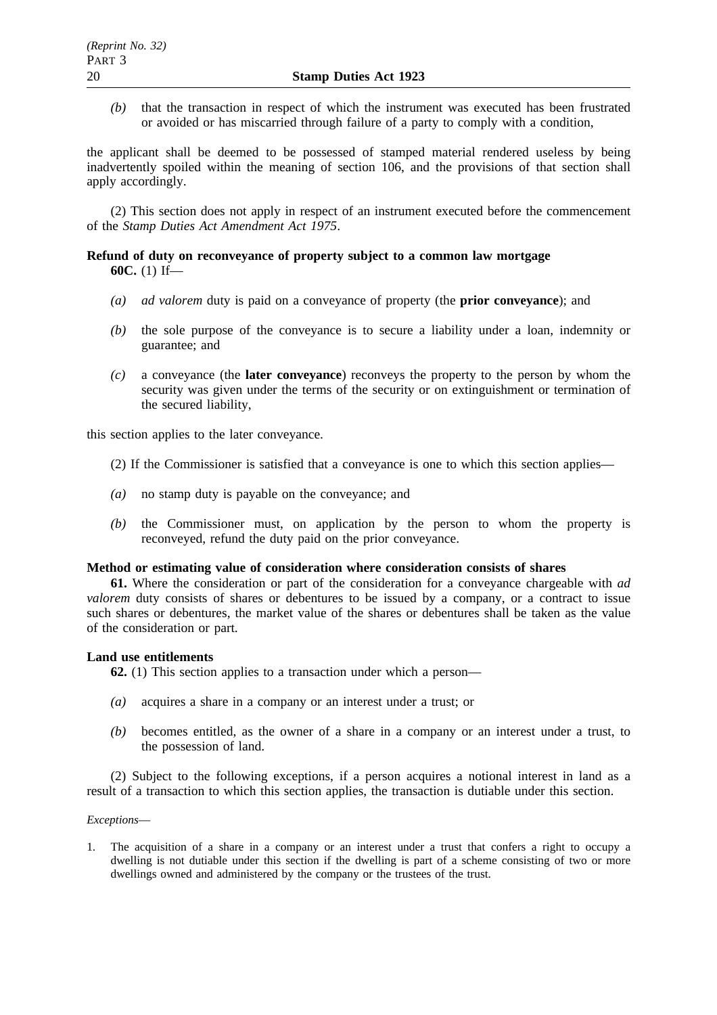*(b)* that the transaction in respect of which the instrument was executed has been frustrated or avoided or has miscarried through failure of a party to comply with a condition,

the applicant shall be deemed to be possessed of stamped material rendered useless by being inadvertently spoiled within the meaning of section 106, and the provisions of that section shall apply accordingly.

(2) This section does not apply in respect of an instrument executed before the commencement of the *Stamp Duties Act Amendment Act 1975*.

# **Refund of duty on reconveyance of property subject to a common law mortgage 60C.** (1) If—

- *(a) ad valorem* duty is paid on a conveyance of property (the **prior conveyance**); and
- *(b)* the sole purpose of the conveyance is to secure a liability under a loan, indemnity or guarantee; and
- *(c)* a conveyance (the **later conveyance**) reconveys the property to the person by whom the security was given under the terms of the security or on extinguishment or termination of the secured liability,

this section applies to the later conveyance.

- (2) If the Commissioner is satisfied that a conveyance is one to which this section applies—
- *(a)* no stamp duty is payable on the conveyance; and
- *(b)* the Commissioner must, on application by the person to whom the property is reconveyed, refund the duty paid on the prior conveyance.

## **Method or estimating value of consideration where consideration consists of shares**

**61.** Where the consideration or part of the consideration for a conveyance chargeable with *ad valorem* duty consists of shares or debentures to be issued by a company, or a contract to issue such shares or debentures, the market value of the shares or debentures shall be taken as the value of the consideration or part.

## **Land use entitlements**

**62.** (1) This section applies to a transaction under which a person—

- *(a)* acquires a share in a company or an interest under a trust; or
- *(b)* becomes entitled, as the owner of a share in a company or an interest under a trust, to the possession of land.

(2) Subject to the following exceptions, if a person acquires a notional interest in land as a result of a transaction to which this section applies, the transaction is dutiable under this section.

## *Exceptions*—

1. The acquisition of a share in a company or an interest under a trust that confers a right to occupy a dwelling is not dutiable under this section if the dwelling is part of a scheme consisting of two or more dwellings owned and administered by the company or the trustees of the trust.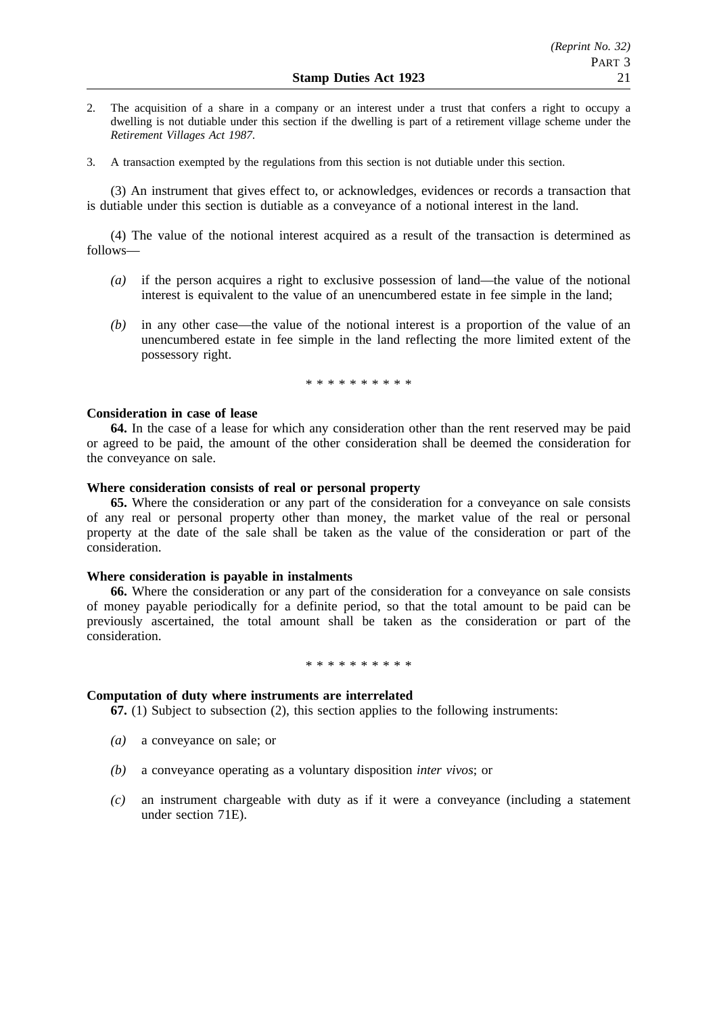- 2. The acquisition of a share in a company or an interest under a trust that confers a right to occupy a dwelling is not dutiable under this section if the dwelling is part of a retirement village scheme under the *Retirement Villages Act 1987*.
- 3. A transaction exempted by the regulations from this section is not dutiable under this section.

(3) An instrument that gives effect to, or acknowledges, evidences or records a transaction that is dutiable under this section is dutiable as a conveyance of a notional interest in the land.

(4) The value of the notional interest acquired as a result of the transaction is determined as follows—

- *(a)* if the person acquires a right to exclusive possession of land—the value of the notional interest is equivalent to the value of an unencumbered estate in fee simple in the land;
- *(b)* in any other case—the value of the notional interest is a proportion of the value of an unencumbered estate in fee simple in the land reflecting the more limited extent of the possessory right.

\*\*\*\*\*\*\*\*\*\*

## **Consideration in case of lease**

**64.** In the case of a lease for which any consideration other than the rent reserved may be paid or agreed to be paid, the amount of the other consideration shall be deemed the consideration for the conveyance on sale.

## **Where consideration consists of real or personal property**

**65.** Where the consideration or any part of the consideration for a conveyance on sale consists of any real or personal property other than money, the market value of the real or personal property at the date of the sale shall be taken as the value of the consideration or part of the consideration.

## **Where consideration is payable in instalments**

**66.** Where the consideration or any part of the consideration for a conveyance on sale consists of money payable periodically for a definite period, so that the total amount to be paid can be previously ascertained, the total amount shall be taken as the consideration or part of the consideration.

#### \*\*\*\*\*\*\*\*\*\*

## **Computation of duty where instruments are interrelated**

**67.** (1) Subject to subsection (2), this section applies to the following instruments:

- *(a)* a conveyance on sale; or
- *(b)* a conveyance operating as a voluntary disposition *inter vivos*; or
- *(c)* an instrument chargeable with duty as if it were a conveyance (including a statement under section 71E).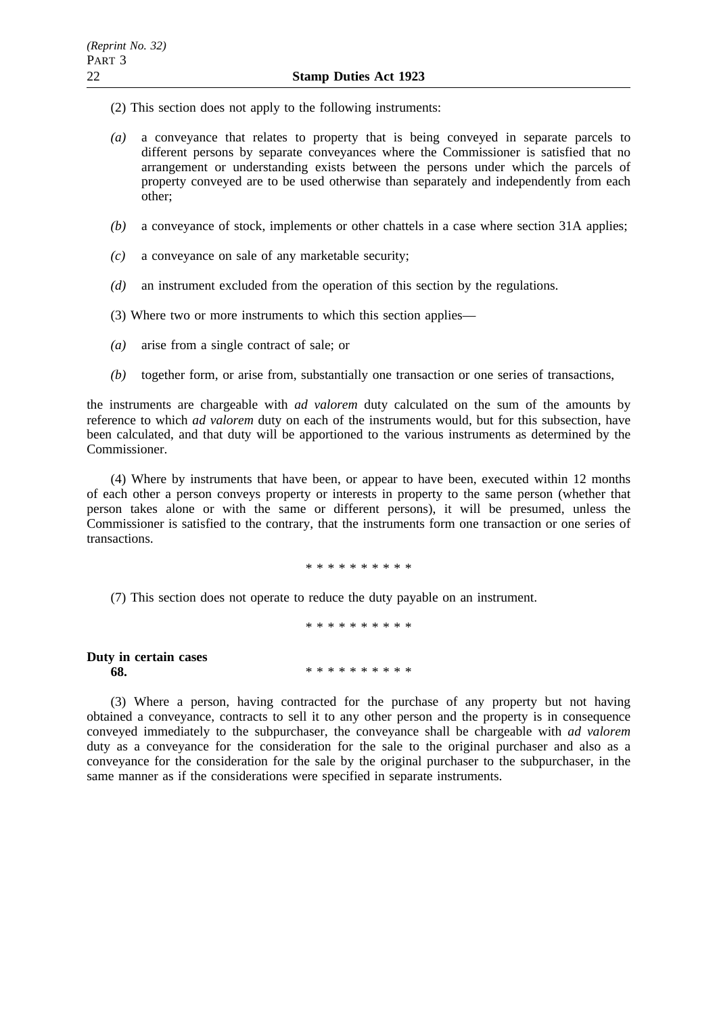- (2) This section does not apply to the following instruments:
- *(a)* a conveyance that relates to property that is being conveyed in separate parcels to different persons by separate conveyances where the Commissioner is satisfied that no arrangement or understanding exists between the persons under which the parcels of property conveyed are to be used otherwise than separately and independently from each other;
- *(b)* a conveyance of stock, implements or other chattels in a case where section 31A applies;
- *(c)* a conveyance on sale of any marketable security;
- *(d)* an instrument excluded from the operation of this section by the regulations.
- (3) Where two or more instruments to which this section applies—
- *(a)* arise from a single contract of sale; or
- *(b)* together form, or arise from, substantially one transaction or one series of transactions,

the instruments are chargeable with *ad valorem* duty calculated on the sum of the amounts by reference to which *ad valorem* duty on each of the instruments would, but for this subsection, have been calculated, and that duty will be apportioned to the various instruments as determined by the Commissioner.

(4) Where by instruments that have been, or appear to have been, executed within 12 months of each other a person conveys property or interests in property to the same person (whether that person takes alone or with the same or different persons), it will be presumed, unless the Commissioner is satisfied to the contrary, that the instruments form one transaction or one series of transactions.

\*\*\*\*\*\*\*\*\*\*

(7) This section does not operate to reduce the duty payable on an instrument.

\*\*\*\*\*\*\*\*\*\* **Duty in certain cases 68.** \*\*\*\*\*\*\*\*\*\*\*

(3) Where a person, having contracted for the purchase of any property but not having obtained a conveyance, contracts to sell it to any other person and the property is in consequence conveyed immediately to the subpurchaser, the conveyance shall be chargeable with *ad valorem* duty as a conveyance for the consideration for the sale to the original purchaser and also as a conveyance for the consideration for the sale by the original purchaser to the subpurchaser, in the same manner as if the considerations were specified in separate instruments.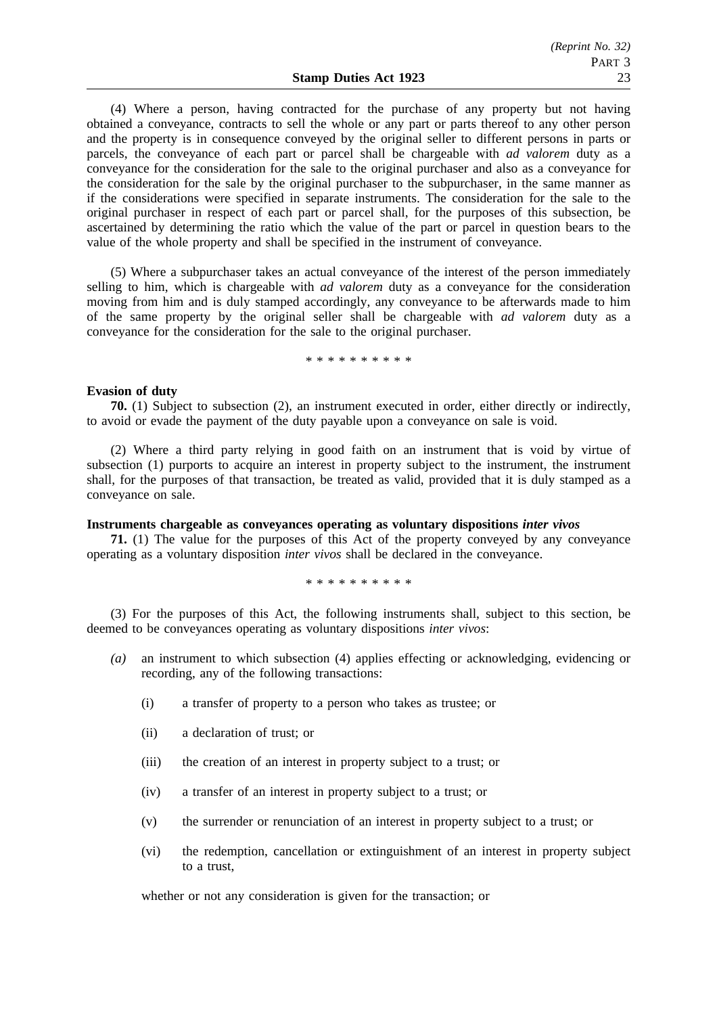(4) Where a person, having contracted for the purchase of any property but not having obtained a conveyance, contracts to sell the whole or any part or parts thereof to any other person and the property is in consequence conveyed by the original seller to different persons in parts or parcels, the conveyance of each part or parcel shall be chargeable with *ad valorem* duty as a conveyance for the consideration for the sale to the original purchaser and also as a conveyance for the consideration for the sale by the original purchaser to the subpurchaser, in the same manner as if the considerations were specified in separate instruments. The consideration for the sale to the original purchaser in respect of each part or parcel shall, for the purposes of this subsection, be ascertained by determining the ratio which the value of the part or parcel in question bears to the value of the whole property and shall be specified in the instrument of conveyance.

(5) Where a subpurchaser takes an actual conveyance of the interest of the person immediately selling to him, which is chargeable with *ad valorem* duty as a conveyance for the consideration moving from him and is duly stamped accordingly, any conveyance to be afterwards made to him of the same property by the original seller shall be chargeable with *ad valorem* duty as a conveyance for the consideration for the sale to the original purchaser.

### \*\*\*\*\*\*\*\*\*\*

# **Evasion of duty**

**70.** (1) Subject to subsection (2), an instrument executed in order, either directly or indirectly, to avoid or evade the payment of the duty payable upon a conveyance on sale is void.

(2) Where a third party relying in good faith on an instrument that is void by virtue of subsection (1) purports to acquire an interest in property subject to the instrument, the instrument shall, for the purposes of that transaction, be treated as valid, provided that it is duly stamped as a conveyance on sale.

#### **Instruments chargeable as conveyances operating as voluntary dispositions** *inter vivos*

**71.** (1) The value for the purposes of this Act of the property conveyed by any conveyance operating as a voluntary disposition *inter vivos* shall be declared in the conveyance.

\*\*\*\*\*\*\*\*\*\*

(3) For the purposes of this Act, the following instruments shall, subject to this section, be deemed to be conveyances operating as voluntary dispositions *inter vivos*:

- *(a)* an instrument to which subsection (4) applies effecting or acknowledging, evidencing or recording, any of the following transactions:
	- (i) a transfer of property to a person who takes as trustee; or
	- (ii) a declaration of trust; or
	- (iii) the creation of an interest in property subject to a trust; or
	- (iv) a transfer of an interest in property subject to a trust; or
	- (v) the surrender or renunciation of an interest in property subject to a trust; or
	- (vi) the redemption, cancellation or extinguishment of an interest in property subject to a trust,

whether or not any consideration is given for the transaction; or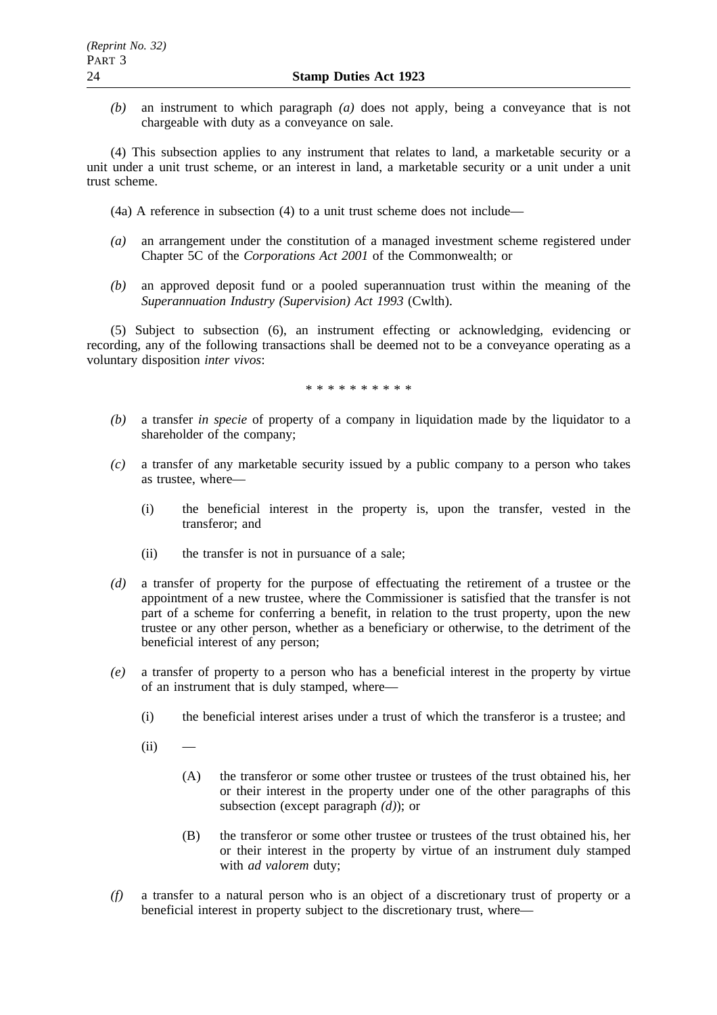*(b)* an instrument to which paragraph *(a)* does not apply, being a conveyance that is not chargeable with duty as a conveyance on sale.

(4) This subsection applies to any instrument that relates to land, a marketable security or a unit under a unit trust scheme, or an interest in land, a marketable security or a unit under a unit trust scheme.

(4a) A reference in subsection (4) to a unit trust scheme does not include—

- *(a)* an arrangement under the constitution of a managed investment scheme registered under Chapter 5C of the *Corporations Act 2001* of the Commonwealth; or
- *(b)* an approved deposit fund or a pooled superannuation trust within the meaning of the *Superannuation Industry (Supervision) Act 1993* (Cwlth).

(5) Subject to subsection (6), an instrument effecting or acknowledging, evidencing or recording, any of the following transactions shall be deemed not to be a conveyance operating as a voluntary disposition *inter vivos*:

\*\*\*\*\*\*\*\*\*\*

- *(b)* a transfer *in specie* of property of a company in liquidation made by the liquidator to a shareholder of the company;
- *(c)* a transfer of any marketable security issued by a public company to a person who takes as trustee, where—
	- (i) the beneficial interest in the property is, upon the transfer, vested in the transferor; and
	- (ii) the transfer is not in pursuance of a sale;
- *(d)* a transfer of property for the purpose of effectuating the retirement of a trustee or the appointment of a new trustee, where the Commissioner is satisfied that the transfer is not part of a scheme for conferring a benefit, in relation to the trust property, upon the new trustee or any other person, whether as a beneficiary or otherwise, to the detriment of the beneficial interest of any person;
- *(e)* a transfer of property to a person who has a beneficial interest in the property by virtue of an instrument that is duly stamped, where—
	- (i) the beneficial interest arises under a trust of which the transferor is a trustee; and
	- $(ii)$ 
		- (A) the transferor or some other trustee or trustees of the trust obtained his, her or their interest in the property under one of the other paragraphs of this subsection (except paragraph *(d)*); or
		- (B) the transferor or some other trustee or trustees of the trust obtained his, her or their interest in the property by virtue of an instrument duly stamped with *ad valorem* duty;
- *(f)* a transfer to a natural person who is an object of a discretionary trust of property or a beneficial interest in property subject to the discretionary trust, where—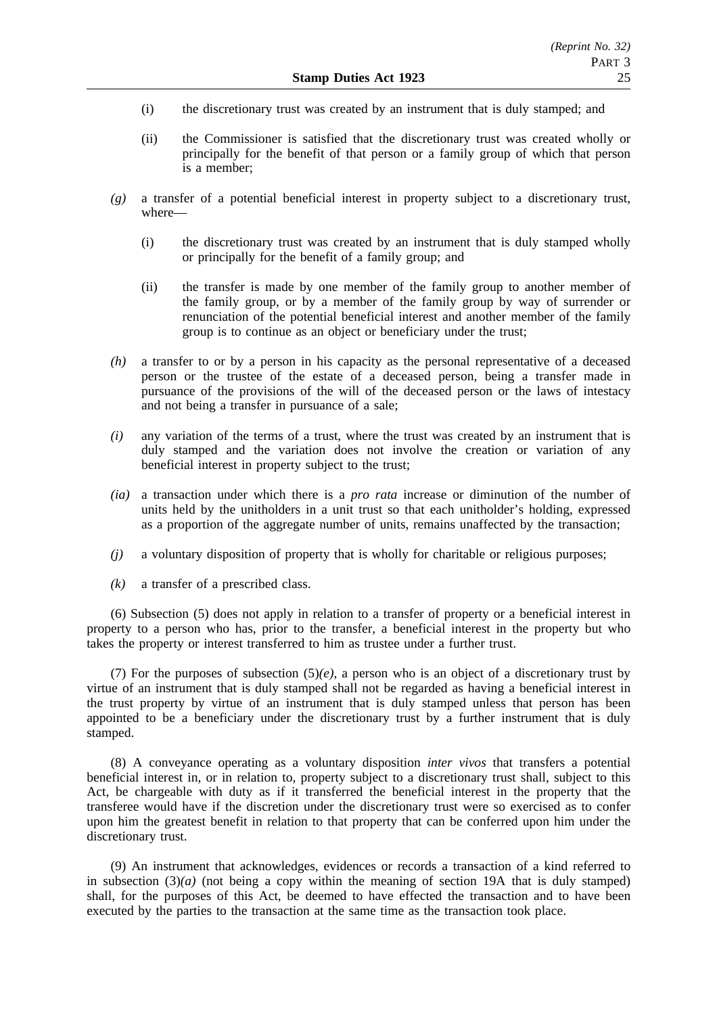- (i) the discretionary trust was created by an instrument that is duly stamped; and
- (ii) the Commissioner is satisfied that the discretionary trust was created wholly or principally for the benefit of that person or a family group of which that person is a member;
- *(g)* a transfer of a potential beneficial interest in property subject to a discretionary trust, where—
	- (i) the discretionary trust was created by an instrument that is duly stamped wholly or principally for the benefit of a family group; and
	- (ii) the transfer is made by one member of the family group to another member of the family group, or by a member of the family group by way of surrender or renunciation of the potential beneficial interest and another member of the family group is to continue as an object or beneficiary under the trust;
- *(h)* a transfer to or by a person in his capacity as the personal representative of a deceased person or the trustee of the estate of a deceased person, being a transfer made in pursuance of the provisions of the will of the deceased person or the laws of intestacy and not being a transfer in pursuance of a sale;
- *(i)* any variation of the terms of a trust, where the trust was created by an instrument that is duly stamped and the variation does not involve the creation or variation of any beneficial interest in property subject to the trust;
- *(ia)* a transaction under which there is a *pro rata* increase or diminution of the number of units held by the unitholders in a unit trust so that each unitholder's holding, expressed as a proportion of the aggregate number of units, remains unaffected by the transaction;
- *(j)* a voluntary disposition of property that is wholly for charitable or religious purposes;
- *(k)* a transfer of a prescribed class.

(6) Subsection (5) does not apply in relation to a transfer of property or a beneficial interest in property to a person who has, prior to the transfer, a beneficial interest in the property but who takes the property or interest transferred to him as trustee under a further trust.

(7) For the purposes of subsection  $(5)(e)$ , a person who is an object of a discretionary trust by virtue of an instrument that is duly stamped shall not be regarded as having a beneficial interest in the trust property by virtue of an instrument that is duly stamped unless that person has been appointed to be a beneficiary under the discretionary trust by a further instrument that is duly stamped.

(8) A conveyance operating as a voluntary disposition *inter vivos* that transfers a potential beneficial interest in, or in relation to, property subject to a discretionary trust shall, subject to this Act, be chargeable with duty as if it transferred the beneficial interest in the property that the transferee would have if the discretion under the discretionary trust were so exercised as to confer upon him the greatest benefit in relation to that property that can be conferred upon him under the discretionary trust.

(9) An instrument that acknowledges, evidences or records a transaction of a kind referred to in subsection  $(3)(a)$  (not being a copy within the meaning of section 19A that is duly stamped) shall, for the purposes of this Act, be deemed to have effected the transaction and to have been executed by the parties to the transaction at the same time as the transaction took place.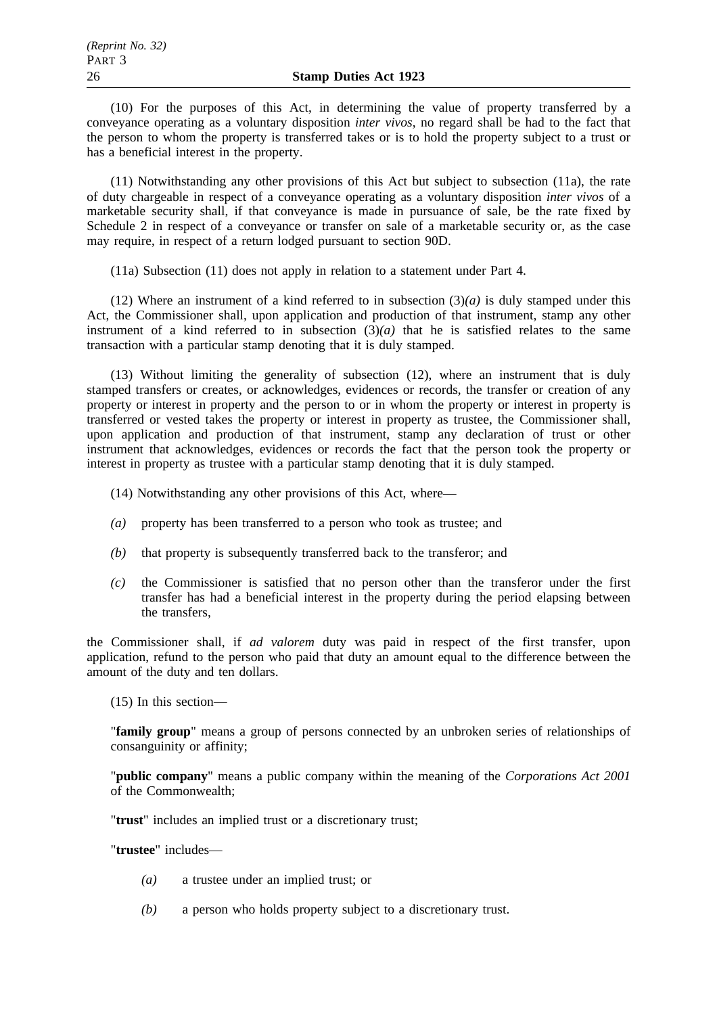(10) For the purposes of this Act, in determining the value of property transferred by a conveyance operating as a voluntary disposition *inter vivos*, no regard shall be had to the fact that the person to whom the property is transferred takes or is to hold the property subject to a trust or has a beneficial interest in the property.

(11) Notwithstanding any other provisions of this Act but subject to subsection (11a), the rate of duty chargeable in respect of a conveyance operating as a voluntary disposition *inter vivos* of a marketable security shall, if that conveyance is made in pursuance of sale, be the rate fixed by Schedule 2 in respect of a conveyance or transfer on sale of a marketable security or, as the case may require, in respect of a return lodged pursuant to section 90D.

(11a) Subsection (11) does not apply in relation to a statement under Part 4.

(12) Where an instrument of a kind referred to in subsection (3)*(a)* is duly stamped under this Act, the Commissioner shall, upon application and production of that instrument, stamp any other instrument of a kind referred to in subsection  $(\overline{3})(a)$  that he is satisfied relates to the same transaction with a particular stamp denoting that it is duly stamped.

(13) Without limiting the generality of subsection (12), where an instrument that is duly stamped transfers or creates, or acknowledges, evidences or records, the transfer or creation of any property or interest in property and the person to or in whom the property or interest in property is transferred or vested takes the property or interest in property as trustee, the Commissioner shall, upon application and production of that instrument, stamp any declaration of trust or other instrument that acknowledges, evidences or records the fact that the person took the property or interest in property as trustee with a particular stamp denoting that it is duly stamped.

(14) Notwithstanding any other provisions of this Act, where—

- *(a)* property has been transferred to a person who took as trustee; and
- *(b)* that property is subsequently transferred back to the transferor; and
- *(c)* the Commissioner is satisfied that no person other than the transferor under the first transfer has had a beneficial interest in the property during the period elapsing between the transfers,

the Commissioner shall, if *ad valorem* duty was paid in respect of the first transfer, upon application, refund to the person who paid that duty an amount equal to the difference between the amount of the duty and ten dollars.

(15) In this section—

"**family group**" means a group of persons connected by an unbroken series of relationships of consanguinity or affinity;

"**public company**" means a public company within the meaning of the *Corporations Act 2001* of the Commonwealth;

"**trust**" includes an implied trust or a discretionary trust;

"**trustee**" includes—

- *(a)* a trustee under an implied trust; or
- *(b)* a person who holds property subject to a discretionary trust.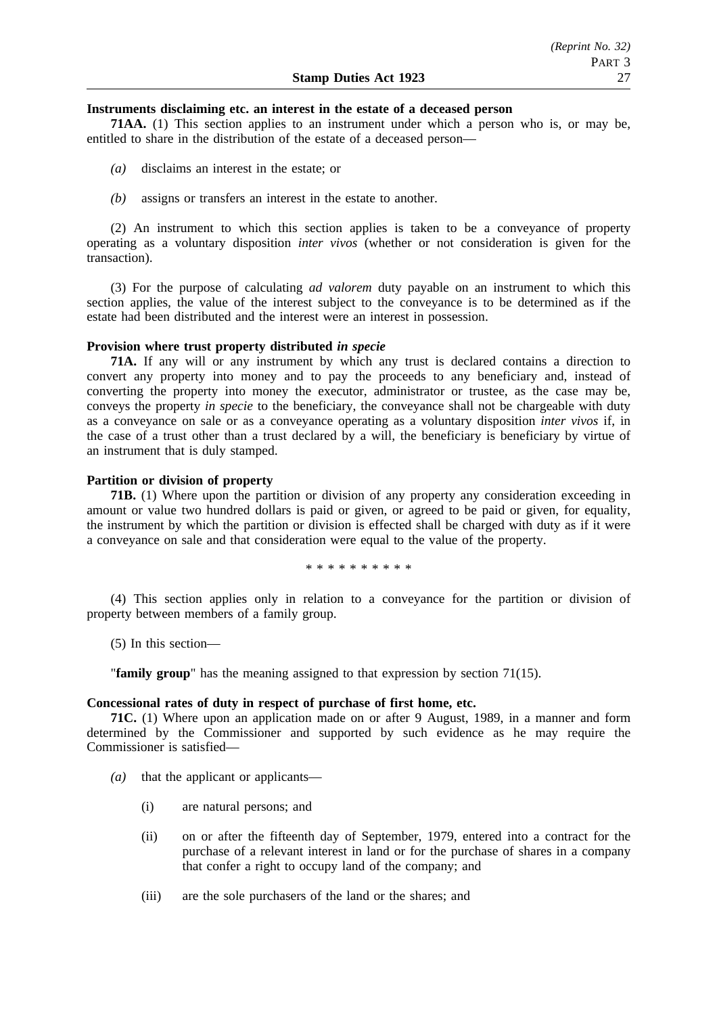### **Instruments disclaiming etc. an interest in the estate of a deceased person**

**71AA.** (1) This section applies to an instrument under which a person who is, or may be, entitled to share in the distribution of the estate of a deceased person—

- *(a)* disclaims an interest in the estate; or
- *(b)* assigns or transfers an interest in the estate to another.

(2) An instrument to which this section applies is taken to be a conveyance of property operating as a voluntary disposition *inter vivos* (whether or not consideration is given for the transaction).

(3) For the purpose of calculating *ad valorem* duty payable on an instrument to which this section applies, the value of the interest subject to the conveyance is to be determined as if the estate had been distributed and the interest were an interest in possession.

### **Provision where trust property distributed** *in specie*

**71A.** If any will or any instrument by which any trust is declared contains a direction to convert any property into money and to pay the proceeds to any beneficiary and, instead of converting the property into money the executor, administrator or trustee, as the case may be, conveys the property *in specie* to the beneficiary, the conveyance shall not be chargeable with duty as a conveyance on sale or as a conveyance operating as a voluntary disposition *inter vivos* if, in the case of a trust other than a trust declared by a will, the beneficiary is beneficiary by virtue of an instrument that is duly stamped.

### **Partition or division of property**

**71B.** (1) Where upon the partition or division of any property any consideration exceeding in amount or value two hundred dollars is paid or given, or agreed to be paid or given, for equality, the instrument by which the partition or division is effected shall be charged with duty as if it were a conveyance on sale and that consideration were equal to the value of the property.

\*\*\*\*\*\*\*\*\*\*

(4) This section applies only in relation to a conveyance for the partition or division of property between members of a family group.

(5) In this section—

"**family group**" has the meaning assigned to that expression by section 71(15).

#### **Concessional rates of duty in respect of purchase of first home, etc.**

**71C.** (1) Where upon an application made on or after 9 August, 1989, in a manner and form determined by the Commissioner and supported by such evidence as he may require the Commissioner is satisfied—

- *(a)* that the applicant or applicants—
	- (i) are natural persons; and
	- (ii) on or after the fifteenth day of September, 1979, entered into a contract for the purchase of a relevant interest in land or for the purchase of shares in a company that confer a right to occupy land of the company; and
	- (iii) are the sole purchasers of the land or the shares; and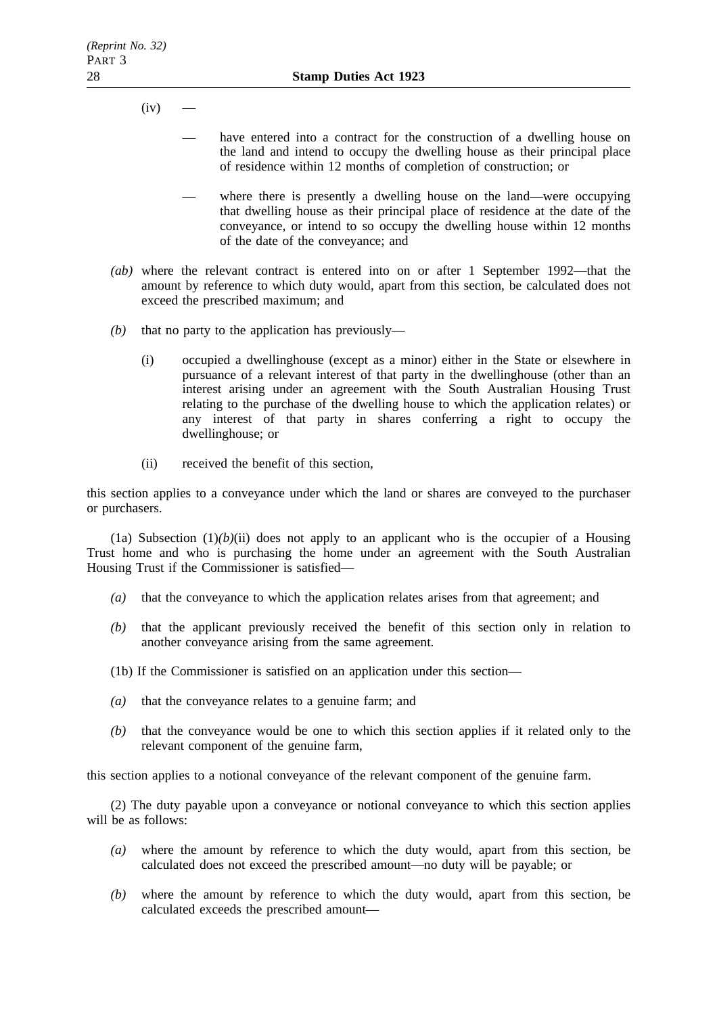$(iv)$ 

- have entered into a contract for the construction of a dwelling house on the land and intend to occupy the dwelling house as their principal place of residence within 12 months of completion of construction; or
- where there is presently a dwelling house on the land—were occupying that dwelling house as their principal place of residence at the date of the conveyance, or intend to so occupy the dwelling house within 12 months of the date of the conveyance; and
- *(ab)* where the relevant contract is entered into on or after 1 September 1992—that the amount by reference to which duty would, apart from this section, be calculated does not exceed the prescribed maximum; and
- *(b)* that no party to the application has previously—
	- (i) occupied a dwellinghouse (except as a minor) either in the State or elsewhere in pursuance of a relevant interest of that party in the dwellinghouse (other than an interest arising under an agreement with the South Australian Housing Trust relating to the purchase of the dwelling house to which the application relates) or any interest of that party in shares conferring a right to occupy the dwellinghouse; or
	- (ii) received the benefit of this section,

this section applies to a conveyance under which the land or shares are conveyed to the purchaser or purchasers.

(1a) Subsection  $(1)(b)(ii)$  does not apply to an applicant who is the occupier of a Housing Trust home and who is purchasing the home under an agreement with the South Australian Housing Trust if the Commissioner is satisfied—

- *(a)* that the conveyance to which the application relates arises from that agreement; and
- *(b)* that the applicant previously received the benefit of this section only in relation to another conveyance arising from the same agreement.
- (1b) If the Commissioner is satisfied on an application under this section—
- *(a)* that the conveyance relates to a genuine farm; and
- *(b)* that the conveyance would be one to which this section applies if it related only to the relevant component of the genuine farm,

this section applies to a notional conveyance of the relevant component of the genuine farm.

(2) The duty payable upon a conveyance or notional conveyance to which this section applies will be as follows:

- *(a)* where the amount by reference to which the duty would, apart from this section, be calculated does not exceed the prescribed amount—no duty will be payable; or
- *(b)* where the amount by reference to which the duty would, apart from this section, be calculated exceeds the prescribed amount—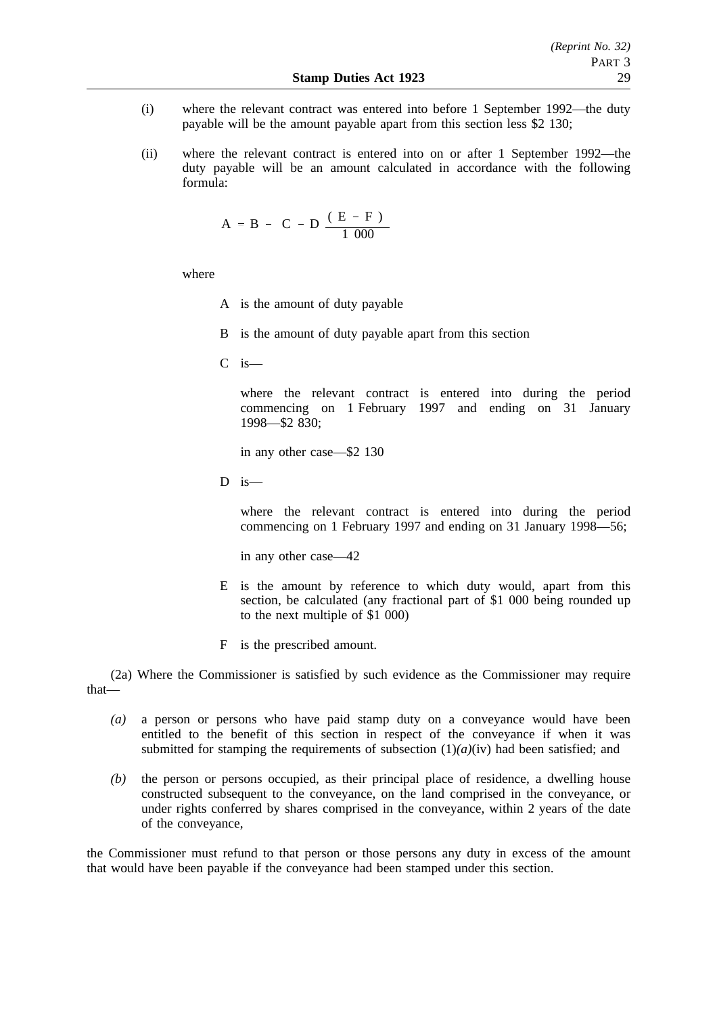- (i) where the relevant contract was entered into before 1 September 1992—the duty payable will be the amount payable apart from this section less \$2 130;
- (ii) where the relevant contract is entered into on or after 1 September 1992—the duty payable will be an amount calculated in accordance with the following formula:

$$
A = B - \left(C - D \frac{(E - F)}{1000}\right)
$$

where

- A is the amount of duty payable
- B is the amount of duty payable apart from this section
- C is—

where the relevant contract is entered into during the period commencing on 1 February 1997 and ending on 31 January 1998—\$2 830;

in any other case—\$2 130

 $D$  is —

where the relevant contract is entered into during the period commencing on 1 February 1997 and ending on 31 January 1998—56;

in any other case—42

- E is the amount by reference to which duty would, apart from this section, be calculated (any fractional part of \$1 000 being rounded up to the next multiple of \$1 000)
- F is the prescribed amount.

(2a) Where the Commissioner is satisfied by such evidence as the Commissioner may require that—

- *(a)* a person or persons who have paid stamp duty on a conveyance would have been entitled to the benefit of this section in respect of the conveyance if when it was submitted for stamping the requirements of subsection  $(1)(a)(iv)$  had been satisfied; and
- *(b)* the person or persons occupied, as their principal place of residence, a dwelling house constructed subsequent to the conveyance, on the land comprised in the conveyance, or under rights conferred by shares comprised in the conveyance, within 2 years of the date of the conveyance,

the Commissioner must refund to that person or those persons any duty in excess of the amount that would have been payable if the conveyance had been stamped under this section.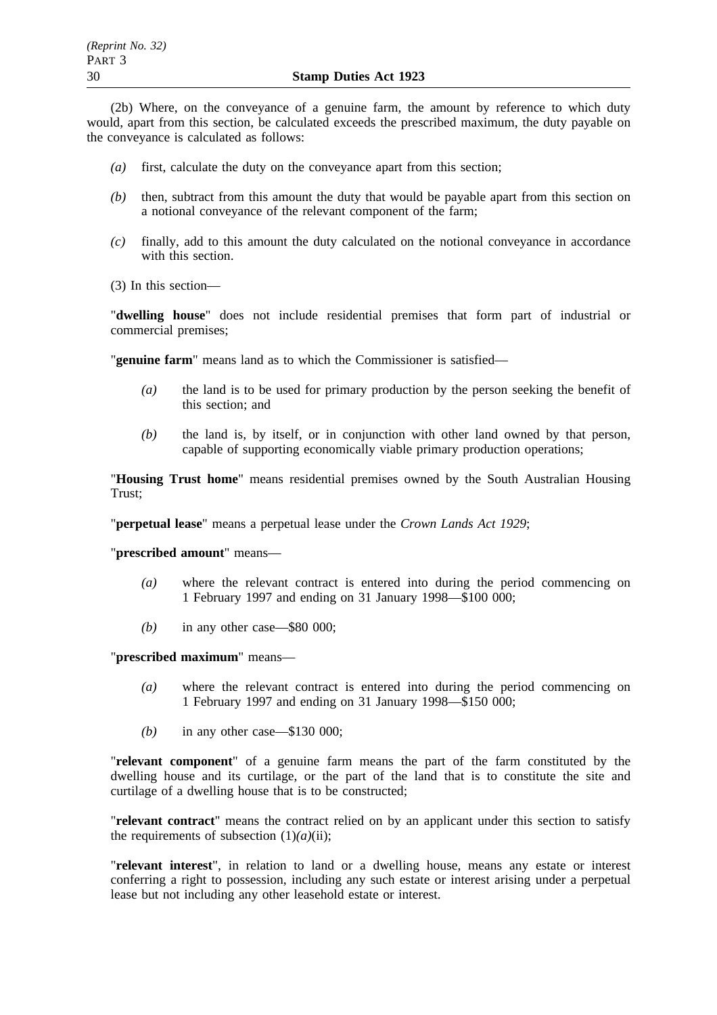(2b) Where, on the conveyance of a genuine farm, the amount by reference to which duty would, apart from this section, be calculated exceeds the prescribed maximum, the duty payable on the conveyance is calculated as follows:

- *(a)* first, calculate the duty on the conveyance apart from this section;
- *(b)* then, subtract from this amount the duty that would be payable apart from this section on a notional conveyance of the relevant component of the farm;
- *(c)* finally, add to this amount the duty calculated on the notional conveyance in accordance with this section.
- (3) In this section—

"**dwelling house**" does not include residential premises that form part of industrial or commercial premises;

"**genuine farm**" means land as to which the Commissioner is satisfied—

- *(a)* the land is to be used for primary production by the person seeking the benefit of this section; and
- *(b)* the land is, by itself, or in conjunction with other land owned by that person, capable of supporting economically viable primary production operations;

"**Housing Trust home**" means residential premises owned by the South Australian Housing Trust;

"**perpetual lease**" means a perpetual lease under the *Crown Lands Act 1929*;

"**prescribed amount**" means—

- *(a)* where the relevant contract is entered into during the period commencing on 1 February 1997 and ending on 31 January 1998—\$100 000;
- *(b)* in any other case—\$80 000;

"**prescribed maximum**" means—

- *(a)* where the relevant contract is entered into during the period commencing on 1 February 1997 and ending on 31 January 1998—\$150 000;
- *(b)* in any other case—\$130 000;

"**relevant component**" of a genuine farm means the part of the farm constituted by the dwelling house and its curtilage, or the part of the land that is to constitute the site and curtilage of a dwelling house that is to be constructed;

"**relevant contract**" means the contract relied on by an applicant under this section to satisfy the requirements of subsection  $(1)(a)(ii)$ ;

"**relevant interest**", in relation to land or a dwelling house, means any estate or interest conferring a right to possession, including any such estate or interest arising under a perpetual lease but not including any other leasehold estate or interest.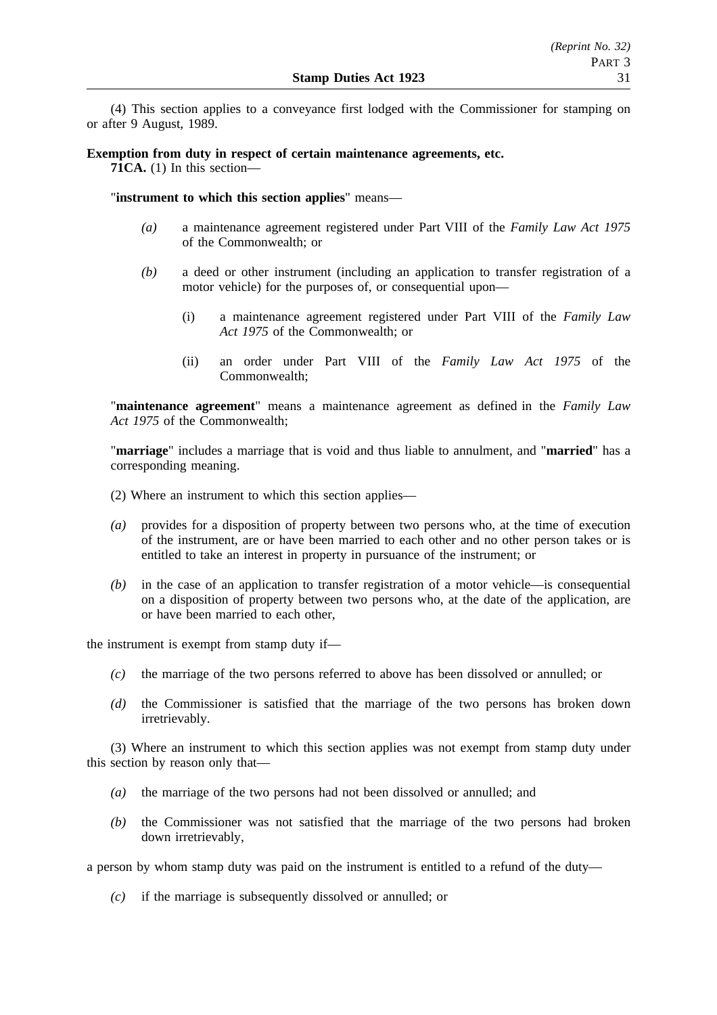(4) This section applies to a conveyance first lodged with the Commissioner for stamping on or after 9 August, 1989.

# **Exemption from duty in respect of certain maintenance agreements, etc.**

**71CA.** (1) In this section—

"**instrument to which this section applies**" means—

- *(a)* a maintenance agreement registered under Part VIII of the *Family Law Act 1975* of the Commonwealth; or
- *(b)* a deed or other instrument (including an application to transfer registration of a motor vehicle) for the purposes of, or consequential upon—
	- (i) a maintenance agreement registered under Part VIII of the *Family Law Act 1975* of the Commonwealth; or
	- (ii) an order under Part VIII of the *Family Law Act 1975* of the Commonwealth;

"**maintenance agreement**" means a maintenance agreement as defined in the *Family Law Act 1975* of the Commonwealth;

"**marriage**" includes a marriage that is void and thus liable to annulment, and "**married**" has a corresponding meaning.

- (2) Where an instrument to which this section applies—
- *(a)* provides for a disposition of property between two persons who, at the time of execution of the instrument, are or have been married to each other and no other person takes or is entitled to take an interest in property in pursuance of the instrument; or
- *(b)* in the case of an application to transfer registration of a motor vehicle—is consequential on a disposition of property between two persons who, at the date of the application, are or have been married to each other,

the instrument is exempt from stamp duty if—

- *(c)* the marriage of the two persons referred to above has been dissolved or annulled; or
- *(d)* the Commissioner is satisfied that the marriage of the two persons has broken down irretrievably.

(3) Where an instrument to which this section applies was not exempt from stamp duty under this section by reason only that—

- *(a)* the marriage of the two persons had not been dissolved or annulled; and
- *(b)* the Commissioner was not satisfied that the marriage of the two persons had broken down irretrievably,

a person by whom stamp duty was paid on the instrument is entitled to a refund of the duty—

*(c)* if the marriage is subsequently dissolved or annulled; or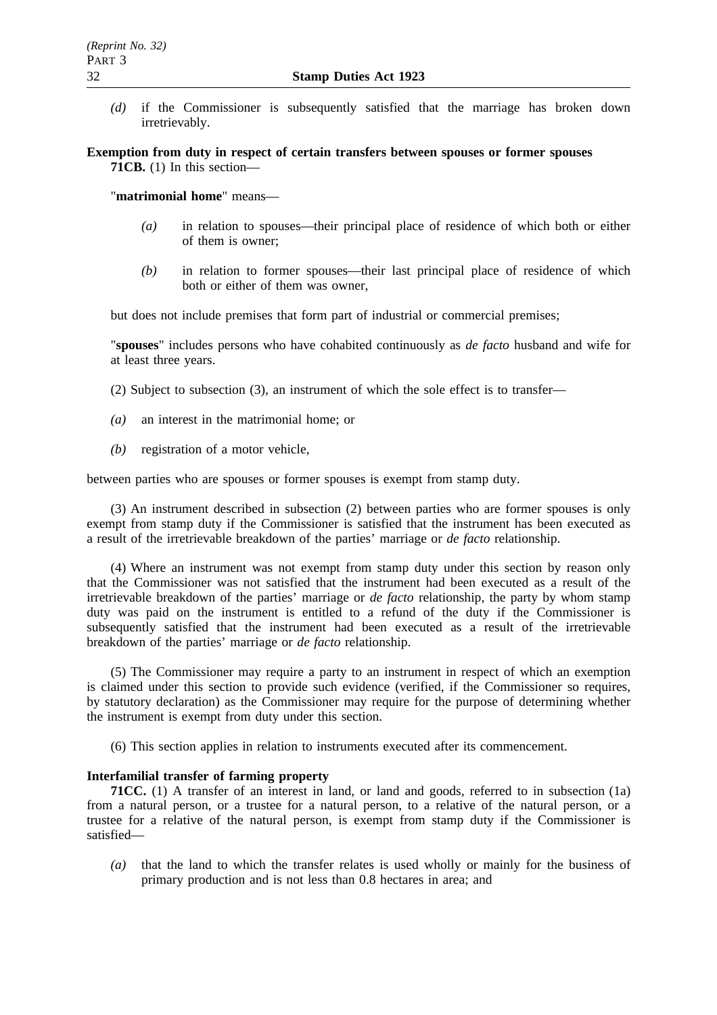*(d)* if the Commissioner is subsequently satisfied that the marriage has broken down irretrievably.

**Exemption from duty in respect of certain transfers between spouses or former spouses 71CB.** (1) In this section—

"**matrimonial home**" means—

- *(a)* in relation to spouses—their principal place of residence of which both or either of them is owner;
- *(b)* in relation to former spouses—their last principal place of residence of which both or either of them was owner,

but does not include premises that form part of industrial or commercial premises;

"**spouses**" includes persons who have cohabited continuously as *de facto* husband and wife for at least three years.

(2) Subject to subsection (3), an instrument of which the sole effect is to transfer—

- *(a)* an interest in the matrimonial home; or
- *(b)* registration of a motor vehicle,

between parties who are spouses or former spouses is exempt from stamp duty.

(3) An instrument described in subsection (2) between parties who are former spouses is only exempt from stamp duty if the Commissioner is satisfied that the instrument has been executed as a result of the irretrievable breakdown of the parties' marriage or *de facto* relationship.

(4) Where an instrument was not exempt from stamp duty under this section by reason only that the Commissioner was not satisfied that the instrument had been executed as a result of the irretrievable breakdown of the parties' marriage or *de facto* relationship, the party by whom stamp duty was paid on the instrument is entitled to a refund of the duty if the Commissioner is subsequently satisfied that the instrument had been executed as a result of the irretrievable breakdown of the parties' marriage or *de facto* relationship.

(5) The Commissioner may require a party to an instrument in respect of which an exemption is claimed under this section to provide such evidence (verified, if the Commissioner so requires, by statutory declaration) as the Commissioner may require for the purpose of determining whether the instrument is exempt from duty under this section.

(6) This section applies in relation to instruments executed after its commencement.

#### **Interfamilial transfer of farming property**

**71CC.** (1) A transfer of an interest in land, or land and goods, referred to in subsection (1a) from a natural person, or a trustee for a natural person, to a relative of the natural person, or a trustee for a relative of the natural person, is exempt from stamp duty if the Commissioner is satisfied—

*(a)* that the land to which the transfer relates is used wholly or mainly for the business of primary production and is not less than 0.8 hectares in area; and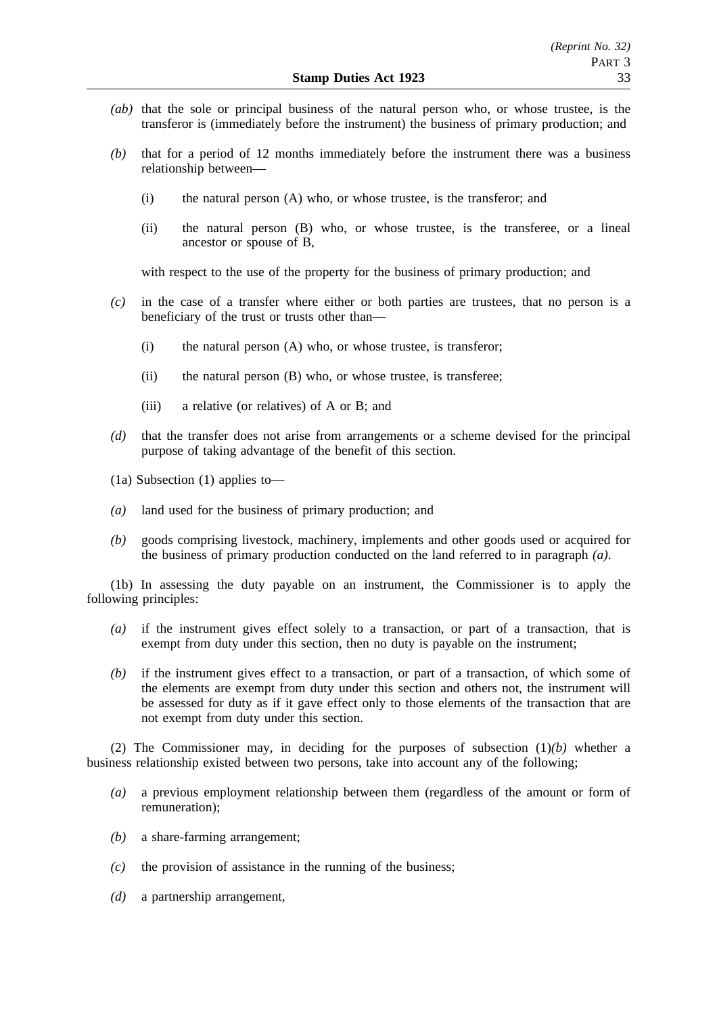- *(ab)* that the sole or principal business of the natural person who, or whose trustee, is the transferor is (immediately before the instrument) the business of primary production; and
- *(b)* that for a period of 12 months immediately before the instrument there was a business relationship between—
	- (i) the natural person (A) who, or whose trustee, is the transferor; and
	- (ii) the natural person (B) who, or whose trustee, is the transferee, or a lineal ancestor or spouse of B,

with respect to the use of the property for the business of primary production; and

- *(c)* in the case of a transfer where either or both parties are trustees, that no person is a beneficiary of the trust or trusts other than—
	- (i) the natural person (A) who, or whose trustee, is transferor;
	- (ii) the natural person (B) who, or whose trustee, is transferee;
	- (iii) a relative (or relatives) of A or B; and
- *(d)* that the transfer does not arise from arrangements or a scheme devised for the principal purpose of taking advantage of the benefit of this section.
- (1a) Subsection (1) applies to—
- *(a)* land used for the business of primary production; and
- *(b)* goods comprising livestock, machinery, implements and other goods used or acquired for the business of primary production conducted on the land referred to in paragraph *(a)*.

(1b) In assessing the duty payable on an instrument, the Commissioner is to apply the following principles:

- *(a)* if the instrument gives effect solely to a transaction, or part of a transaction, that is exempt from duty under this section, then no duty is payable on the instrument;
- *(b)* if the instrument gives effect to a transaction, or part of a transaction, of which some of the elements are exempt from duty under this section and others not, the instrument will be assessed for duty as if it gave effect only to those elements of the transaction that are not exempt from duty under this section.

(2) The Commissioner may, in deciding for the purposes of subsection (1)*(b)* whether a business relationship existed between two persons, take into account any of the following;

- *(a)* a previous employment relationship between them (regardless of the amount or form of remuneration);
- *(b)* a share-farming arrangement;
- *(c)* the provision of assistance in the running of the business;
- *(d)* a partnership arrangement,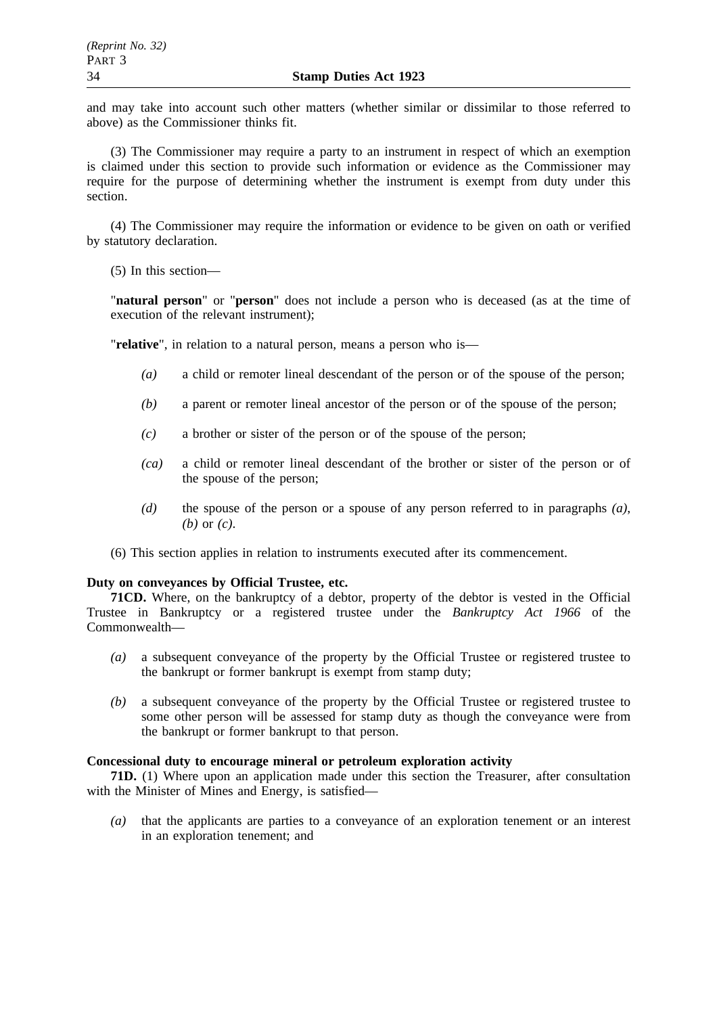and may take into account such other matters (whether similar or dissimilar to those referred to above) as the Commissioner thinks fit.

(3) The Commissioner may require a party to an instrument in respect of which an exemption is claimed under this section to provide such information or evidence as the Commissioner may require for the purpose of determining whether the instrument is exempt from duty under this section.

(4) The Commissioner may require the information or evidence to be given on oath or verified by statutory declaration.

(5) In this section—

"**natural person**" or "**person**" does not include a person who is deceased (as at the time of execution of the relevant instrument);

"**relative**", in relation to a natural person, means a person who is—

- *(a)* a child or remoter lineal descendant of the person or of the spouse of the person;
- *(b)* a parent or remoter lineal ancestor of the person or of the spouse of the person;
- *(c)* a brother or sister of the person or of the spouse of the person;
- *(ca)* a child or remoter lineal descendant of the brother or sister of the person or of the spouse of the person;
- *(d)* the spouse of the person or a spouse of any person referred to in paragraphs *(a)*, *(b)* or *(c)*.

(6) This section applies in relation to instruments executed after its commencement.

## **Duty on conveyances by Official Trustee, etc.**

**71CD.** Where, on the bankruptcy of a debtor, property of the debtor is vested in the Official Trustee in Bankruptcy or a registered trustee under the *Bankruptcy Act 1966* of the Commonwealth—

- *(a)* a subsequent conveyance of the property by the Official Trustee or registered trustee to the bankrupt or former bankrupt is exempt from stamp duty;
- *(b)* a subsequent conveyance of the property by the Official Trustee or registered trustee to some other person will be assessed for stamp duty as though the conveyance were from the bankrupt or former bankrupt to that person.

## **Concessional duty to encourage mineral or petroleum exploration activity**

**71D.** (1) Where upon an application made under this section the Treasurer, after consultation with the Minister of Mines and Energy, is satisfied—

*(a)* that the applicants are parties to a conveyance of an exploration tenement or an interest in an exploration tenement; and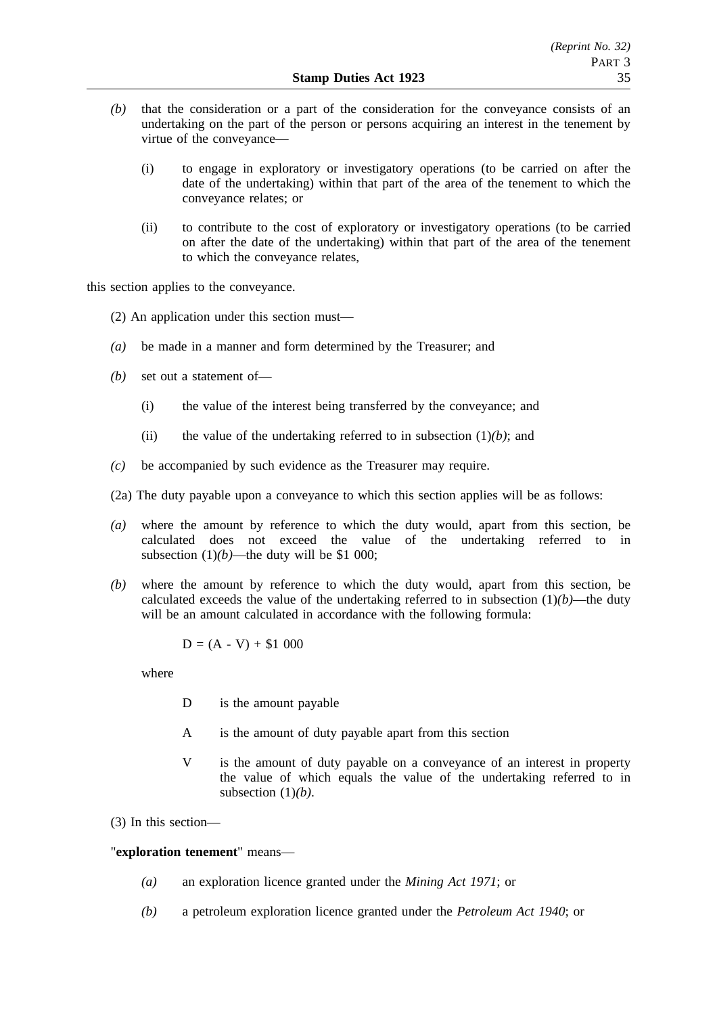- *(b)* that the consideration or a part of the consideration for the conveyance consists of an undertaking on the part of the person or persons acquiring an interest in the tenement by virtue of the conveyance—
	- (i) to engage in exploratory or investigatory operations (to be carried on after the date of the undertaking) within that part of the area of the tenement to which the conveyance relates; or
	- (ii) to contribute to the cost of exploratory or investigatory operations (to be carried on after the date of the undertaking) within that part of the area of the tenement to which the conveyance relates,

this section applies to the conveyance.

(2) An application under this section must—

- *(a)* be made in a manner and form determined by the Treasurer; and
- *(b)* set out a statement of—
	- (i) the value of the interest being transferred by the conveyance; and
	- (ii) the value of the undertaking referred to in subsection  $(1)(b)$ ; and
- *(c)* be accompanied by such evidence as the Treasurer may require.
- (2a) The duty payable upon a conveyance to which this section applies will be as follows:
- *(a)* where the amount by reference to which the duty would, apart from this section, be calculated does not exceed the value of the undertaking referred to in subsection  $(1)(b)$ —the duty will be \$1 000;
- *(b)* where the amount by reference to which the duty would, apart from this section, be calculated exceeds the value of the undertaking referred to in subsection  $(1)(b)$ —the duty will be an amount calculated in accordance with the following formula:

$$
D = (A - V) + $1\ 000
$$

where

- D is the amount payable
- A is the amount of duty payable apart from this section
- V is the amount of duty payable on a conveyance of an interest in property the value of which equals the value of the undertaking referred to in subsection (1)*(b)*.

(3) In this section—

# "**exploration tenement**" means—

- *(a)* an exploration licence granted under the *Mining Act 1971*; or
- *(b)* a petroleum exploration licence granted under the *Petroleum Act 1940*; or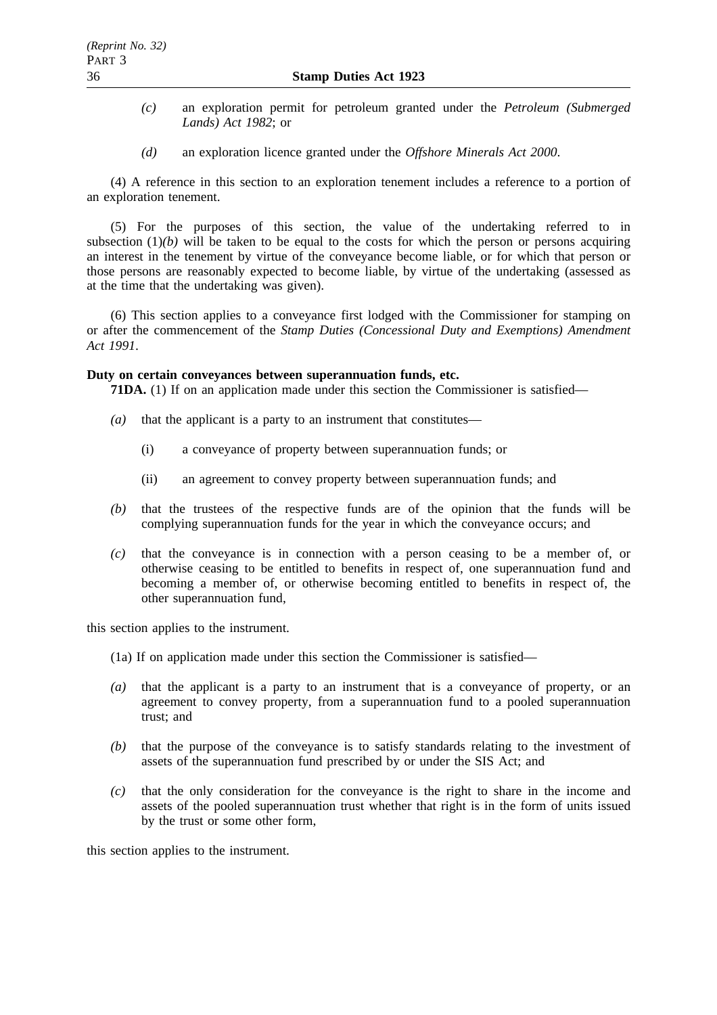- *(c)* an exploration permit for petroleum granted under the *Petroleum (Submerged Lands) Act 1982*; or
- *(d)* an exploration licence granted under the *Offshore Minerals Act 2000*.

(4) A reference in this section to an exploration tenement includes a reference to a portion of an exploration tenement.

(5) For the purposes of this section, the value of the undertaking referred to in subsection  $(1)(b)$  will be taken to be equal to the costs for which the person or persons acquiring an interest in the tenement by virtue of the conveyance become liable, or for which that person or those persons are reasonably expected to become liable, by virtue of the undertaking (assessed as at the time that the undertaking was given).

(6) This section applies to a conveyance first lodged with the Commissioner for stamping on or after the commencement of the *Stamp Duties (Concessional Duty and Exemptions) Amendment Act 1991*.

# **Duty on certain conveyances between superannuation funds, etc.**

**71DA.** (1) If on an application made under this section the Commissioner is satisfied—

- *(a)* that the applicant is a party to an instrument that constitutes—
	- (i) a conveyance of property between superannuation funds; or
	- (ii) an agreement to convey property between superannuation funds; and
- *(b)* that the trustees of the respective funds are of the opinion that the funds will be complying superannuation funds for the year in which the conveyance occurs; and
- *(c)* that the conveyance is in connection with a person ceasing to be a member of, or otherwise ceasing to be entitled to benefits in respect of, one superannuation fund and becoming a member of, or otherwise becoming entitled to benefits in respect of, the other superannuation fund,

this section applies to the instrument.

- (1a) If on application made under this section the Commissioner is satisfied—
- *(a)* that the applicant is a party to an instrument that is a conveyance of property, or an agreement to convey property, from a superannuation fund to a pooled superannuation trust; and
- *(b)* that the purpose of the conveyance is to satisfy standards relating to the investment of assets of the superannuation fund prescribed by or under the SIS Act; and
- *(c)* that the only consideration for the conveyance is the right to share in the income and assets of the pooled superannuation trust whether that right is in the form of units issued by the trust or some other form,

this section applies to the instrument.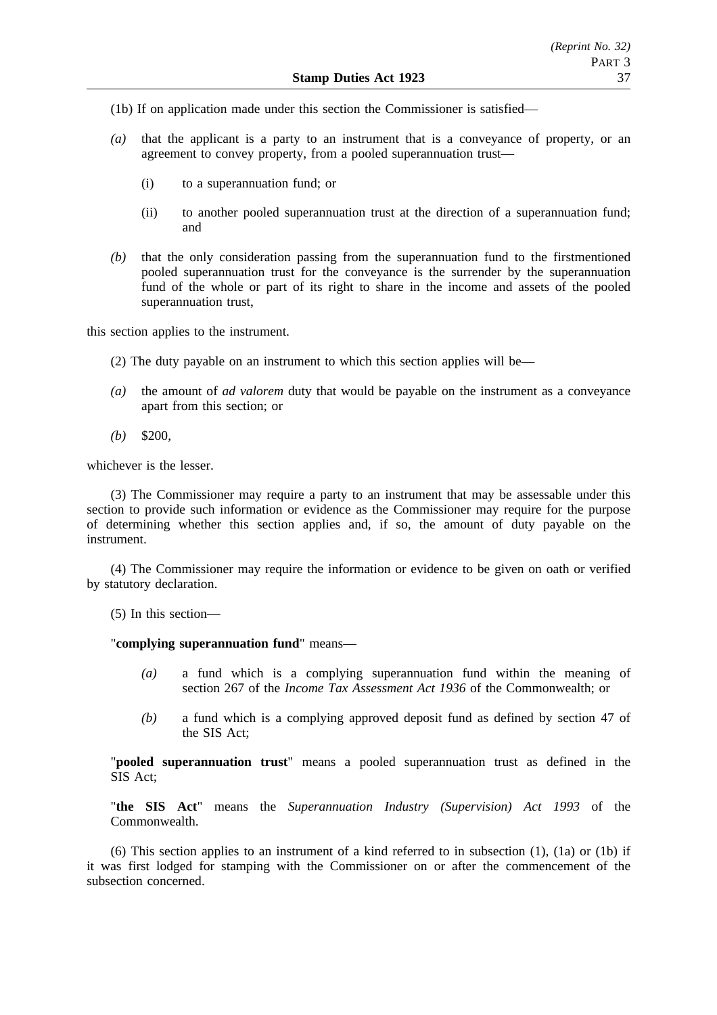- (1b) If on application made under this section the Commissioner is satisfied—
- *(a)* that the applicant is a party to an instrument that is a conveyance of property, or an agreement to convey property, from a pooled superannuation trust—
	- (i) to a superannuation fund; or
	- (ii) to another pooled superannuation trust at the direction of a superannuation fund; and
- *(b)* that the only consideration passing from the superannuation fund to the firstmentioned pooled superannuation trust for the conveyance is the surrender by the superannuation fund of the whole or part of its right to share in the income and assets of the pooled superannuation trust,

this section applies to the instrument.

- (2) The duty payable on an instrument to which this section applies will be—
- *(a)* the amount of *ad valorem* duty that would be payable on the instrument as a conveyance apart from this section; or
- *(b)* \$200,

whichever is the lesser.

(3) The Commissioner may require a party to an instrument that may be assessable under this section to provide such information or evidence as the Commissioner may require for the purpose of determining whether this section applies and, if so, the amount of duty payable on the instrument.

(4) The Commissioner may require the information or evidence to be given on oath or verified by statutory declaration.

(5) In this section—

"**complying superannuation fund**" means—

- *(a)* a fund which is a complying superannuation fund within the meaning of section 267 of the *Income Tax Assessment Act 1936* of the Commonwealth; or
- *(b)* a fund which is a complying approved deposit fund as defined by section 47 of the SIS Act;

"**pooled superannuation trust**" means a pooled superannuation trust as defined in the SIS Act;

"**the SIS Act**" means the *Superannuation Industry (Supervision) Act 1993* of the Commonwealth.

(6) This section applies to an instrument of a kind referred to in subsection (1), (1a) or (1b) if it was first lodged for stamping with the Commissioner on or after the commencement of the subsection concerned.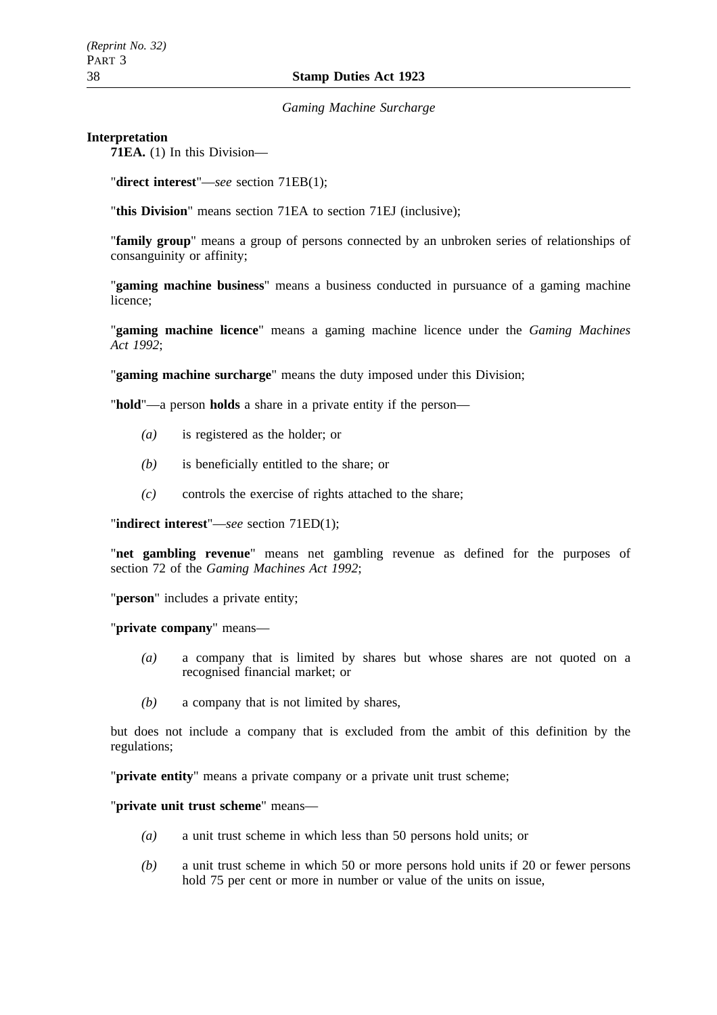*Gaming Machine Surcharge*

### **Interpretation**

**71EA.** (1) In this Division—

"**direct interest**"—*see* section 71EB(1);

"**this Division**" means section 71EA to section 71EJ (inclusive);

"**family group**" means a group of persons connected by an unbroken series of relationships of consanguinity or affinity;

"**gaming machine business**" means a business conducted in pursuance of a gaming machine licence;

"**gaming machine licence**" means a gaming machine licence under the *Gaming Machines Act 1992*;

"**gaming machine surcharge**" means the duty imposed under this Division;

"**hold**"—a person **holds** a share in a private entity if the person—

- *(a)* is registered as the holder; or
- *(b)* is beneficially entitled to the share; or
- *(c)* controls the exercise of rights attached to the share;

"**indirect interest**"—*see* section 71ED(1);

"**net gambling revenue**" means net gambling revenue as defined for the purposes of section 72 of the *Gaming Machines Act 1992*;

"**person**" includes a private entity;

"**private company**" means—

- *(a)* a company that is limited by shares but whose shares are not quoted on a recognised financial market; or
- *(b)* a company that is not limited by shares,

but does not include a company that is excluded from the ambit of this definition by the regulations;

"**private entity**" means a private company or a private unit trust scheme;

"**private unit trust scheme**" means—

- *(a)* a unit trust scheme in which less than 50 persons hold units; or
- *(b)* a unit trust scheme in which 50 or more persons hold units if 20 or fewer persons hold 75 per cent or more in number or value of the units on issue,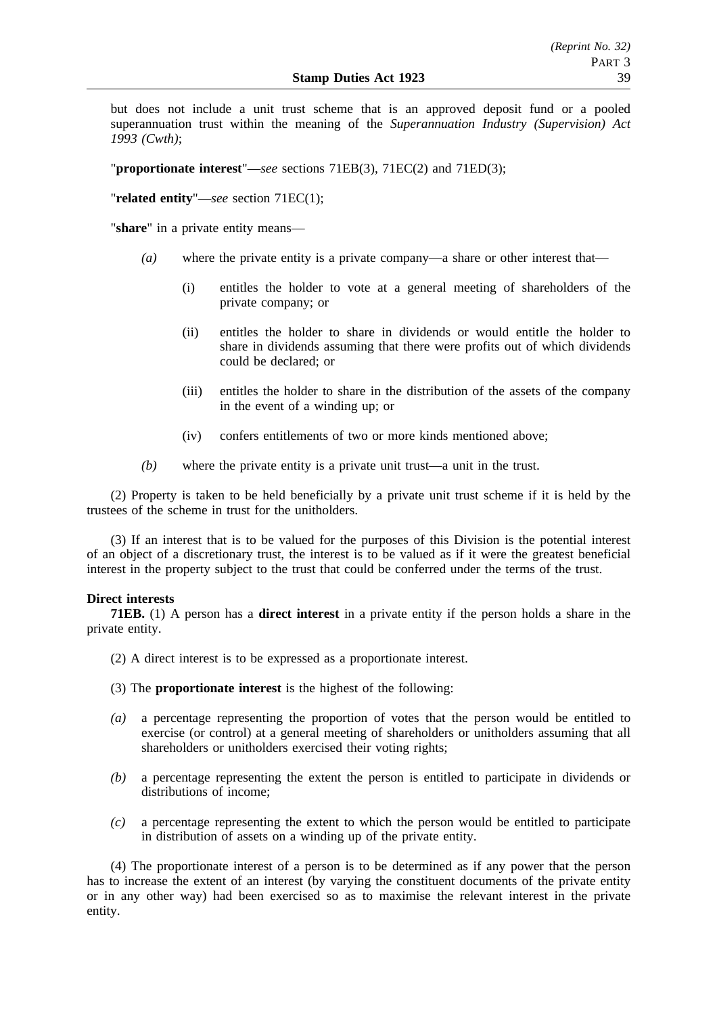but does not include a unit trust scheme that is an approved deposit fund or a pooled superannuation trust within the meaning of the *Superannuation Industry (Supervision) Act 1993 (Cwth)*;

"**proportionate interest**"—*see* sections 71EB(3), 71EC(2) and 71ED(3);

"**related entity**"—*see* section 71EC(1);

"**share**" in a private entity means—

- *(a)* where the private entity is a private company—a share or other interest that—
	- (i) entitles the holder to vote at a general meeting of shareholders of the private company; or
	- (ii) entitles the holder to share in dividends or would entitle the holder to share in dividends assuming that there were profits out of which dividends could be declared; or
	- (iii) entitles the holder to share in the distribution of the assets of the company in the event of a winding up; or
	- (iv) confers entitlements of two or more kinds mentioned above;
- *(b)* where the private entity is a private unit trust—a unit in the trust.

(2) Property is taken to be held beneficially by a private unit trust scheme if it is held by the trustees of the scheme in trust for the unitholders.

(3) If an interest that is to be valued for the purposes of this Division is the potential interest of an object of a discretionary trust, the interest is to be valued as if it were the greatest beneficial interest in the property subject to the trust that could be conferred under the terms of the trust.

## **Direct interests**

**71EB.** (1) A person has a **direct interest** in a private entity if the person holds a share in the private entity.

- (2) A direct interest is to be expressed as a proportionate interest.
- (3) The **proportionate interest** is the highest of the following:
- *(a)* a percentage representing the proportion of votes that the person would be entitled to exercise (or control) at a general meeting of shareholders or unitholders assuming that all shareholders or unitholders exercised their voting rights;
- *(b)* a percentage representing the extent the person is entitled to participate in dividends or distributions of income;
- *(c)* a percentage representing the extent to which the person would be entitled to participate in distribution of assets on a winding up of the private entity.

(4) The proportionate interest of a person is to be determined as if any power that the person has to increase the extent of an interest (by varying the constituent documents of the private entity or in any other way) had been exercised so as to maximise the relevant interest in the private entity.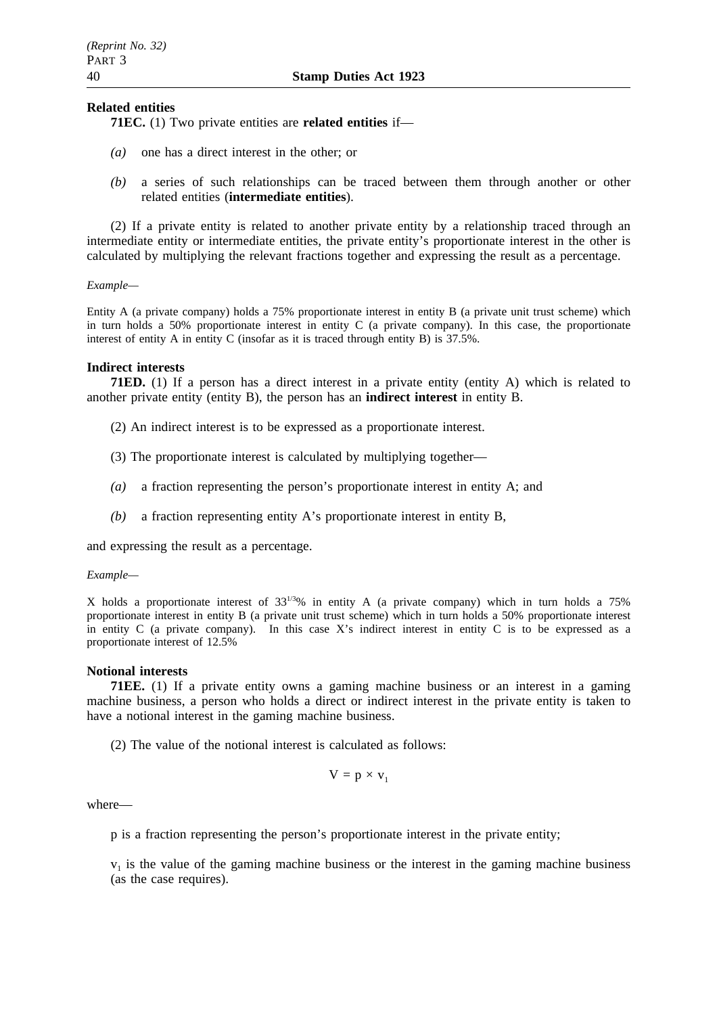## **Related entities**

**71EC.** (1) Two private entities are **related entities** if—

- *(a)* one has a direct interest in the other; or
- *(b)* a series of such relationships can be traced between them through another or other related entities (**intermediate entities**).

(2) If a private entity is related to another private entity by a relationship traced through an intermediate entity or intermediate entities, the private entity's proportionate interest in the other is calculated by multiplying the relevant fractions together and expressing the result as a percentage.

*Example—*

Entity A (a private company) holds a 75% proportionate interest in entity B (a private unit trust scheme) which in turn holds a 50% proportionate interest in entity C (a private company). In this case, the proportionate interest of entity A in entity C (insofar as it is traced through entity B) is 37.5%.

#### **Indirect interests**

**71ED.** (1) If a person has a direct interest in a private entity (entity A) which is related to another private entity (entity B), the person has an **indirect interest** in entity B.

- (2) An indirect interest is to be expressed as a proportionate interest.
- (3) The proportionate interest is calculated by multiplying together—
- *(a)* a fraction representing the person's proportionate interest in entity A; and
- *(b)* a fraction representing entity A's proportionate interest in entity B,

and expressing the result as a percentage.

#### *Example—*

X holds a proportionate interest of  $33^{1/3}\%$  in entity A (a private company) which in turn holds a 75% proportionate interest in entity B (a private unit trust scheme) which in turn holds a 50% proportionate interest in entity  $C$  (a private company). In this case X's indirect interest in entity  $C$  is to be expressed as a proportionate interest of 12.5%

#### **Notional interests**

**71EE.** (1) If a private entity owns a gaming machine business or an interest in a gaming machine business, a person who holds a direct or indirect interest in the private entity is taken to have a notional interest in the gaming machine business.

(2) The value of the notional interest is calculated as follows:

$$
V=p\times v_{_1}\,
$$

where—

p is a fraction representing the person's proportionate interest in the private entity;

 $v_1$  is the value of the gaming machine business or the interest in the gaming machine business (as the case requires).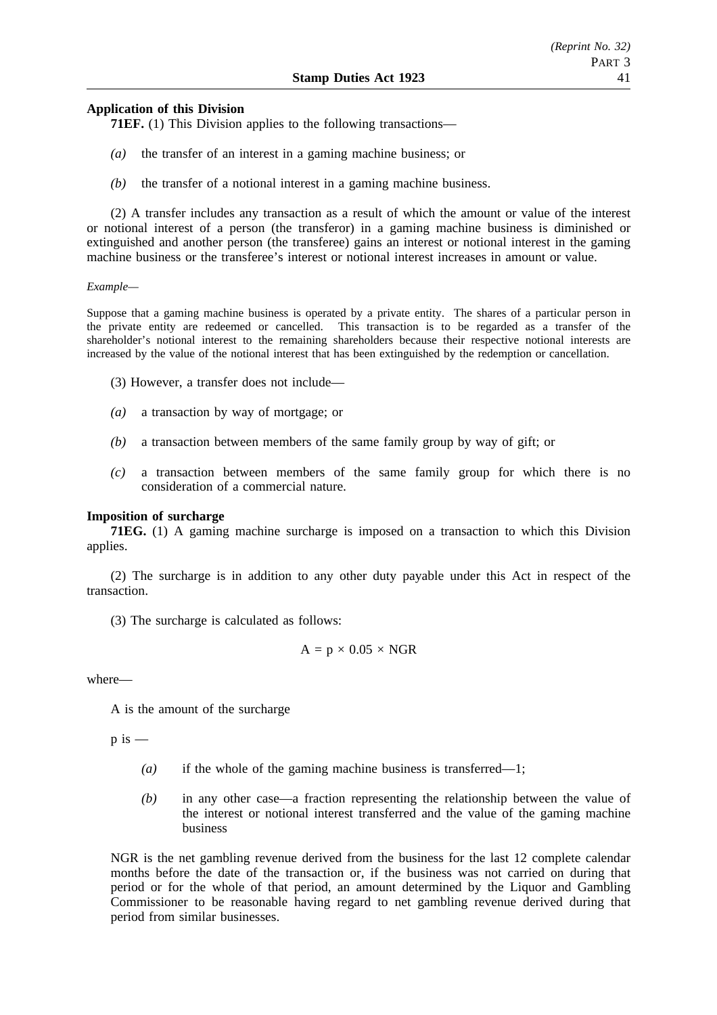# **Application of this Division**

**71EF.** (1) This Division applies to the following transactions—

- *(a)* the transfer of an interest in a gaming machine business; or
- *(b)* the transfer of a notional interest in a gaming machine business.

(2) A transfer includes any transaction as a result of which the amount or value of the interest or notional interest of a person (the transferor) in a gaming machine business is diminished or extinguished and another person (the transferee) gains an interest or notional interest in the gaming machine business or the transferee's interest or notional interest increases in amount or value.

#### *Example—*

Suppose that a gaming machine business is operated by a private entity. The shares of a particular person in the private entity are redeemed or cancelled. This transaction is to be regarded as a transfer of the shareholder's notional interest to the remaining shareholders because their respective notional interests are increased by the value of the notional interest that has been extinguished by the redemption or cancellation.

- (3) However, a transfer does not include—
- *(a)* a transaction by way of mortgage; or
- *(b)* a transaction between members of the same family group by way of gift; or
- *(c)* a transaction between members of the same family group for which there is no consideration of a commercial nature.

# **Imposition of surcharge**

**71EG.** (1) A gaming machine surcharge is imposed on a transaction to which this Division applies.

(2) The surcharge is in addition to any other duty payable under this Act in respect of the transaction.

(3) The surcharge is calculated as follows:

$$
A = p \times 0.05 \times NGR
$$

where—

A is the amount of the surcharge

 $p$  is  $-$ 

- *(a)* if the whole of the gaming machine business is transferred—1;
- *(b)* in any other case—a fraction representing the relationship between the value of the interest or notional interest transferred and the value of the gaming machine business

NGR is the net gambling revenue derived from the business for the last 12 complete calendar months before the date of the transaction or, if the business was not carried on during that period or for the whole of that period, an amount determined by the Liquor and Gambling Commissioner to be reasonable having regard to net gambling revenue derived during that period from similar businesses.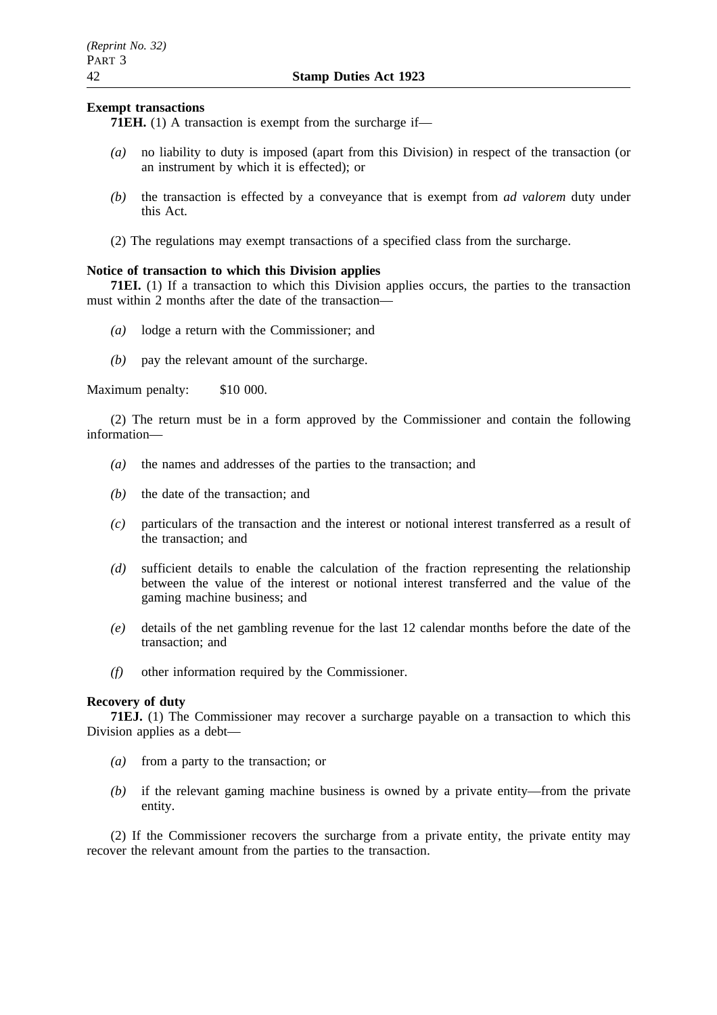## **Exempt transactions**

**71EH.** (1) A transaction is exempt from the surcharge if—

- *(a)* no liability to duty is imposed (apart from this Division) in respect of the transaction (or an instrument by which it is effected); or
- *(b)* the transaction is effected by a conveyance that is exempt from *ad valorem* duty under this Act.
- (2) The regulations may exempt transactions of a specified class from the surcharge.

## **Notice of transaction to which this Division applies**

**71EI.** (1) If a transaction to which this Division applies occurs, the parties to the transaction must within 2 months after the date of the transaction—

- *(a)* lodge a return with the Commissioner; and
- *(b)* pay the relevant amount of the surcharge.

Maximum penalty: \$10 000.

(2) The return must be in a form approved by the Commissioner and contain the following information—

- *(a)* the names and addresses of the parties to the transaction; and
- *(b)* the date of the transaction; and
- *(c)* particulars of the transaction and the interest or notional interest transferred as a result of the transaction; and
- *(d)* sufficient details to enable the calculation of the fraction representing the relationship between the value of the interest or notional interest transferred and the value of the gaming machine business; and
- *(e)* details of the net gambling revenue for the last 12 calendar months before the date of the transaction; and
- *(f)* other information required by the Commissioner.

## **Recovery of duty**

**71EJ.** (1) The Commissioner may recover a surcharge payable on a transaction to which this Division applies as a debt—

- *(a)* from a party to the transaction; or
- *(b)* if the relevant gaming machine business is owned by a private entity—from the private entity.

(2) If the Commissioner recovers the surcharge from a private entity, the private entity may recover the relevant amount from the parties to the transaction.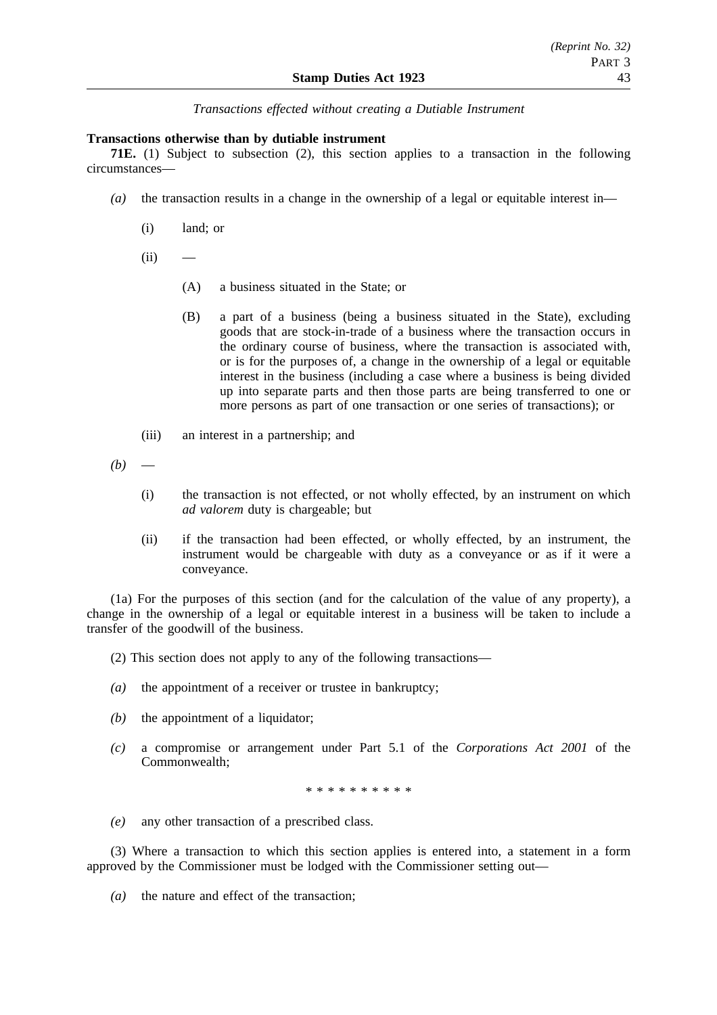*Transactions effected without creating a Dutiable Instrument*

### **Transactions otherwise than by dutiable instrument**

**71E.** (1) Subject to subsection (2), this section applies to a transaction in the following circumstances—

- *(a)* the transaction results in a change in the ownership of a legal or equitable interest in—
	- (i) land; or
	- $(ii)$ 
		- (A) a business situated in the State; or
		- (B) a part of a business (being a business situated in the State), excluding goods that are stock-in-trade of a business where the transaction occurs in the ordinary course of business, where the transaction is associated with, or is for the purposes of, a change in the ownership of a legal or equitable interest in the business (including a case where a business is being divided up into separate parts and then those parts are being transferred to one or more persons as part of one transaction or one series of transactions); or
	- (iii) an interest in a partnership; and

 $(b)$ 

- (i) the transaction is not effected, or not wholly effected, by an instrument on which *ad valorem* duty is chargeable; but
- (ii) if the transaction had been effected, or wholly effected, by an instrument, the instrument would be chargeable with duty as a conveyance or as if it were a conveyance.

(1a) For the purposes of this section (and for the calculation of the value of any property), a change in the ownership of a legal or equitable interest in a business will be taken to include a transfer of the goodwill of the business.

- (2) This section does not apply to any of the following transactions—
- *(a)* the appointment of a receiver or trustee in bankruptcy;
- *(b)* the appointment of a liquidator;
- *(c)* a compromise or arrangement under Part 5.1 of the *Corporations Act 2001* of the Commonwealth;

\*\*\*\*\*\*\*\*\*\*

*(e)* any other transaction of a prescribed class.

(3) Where a transaction to which this section applies is entered into, a statement in a form approved by the Commissioner must be lodged with the Commissioner setting out—

*(a)* the nature and effect of the transaction;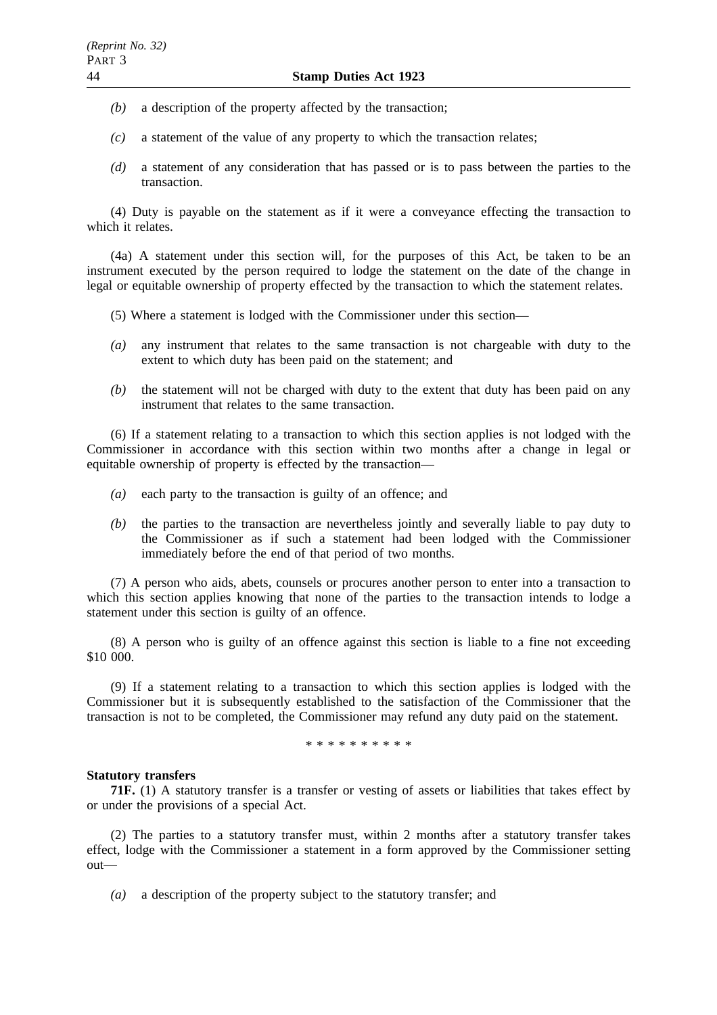- *(b)* a description of the property affected by the transaction;
- *(c)* a statement of the value of any property to which the transaction relates;
- *(d)* a statement of any consideration that has passed or is to pass between the parties to the transaction.

(4) Duty is payable on the statement as if it were a conveyance effecting the transaction to which it relates.

(4a) A statement under this section will, for the purposes of this Act, be taken to be an instrument executed by the person required to lodge the statement on the date of the change in legal or equitable ownership of property effected by the transaction to which the statement relates.

- (5) Where a statement is lodged with the Commissioner under this section—
- *(a)* any instrument that relates to the same transaction is not chargeable with duty to the extent to which duty has been paid on the statement; and
- *(b)* the statement will not be charged with duty to the extent that duty has been paid on any instrument that relates to the same transaction.

(6) If a statement relating to a transaction to which this section applies is not lodged with the Commissioner in accordance with this section within two months after a change in legal or equitable ownership of property is effected by the transaction—

- *(a)* each party to the transaction is guilty of an offence; and
- *(b)* the parties to the transaction are nevertheless jointly and severally liable to pay duty to the Commissioner as if such a statement had been lodged with the Commissioner immediately before the end of that period of two months.

(7) A person who aids, abets, counsels or procures another person to enter into a transaction to which this section applies knowing that none of the parties to the transaction intends to lodge a statement under this section is guilty of an offence.

(8) A person who is guilty of an offence against this section is liable to a fine not exceeding \$10 000.

(9) If a statement relating to a transaction to which this section applies is lodged with the Commissioner but it is subsequently established to the satisfaction of the Commissioner that the transaction is not to be completed, the Commissioner may refund any duty paid on the statement.

\*\*\*\*\*\*\*\*\*\*

#### **Statutory transfers**

**71F.** (1) A statutory transfer is a transfer or vesting of assets or liabilities that takes effect by or under the provisions of a special Act.

(2) The parties to a statutory transfer must, within 2 months after a statutory transfer takes effect, lodge with the Commissioner a statement in a form approved by the Commissioner setting out—

*(a)* a description of the property subject to the statutory transfer; and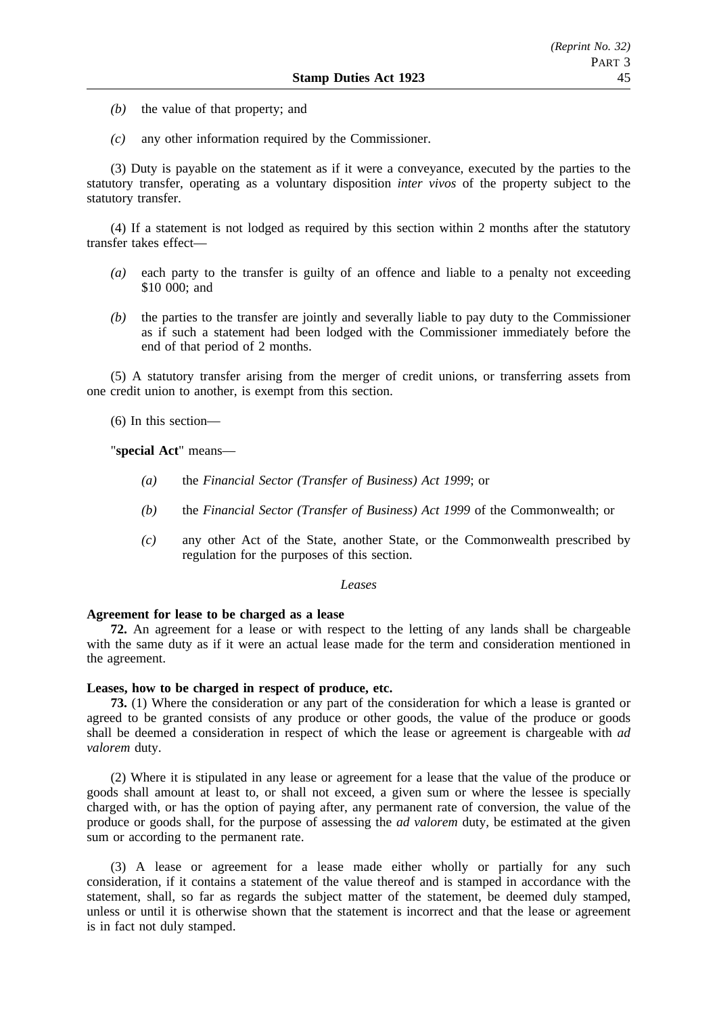- *(b)* the value of that property; and
- *(c)* any other information required by the Commissioner.

(3) Duty is payable on the statement as if it were a conveyance, executed by the parties to the statutory transfer, operating as a voluntary disposition *inter vivos* of the property subject to the statutory transfer.

(4) If a statement is not lodged as required by this section within 2 months after the statutory transfer takes effect—

- *(a)* each party to the transfer is guilty of an offence and liable to a penalty not exceeding \$10 000; and
- *(b)* the parties to the transfer are jointly and severally liable to pay duty to the Commissioner as if such a statement had been lodged with the Commissioner immediately before the end of that period of 2 months.

(5) A statutory transfer arising from the merger of credit unions, or transferring assets from one credit union to another, is exempt from this section.

(6) In this section—

"**special Act**" means—

- *(a)* the *Financial Sector (Transfer of Business) Act 1999*; or
- *(b)* the *Financial Sector (Transfer of Business) Act 1999* of the Commonwealth; or
- *(c)* any other Act of the State, another State, or the Commonwealth prescribed by regulation for the purposes of this section.

#### *Leases*

### **Agreement for lease to be charged as a lease**

**72.** An agreement for a lease or with respect to the letting of any lands shall be chargeable with the same duty as if it were an actual lease made for the term and consideration mentioned in the agreement.

#### **Leases, how to be charged in respect of produce, etc.**

**73.** (1) Where the consideration or any part of the consideration for which a lease is granted or agreed to be granted consists of any produce or other goods, the value of the produce or goods shall be deemed a consideration in respect of which the lease or agreement is chargeable with *ad valorem* duty.

(2) Where it is stipulated in any lease or agreement for a lease that the value of the produce or goods shall amount at least to, or shall not exceed, a given sum or where the lessee is specially charged with, or has the option of paying after, any permanent rate of conversion, the value of the produce or goods shall, for the purpose of assessing the *ad valorem* duty, be estimated at the given sum or according to the permanent rate.

(3) A lease or agreement for a lease made either wholly or partially for any such consideration, if it contains a statement of the value thereof and is stamped in accordance with the statement, shall, so far as regards the subject matter of the statement, be deemed duly stamped, unless or until it is otherwise shown that the statement is incorrect and that the lease or agreement is in fact not duly stamped.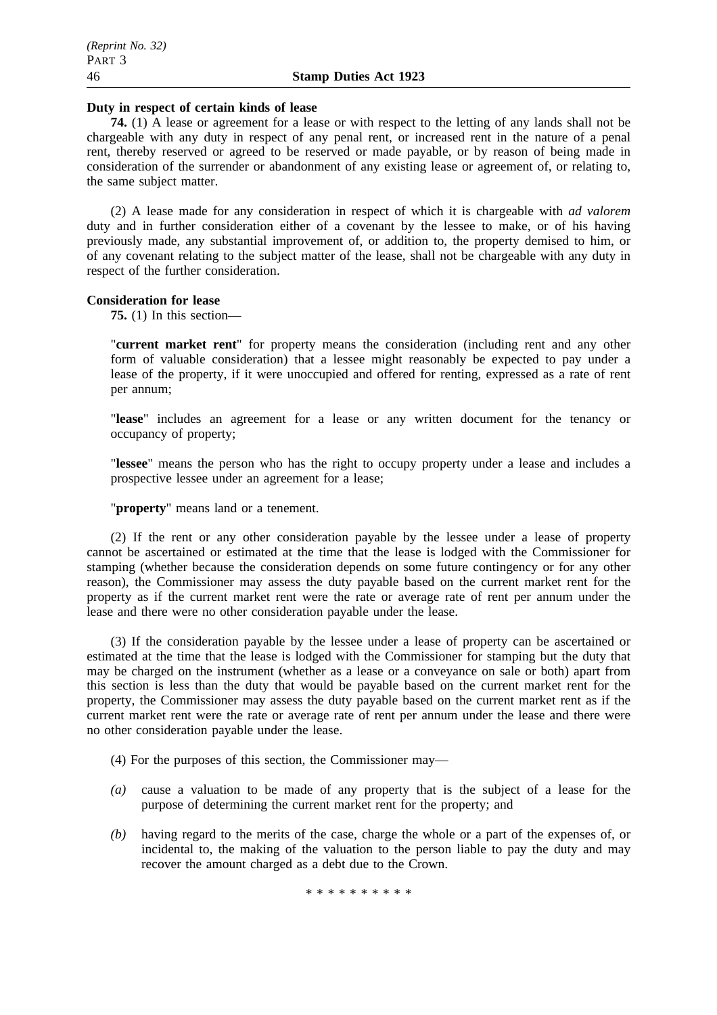#### **Duty in respect of certain kinds of lease**

**74.** (1) A lease or agreement for a lease or with respect to the letting of any lands shall not be chargeable with any duty in respect of any penal rent, or increased rent in the nature of a penal rent, thereby reserved or agreed to be reserved or made payable, or by reason of being made in consideration of the surrender or abandonment of any existing lease or agreement of, or relating to, the same subject matter.

(2) A lease made for any consideration in respect of which it is chargeable with *ad valorem* duty and in further consideration either of a covenant by the lessee to make, or of his having previously made, any substantial improvement of, or addition to, the property demised to him, or of any covenant relating to the subject matter of the lease, shall not be chargeable with any duty in respect of the further consideration.

#### **Consideration for lease**

**75.** (1) In this section—

"**current market rent**" for property means the consideration (including rent and any other form of valuable consideration) that a lessee might reasonably be expected to pay under a lease of the property, if it were unoccupied and offered for renting, expressed as a rate of rent per annum;

"**lease**" includes an agreement for a lease or any written document for the tenancy or occupancy of property;

"**lessee**" means the person who has the right to occupy property under a lease and includes a prospective lessee under an agreement for a lease;

"**property**" means land or a tenement.

(2) If the rent or any other consideration payable by the lessee under a lease of property cannot be ascertained or estimated at the time that the lease is lodged with the Commissioner for stamping (whether because the consideration depends on some future contingency or for any other reason), the Commissioner may assess the duty payable based on the current market rent for the property as if the current market rent were the rate or average rate of rent per annum under the lease and there were no other consideration payable under the lease.

(3) If the consideration payable by the lessee under a lease of property can be ascertained or estimated at the time that the lease is lodged with the Commissioner for stamping but the duty that may be charged on the instrument (whether as a lease or a conveyance on sale or both) apart from this section is less than the duty that would be payable based on the current market rent for the property, the Commissioner may assess the duty payable based on the current market rent as if the current market rent were the rate or average rate of rent per annum under the lease and there were no other consideration payable under the lease.

(4) For the purposes of this section, the Commissioner may—

- *(a)* cause a valuation to be made of any property that is the subject of a lease for the purpose of determining the current market rent for the property; and
- *(b)* having regard to the merits of the case, charge the whole or a part of the expenses of, or incidental to, the making of the valuation to the person liable to pay the duty and may recover the amount charged as a debt due to the Crown.

\*\*\*\*\*\*\*\*\*\*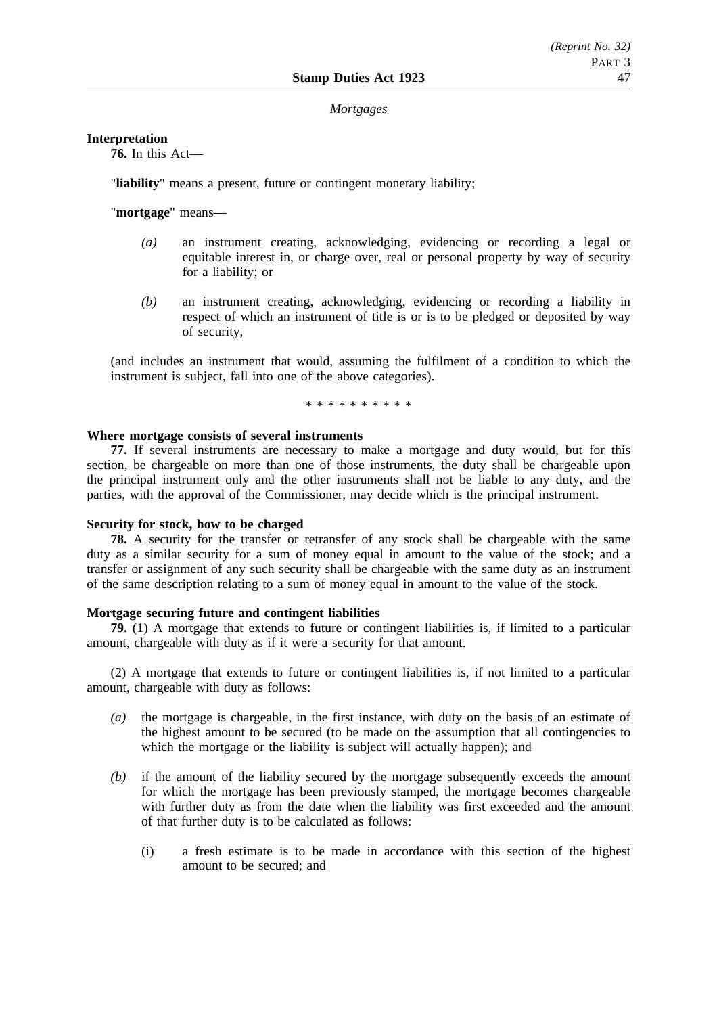#### *Mortgages*

#### **Interpretation**

**76.** In this Act—

"**liability**" means a present, future or contingent monetary liability;

"**mortgage**" means—

- *(a)* an instrument creating, acknowledging, evidencing or recording a legal or equitable interest in, or charge over, real or personal property by way of security for a liability; or
- *(b)* an instrument creating, acknowledging, evidencing or recording a liability in respect of which an instrument of title is or is to be pledged or deposited by way of security,

(and includes an instrument that would, assuming the fulfilment of a condition to which the instrument is subject, fall into one of the above categories).

\*\*\*\*\*\*\*\*\*\*

#### **Where mortgage consists of several instruments**

**77.** If several instruments are necessary to make a mortgage and duty would, but for this section, be chargeable on more than one of those instruments, the duty shall be chargeable upon the principal instrument only and the other instruments shall not be liable to any duty, and the parties, with the approval of the Commissioner, may decide which is the principal instrument.

#### **Security for stock, how to be charged**

**78.** A security for the transfer or retransfer of any stock shall be chargeable with the same duty as a similar security for a sum of money equal in amount to the value of the stock; and a transfer or assignment of any such security shall be chargeable with the same duty as an instrument of the same description relating to a sum of money equal in amount to the value of the stock.

### **Mortgage securing future and contingent liabilities**

**79.** (1) A mortgage that extends to future or contingent liabilities is, if limited to a particular amount, chargeable with duty as if it were a security for that amount.

(2) A mortgage that extends to future or contingent liabilities is, if not limited to a particular amount, chargeable with duty as follows:

- *(a)* the mortgage is chargeable, in the first instance, with duty on the basis of an estimate of the highest amount to be secured (to be made on the assumption that all contingencies to which the mortgage or the liability is subject will actually happen); and
- *(b)* if the amount of the liability secured by the mortgage subsequently exceeds the amount for which the mortgage has been previously stamped, the mortgage becomes chargeable with further duty as from the date when the liability was first exceeded and the amount of that further duty is to be calculated as follows:
	- (i) a fresh estimate is to be made in accordance with this section of the highest amount to be secured; and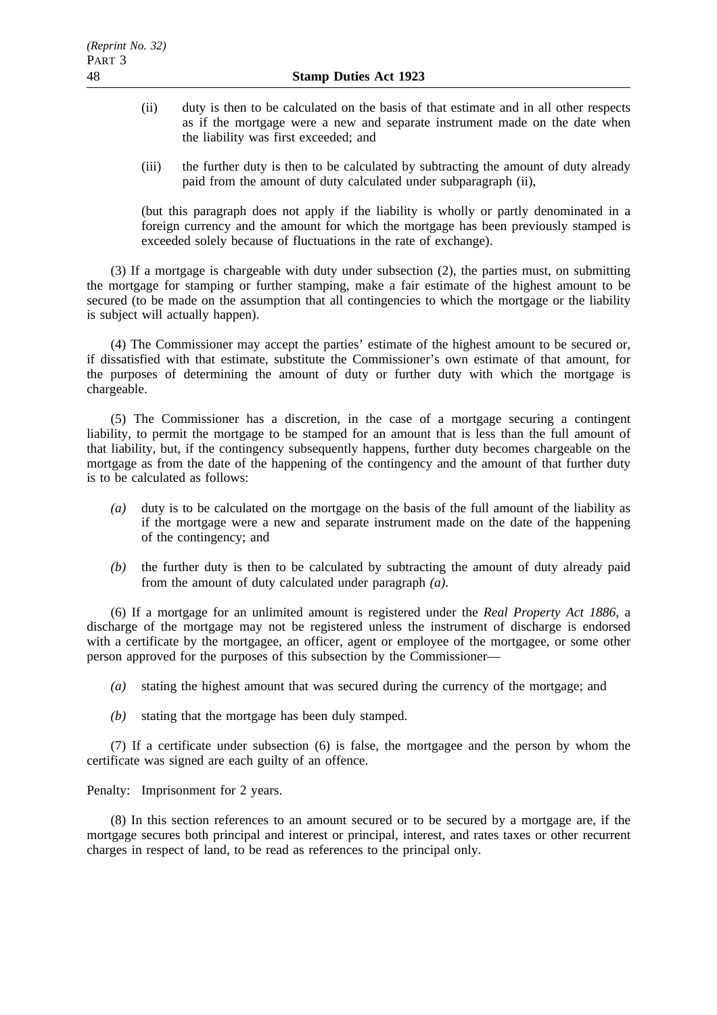- (ii) duty is then to be calculated on the basis of that estimate and in all other respects as if the mortgage were a new and separate instrument made on the date when the liability was first exceeded; and
- (iii) the further duty is then to be calculated by subtracting the amount of duty already paid from the amount of duty calculated under subparagraph (ii),

(but this paragraph does not apply if the liability is wholly or partly denominated in a foreign currency and the amount for which the mortgage has been previously stamped is exceeded solely because of fluctuations in the rate of exchange).

(3) If a mortgage is chargeable with duty under subsection (2), the parties must, on submitting the mortgage for stamping or further stamping, make a fair estimate of the highest amount to be secured (to be made on the assumption that all contingencies to which the mortgage or the liability is subject will actually happen).

(4) The Commissioner may accept the parties' estimate of the highest amount to be secured or, if dissatisfied with that estimate, substitute the Commissioner's own estimate of that amount, for the purposes of determining the amount of duty or further duty with which the mortgage is chargeable.

(5) The Commissioner has a discretion, in the case of a mortgage securing a contingent liability, to permit the mortgage to be stamped for an amount that is less than the full amount of that liability, but, if the contingency subsequently happens, further duty becomes chargeable on the mortgage as from the date of the happening of the contingency and the amount of that further duty is to be calculated as follows:

- *(a)* duty is to be calculated on the mortgage on the basis of the full amount of the liability as if the mortgage were a new and separate instrument made on the date of the happening of the contingency; and
- *(b)* the further duty is then to be calculated by subtracting the amount of duty already paid from the amount of duty calculated under paragraph *(a)*.

(6) If a mortgage for an unlimited amount is registered under the *Real Property Act 1886*, a discharge of the mortgage may not be registered unless the instrument of discharge is endorsed with a certificate by the mortgagee, an officer, agent or employee of the mortgagee, or some other person approved for the purposes of this subsection by the Commissioner—

- *(a)* stating the highest amount that was secured during the currency of the mortgage; and
- *(b)* stating that the mortgage has been duly stamped.

(7) If a certificate under subsection (6) is false, the mortgagee and the person by whom the certificate was signed are each guilty of an offence.

Penalty: Imprisonment for 2 years.

(8) In this section references to an amount secured or to be secured by a mortgage are, if the mortgage secures both principal and interest or principal, interest, and rates taxes or other recurrent charges in respect of land, to be read as references to the principal only.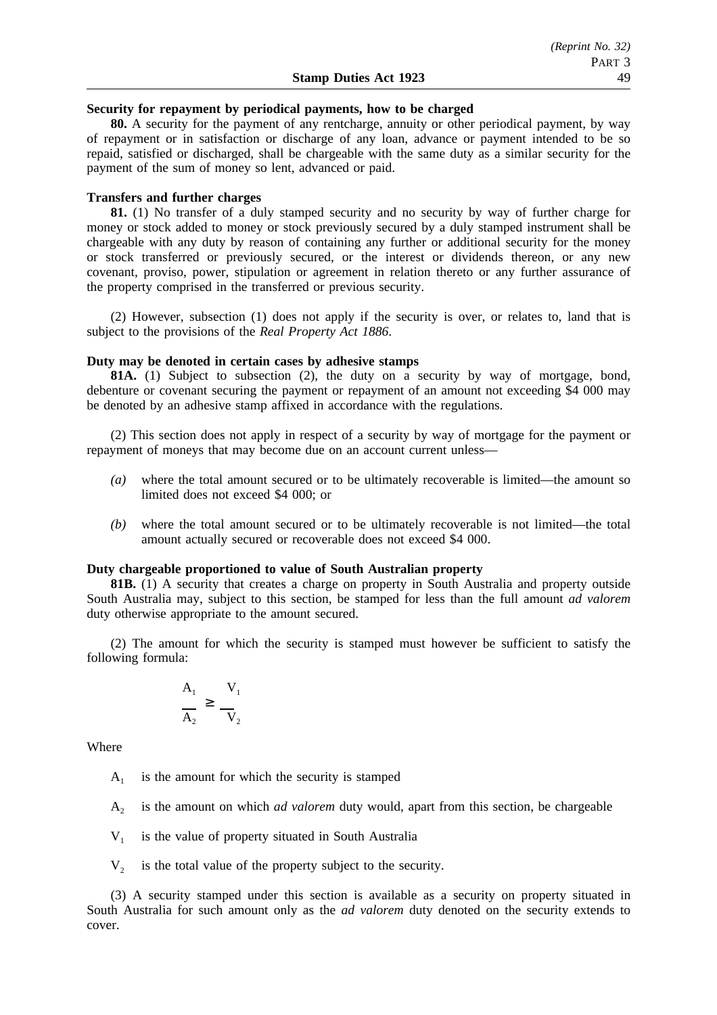#### **Security for repayment by periodical payments, how to be charged**

**80.** A security for the payment of any rentcharge, annuity or other periodical payment, by way of repayment or in satisfaction or discharge of any loan, advance or payment intended to be so repaid, satisfied or discharged, shall be chargeable with the same duty as a similar security for the payment of the sum of money so lent, advanced or paid.

#### **Transfers and further charges**

**81.** (1) No transfer of a duly stamped security and no security by way of further charge for money or stock added to money or stock previously secured by a duly stamped instrument shall be chargeable with any duty by reason of containing any further or additional security for the money or stock transferred or previously secured, or the interest or dividends thereon, or any new covenant, proviso, power, stipulation or agreement in relation thereto or any further assurance of the property comprised in the transferred or previous security.

(2) However, subsection (1) does not apply if the security is over, or relates to, land that is subject to the provisions of the *Real Property Act 1886*.

#### **Duty may be denoted in certain cases by adhesive stamps**

**81A.** (1) Subject to subsection (2), the duty on a security by way of mortgage, bond, debenture or covenant securing the payment or repayment of an amount not exceeding \$4 000 may be denoted by an adhesive stamp affixed in accordance with the regulations.

(2) This section does not apply in respect of a security by way of mortgage for the payment or repayment of moneys that may become due on an account current unless—

- *(a)* where the total amount secured or to be ultimately recoverable is limited—the amount so limited does not exceed \$4 000; or
- *(b)* where the total amount secured or to be ultimately recoverable is not limited—the total amount actually secured or recoverable does not exceed \$4 000.

#### **Duty chargeable proportioned to value of South Australian property**

**81B.** (1) A security that creates a charge on property in South Australia and property outside South Australia may, subject to this section, be stamped for less than the full amount *ad valorem* duty otherwise appropriate to the amount secured.

(2) The amount for which the security is stamped must however be sufficient to satisfy the following formula:

$$
\frac{A_1}{A_2} \ge \frac{V_1}{V_2}
$$

Where

- $A_1$  is the amount for which the security is stamped
- A2 is the amount on which *ad valorem* duty would, apart from this section, be chargeable
- $V_1$  is the value of property situated in South Australia
- $V<sub>2</sub>$  is the total value of the property subject to the security.

(3) A security stamped under this section is available as a security on property situated in South Australia for such amount only as the *ad valorem* duty denoted on the security extends to cover.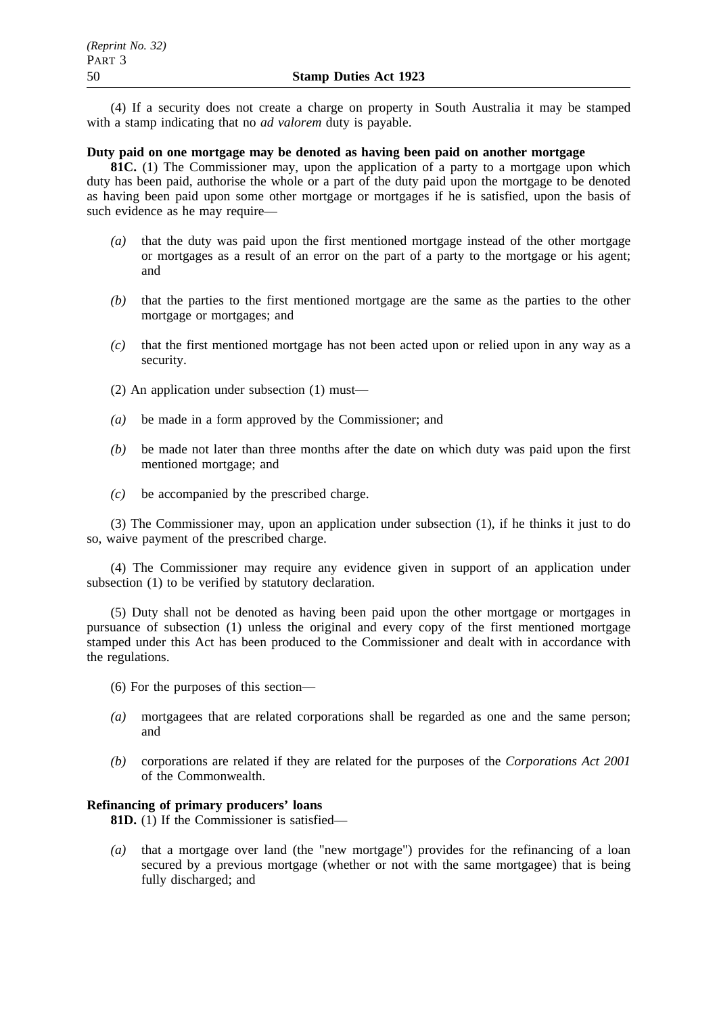(4) If a security does not create a charge on property in South Australia it may be stamped with a stamp indicating that no *ad valorem* duty is payable.

## **Duty paid on one mortgage may be denoted as having been paid on another mortgage**

**81C.** (1) The Commissioner may, upon the application of a party to a mortgage upon which duty has been paid, authorise the whole or a part of the duty paid upon the mortgage to be denoted as having been paid upon some other mortgage or mortgages if he is satisfied, upon the basis of such evidence as he may require—

- *(a)* that the duty was paid upon the first mentioned mortgage instead of the other mortgage or mortgages as a result of an error on the part of a party to the mortgage or his agent; and
- *(b)* that the parties to the first mentioned mortgage are the same as the parties to the other mortgage or mortgages; and
- *(c)* that the first mentioned mortgage has not been acted upon or relied upon in any way as a security.
- (2) An application under subsection (1) must—
- *(a)* be made in a form approved by the Commissioner; and
- *(b)* be made not later than three months after the date on which duty was paid upon the first mentioned mortgage; and
- *(c)* be accompanied by the prescribed charge.

(3) The Commissioner may, upon an application under subsection (1), if he thinks it just to do so, waive payment of the prescribed charge.

(4) The Commissioner may require any evidence given in support of an application under subsection (1) to be verified by statutory declaration.

(5) Duty shall not be denoted as having been paid upon the other mortgage or mortgages in pursuance of subsection (1) unless the original and every copy of the first mentioned mortgage stamped under this Act has been produced to the Commissioner and dealt with in accordance with the regulations.

- (6) For the purposes of this section—
- *(a)* mortgagees that are related corporations shall be regarded as one and the same person; and
- *(b)* corporations are related if they are related for the purposes of the *Corporations Act 2001* of the Commonwealth.

## **Refinancing of primary producers' loans**

**81D.** (1) If the Commissioner is satisfied—

*(a)* that a mortgage over land (the "new mortgage") provides for the refinancing of a loan secured by a previous mortgage (whether or not with the same mortgagee) that is being fully discharged; and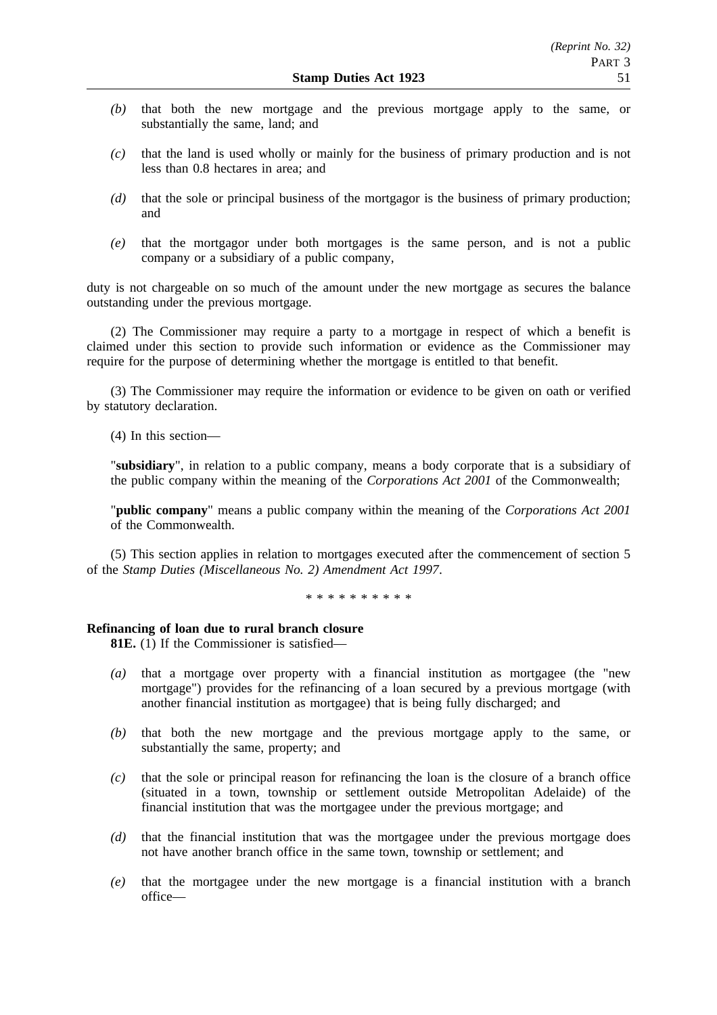- *(b)* that both the new mortgage and the previous mortgage apply to the same, or substantially the same, land; and
- *(c)* that the land is used wholly or mainly for the business of primary production and is not less than 0.8 hectares in area; and
- *(d)* that the sole or principal business of the mortgagor is the business of primary production; and
- *(e)* that the mortgagor under both mortgages is the same person, and is not a public company or a subsidiary of a public company,

duty is not chargeable on so much of the amount under the new mortgage as secures the balance outstanding under the previous mortgage.

(2) The Commissioner may require a party to a mortgage in respect of which a benefit is claimed under this section to provide such information or evidence as the Commissioner may require for the purpose of determining whether the mortgage is entitled to that benefit.

(3) The Commissioner may require the information or evidence to be given on oath or verified by statutory declaration.

(4) In this section—

"**subsidiary**", in relation to a public company, means a body corporate that is a subsidiary of the public company within the meaning of the *Corporations Act 2001* of the Commonwealth;

"**public company**" means a public company within the meaning of the *Corporations Act 2001* of the Commonwealth.

(5) This section applies in relation to mortgages executed after the commencement of section 5 of the *Stamp Duties (Miscellaneous No. 2) Amendment Act 1997*.

\*\*\*\*\*\*\*\*\*\*

#### **Refinancing of loan due to rural branch closure**

**81E.** (1) If the Commissioner is satisfied—

- *(a)* that a mortgage over property with a financial institution as mortgagee (the "new mortgage") provides for the refinancing of a loan secured by a previous mortgage (with another financial institution as mortgagee) that is being fully discharged; and
- *(b)* that both the new mortgage and the previous mortgage apply to the same, or substantially the same, property; and
- *(c)* that the sole or principal reason for refinancing the loan is the closure of a branch office (situated in a town, township or settlement outside Metropolitan Adelaide) of the financial institution that was the mortgagee under the previous mortgage; and
- *(d)* that the financial institution that was the mortgagee under the previous mortgage does not have another branch office in the same town, township or settlement; and
- *(e)* that the mortgagee under the new mortgage is a financial institution with a branch office—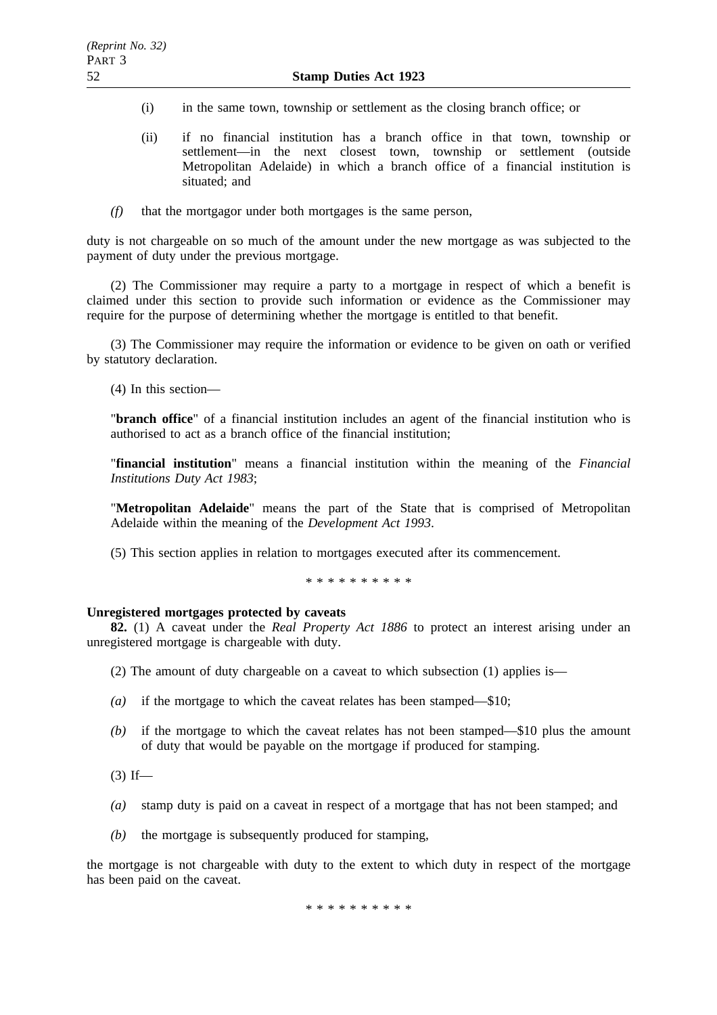- (i) in the same town, township or settlement as the closing branch office; or
- (ii) if no financial institution has a branch office in that town, township or settlement—in the next closest town, township or settlement (outside Metropolitan Adelaide) in which a branch office of a financial institution is situated; and
- *(f)* that the mortgagor under both mortgages is the same person,

duty is not chargeable on so much of the amount under the new mortgage as was subjected to the payment of duty under the previous mortgage.

(2) The Commissioner may require a party to a mortgage in respect of which a benefit is claimed under this section to provide such information or evidence as the Commissioner may require for the purpose of determining whether the mortgage is entitled to that benefit.

(3) The Commissioner may require the information or evidence to be given on oath or verified by statutory declaration.

(4) In this section—

"**branch office**" of a financial institution includes an agent of the financial institution who is authorised to act as a branch office of the financial institution;

"**financial institution**" means a financial institution within the meaning of the *Financial Institutions Duty Act 1983*;

"**Metropolitan Adelaide**" means the part of the State that is comprised of Metropolitan Adelaide within the meaning of the *Development Act 1993*.

(5) This section applies in relation to mortgages executed after its commencement.

\*\*\*\*\*\*\*\*\*\*

## **Unregistered mortgages protected by caveats**

**82.** (1) A caveat under the *Real Property Act 1886* to protect an interest arising under an unregistered mortgage is chargeable with duty.

(2) The amount of duty chargeable on a caveat to which subsection (1) applies is—

- *(a)* if the mortgage to which the caveat relates has been stamped—\$10;
- *(b)* if the mortgage to which the caveat relates has not been stamped—\$10 plus the amount of duty that would be payable on the mortgage if produced for stamping.
- $(3)$  If—
- *(a)* stamp duty is paid on a caveat in respect of a mortgage that has not been stamped; and
- *(b)* the mortgage is subsequently produced for stamping,

the mortgage is not chargeable with duty to the extent to which duty in respect of the mortgage has been paid on the caveat.

\*\*\*\*\*\*\*\*\*\*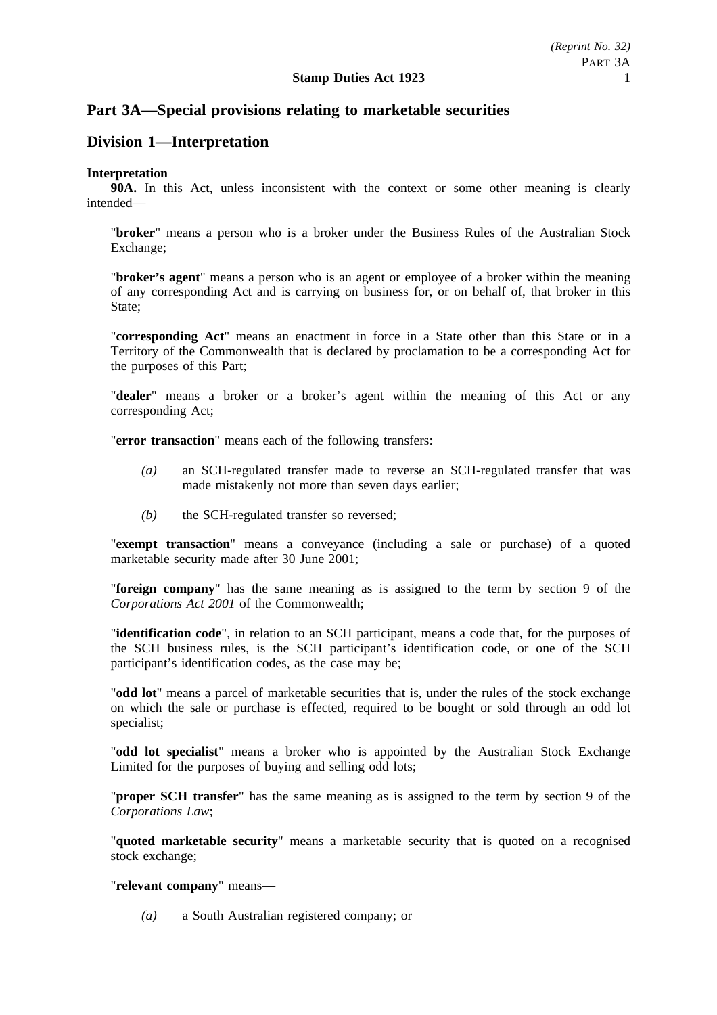# **Part 3A—Special provisions relating to marketable securities**

# **Division 1—Interpretation**

# **Interpretation**

**90A.** In this Act, unless inconsistent with the context or some other meaning is clearly intended—

"**broker**" means a person who is a broker under the Business Rules of the Australian Stock Exchange;

"**broker's agent**" means a person who is an agent or employee of a broker within the meaning of any corresponding Act and is carrying on business for, or on behalf of, that broker in this State;

"**corresponding Act**" means an enactment in force in a State other than this State or in a Territory of the Commonwealth that is declared by proclamation to be a corresponding Act for the purposes of this Part;

"**dealer**" means a broker or a broker's agent within the meaning of this Act or any corresponding Act;

"**error transaction**" means each of the following transfers:

- *(a)* an SCH-regulated transfer made to reverse an SCH-regulated transfer that was made mistakenly not more than seven days earlier;
- *(b)* the SCH-regulated transfer so reversed;

"**exempt transaction**" means a conveyance (including a sale or purchase) of a quoted marketable security made after 30 June 2001;

"**foreign company**" has the same meaning as is assigned to the term by section 9 of the *Corporations Act 2001* of the Commonwealth;

"**identification code**", in relation to an SCH participant, means a code that, for the purposes of the SCH business rules, is the SCH participant's identification code, or one of the SCH participant's identification codes, as the case may be;

"**odd lot**" means a parcel of marketable securities that is, under the rules of the stock exchange on which the sale or purchase is effected, required to be bought or sold through an odd lot specialist;

"**odd lot specialist**" means a broker who is appointed by the Australian Stock Exchange Limited for the purposes of buying and selling odd lots;

"**proper SCH transfer**" has the same meaning as is assigned to the term by section 9 of the *Corporations Law*;

"**quoted marketable security**" means a marketable security that is quoted on a recognised stock exchange;

"**relevant company**" means—

*(a)* a South Australian registered company; or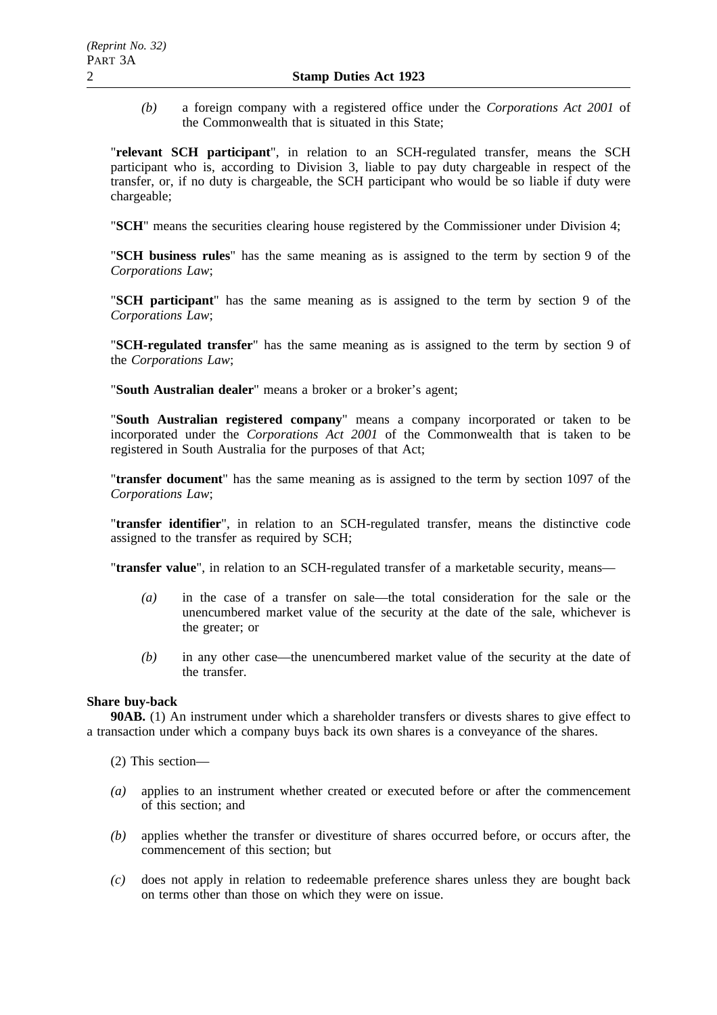*(b)* a foreign company with a registered office under the *Corporations Act 2001* of the Commonwealth that is situated in this State;

"**relevant SCH participant**", in relation to an SCH-regulated transfer, means the SCH participant who is, according to Division 3, liable to pay duty chargeable in respect of the transfer, or, if no duty is chargeable, the SCH participant who would be so liable if duty were chargeable;

"**SCH**" means the securities clearing house registered by the Commissioner under Division 4;

"**SCH business rules**" has the same meaning as is assigned to the term by section 9 of the *Corporations Law*;

"**SCH participant**" has the same meaning as is assigned to the term by section 9 of the *Corporations Law*;

"**SCH-regulated transfer**" has the same meaning as is assigned to the term by section 9 of the *Corporations Law*;

"**South Australian dealer**" means a broker or a broker's agent;

"**South Australian registered company**" means a company incorporated or taken to be incorporated under the *Corporations Act 2001* of the Commonwealth that is taken to be registered in South Australia for the purposes of that Act;

"**transfer document**" has the same meaning as is assigned to the term by section 1097 of the *Corporations Law*;

"**transfer identifier**", in relation to an SCH-regulated transfer, means the distinctive code assigned to the transfer as required by SCH;

"**transfer value**", in relation to an SCH-regulated transfer of a marketable security, means—

- *(a)* in the case of a transfer on sale—the total consideration for the sale or the unencumbered market value of the security at the date of the sale, whichever is the greater; or
- *(b)* in any other case—the unencumbered market value of the security at the date of the transfer.

## **Share buy-back**

**90AB.** (1) An instrument under which a shareholder transfers or divests shares to give effect to a transaction under which a company buys back its own shares is a conveyance of the shares.

- (2) This section—
- *(a)* applies to an instrument whether created or executed before or after the commencement of this section; and
- *(b)* applies whether the transfer or divestiture of shares occurred before, or occurs after, the commencement of this section; but
- *(c)* does not apply in relation to redeemable preference shares unless they are bought back on terms other than those on which they were on issue.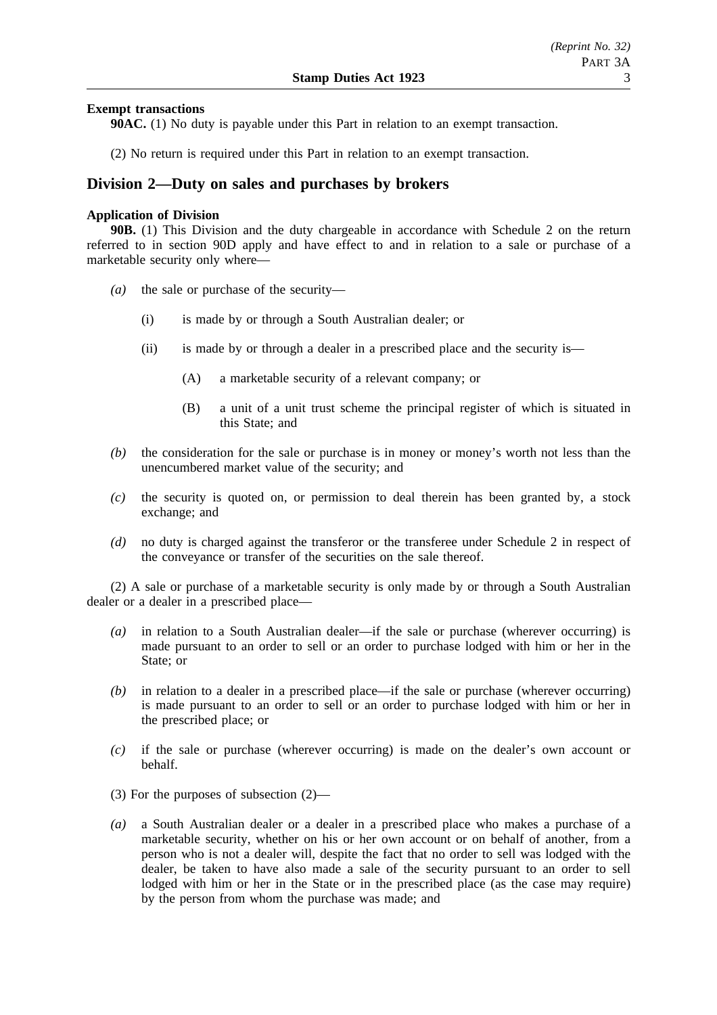## **Exempt transactions**

**90AC.** (1) No duty is payable under this Part in relation to an exempt transaction.

(2) No return is required under this Part in relation to an exempt transaction.

# **Division 2—Duty on sales and purchases by brokers**

### **Application of Division**

**90B.** (1) This Division and the duty chargeable in accordance with Schedule 2 on the return referred to in section 90D apply and have effect to and in relation to a sale or purchase of a marketable security only where—

- *(a)* the sale or purchase of the security—
	- (i) is made by or through a South Australian dealer; or
	- (ii) is made by or through a dealer in a prescribed place and the security is—
		- (A) a marketable security of a relevant company; or
		- (B) a unit of a unit trust scheme the principal register of which is situated in this State; and
- *(b)* the consideration for the sale or purchase is in money or money's worth not less than the unencumbered market value of the security; and
- *(c)* the security is quoted on, or permission to deal therein has been granted by, a stock exchange; and
- *(d)* no duty is charged against the transferor or the transferee under Schedule 2 in respect of the conveyance or transfer of the securities on the sale thereof.

(2) A sale or purchase of a marketable security is only made by or through a South Australian dealer or a dealer in a prescribed place—

- *(a)* in relation to a South Australian dealer—if the sale or purchase (wherever occurring) is made pursuant to an order to sell or an order to purchase lodged with him or her in the State; or
- *(b)* in relation to a dealer in a prescribed place—if the sale or purchase (wherever occurring) is made pursuant to an order to sell or an order to purchase lodged with him or her in the prescribed place; or
- *(c)* if the sale or purchase (wherever occurring) is made on the dealer's own account or behalf.
- (3) For the purposes of subsection (2)—
- *(a)* a South Australian dealer or a dealer in a prescribed place who makes a purchase of a marketable security, whether on his or her own account or on behalf of another, from a person who is not a dealer will, despite the fact that no order to sell was lodged with the dealer, be taken to have also made a sale of the security pursuant to an order to sell lodged with him or her in the State or in the prescribed place (as the case may require) by the person from whom the purchase was made; and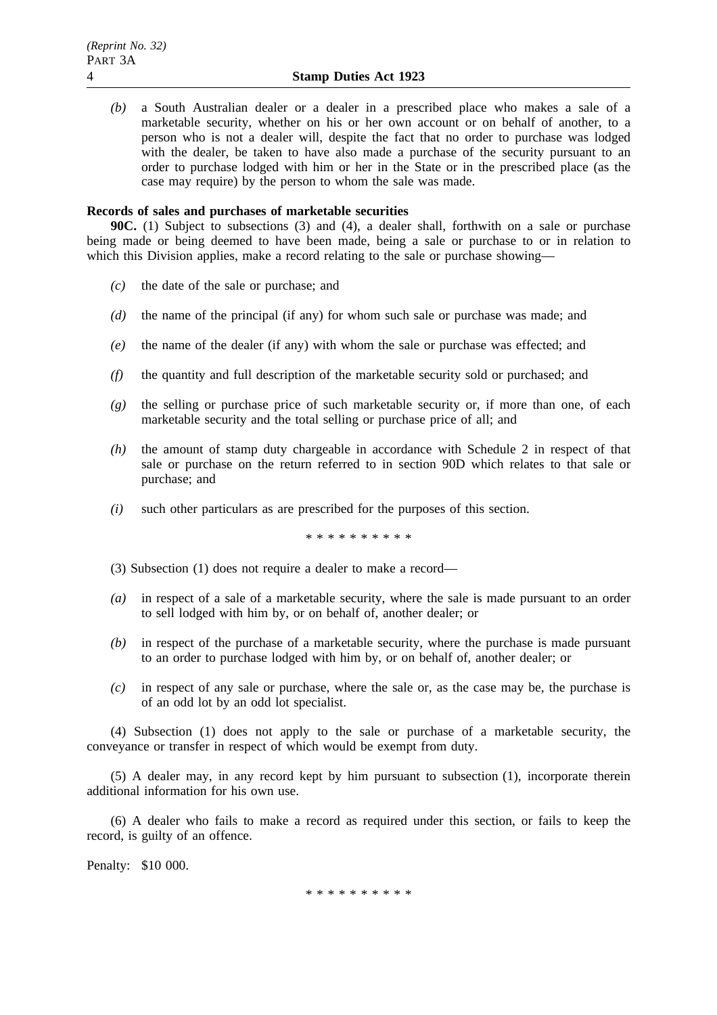*(b)* a South Australian dealer or a dealer in a prescribed place who makes a sale of a marketable security, whether on his or her own account or on behalf of another, to a person who is not a dealer will, despite the fact that no order to purchase was lodged with the dealer, be taken to have also made a purchase of the security pursuant to an order to purchase lodged with him or her in the State or in the prescribed place (as the case may require) by the person to whom the sale was made.

## **Records of sales and purchases of marketable securities**

**90C.** (1) Subject to subsections (3) and (4), a dealer shall, forthwith on a sale or purchase being made or being deemed to have been made, being a sale or purchase to or in relation to which this Division applies, make a record relating to the sale or purchase showing—

- *(c)* the date of the sale or purchase; and
- *(d)* the name of the principal (if any) for whom such sale or purchase was made; and
- *(e)* the name of the dealer (if any) with whom the sale or purchase was effected; and
- *(f)* the quantity and full description of the marketable security sold or purchased; and
- *(g)* the selling or purchase price of such marketable security or, if more than one, of each marketable security and the total selling or purchase price of all; and
- *(h)* the amount of stamp duty chargeable in accordance with Schedule 2 in respect of that sale or purchase on the return referred to in section 90D which relates to that sale or purchase; and
- *(i)* such other particulars as are prescribed for the purposes of this section.

\*\*\*\*\*\*\*\*\*\*

- (3) Subsection (1) does not require a dealer to make a record—
- *(a)* in respect of a sale of a marketable security, where the sale is made pursuant to an order to sell lodged with him by, or on behalf of, another dealer; or
- *(b)* in respect of the purchase of a marketable security, where the purchase is made pursuant to an order to purchase lodged with him by, or on behalf of, another dealer; or
- *(c)* in respect of any sale or purchase, where the sale or, as the case may be, the purchase is of an odd lot by an odd lot specialist.

(4) Subsection (1) does not apply to the sale or purchase of a marketable security, the conveyance or transfer in respect of which would be exempt from duty.

(5) A dealer may, in any record kept by him pursuant to subsection (1), incorporate therein additional information for his own use.

(6) A dealer who fails to make a record as required under this section, or fails to keep the record, is guilty of an offence.

Penalty: \$10 000.

\*\*\*\*\*\*\*\*\*\*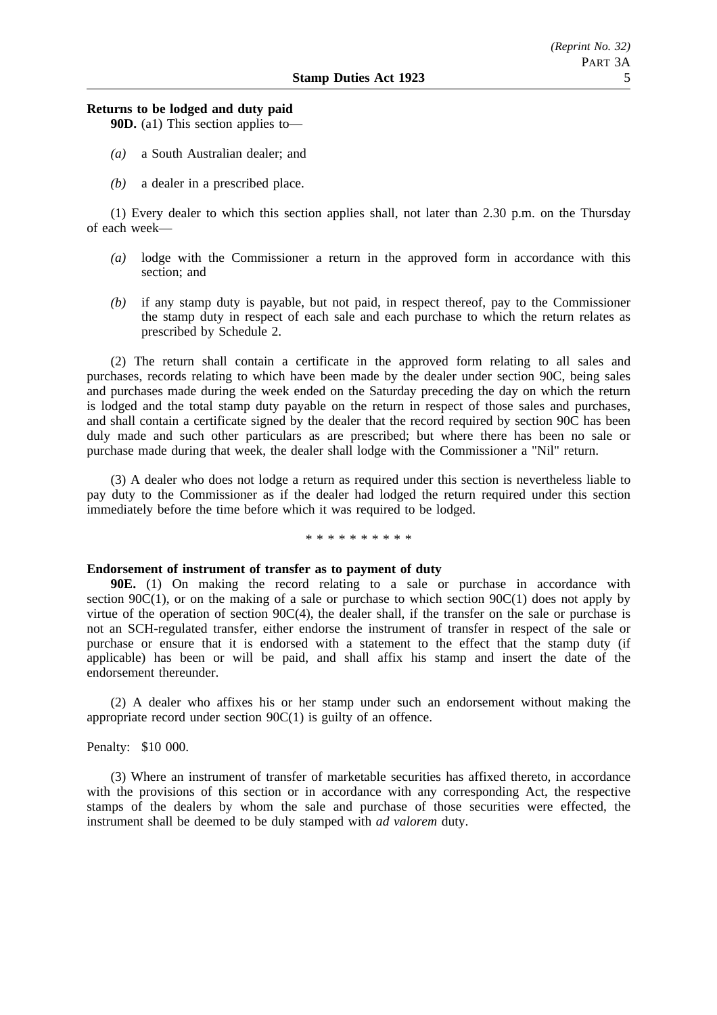#### **Returns to be lodged and duty paid**

**90D.** (a1) This section applies to—

- *(a)* a South Australian dealer; and
- *(b)* a dealer in a prescribed place.

(1) Every dealer to which this section applies shall, not later than 2.30 p.m. on the Thursday of each week—

- *(a)* lodge with the Commissioner a return in the approved form in accordance with this section: and
- *(b)* if any stamp duty is payable, but not paid, in respect thereof, pay to the Commissioner the stamp duty in respect of each sale and each purchase to which the return relates as prescribed by Schedule 2.

(2) The return shall contain a certificate in the approved form relating to all sales and purchases, records relating to which have been made by the dealer under section 90C, being sales and purchases made during the week ended on the Saturday preceding the day on which the return is lodged and the total stamp duty payable on the return in respect of those sales and purchases, and shall contain a certificate signed by the dealer that the record required by section 90C has been duly made and such other particulars as are prescribed; but where there has been no sale or purchase made during that week, the dealer shall lodge with the Commissioner a "Nil" return.

(3) A dealer who does not lodge a return as required under this section is nevertheless liable to pay duty to the Commissioner as if the dealer had lodged the return required under this section immediately before the time before which it was required to be lodged.

#### \*\*\*\*\*\*\*\*\*\*

#### **Endorsement of instrument of transfer as to payment of duty**

**90E.** (1) On making the record relating to a sale or purchase in accordance with section 90 $C(1)$ , or on the making of a sale or purchase to which section 90 $C(1)$  does not apply by virtue of the operation of section 90C(4), the dealer shall, if the transfer on the sale or purchase is not an SCH-regulated transfer, either endorse the instrument of transfer in respect of the sale or purchase or ensure that it is endorsed with a statement to the effect that the stamp duty (if applicable) has been or will be paid, and shall affix his stamp and insert the date of the endorsement thereunder.

(2) A dealer who affixes his or her stamp under such an endorsement without making the appropriate record under section 90C(1) is guilty of an offence.

## Penalty: \$10 000.

(3) Where an instrument of transfer of marketable securities has affixed thereto, in accordance with the provisions of this section or in accordance with any corresponding Act, the respective stamps of the dealers by whom the sale and purchase of those securities were effected, the instrument shall be deemed to be duly stamped with *ad valorem* duty.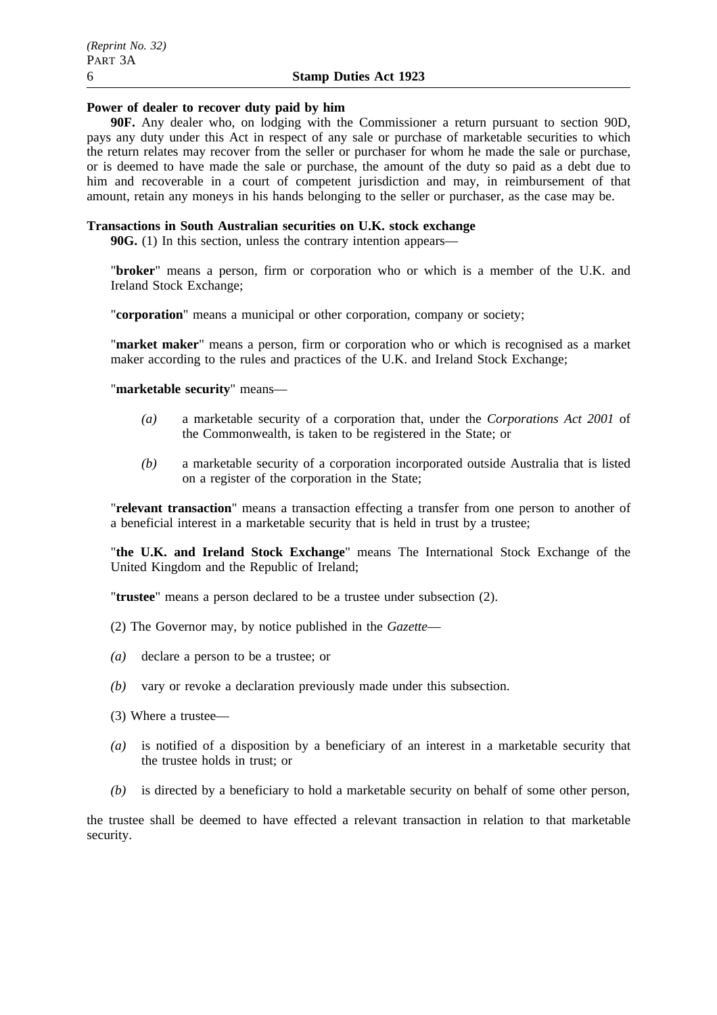## **Power of dealer to recover duty paid by him**

**90F.** Any dealer who, on lodging with the Commissioner a return pursuant to section 90D, pays any duty under this Act in respect of any sale or purchase of marketable securities to which the return relates may recover from the seller or purchaser for whom he made the sale or purchase, or is deemed to have made the sale or purchase, the amount of the duty so paid as a debt due to him and recoverable in a court of competent jurisdiction and may, in reimbursement of that amount, retain any moneys in his hands belonging to the seller or purchaser, as the case may be.

## **Transactions in South Australian securities on U.K. stock exchange**

**90G.** (1) In this section, unless the contrary intention appears—

"**broker**" means a person, firm or corporation who or which is a member of the U.K. and Ireland Stock Exchange;

"**corporation**" means a municipal or other corporation, company or society;

"**market maker**" means a person, firm or corporation who or which is recognised as a market maker according to the rules and practices of the U.K. and Ireland Stock Exchange;

"**marketable security**" means—

- *(a)* a marketable security of a corporation that, under the *Corporations Act 2001* of the Commonwealth, is taken to be registered in the State; or
- *(b)* a marketable security of a corporation incorporated outside Australia that is listed on a register of the corporation in the State;

"**relevant transaction**" means a transaction effecting a transfer from one person to another of a beneficial interest in a marketable security that is held in trust by a trustee;

"**the U.K. and Ireland Stock Exchange**" means The International Stock Exchange of the United Kingdom and the Republic of Ireland;

"**trustee**" means a person declared to be a trustee under subsection (2).

- (2) The Governor may, by notice published in the *Gazette*—
- *(a)* declare a person to be a trustee; or
- *(b)* vary or revoke a declaration previously made under this subsection.
- (3) Where a trustee—
- *(a)* is notified of a disposition by a beneficiary of an interest in a marketable security that the trustee holds in trust; or
- *(b)* is directed by a beneficiary to hold a marketable security on behalf of some other person,

the trustee shall be deemed to have effected a relevant transaction in relation to that marketable security.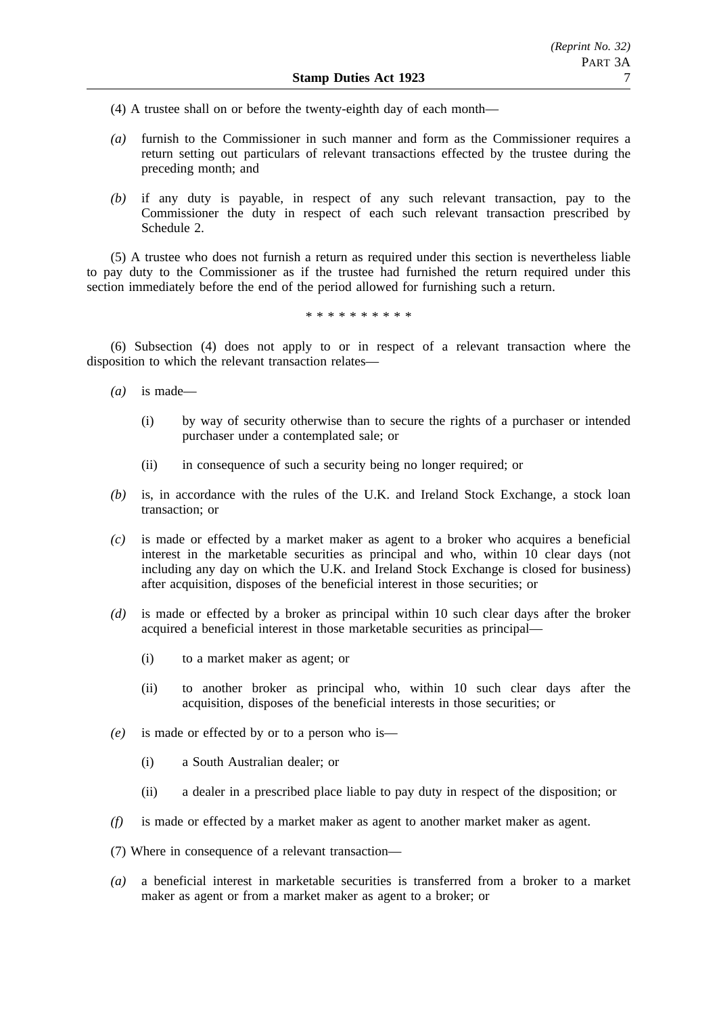- (4) A trustee shall on or before the twenty-eighth day of each month—
- *(a)* furnish to the Commissioner in such manner and form as the Commissioner requires a return setting out particulars of relevant transactions effected by the trustee during the preceding month; and
- *(b)* if any duty is payable, in respect of any such relevant transaction, pay to the Commissioner the duty in respect of each such relevant transaction prescribed by Schedule 2.

(5) A trustee who does not furnish a return as required under this section is nevertheless liable to pay duty to the Commissioner as if the trustee had furnished the return required under this section immediately before the end of the period allowed for furnishing such a return.

\*\*\*\*\*\*\*\*\*\*

(6) Subsection (4) does not apply to or in respect of a relevant transaction where the disposition to which the relevant transaction relates—

- *(a)* is made—
	- (i) by way of security otherwise than to secure the rights of a purchaser or intended purchaser under a contemplated sale; or
	- (ii) in consequence of such a security being no longer required; or
- *(b)* is, in accordance with the rules of the U.K. and Ireland Stock Exchange, a stock loan transaction; or
- *(c)* is made or effected by a market maker as agent to a broker who acquires a beneficial interest in the marketable securities as principal and who, within 10 clear days (not including any day on which the U.K. and Ireland Stock Exchange is closed for business) after acquisition, disposes of the beneficial interest in those securities; or
- *(d)* is made or effected by a broker as principal within 10 such clear days after the broker acquired a beneficial interest in those marketable securities as principal—
	- (i) to a market maker as agent; or
	- (ii) to another broker as principal who, within 10 such clear days after the acquisition, disposes of the beneficial interests in those securities; or
- *(e)* is made or effected by or to a person who is—
	- (i) a South Australian dealer; or
	- (ii) a dealer in a prescribed place liable to pay duty in respect of the disposition; or
- *(f)* is made or effected by a market maker as agent to another market maker as agent.
- (7) Where in consequence of a relevant transaction—
- *(a)* a beneficial interest in marketable securities is transferred from a broker to a market maker as agent or from a market maker as agent to a broker; or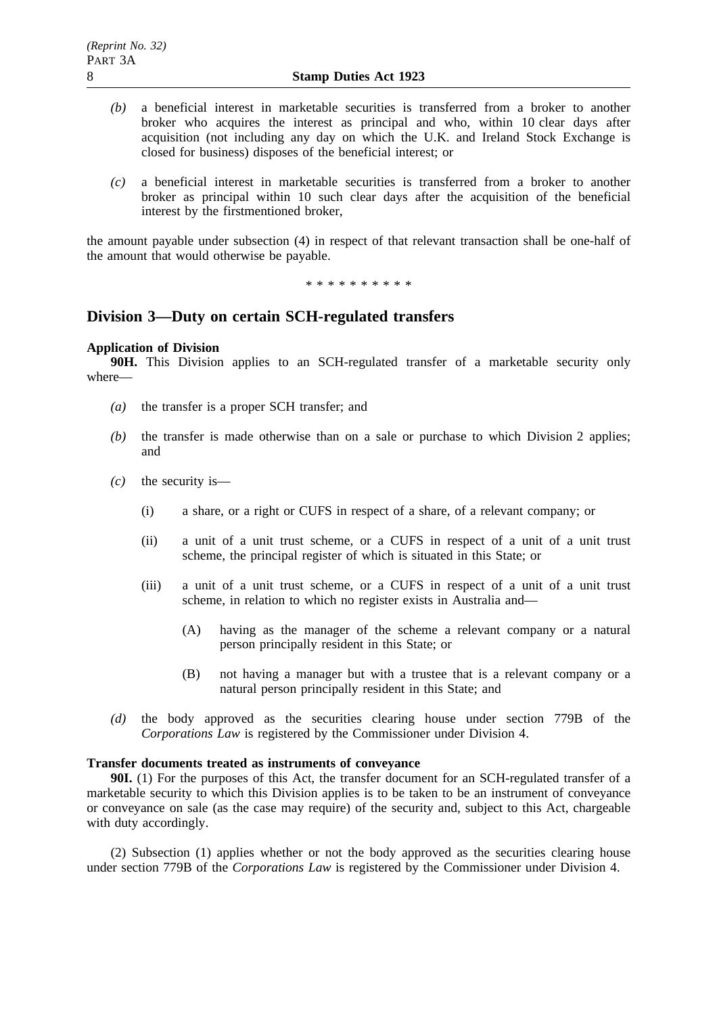- *(b)* a beneficial interest in marketable securities is transferred from a broker to another broker who acquires the interest as principal and who, within 10 clear days after acquisition (not including any day on which the U.K. and Ireland Stock Exchange is closed for business) disposes of the beneficial interest; or
- *(c)* a beneficial interest in marketable securities is transferred from a broker to another broker as principal within 10 such clear days after the acquisition of the beneficial interest by the firstmentioned broker,

the amount payable under subsection (4) in respect of that relevant transaction shall be one-half of the amount that would otherwise be payable.

\*\*\*\*\*\*\*\*\*\*

# **Division 3—Duty on certain SCH-regulated transfers**

### **Application of Division**

**90H.** This Division applies to an SCH-regulated transfer of a marketable security only where—

- *(a)* the transfer is a proper SCH transfer; and
- *(b)* the transfer is made otherwise than on a sale or purchase to which Division 2 applies; and
- *(c)* the security is—
	- (i) a share, or a right or CUFS in respect of a share, of a relevant company; or
	- (ii) a unit of a unit trust scheme, or a CUFS in respect of a unit of a unit trust scheme, the principal register of which is situated in this State; or
	- (iii) a unit of a unit trust scheme, or a CUFS in respect of a unit of a unit trust scheme, in relation to which no register exists in Australia and—
		- (A) having as the manager of the scheme a relevant company or a natural person principally resident in this State; or
		- (B) not having a manager but with a trustee that is a relevant company or a natural person principally resident in this State; and
- *(d)* the body approved as the securities clearing house under section 779B of the *Corporations Law* is registered by the Commissioner under Division 4.

### **Transfer documents treated as instruments of conveyance**

**90I.** (1) For the purposes of this Act, the transfer document for an SCH-regulated transfer of a marketable security to which this Division applies is to be taken to be an instrument of conveyance or conveyance on sale (as the case may require) of the security and, subject to this Act, chargeable with duty accordingly.

(2) Subsection (1) applies whether or not the body approved as the securities clearing house under section 779B of the *Corporations Law* is registered by the Commissioner under Division 4.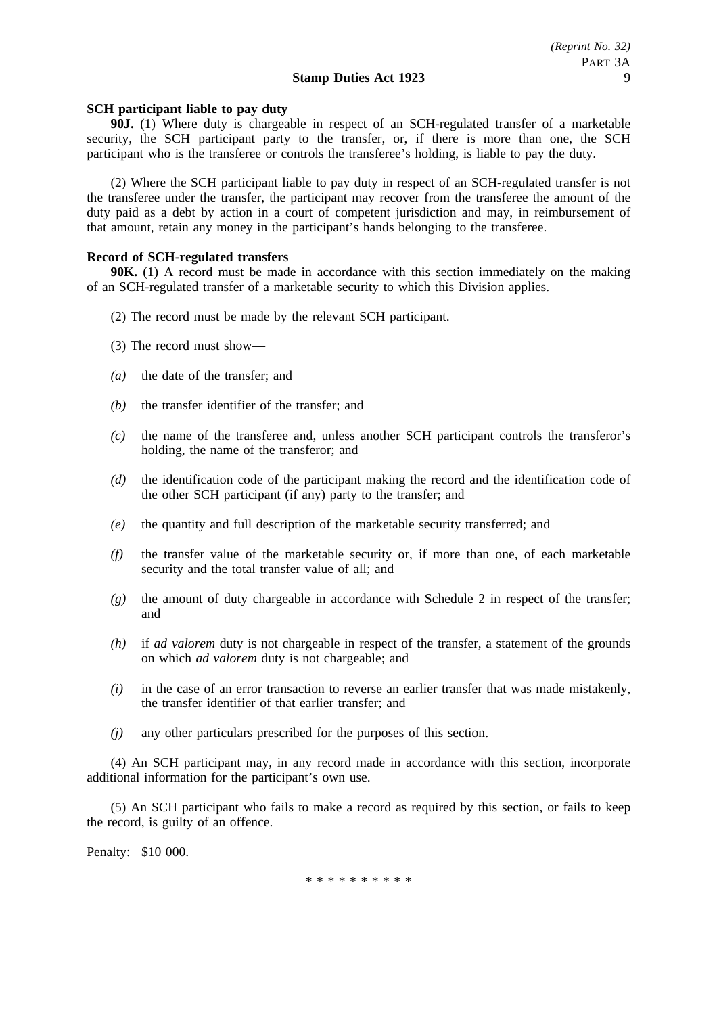# **SCH participant liable to pay duty**

**90J.** (1) Where duty is chargeable in respect of an SCH-regulated transfer of a marketable security, the SCH participant party to the transfer, or, if there is more than one, the SCH participant who is the transferee or controls the transferee's holding, is liable to pay the duty.

(2) Where the SCH participant liable to pay duty in respect of an SCH-regulated transfer is not the transferee under the transfer, the participant may recover from the transferee the amount of the duty paid as a debt by action in a court of competent jurisdiction and may, in reimbursement of that amount, retain any money in the participant's hands belonging to the transferee.

#### **Record of SCH-regulated transfers**

**90K.** (1) A record must be made in accordance with this section immediately on the making of an SCH-regulated transfer of a marketable security to which this Division applies.

- (2) The record must be made by the relevant SCH participant.
- (3) The record must show—
- *(a)* the date of the transfer; and
- *(b)* the transfer identifier of the transfer; and
- *(c)* the name of the transferee and, unless another SCH participant controls the transferor's holding, the name of the transferor; and
- *(d)* the identification code of the participant making the record and the identification code of the other SCH participant (if any) party to the transfer; and
- *(e)* the quantity and full description of the marketable security transferred; and
- *(f)* the transfer value of the marketable security or, if more than one, of each marketable security and the total transfer value of all; and
- *(g)* the amount of duty chargeable in accordance with Schedule 2 in respect of the transfer; and
- *(h)* if *ad valorem* duty is not chargeable in respect of the transfer, a statement of the grounds on which *ad valorem* duty is not chargeable; and
- *(i)* in the case of an error transaction to reverse an earlier transfer that was made mistakenly, the transfer identifier of that earlier transfer; and
- *(j)* any other particulars prescribed for the purposes of this section.

(4) An SCH participant may, in any record made in accordance with this section, incorporate additional information for the participant's own use.

(5) An SCH participant who fails to make a record as required by this section, or fails to keep the record, is guilty of an offence.

Penalty: \$10 000.

\*\*\*\*\*\*\*\*\*\*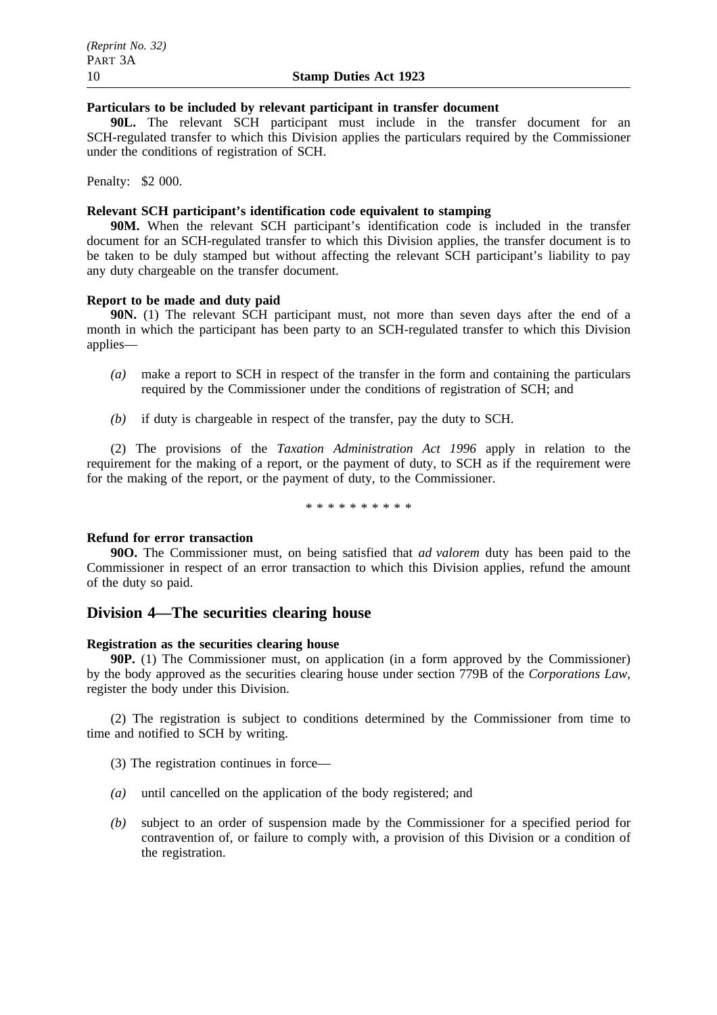# **Particulars to be included by relevant participant in transfer document**

**90L.** The relevant SCH participant must include in the transfer document for an SCH-regulated transfer to which this Division applies the particulars required by the Commissioner under the conditions of registration of SCH.

Penalty: \$2 000.

# **Relevant SCH participant's identification code equivalent to stamping**

**90M.** When the relevant SCH participant's identification code is included in the transfer document for an SCH-regulated transfer to which this Division applies, the transfer document is to be taken to be duly stamped but without affecting the relevant SCH participant's liability to pay any duty chargeable on the transfer document.

# **Report to be made and duty paid**

**90N.** (1) The relevant SCH participant must, not more than seven days after the end of a month in which the participant has been party to an SCH-regulated transfer to which this Division applies—

- *(a)* make a report to SCH in respect of the transfer in the form and containing the particulars required by the Commissioner under the conditions of registration of SCH; and
- *(b)* if duty is chargeable in respect of the transfer, pay the duty to SCH.

(2) The provisions of the *Taxation Administration Act 1996* apply in relation to the requirement for the making of a report, or the payment of duty, to SCH as if the requirement were for the making of the report, or the payment of duty, to the Commissioner.

\*\*\*\*\*\*\*\*\*\*

### **Refund for error transaction**

**90O.** The Commissioner must, on being satisfied that *ad valorem* duty has been paid to the Commissioner in respect of an error transaction to which this Division applies, refund the amount of the duty so paid.

# **Division 4—The securities clearing house**

### **Registration as the securities clearing house**

**90P.** (1) The Commissioner must, on application (in a form approved by the Commissioner) by the body approved as the securities clearing house under section 779B of the *Corporations Law*, register the body under this Division.

(2) The registration is subject to conditions determined by the Commissioner from time to time and notified to SCH by writing.

- (3) The registration continues in force—
- *(a)* until cancelled on the application of the body registered; and
- *(b)* subject to an order of suspension made by the Commissioner for a specified period for contravention of, or failure to comply with, a provision of this Division or a condition of the registration.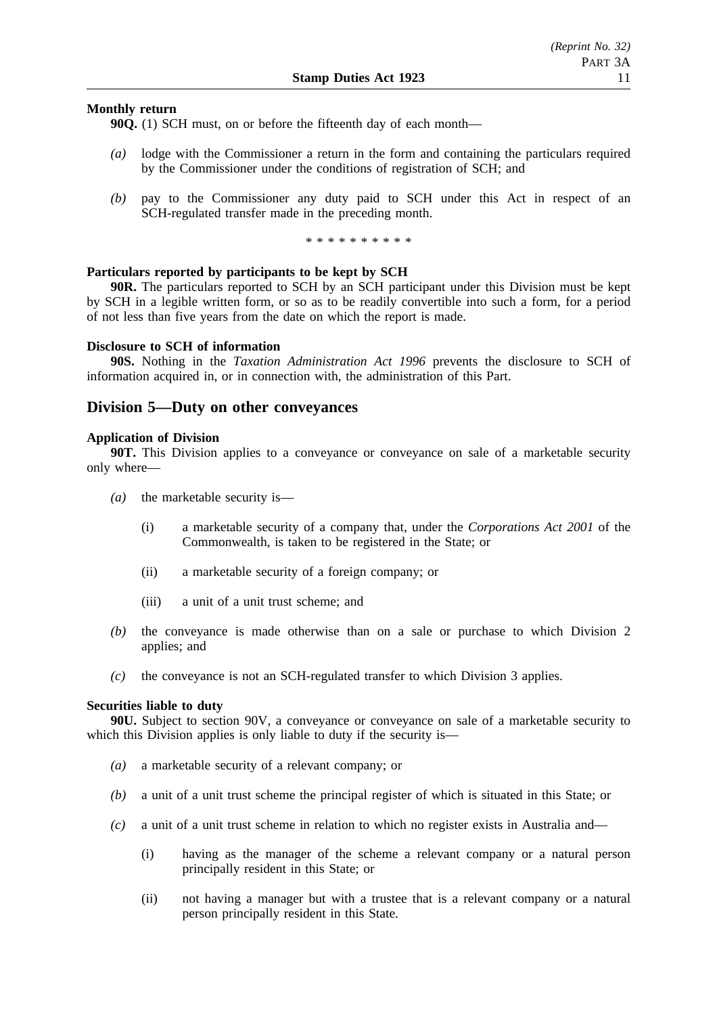## **Monthly return**

**90Q.** (1) SCH must, on or before the fifteenth day of each month—

- *(a)* lodge with the Commissioner a return in the form and containing the particulars required by the Commissioner under the conditions of registration of SCH; and
- *(b)* pay to the Commissioner any duty paid to SCH under this Act in respect of an SCH-regulated transfer made in the preceding month.

\*\*\*\*\*\*\*\*\*\*

### **Particulars reported by participants to be kept by SCH**

**90R.** The particulars reported to SCH by an SCH participant under this Division must be kept by SCH in a legible written form, or so as to be readily convertible into such a form, for a period of not less than five years from the date on which the report is made.

#### **Disclosure to SCH of information**

**90S.** Nothing in the *Taxation Administration Act 1996* prevents the disclosure to SCH of information acquired in, or in connection with, the administration of this Part.

# **Division 5—Duty on other conveyances**

#### **Application of Division**

**90T.** This Division applies to a conveyance or conveyance on sale of a marketable security only where—

- *(a)* the marketable security is—
	- (i) a marketable security of a company that, under the *Corporations Act 2001* of the Commonwealth, is taken to be registered in the State; or
	- (ii) a marketable security of a foreign company; or
	- (iii) a unit of a unit trust scheme; and
- *(b)* the conveyance is made otherwise than on a sale or purchase to which Division 2 applies; and
- *(c)* the conveyance is not an SCH-regulated transfer to which Division 3 applies.

#### **Securities liable to duty**

**90U.** Subject to section 90V, a conveyance or conveyance on sale of a marketable security to which this Division applies is only liable to duty if the security is—

- *(a)* a marketable security of a relevant company; or
- *(b)* a unit of a unit trust scheme the principal register of which is situated in this State; or
- *(c)* a unit of a unit trust scheme in relation to which no register exists in Australia and—
	- (i) having as the manager of the scheme a relevant company or a natural person principally resident in this State; or
	- (ii) not having a manager but with a trustee that is a relevant company or a natural person principally resident in this State.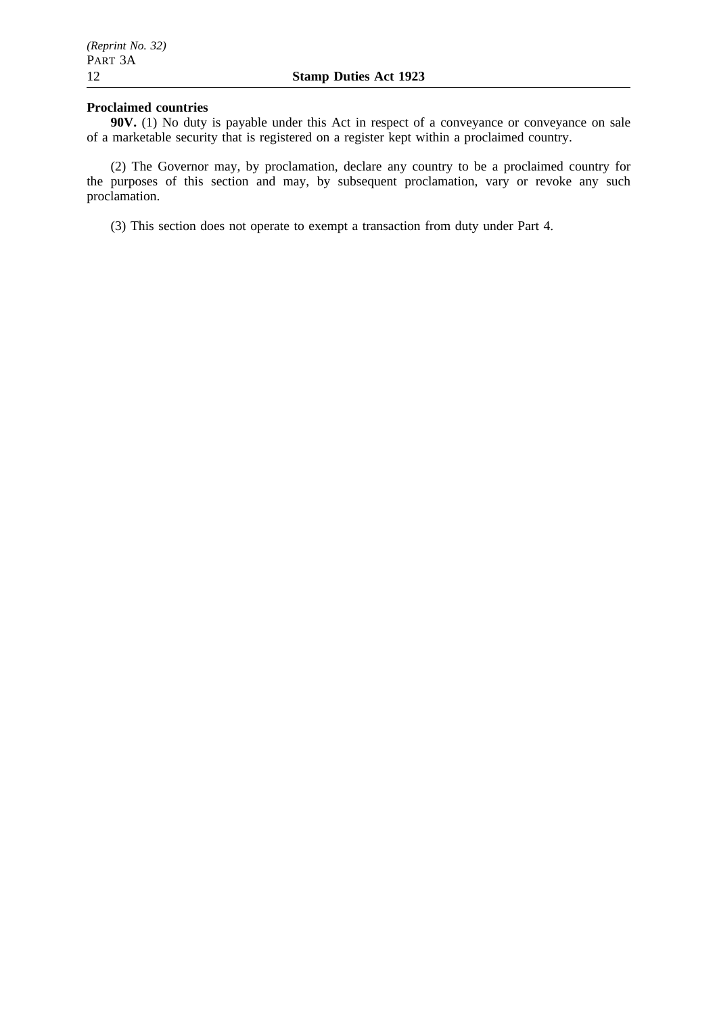## **Proclaimed countries**

**90V.** (1) No duty is payable under this Act in respect of a conveyance or conveyance on sale of a marketable security that is registered on a register kept within a proclaimed country.

(2) The Governor may, by proclamation, declare any country to be a proclaimed country for the purposes of this section and may, by subsequent proclamation, vary or revoke any such proclamation.

(3) This section does not operate to exempt a transaction from duty under Part 4.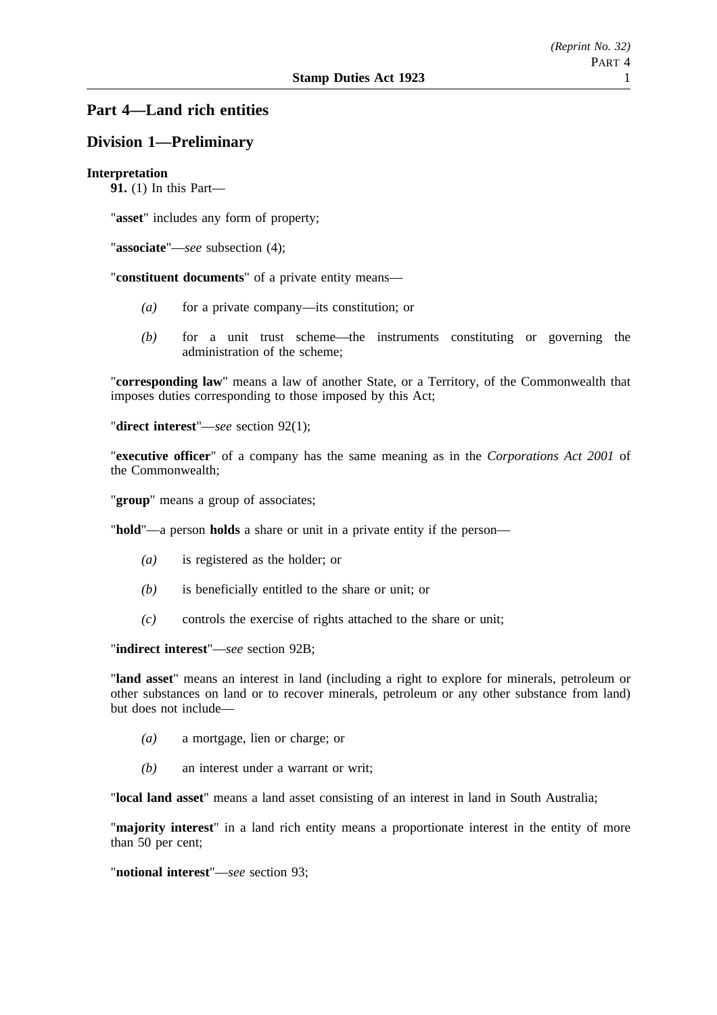# **Part 4—Land rich entities**

# **Division 1—Preliminary**

## **Interpretation**

**91.** (1) In this Part—

"**asset**" includes any form of property;

"**associate**"—*see* subsection (4);

"**constituent documents**" of a private entity means—

- *(a)* for a private company—its constitution; or
- *(b)* for a unit trust scheme—the instruments constituting or governing the administration of the scheme;

"**corresponding law**" means a law of another State, or a Territory, of the Commonwealth that imposes duties corresponding to those imposed by this Act;

"**direct interest**"—*see* section 92(1);

"**executive officer**" of a company has the same meaning as in the *Corporations Act 2001* of the Commonwealth;

"**group**" means a group of associates;

"**hold**"—a person **holds** a share or unit in a private entity if the person—

- *(a)* is registered as the holder; or
- *(b)* is beneficially entitled to the share or unit; or
- *(c)* controls the exercise of rights attached to the share or unit;

"**indirect interest**"—*see* section 92B;

"**land asset**" means an interest in land (including a right to explore for minerals, petroleum or other substances on land or to recover minerals, petroleum or any other substance from land) but does not include—

- *(a)* a mortgage, lien or charge; or
- *(b)* an interest under a warrant or writ;

"**local land asset**" means a land asset consisting of an interest in land in South Australia;

"**majority interest**" in a land rich entity means a proportionate interest in the entity of more than 50 per cent;

"**notional interest**"—*see* section 93;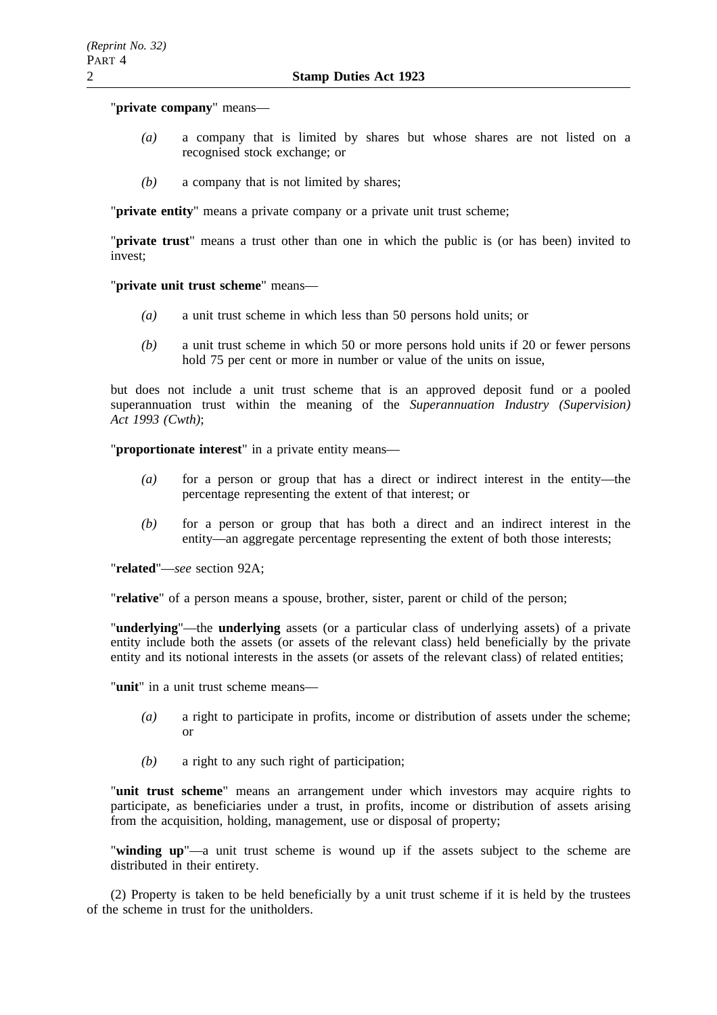### "**private company**" means—

- *(a)* a company that is limited by shares but whose shares are not listed on a recognised stock exchange; or
- *(b)* a company that is not limited by shares;

"**private entity**" means a private company or a private unit trust scheme;

"**private trust**" means a trust other than one in which the public is (or has been) invited to invest;

"**private unit trust scheme**" means—

- *(a)* a unit trust scheme in which less than 50 persons hold units; or
- *(b)* a unit trust scheme in which 50 or more persons hold units if 20 or fewer persons hold 75 per cent or more in number or value of the units on issue,

but does not include a unit trust scheme that is an approved deposit fund or a pooled superannuation trust within the meaning of the *Superannuation Industry (Supervision) Act 1993 (Cwth)*;

"**proportionate interest**" in a private entity means—

- *(a)* for a person or group that has a direct or indirect interest in the entity—the percentage representing the extent of that interest; or
- *(b)* for a person or group that has both a direct and an indirect interest in the entity—an aggregate percentage representing the extent of both those interests;

"**related**"—*see* section 92A;

"**relative**" of a person means a spouse, brother, sister, parent or child of the person;

"**underlying**"—the **underlying** assets (or a particular class of underlying assets) of a private entity include both the assets (or assets of the relevant class) held beneficially by the private entity and its notional interests in the assets (or assets of the relevant class) of related entities;

"**unit**" in a unit trust scheme means—

- *(a)* a right to participate in profits, income or distribution of assets under the scheme; or
- *(b)* a right to any such right of participation;

"**unit trust scheme**" means an arrangement under which investors may acquire rights to participate, as beneficiaries under a trust, in profits, income or distribution of assets arising from the acquisition, holding, management, use or disposal of property;

"**winding up**"—a unit trust scheme is wound up if the assets subject to the scheme are distributed in their entirety.

(2) Property is taken to be held beneficially by a unit trust scheme if it is held by the trustees of the scheme in trust for the unitholders.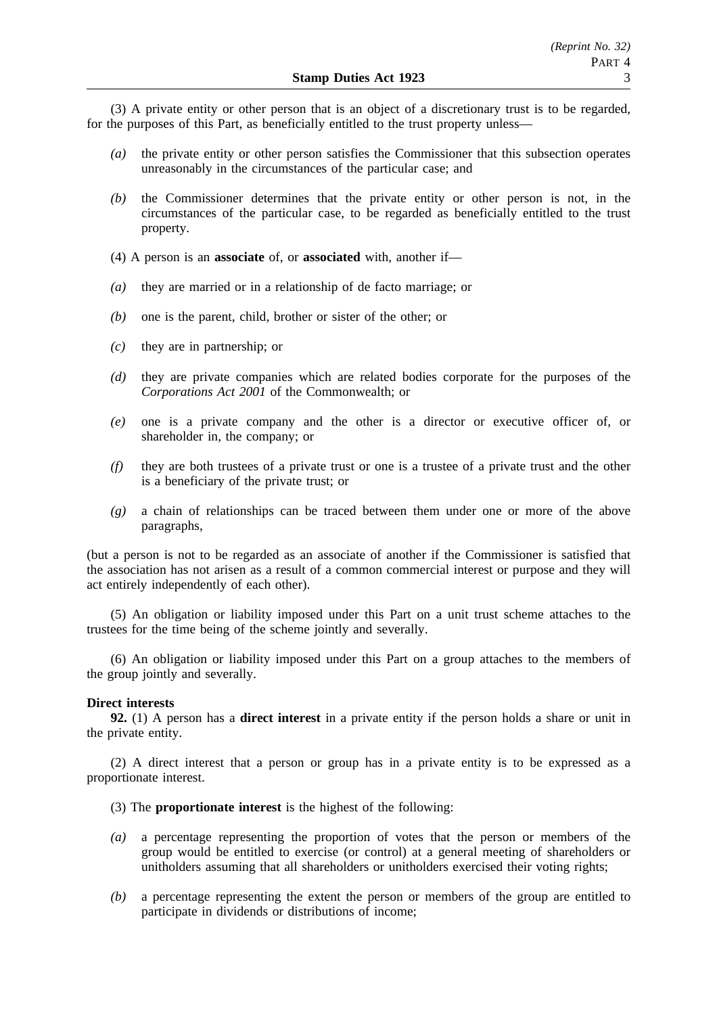(3) A private entity or other person that is an object of a discretionary trust is to be regarded, for the purposes of this Part, as beneficially entitled to the trust property unless—

- *(a)* the private entity or other person satisfies the Commissioner that this subsection operates unreasonably in the circumstances of the particular case; and
- *(b)* the Commissioner determines that the private entity or other person is not, in the circumstances of the particular case, to be regarded as beneficially entitled to the trust property.
- (4) A person is an **associate** of, or **associated** with, another if—
- *(a)* they are married or in a relationship of de facto marriage; or
- *(b)* one is the parent, child, brother or sister of the other; or
- *(c)* they are in partnership; or
- *(d)* they are private companies which are related bodies corporate for the purposes of the *Corporations Act 2001* of the Commonwealth; or
- *(e)* one is a private company and the other is a director or executive officer of, or shareholder in, the company; or
- *(f)* they are both trustees of a private trust or one is a trustee of a private trust and the other is a beneficiary of the private trust; or
- *(g)* a chain of relationships can be traced between them under one or more of the above paragraphs,

(but a person is not to be regarded as an associate of another if the Commissioner is satisfied that the association has not arisen as a result of a common commercial interest or purpose and they will act entirely independently of each other).

(5) An obligation or liability imposed under this Part on a unit trust scheme attaches to the trustees for the time being of the scheme jointly and severally.

(6) An obligation or liability imposed under this Part on a group attaches to the members of the group jointly and severally.

#### **Direct interests**

**92.** (1) A person has a **direct interest** in a private entity if the person holds a share or unit in the private entity.

(2) A direct interest that a person or group has in a private entity is to be expressed as a proportionate interest.

- (3) The **proportionate interest** is the highest of the following:
- *(a)* a percentage representing the proportion of votes that the person or members of the group would be entitled to exercise (or control) at a general meeting of shareholders or unitholders assuming that all shareholders or unitholders exercised their voting rights;
- *(b)* a percentage representing the extent the person or members of the group are entitled to participate in dividends or distributions of income;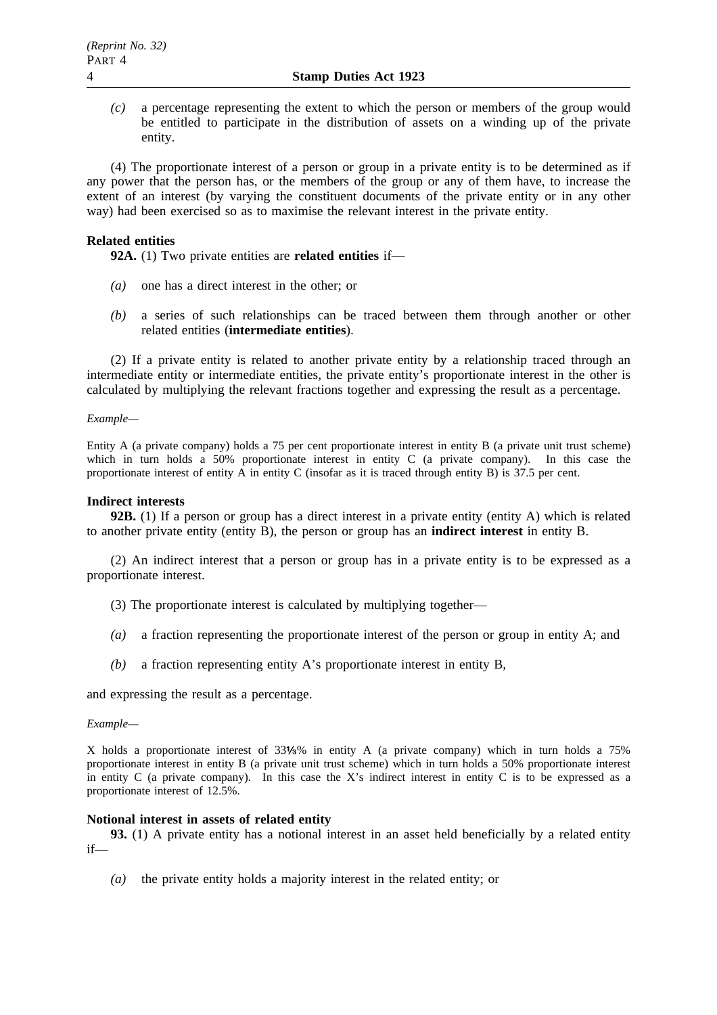*(c)* a percentage representing the extent to which the person or members of the group would be entitled to participate in the distribution of assets on a winding up of the private entity.

(4) The proportionate interest of a person or group in a private entity is to be determined as if any power that the person has, or the members of the group or any of them have, to increase the extent of an interest (by varying the constituent documents of the private entity or in any other way) had been exercised so as to maximise the relevant interest in the private entity.

## **Related entities**

**92A.** (1) Two private entities are **related entities** if—

- *(a)* one has a direct interest in the other; or
- *(b)* a series of such relationships can be traced between them through another or other related entities (**intermediate entities**).

(2) If a private entity is related to another private entity by a relationship traced through an intermediate entity or intermediate entities, the private entity's proportionate interest in the other is calculated by multiplying the relevant fractions together and expressing the result as a percentage.

#### *Example—*

Entity A (a private company) holds a 75 per cent proportionate interest in entity B (a private unit trust scheme) which in turn holds a 50% proportionate interest in entity C (a private company). In this case the proportionate interest of entity A in entity C (insofar as it is traced through entity B) is 37.5 per cent.

### **Indirect interests**

**92B.** (1) If a person or group has a direct interest in a private entity (entity A) which is related to another private entity (entity B), the person or group has an **indirect interest** in entity B.

(2) An indirect interest that a person or group has in a private entity is to be expressed as a proportionate interest.

- (3) The proportionate interest is calculated by multiplying together—
- *(a)* a fraction representing the proportionate interest of the person or group in entity A; and
- *(b)* a fraction representing entity A's proportionate interest in entity B,

and expressing the result as a percentage.

### *Example—*

X holds a proportionate interest of 33 % in entity A (a private company) which in turn holds a 75% proportionate interest in entity B (a private unit trust scheme) which in turn holds a 50% proportionate interest in entity C (a private company). In this case the X's indirect interest in entity C is to be expressed as a proportionate interest of 12.5%.

### **Notional interest in assets of related entity**

**93.** (1) A private entity has a notional interest in an asset held beneficially by a related entity if—

*(a)* the private entity holds a majority interest in the related entity; or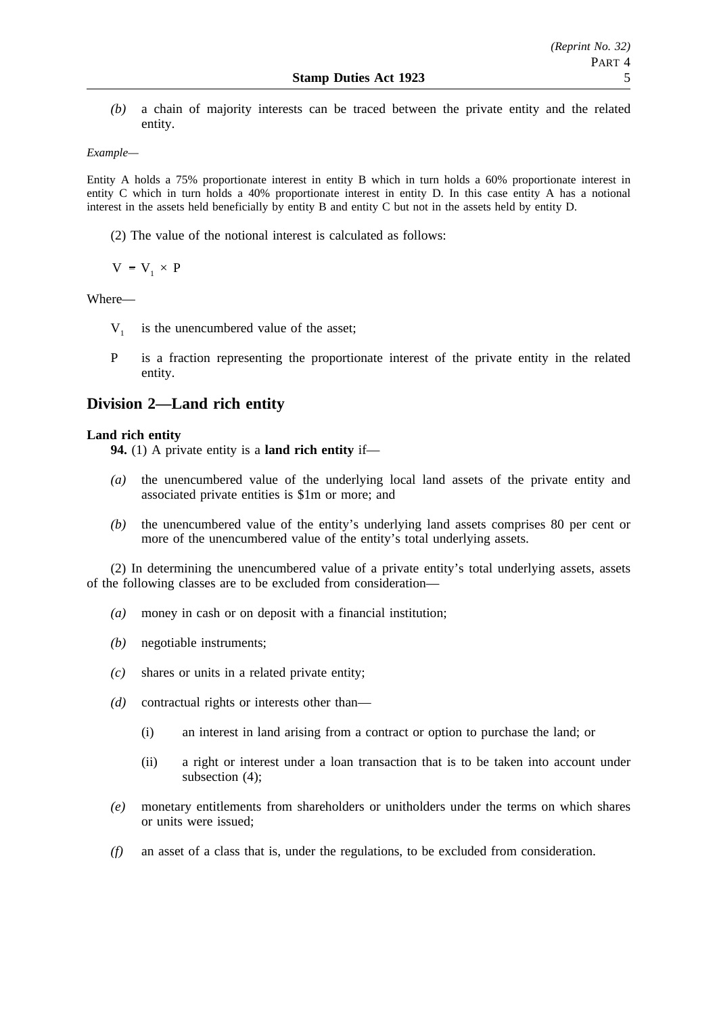*(b)* a chain of majority interests can be traced between the private entity and the related entity.

## *Example—*

Entity A holds a 75% proportionate interest in entity B which in turn holds a 60% proportionate interest in entity C which in turn holds a 40% proportionate interest in entity D. In this case entity A has a notional interest in the assets held beneficially by entity B and entity C but not in the assets held by entity D.

(2) The value of the notional interest is calculated as follows:

 $V = V_1 \times P$ 

### Where—

- $V_1$  is the unencumbered value of the asset;
- P is a fraction representing the proportionate interest of the private entity in the related entity.

# **Division 2—Land rich entity**

## **Land rich entity**

**94.** (1) A private entity is a **land rich entity** if—

- *(a)* the unencumbered value of the underlying local land assets of the private entity and associated private entities is \$1m or more; and
- *(b)* the unencumbered value of the entity's underlying land assets comprises 80 per cent or more of the unencumbered value of the entity's total underlying assets.

(2) In determining the unencumbered value of a private entity's total underlying assets, assets of the following classes are to be excluded from consideration—

- *(a)* money in cash or on deposit with a financial institution;
- *(b)* negotiable instruments;
- *(c)* shares or units in a related private entity;
- *(d)* contractual rights or interests other than—
	- (i) an interest in land arising from a contract or option to purchase the land; or
	- (ii) a right or interest under a loan transaction that is to be taken into account under subsection (4);
- *(e)* monetary entitlements from shareholders or unitholders under the terms on which shares or units were issued;
- *(f)* an asset of a class that is, under the regulations, to be excluded from consideration.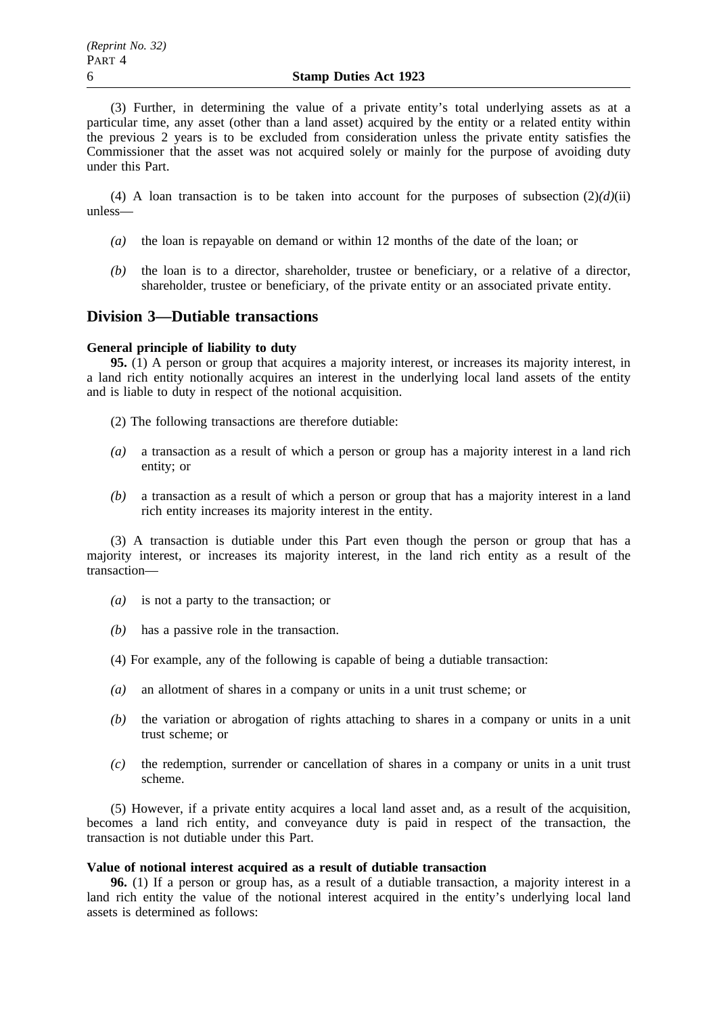(3) Further, in determining the value of a private entity's total underlying assets as at a particular time, any asset (other than a land asset) acquired by the entity or a related entity within the previous 2 years is to be excluded from consideration unless the private entity satisfies the Commissioner that the asset was not acquired solely or mainly for the purpose of avoiding duty under this Part.

(4) A loan transaction is to be taken into account for the purposes of subsection  $(2)(d)(ii)$ unless—

- *(a)* the loan is repayable on demand or within 12 months of the date of the loan; or
- *(b)* the loan is to a director, shareholder, trustee or beneficiary, or a relative of a director, shareholder, trustee or beneficiary, of the private entity or an associated private entity.

# **Division 3—Dutiable transactions**

#### **General principle of liability to duty**

**95.** (1) A person or group that acquires a majority interest, or increases its majority interest, in a land rich entity notionally acquires an interest in the underlying local land assets of the entity and is liable to duty in respect of the notional acquisition.

- (2) The following transactions are therefore dutiable:
- *(a)* a transaction as a result of which a person or group has a majority interest in a land rich entity; or
- *(b)* a transaction as a result of which a person or group that has a majority interest in a land rich entity increases its majority interest in the entity.

(3) A transaction is dutiable under this Part even though the person or group that has a majority interest, or increases its majority interest, in the land rich entity as a result of the transaction—

- *(a)* is not a party to the transaction; or
- *(b)* has a passive role in the transaction.
- (4) For example, any of the following is capable of being a dutiable transaction:
- *(a)* an allotment of shares in a company or units in a unit trust scheme; or
- *(b)* the variation or abrogation of rights attaching to shares in a company or units in a unit trust scheme; or
- *(c)* the redemption, surrender or cancellation of shares in a company or units in a unit trust scheme.

(5) However, if a private entity acquires a local land asset and, as a result of the acquisition, becomes a land rich entity, and conveyance duty is paid in respect of the transaction, the transaction is not dutiable under this Part.

### **Value of notional interest acquired as a result of dutiable transaction**

**96.** (1) If a person or group has, as a result of a dutiable transaction, a majority interest in a land rich entity the value of the notional interest acquired in the entity's underlying local land assets is determined as follows: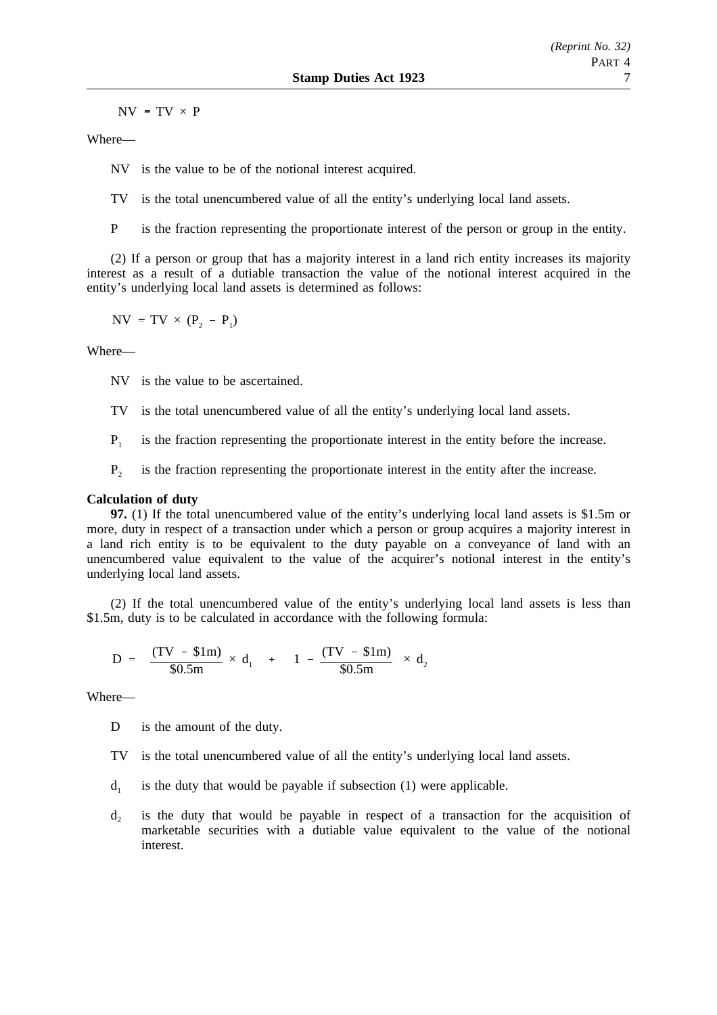$NV = TV \times P$ 

Where—

NV is the value to be of the notional interest acquired.

TV is the total unencumbered value of all the entity's underlying local land assets.

P is the fraction representing the proportionate interest of the person or group in the entity.

(2) If a person or group that has a majority interest in a land rich entity increases its majority interest as a result of a dutiable transaction the value of the notional interest acquired in the entity's underlying local land assets is determined as follows:

$$
NV = TV \times (P_2 - P_1)
$$

Where—

NV is the value to be ascertained.

TV is the total unencumbered value of all the entity's underlying local land assets.

- $P_1$  is the fraction representing the proportionate interest in the entity before the increase.
- $P<sub>2</sub>$  is the fraction representing the proportionate interest in the entity after the increase.

## **Calculation of duty**

**97.** (1) If the total unencumbered value of the entity's underlying local land assets is \$1.5m or more, duty in respect of a transaction under which a person or group acquires a majority interest in a land rich entity is to be equivalent to the duty payable on a conveyance of land with an unencumbered value equivalent to the value of the acquirer's notional interest in the entity's underlying local land assets.

(2) If the total unencumbered value of the entity's underlying local land assets is less than \$1.5m, duty is to be calculated in accordance with the following formula:

$$
D = \left[ \frac{(TV - $1m)}{$0.5m} \times d_1 \right] + \left[ \left( 1 - \frac{(TV - $1m)}{$0.5m} \right) \times d_2 \right]
$$

Where—

D is the amount of the duty.

- TV is the total unencumbered value of all the entity's underlying local land assets.
- $d_1$  is the duty that would be payable if subsection (1) were applicable.
- $d<sub>2</sub>$  is the duty that would be payable in respect of a transaction for the acquisition of marketable securities with a dutiable value equivalent to the value of the notional interest.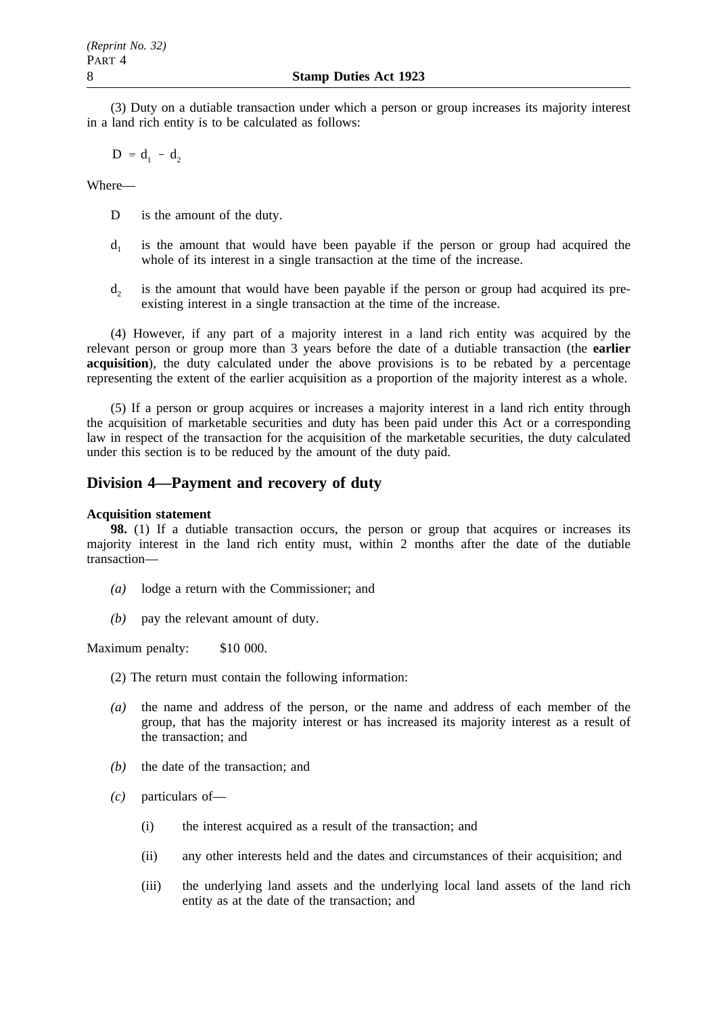(3) Duty on a dutiable transaction under which a person or group increases its majority interest in a land rich entity is to be calculated as follows:

 $D = d_1 - d_2$ 

Where—

- D is the amount of the duty.
- $d_1$  is the amount that would have been payable if the person or group had acquired the whole of its interest in a single transaction at the time of the increase.
- $d<sub>2</sub>$  is the amount that would have been payable if the person or group had acquired its preexisting interest in a single transaction at the time of the increase.

(4) However, if any part of a majority interest in a land rich entity was acquired by the relevant person or group more than 3 years before the date of a dutiable transaction (the **earlier acquisition**), the duty calculated under the above provisions is to be rebated by a percentage representing the extent of the earlier acquisition as a proportion of the majority interest as a whole.

(5) If a person or group acquires or increases a majority interest in a land rich entity through the acquisition of marketable securities and duty has been paid under this Act or a corresponding law in respect of the transaction for the acquisition of the marketable securities, the duty calculated under this section is to be reduced by the amount of the duty paid.

# **Division 4—Payment and recovery of duty**

### **Acquisition statement**

**98.** (1) If a dutiable transaction occurs, the person or group that acquires or increases its majority interest in the land rich entity must, within 2 months after the date of the dutiable transaction—

- *(a)* lodge a return with the Commissioner; and
- *(b)* pay the relevant amount of duty.

Maximum penalty: \$10 000.

- (2) The return must contain the following information:
- *(a)* the name and address of the person, or the name and address of each member of the group, that has the majority interest or has increased its majority interest as a result of the transaction; and
- *(b)* the date of the transaction; and
- *(c)* particulars of—
	- (i) the interest acquired as a result of the transaction; and
	- (ii) any other interests held and the dates and circumstances of their acquisition; and
	- (iii) the underlying land assets and the underlying local land assets of the land rich entity as at the date of the transaction; and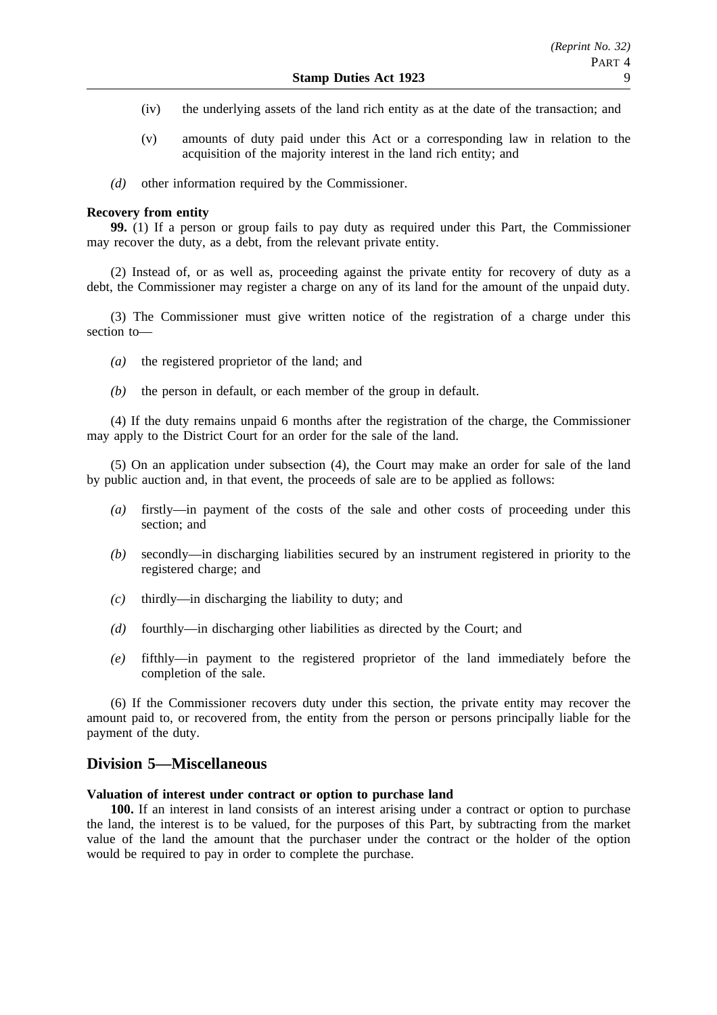- (iv) the underlying assets of the land rich entity as at the date of the transaction; and
- (v) amounts of duty paid under this Act or a corresponding law in relation to the acquisition of the majority interest in the land rich entity; and
- *(d)* other information required by the Commissioner.

#### **Recovery from entity**

**99.** (1) If a person or group fails to pay duty as required under this Part, the Commissioner may recover the duty, as a debt, from the relevant private entity.

(2) Instead of, or as well as, proceeding against the private entity for recovery of duty as a debt, the Commissioner may register a charge on any of its land for the amount of the unpaid duty.

(3) The Commissioner must give written notice of the registration of a charge under this section to—

- *(a)* the registered proprietor of the land; and
- *(b)* the person in default, or each member of the group in default.

(4) If the duty remains unpaid 6 months after the registration of the charge, the Commissioner may apply to the District Court for an order for the sale of the land.

(5) On an application under subsection (4), the Court may make an order for sale of the land by public auction and, in that event, the proceeds of sale are to be applied as follows:

- *(a)* firstly—in payment of the costs of the sale and other costs of proceeding under this section; and
- *(b)* secondly—in discharging liabilities secured by an instrument registered in priority to the registered charge; and
- *(c)* thirdly—in discharging the liability to duty; and
- *(d)* fourthly—in discharging other liabilities as directed by the Court; and
- *(e)* fifthly—in payment to the registered proprietor of the land immediately before the completion of the sale.

(6) If the Commissioner recovers duty under this section, the private entity may recover the amount paid to, or recovered from, the entity from the person or persons principally liable for the payment of the duty.

# **Division 5—Miscellaneous**

#### **Valuation of interest under contract or option to purchase land**

**100.** If an interest in land consists of an interest arising under a contract or option to purchase the land, the interest is to be valued, for the purposes of this Part, by subtracting from the market value of the land the amount that the purchaser under the contract or the holder of the option would be required to pay in order to complete the purchase.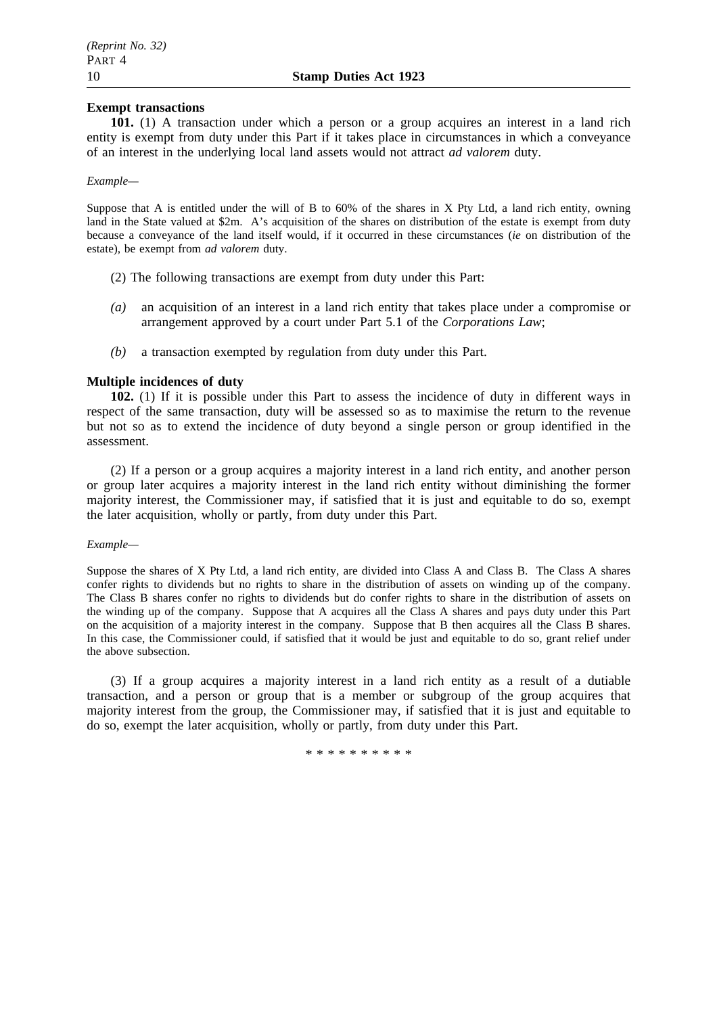## **Exempt transactions**

**101.** (1) A transaction under which a person or a group acquires an interest in a land rich entity is exempt from duty under this Part if it takes place in circumstances in which a conveyance of an interest in the underlying local land assets would not attract *ad valorem* duty.

#### *Example—*

Suppose that A is entitled under the will of B to 60% of the shares in X Pty Ltd, a land rich entity, owning land in the State valued at \$2m. A's acquisition of the shares on distribution of the estate is exempt from duty because a conveyance of the land itself would, if it occurred in these circumstances (*ie* on distribution of the estate), be exempt from *ad valorem* duty.

- (2) The following transactions are exempt from duty under this Part:
- *(a)* an acquisition of an interest in a land rich entity that takes place under a compromise or arrangement approved by a court under Part 5.1 of the *Corporations Law*;
- *(b)* a transaction exempted by regulation from duty under this Part.

## **Multiple incidences of duty**

**102.** (1) If it is possible under this Part to assess the incidence of duty in different ways in respect of the same transaction, duty will be assessed so as to maximise the return to the revenue but not so as to extend the incidence of duty beyond a single person or group identified in the assessment.

(2) If a person or a group acquires a majority interest in a land rich entity, and another person or group later acquires a majority interest in the land rich entity without diminishing the former majority interest, the Commissioner may, if satisfied that it is just and equitable to do so, exempt the later acquisition, wholly or partly, from duty under this Part.

### *Example—*

Suppose the shares of X Pty Ltd, a land rich entity, are divided into Class A and Class B. The Class A shares confer rights to dividends but no rights to share in the distribution of assets on winding up of the company. The Class B shares confer no rights to dividends but do confer rights to share in the distribution of assets on the winding up of the company. Suppose that A acquires all the Class A shares and pays duty under this Part on the acquisition of a majority interest in the company. Suppose that B then acquires all the Class B shares. In this case, the Commissioner could, if satisfied that it would be just and equitable to do so, grant relief under the above subsection.

(3) If a group acquires a majority interest in a land rich entity as a result of a dutiable transaction, and a person or group that is a member or subgroup of the group acquires that majority interest from the group, the Commissioner may, if satisfied that it is just and equitable to do so, exempt the later acquisition, wholly or partly, from duty under this Part.

\*\*\*\*\*\*\*\*\*\*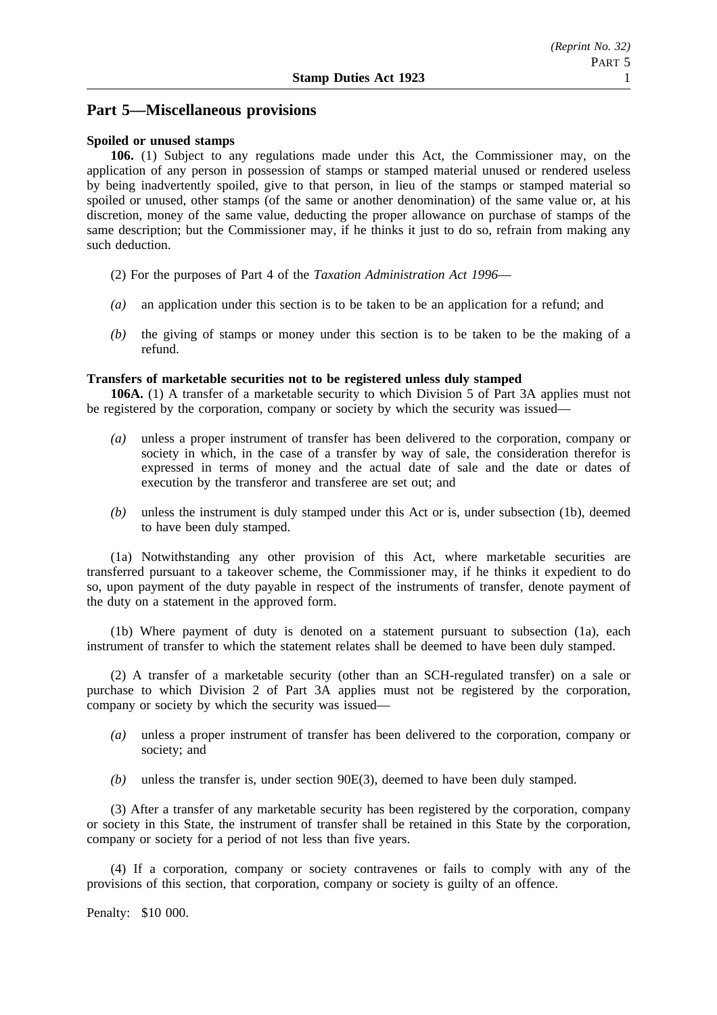# **Part 5—Miscellaneous provisions**

### **Spoiled or unused stamps**

**106.** (1) Subject to any regulations made under this Act, the Commissioner may, on the application of any person in possession of stamps or stamped material unused or rendered useless by being inadvertently spoiled, give to that person, in lieu of the stamps or stamped material so spoiled or unused, other stamps (of the same or another denomination) of the same value or, at his discretion, money of the same value, deducting the proper allowance on purchase of stamps of the same description; but the Commissioner may, if he thinks it just to do so, refrain from making any such deduction.

- (2) For the purposes of Part 4 of the *Taxation Administration Act 1996*—
- *(a)* an application under this section is to be taken to be an application for a refund; and
- *(b)* the giving of stamps or money under this section is to be taken to be the making of a refund.

### **Transfers of marketable securities not to be registered unless duly stamped**

**106A.** (1) A transfer of a marketable security to which Division 5 of Part 3A applies must not be registered by the corporation, company or society by which the security was issued—

- *(a)* unless a proper instrument of transfer has been delivered to the corporation, company or society in which, in the case of a transfer by way of sale, the consideration therefor is expressed in terms of money and the actual date of sale and the date or dates of execution by the transferor and transferee are set out; and
- *(b)* unless the instrument is duly stamped under this Act or is, under subsection (1b), deemed to have been duly stamped.

(1a) Notwithstanding any other provision of this Act, where marketable securities are transferred pursuant to a takeover scheme, the Commissioner may, if he thinks it expedient to do so, upon payment of the duty payable in respect of the instruments of transfer, denote payment of the duty on a statement in the approved form.

(1b) Where payment of duty is denoted on a statement pursuant to subsection (1a), each instrument of transfer to which the statement relates shall be deemed to have been duly stamped.

(2) A transfer of a marketable security (other than an SCH-regulated transfer) on a sale or purchase to which Division 2 of Part 3A applies must not be registered by the corporation, company or society by which the security was issued—

- *(a)* unless a proper instrument of transfer has been delivered to the corporation, company or society; and
- *(b)* unless the transfer is, under section 90E(3), deemed to have been duly stamped.

(3) After a transfer of any marketable security has been registered by the corporation, company or society in this State, the instrument of transfer shall be retained in this State by the corporation, company or society for a period of not less than five years.

(4) If a corporation, company or society contravenes or fails to comply with any of the provisions of this section, that corporation, company or society is guilty of an offence.

Penalty: \$10 000.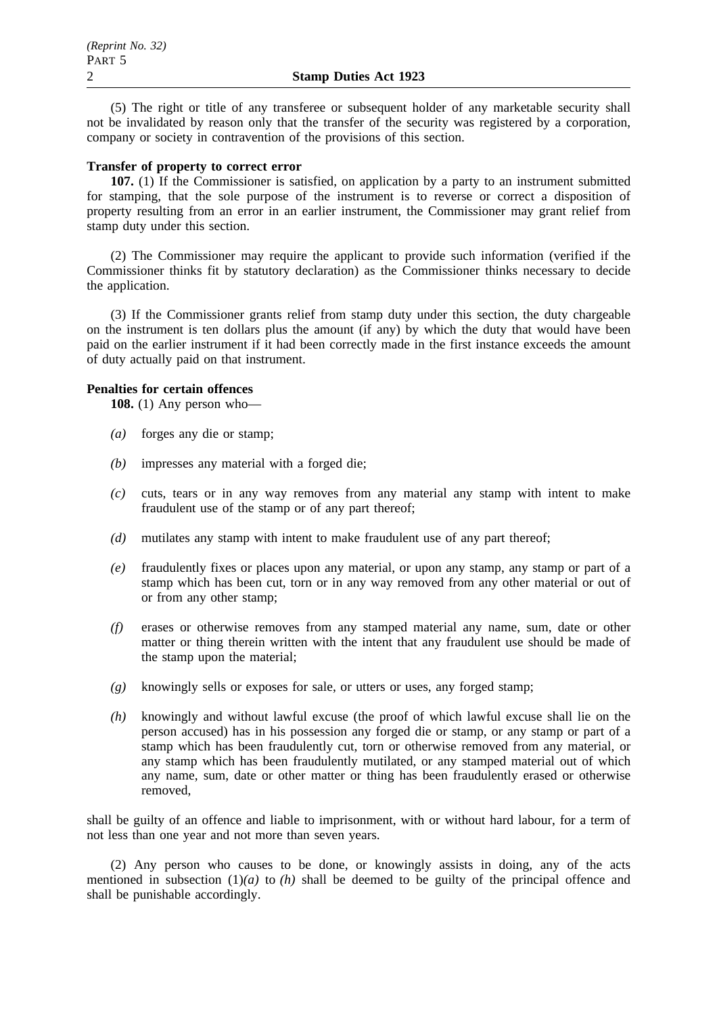(5) The right or title of any transferee or subsequent holder of any marketable security shall not be invalidated by reason only that the transfer of the security was registered by a corporation, company or society in contravention of the provisions of this section.

#### **Transfer of property to correct error**

**107.** (1) If the Commissioner is satisfied, on application by a party to an instrument submitted for stamping, that the sole purpose of the instrument is to reverse or correct a disposition of property resulting from an error in an earlier instrument, the Commissioner may grant relief from stamp duty under this section.

(2) The Commissioner may require the applicant to provide such information (verified if the Commissioner thinks fit by statutory declaration) as the Commissioner thinks necessary to decide the application.

(3) If the Commissioner grants relief from stamp duty under this section, the duty chargeable on the instrument is ten dollars plus the amount (if any) by which the duty that would have been paid on the earlier instrument if it had been correctly made in the first instance exceeds the amount of duty actually paid on that instrument.

### **Penalties for certain offences**

**108.** (1) Any person who—

- *(a)* forges any die or stamp;
- *(b)* impresses any material with a forged die;
- *(c)* cuts, tears or in any way removes from any material any stamp with intent to make fraudulent use of the stamp or of any part thereof;
- *(d)* mutilates any stamp with intent to make fraudulent use of any part thereof;
- *(e)* fraudulently fixes or places upon any material, or upon any stamp, any stamp or part of a stamp which has been cut, torn or in any way removed from any other material or out of or from any other stamp;
- *(f)* erases or otherwise removes from any stamped material any name, sum, date or other matter or thing therein written with the intent that any fraudulent use should be made of the stamp upon the material;
- *(g)* knowingly sells or exposes for sale, or utters or uses, any forged stamp;
- *(h)* knowingly and without lawful excuse (the proof of which lawful excuse shall lie on the person accused) has in his possession any forged die or stamp, or any stamp or part of a stamp which has been fraudulently cut, torn or otherwise removed from any material, or any stamp which has been fraudulently mutilated, or any stamped material out of which any name, sum, date or other matter or thing has been fraudulently erased or otherwise removed,

shall be guilty of an offence and liable to imprisonment, with or without hard labour, for a term of not less than one year and not more than seven years.

(2) Any person who causes to be done, or knowingly assists in doing, any of the acts mentioned in subsection  $(1)(a)$  to  $(h)$  shall be deemed to be guilty of the principal offence and shall be punishable accordingly.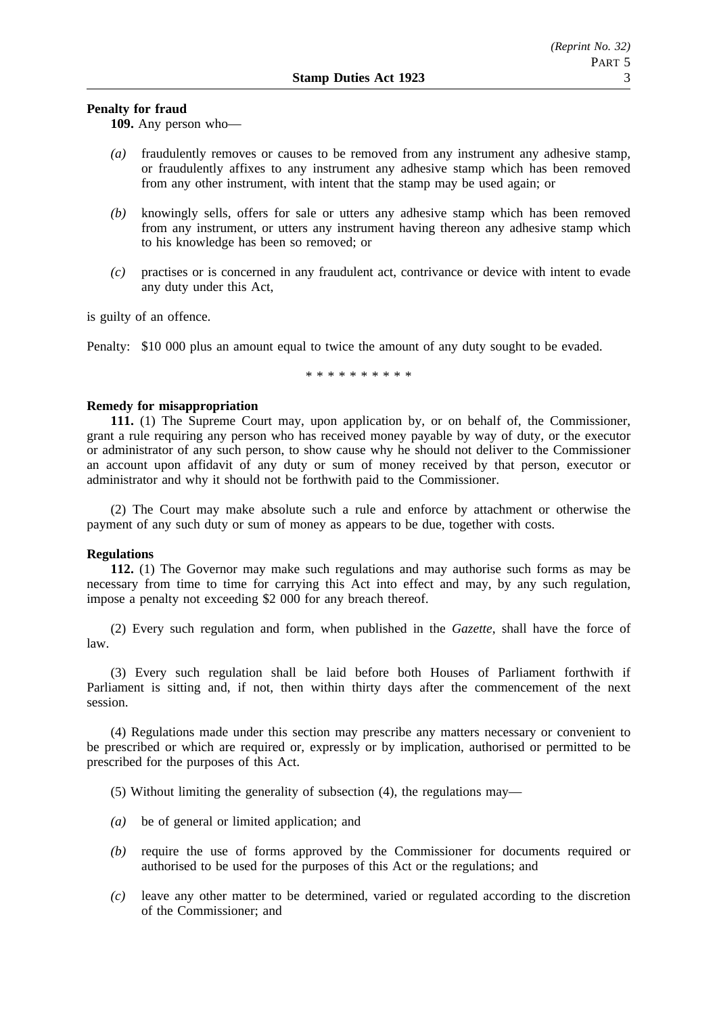### **Penalty for fraud**

**109.** Any person who—

- *(a)* fraudulently removes or causes to be removed from any instrument any adhesive stamp, or fraudulently affixes to any instrument any adhesive stamp which has been removed from any other instrument, with intent that the stamp may be used again; or
- *(b)* knowingly sells, offers for sale or utters any adhesive stamp which has been removed from any instrument, or utters any instrument having thereon any adhesive stamp which to his knowledge has been so removed; or
- *(c)* practises or is concerned in any fraudulent act, contrivance or device with intent to evade any duty under this Act,

is guilty of an offence.

Penalty: \$10 000 plus an amount equal to twice the amount of any duty sought to be evaded.

\*\*\*\*\*\*\*\*\*\*

#### **Remedy for misappropriation**

**111.** (1) The Supreme Court may, upon application by, or on behalf of, the Commissioner, grant a rule requiring any person who has received money payable by way of duty, or the executor or administrator of any such person, to show cause why he should not deliver to the Commissioner an account upon affidavit of any duty or sum of money received by that person, executor or administrator and why it should not be forthwith paid to the Commissioner.

(2) The Court may make absolute such a rule and enforce by attachment or otherwise the payment of any such duty or sum of money as appears to be due, together with costs.

### **Regulations**

**112.** (1) The Governor may make such regulations and may authorise such forms as may be necessary from time to time for carrying this Act into effect and may, by any such regulation, impose a penalty not exceeding \$2 000 for any breach thereof.

(2) Every such regulation and form, when published in the *Gazette*, shall have the force of law.

(3) Every such regulation shall be laid before both Houses of Parliament forthwith if Parliament is sitting and, if not, then within thirty days after the commencement of the next session.

(4) Regulations made under this section may prescribe any matters necessary or convenient to be prescribed or which are required or, expressly or by implication, authorised or permitted to be prescribed for the purposes of this Act.

(5) Without limiting the generality of subsection (4), the regulations may—

- *(a)* be of general or limited application; and
- *(b)* require the use of forms approved by the Commissioner for documents required or authorised to be used for the purposes of this Act or the regulations; and
- *(c)* leave any other matter to be determined, varied or regulated according to the discretion of the Commissioner; and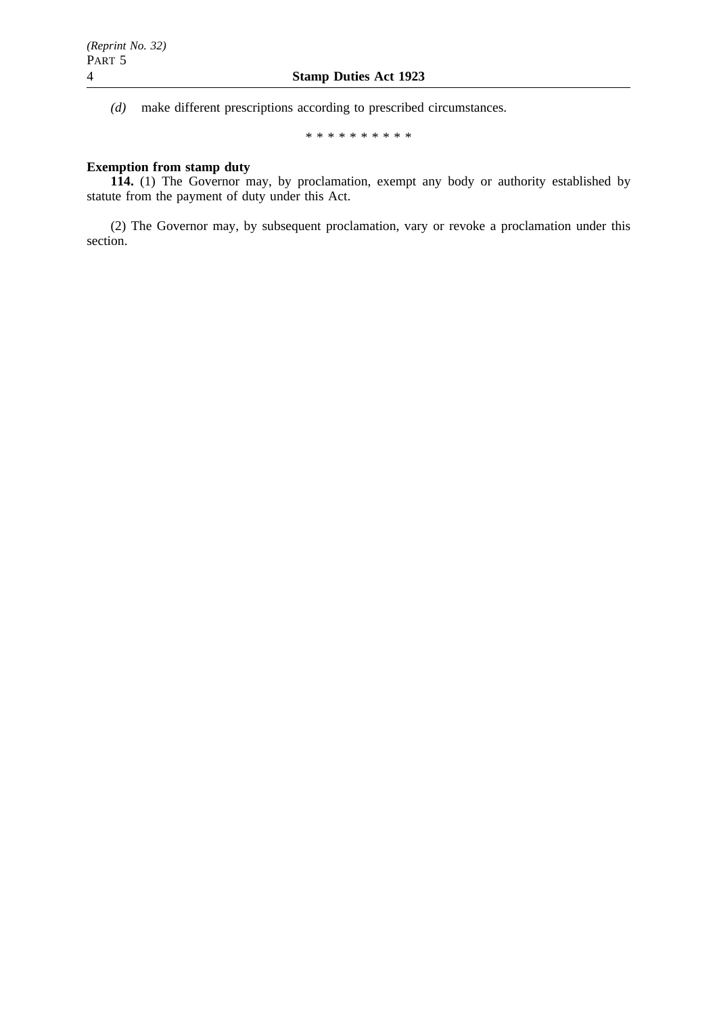*(d)* make different prescriptions according to prescribed circumstances.

\*\*\*\*\*\*\*\*\*\*

# **Exemption from stamp duty**

**114.** (1) The Governor may, by proclamation, exempt any body or authority established by statute from the payment of duty under this Act.

(2) The Governor may, by subsequent proclamation, vary or revoke a proclamation under this section.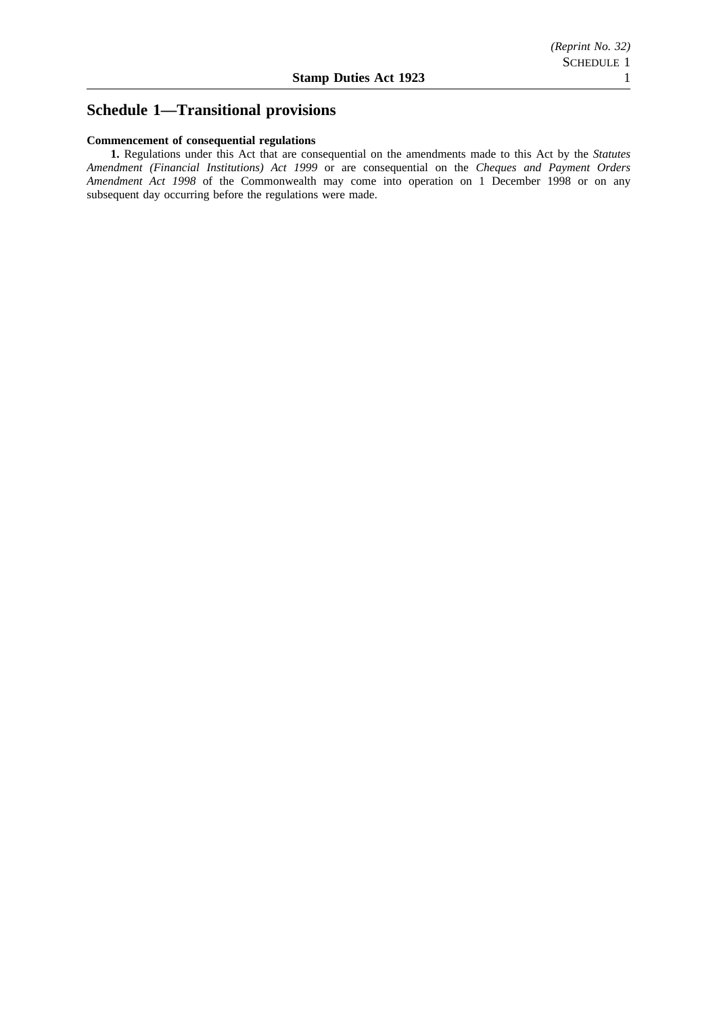# **Schedule 1—Transitional provisions**

### **Commencement of consequential regulations**

**1.** Regulations under this Act that are consequential on the amendments made to this Act by the *Statutes Amendment (Financial Institutions) Act 1999* or are consequential on the *Cheques and Payment Orders Amendment Act 1998* of the Commonwealth may come into operation on 1 December 1998 or on any subsequent day occurring before the regulations were made.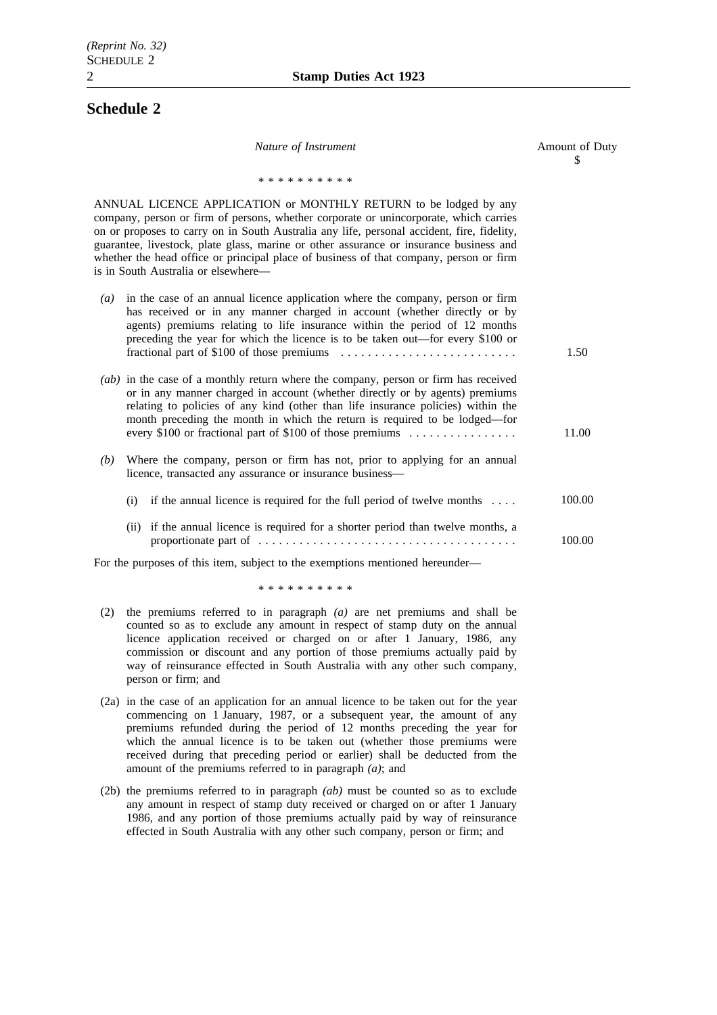# **Schedule 2**

| Nature of Instrument                                                                                                                                                                                                                                                                                                                                                                                                                                                               | Amount of Duty<br>S |
|------------------------------------------------------------------------------------------------------------------------------------------------------------------------------------------------------------------------------------------------------------------------------------------------------------------------------------------------------------------------------------------------------------------------------------------------------------------------------------|---------------------|
| * * * * * * * * * *                                                                                                                                                                                                                                                                                                                                                                                                                                                                |                     |
| ANNUAL LICENCE APPLICATION or MONTHLY RETURN to be lodged by any<br>company, person or firm of persons, whether corporate or unincorporate, which carries<br>on or proposes to carry on in South Australia any life, personal accident, fire, fidelity,<br>guarantee, livestock, plate glass, marine or other assurance or insurance business and<br>whether the head office or principal place of business of that company, person or firm<br>is in South Australia or elsewhere- |                     |
| in the case of an annual licence application where the company, person or firm<br>$\left( a\right)$<br>has received or in any manner charged in account (whether directly or by<br>agents) premiums relating to life insurance within the period of 12 months<br>preceding the year for which the licence is to be taken out—for every \$100 or                                                                                                                                    | 1.50                |
| (ab) in the case of a monthly return where the company, person or firm has received<br>or in any manner charged in account (whether directly or by agents) premiums<br>relating to policies of any kind (other than life insurance policies) within the<br>month preceding the month in which the return is required to be lodged—for<br>every \$100 or fractional part of \$100 of those premiums                                                                                 | 11.00               |
| Where the company, person or firm has not, prior to applying for an annual<br>(b)<br>licence, transacted any assurance or insurance business-                                                                                                                                                                                                                                                                                                                                      |                     |
| (i) if the annual licence is required for the full period of twelve months $\dots$                                                                                                                                                                                                                                                                                                                                                                                                 | 100.00              |
| (ii) if the annual licence is required for a shorter period than twelve months, a                                                                                                                                                                                                                                                                                                                                                                                                  | 100.00              |
| For the purposes of this item, subject to the exemptions mentioned hereunder-                                                                                                                                                                                                                                                                                                                                                                                                      |                     |
| * * * * * * * * * *                                                                                                                                                                                                                                                                                                                                                                                                                                                                |                     |
|                                                                                                                                                                                                                                                                                                                                                                                                                                                                                    |                     |

- (2) the premiums referred to in paragraph *(a)* are net premiums and shall be counted so as to exclude any amount in respect of stamp duty on the annual licence application received or charged on or after 1 January, 1986, any commission or discount and any portion of those premiums actually paid by way of reinsurance effected in South Australia with any other such company, person or firm; and
- (2a) in the case of an application for an annual licence to be taken out for the year commencing on 1 January, 1987, or a subsequent year, the amount of any premiums refunded during the period of 12 months preceding the year for which the annual licence is to be taken out (whether those premiums were received during that preceding period or earlier) shall be deducted from the amount of the premiums referred to in paragraph *(a)*; and
- (2b) the premiums referred to in paragraph *(ab)* must be counted so as to exclude any amount in respect of stamp duty received or charged on or after 1 January 1986, and any portion of those premiums actually paid by way of reinsurance effected in South Australia with any other such company, person or firm; and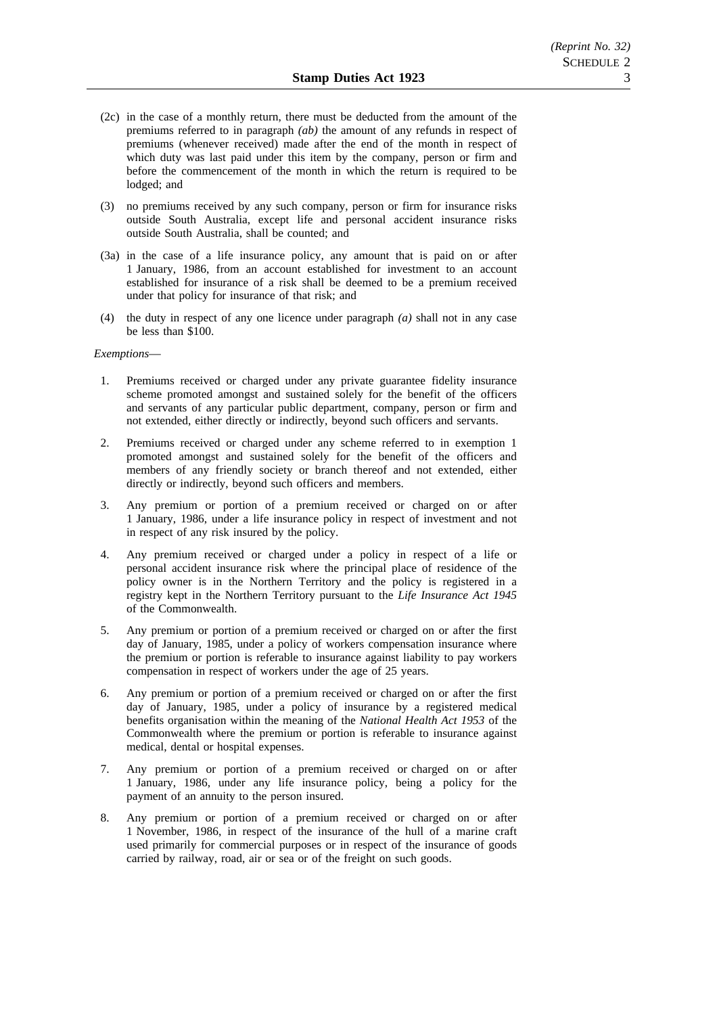- (2c) in the case of a monthly return, there must be deducted from the amount of the premiums referred to in paragraph *(ab)* the amount of any refunds in respect of premiums (whenever received) made after the end of the month in respect of which duty was last paid under this item by the company, person or firm and before the commencement of the month in which the return is required to be lodged; and
- (3) no premiums received by any such company, person or firm for insurance risks outside South Australia, except life and personal accident insurance risks outside South Australia, shall be counted; and
- (3a) in the case of a life insurance policy, any amount that is paid on or after 1 January, 1986, from an account established for investment to an account established for insurance of a risk shall be deemed to be a premium received under that policy for insurance of that risk; and
- (4) the duty in respect of any one licence under paragraph *(a)* shall not in any case be less than \$100.

#### *Exemptions*—

- 1. Premiums received or charged under any private guarantee fidelity insurance scheme promoted amongst and sustained solely for the benefit of the officers and servants of any particular public department, company, person or firm and not extended, either directly or indirectly, beyond such officers and servants.
- 2. Premiums received or charged under any scheme referred to in exemption 1 promoted amongst and sustained solely for the benefit of the officers and members of any friendly society or branch thereof and not extended, either directly or indirectly, beyond such officers and members.
- 3. Any premium or portion of a premium received or charged on or after 1 January, 1986, under a life insurance policy in respect of investment and not in respect of any risk insured by the policy.
- 4. Any premium received or charged under a policy in respect of a life or personal accident insurance risk where the principal place of residence of the policy owner is in the Northern Territory and the policy is registered in a registry kept in the Northern Territory pursuant to the *Life Insurance Act 1945* of the Commonwealth.
- 5. Any premium or portion of a premium received or charged on or after the first day of January, 1985, under a policy of workers compensation insurance where the premium or portion is referable to insurance against liability to pay workers compensation in respect of workers under the age of 25 years.
- 6. Any premium or portion of a premium received or charged on or after the first day of January, 1985, under a policy of insurance by a registered medical benefits organisation within the meaning of the *National Health Act 1953* of the Commonwealth where the premium or portion is referable to insurance against medical, dental or hospital expenses.
- 7. Any premium or portion of a premium received or charged on or after 1 January, 1986, under any life insurance policy, being a policy for the payment of an annuity to the person insured.
- 8. Any premium or portion of a premium received or charged on or after 1 November, 1986, in respect of the insurance of the hull of a marine craft used primarily for commercial purposes or in respect of the insurance of goods carried by railway, road, air or sea or of the freight on such goods.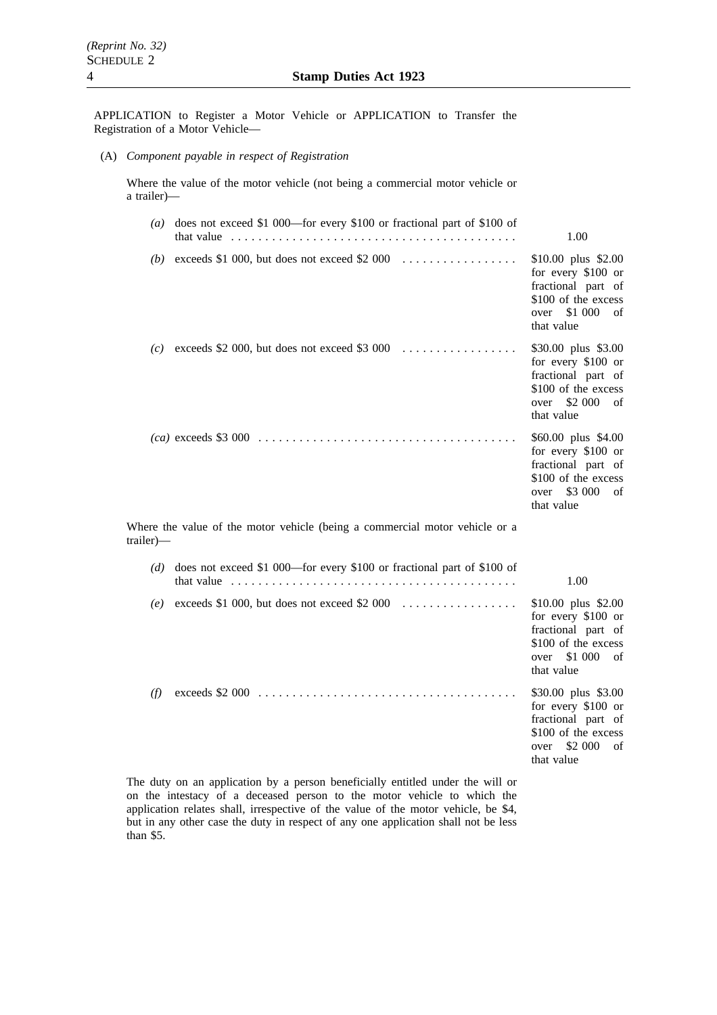APPLICATION to Register a Motor Vehicle or APPLICATION to Transfer the Registration of a Motor Vehicle—

(A) *Component payable in respect of Registration*

Where the value of the motor vehicle (not being a commercial motor vehicle or a trailer)—

|           | (a) does not exceed \$1 000—for every \$100 or fractional part of \$100 of<br>that value $\ldots \ldots \ldots \ldots \ldots \ldots \ldots \ldots \ldots \ldots \ldots \ldots$ | 1.00                                                                                                                          |
|-----------|--------------------------------------------------------------------------------------------------------------------------------------------------------------------------------|-------------------------------------------------------------------------------------------------------------------------------|
|           | (b) exceeds \$1 000, but does not exceed \$2 000 $\ldots$                                                                                                                      | \$10.00 plus \$2.00<br>for every \$100 or<br>fractional part of<br>\$100 of the excess<br>\$1 000<br>over<br>of<br>that value |
|           | (c) exceeds \$2 000, but does not exceed \$3 000 $\ldots$                                                                                                                      | \$30.00 plus \$3.00<br>for every \$100 or<br>fractional part of<br>\$100 of the excess<br>\$2 000<br>over<br>of<br>that value |
|           |                                                                                                                                                                                | \$60.00 plus \$4.00<br>for every \$100 or<br>fractional part of<br>\$100 of the excess<br>over \$3 000<br>of<br>that value    |
| trailer)— | Where the value of the motor vehicle (being a commercial motor vehicle or a                                                                                                    |                                                                                                                               |
| (d)       | does not exceed \$1 000—for every \$100 or fractional part of \$100 of<br>that value $\ldots \ldots \ldots \ldots \ldots \ldots \ldots \ldots \ldots \ldots \ldots \ldots$     | 1.00                                                                                                                          |
| (e)       | exceeds \$1 000, but does not exceed \$2 000 $\dots\dots\dots\dots\dots\dots$                                                                                                  | \$10.00 plus \$2.00<br>for every \$100 or<br>fractional part of<br>\$100 of the excess<br>\$1 000<br>over<br>of<br>that value |
| (f)       |                                                                                                                                                                                | \$30.00 plus \$3.00<br>for every \$100 or<br>fractional part of<br>\$100 of the excess<br>\$2 000<br>over<br>of<br>that value |

The duty on an application by a person beneficially entitled under the will or on the intestacy of a deceased person to the motor vehicle to which the application relates shall, irrespective of the value of the motor vehicle, be \$4, but in any other case the duty in respect of any one application shall not be less than \$5.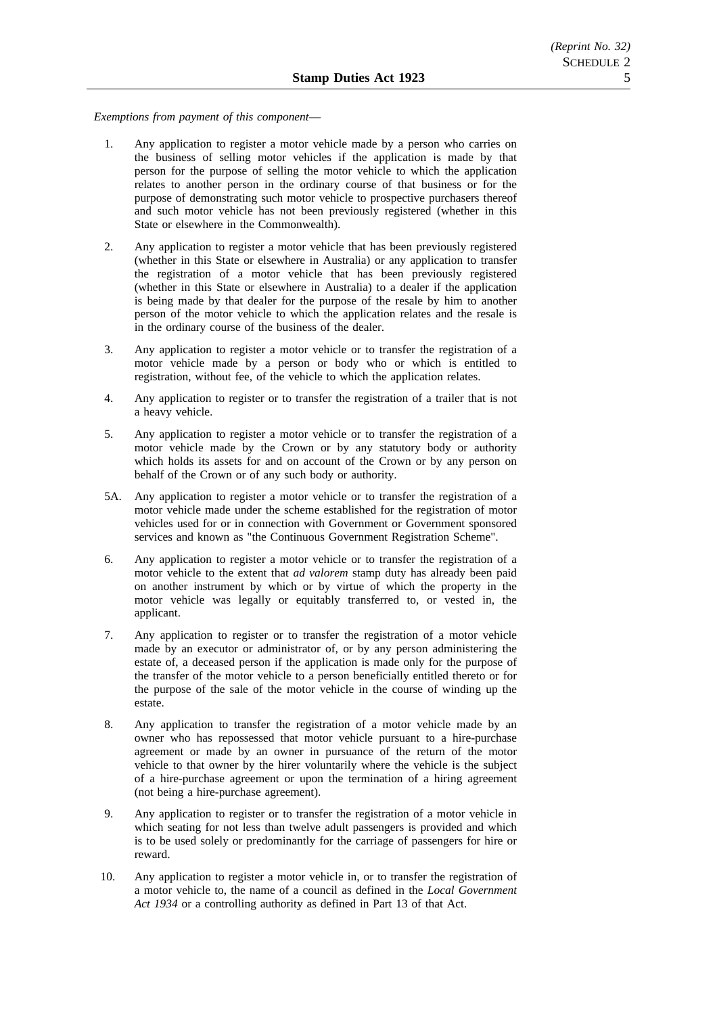*Exemptions from payment of this component*—

- 1. Any application to register a motor vehicle made by a person who carries on the business of selling motor vehicles if the application is made by that person for the purpose of selling the motor vehicle to which the application relates to another person in the ordinary course of that business or for the purpose of demonstrating such motor vehicle to prospective purchasers thereof and such motor vehicle has not been previously registered (whether in this State or elsewhere in the Commonwealth).
- 2. Any application to register a motor vehicle that has been previously registered (whether in this State or elsewhere in Australia) or any application to transfer the registration of a motor vehicle that has been previously registered (whether in this State or elsewhere in Australia) to a dealer if the application is being made by that dealer for the purpose of the resale by him to another person of the motor vehicle to which the application relates and the resale is in the ordinary course of the business of the dealer.
- 3. Any application to register a motor vehicle or to transfer the registration of a motor vehicle made by a person or body who or which is entitled to registration, without fee, of the vehicle to which the application relates.
- 4. Any application to register or to transfer the registration of a trailer that is not a heavy vehicle.
- 5. Any application to register a motor vehicle or to transfer the registration of a motor vehicle made by the Crown or by any statutory body or authority which holds its assets for and on account of the Crown or by any person on behalf of the Crown or of any such body or authority.
- 5A. Any application to register a motor vehicle or to transfer the registration of a motor vehicle made under the scheme established for the registration of motor vehicles used for or in connection with Government or Government sponsored services and known as "the Continuous Government Registration Scheme".
- 6. Any application to register a motor vehicle or to transfer the registration of a motor vehicle to the extent that *ad valorem* stamp duty has already been paid on another instrument by which or by virtue of which the property in the motor vehicle was legally or equitably transferred to, or vested in, the applicant.
- 7. Any application to register or to transfer the registration of a motor vehicle made by an executor or administrator of, or by any person administering the estate of, a deceased person if the application is made only for the purpose of the transfer of the motor vehicle to a person beneficially entitled thereto or for the purpose of the sale of the motor vehicle in the course of winding up the estate.
- 8. Any application to transfer the registration of a motor vehicle made by an owner who has repossessed that motor vehicle pursuant to a hire-purchase agreement or made by an owner in pursuance of the return of the motor vehicle to that owner by the hirer voluntarily where the vehicle is the subject of a hire-purchase agreement or upon the termination of a hiring agreement (not being a hire-purchase agreement).
- 9. Any application to register or to transfer the registration of a motor vehicle in which seating for not less than twelve adult passengers is provided and which is to be used solely or predominantly for the carriage of passengers for hire or reward.
- 10. Any application to register a motor vehicle in, or to transfer the registration of a motor vehicle to, the name of a council as defined in the *Local Government Act 1934* or a controlling authority as defined in Part 13 of that Act.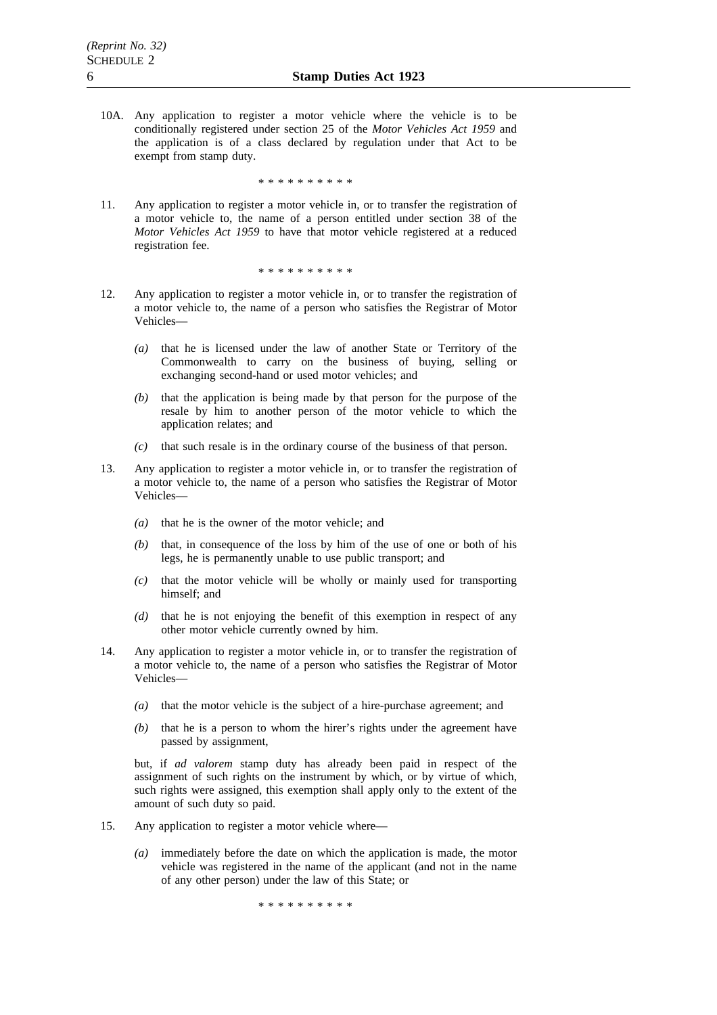10A. Any application to register a motor vehicle where the vehicle is to be conditionally registered under section 25 of the *Motor Vehicles Act 1959* and the application is of a class declared by regulation under that Act to be exempt from stamp duty.

\*\*\*\*\*\*\*\*\*\*

11. Any application to register a motor vehicle in, or to transfer the registration of a motor vehicle to, the name of a person entitled under section 38 of the *Motor Vehicles Act 1959* to have that motor vehicle registered at a reduced registration fee.

\*\*\*\*\*\*\*\*\*\*

- 12. Any application to register a motor vehicle in, or to transfer the registration of a motor vehicle to, the name of a person who satisfies the Registrar of Motor Vehicles—
	- *(a)* that he is licensed under the law of another State or Territory of the Commonwealth to carry on the business of buying, selling or exchanging second-hand or used motor vehicles; and
	- *(b)* that the application is being made by that person for the purpose of the resale by him to another person of the motor vehicle to which the application relates; and
	- *(c)* that such resale is in the ordinary course of the business of that person.
- 13. Any application to register a motor vehicle in, or to transfer the registration of a motor vehicle to, the name of a person who satisfies the Registrar of Motor Vehicles—
	- *(a)* that he is the owner of the motor vehicle; and
	- *(b)* that, in consequence of the loss by him of the use of one or both of his legs, he is permanently unable to use public transport; and
	- *(c)* that the motor vehicle will be wholly or mainly used for transporting himself; and
	- *(d)* that he is not enjoying the benefit of this exemption in respect of any other motor vehicle currently owned by him.
- 14. Any application to register a motor vehicle in, or to transfer the registration of a motor vehicle to, the name of a person who satisfies the Registrar of Motor Vehicles—
	- *(a)* that the motor vehicle is the subject of a hire-purchase agreement; and
	- *(b)* that he is a person to whom the hirer's rights under the agreement have passed by assignment,

but, if *ad valorem* stamp duty has already been paid in respect of the assignment of such rights on the instrument by which, or by virtue of which, such rights were assigned, this exemption shall apply only to the extent of the amount of such duty so paid.

- 15. Any application to register a motor vehicle where—
	- *(a)* immediately before the date on which the application is made, the motor vehicle was registered in the name of the applicant (and not in the name of any other person) under the law of this State; or

\*\*\*\*\*\*\*\*\*\*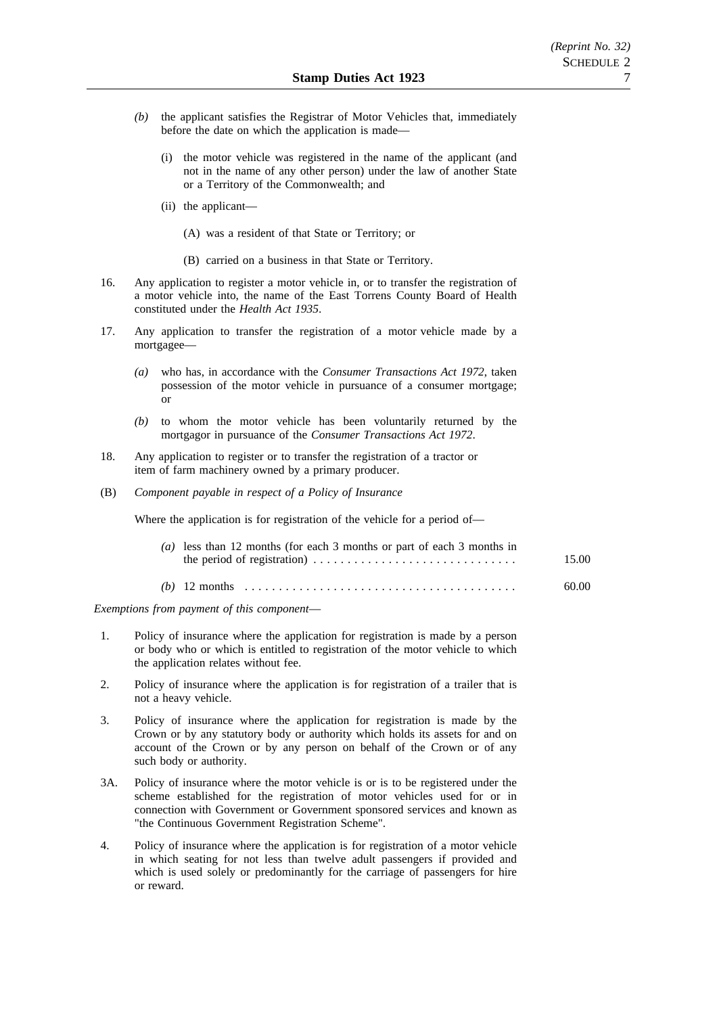- *(b)* the applicant satisfies the Registrar of Motor Vehicles that, immediately before the date on which the application is made—
	- (i) the motor vehicle was registered in the name of the applicant (and not in the name of any other person) under the law of another State or a Territory of the Commonwealth; and
	- (ii) the applicant—
		- (A) was a resident of that State or Territory; or
		- (B) carried on a business in that State or Territory.
- 16. Any application to register a motor vehicle in, or to transfer the registration of a motor vehicle into, the name of the East Torrens County Board of Health constituted under the *Health Act 1935*.
- 17. Any application to transfer the registration of a motor vehicle made by a mortgagee—
	- *(a)* who has, in accordance with the *Consumer Transactions Act 1972*, taken possession of the motor vehicle in pursuance of a consumer mortgage; or
	- *(b)* to whom the motor vehicle has been voluntarily returned by the mortgagor in pursuance of the *Consumer Transactions Act 1972*.
- 18. Any application to register or to transfer the registration of a tractor or item of farm machinery owned by a primary producer.
- (B) *Component payable in respect of a Policy of Insurance*

Where the application is for registration of the vehicle for a period of—

| (a) less than 12 months (for each 3 months or part of each 3 months in<br>the period of registration) $\dots \dots \dots \dots \dots \dots \dots \dots \dots \dots$ | 15.00 |
|---------------------------------------------------------------------------------------------------------------------------------------------------------------------|-------|
|                                                                                                                                                                     | 60.00 |

*Exemptions from payment of this component*—

- 1. Policy of insurance where the application for registration is made by a person or body who or which is entitled to registration of the motor vehicle to which the application relates without fee.
- 2. Policy of insurance where the application is for registration of a trailer that is not a heavy vehicle.
- 3. Policy of insurance where the application for registration is made by the Crown or by any statutory body or authority which holds its assets for and on account of the Crown or by any person on behalf of the Crown or of any such body or authority.
- 3A. Policy of insurance where the motor vehicle is or is to be registered under the scheme established for the registration of motor vehicles used for or in connection with Government or Government sponsored services and known as "the Continuous Government Registration Scheme".
- 4. Policy of insurance where the application is for registration of a motor vehicle in which seating for not less than twelve adult passengers if provided and which is used solely or predominantly for the carriage of passengers for hire or reward.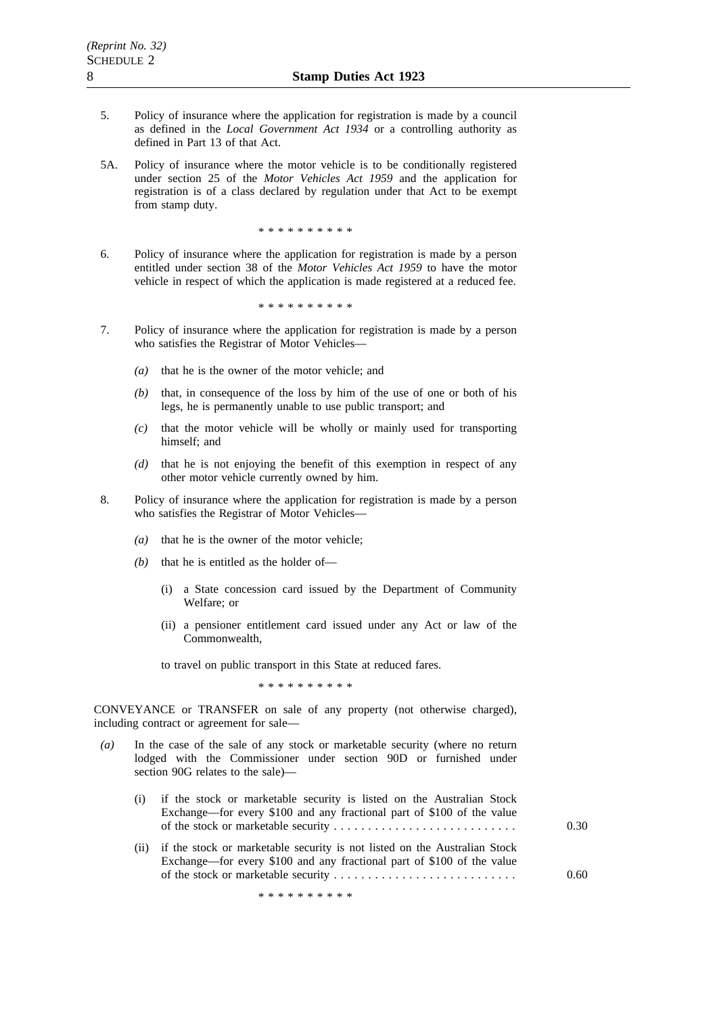- 5. Policy of insurance where the application for registration is made by a council as defined in the *Local Government Act 1934* or a controlling authority as defined in Part 13 of that Act.
- 5A. Policy of insurance where the motor vehicle is to be conditionally registered under section 25 of the *Motor Vehicles Act 1959* and the application for registration is of a class declared by regulation under that Act to be exempt from stamp duty.

\*\*\*\*\*\*\*\*\*\*

6. Policy of insurance where the application for registration is made by a person entitled under section 38 of the *Motor Vehicles Act 1959* to have the motor vehicle in respect of which the application is made registered at a reduced fee.

\*\*\*\*\*\*\*\*\*\*

- 7. Policy of insurance where the application for registration is made by a person who satisfies the Registrar of Motor Vehicles—
	- *(a)* that he is the owner of the motor vehicle; and
	- *(b)* that, in consequence of the loss by him of the use of one or both of his legs, he is permanently unable to use public transport; and
	- *(c)* that the motor vehicle will be wholly or mainly used for transporting himself; and
	- *(d)* that he is not enjoying the benefit of this exemption in respect of any other motor vehicle currently owned by him.
- 8. Policy of insurance where the application for registration is made by a person who satisfies the Registrar of Motor Vehicles—
	- *(a)* that he is the owner of the motor vehicle;
	- *(b)* that he is entitled as the holder of—
		- (i) a State concession card issued by the Department of Community Welfare; or
		- (ii) a pensioner entitlement card issued under any Act or law of the Commonwealth,

to travel on public transport in this State at reduced fares.

\*\*\*\*\*\*\*\*\*\*

CONVEYANCE or TRANSFER on sale of any property (not otherwise charged), including contract or agreement for sale—

*(a)* In the case of the sale of any stock or marketable security (where no return lodged with the Commissioner under section 90D or furnished under section 90G relates to the sale)—

| (i) if the stock or marketable security is listed on the Australian Stock<br>Exchange—for every \$100 and any fractional part of \$100 of the value | 0.30 |
|-----------------------------------------------------------------------------------------------------------------------------------------------------|------|
| (ii) if the stock or marketable security is not listed on the Australian Stock                                                                      |      |

Exchange—for every \$100 and any fractional part of \$100 of the value of the stock or marketable security ........................... 0.60

\*\*\*\*\*\*\*\*\*\*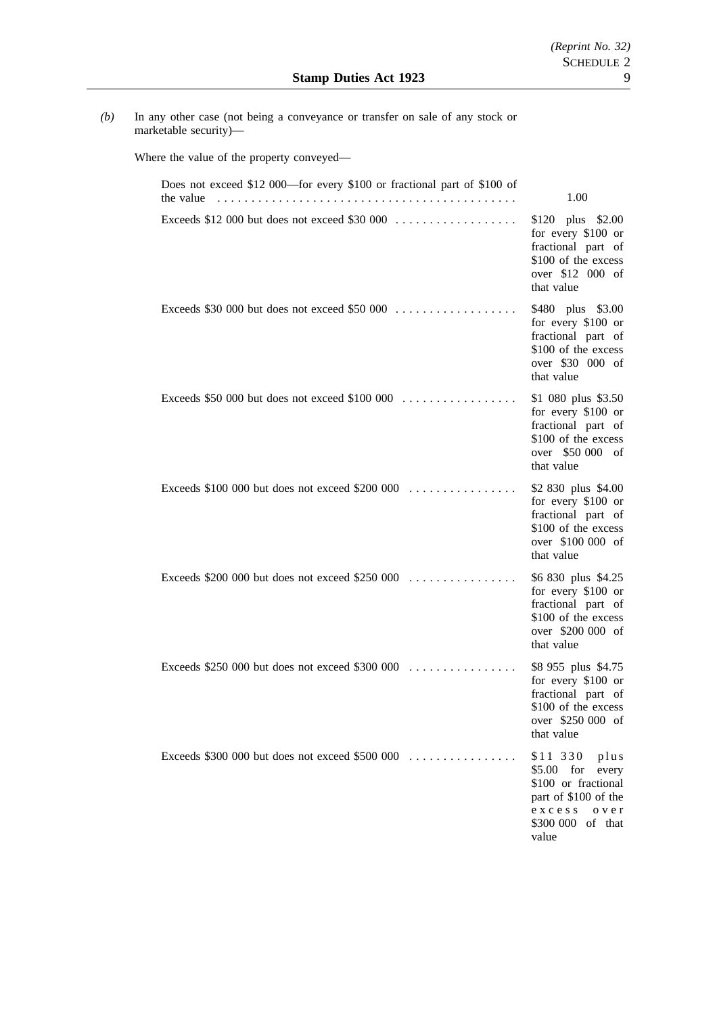*(b)* In any other case (not being a conveyance or transfer on sale of any stock or marketable security)—

Where the value of the property conveyed—

| Does not exceed \$12 000—for every \$100 or fractional part of \$100 of<br>the value | 1.00                                                                                                                                       |
|--------------------------------------------------------------------------------------|--------------------------------------------------------------------------------------------------------------------------------------------|
| Exceeds \$12 000 but does not exceed \$30 000 $\dots\dots\dots\dots\dots\dots$       | \$120 plus \$2.00<br>for every \$100 or<br>fractional part of<br>\$100 of the excess<br>over \$12 000 of<br>that value                     |
|                                                                                      | \$480 plus \$3.00<br>for every \$100 or<br>fractional part of<br>\$100 of the excess<br>over \$30 000 of<br>that value                     |
|                                                                                      | \$1 080 plus \$3.50<br>for every \$100 or<br>fractional part of<br>\$100 of the excess<br>over \$50 000 of<br>that value                   |
| Exceeds \$100 000 but does not exceed \$200 000 $\dots$                              | \$2 830 plus \$4.00<br>for every \$100 or<br>fractional part of<br>\$100 of the excess<br>over \$100 000 of<br>that value                  |
| Exceeds $$200,000$ but does not exceed $$250,000$                                    | \$6 830 plus \$4.25<br>for every \$100 or<br>fractional part of<br>\$100 of the excess<br>over \$200 000 of<br>that value                  |
| Exceeds $$250,000$ but does not exceed $$300,000$                                    | \$8 955 plus \$4.75<br>for every \$100 or<br>fractional part of<br>\$100 of the excess<br>over \$250 000 of<br>that value                  |
| Exceeds $$300,000$ but does not exceed $$500,000$                                    | \$11 330<br>plus<br>$$5.00$ for<br>every<br>\$100 or fractional<br>part of \$100 of the<br>excess<br>o v e r<br>\$300 000 of that<br>value |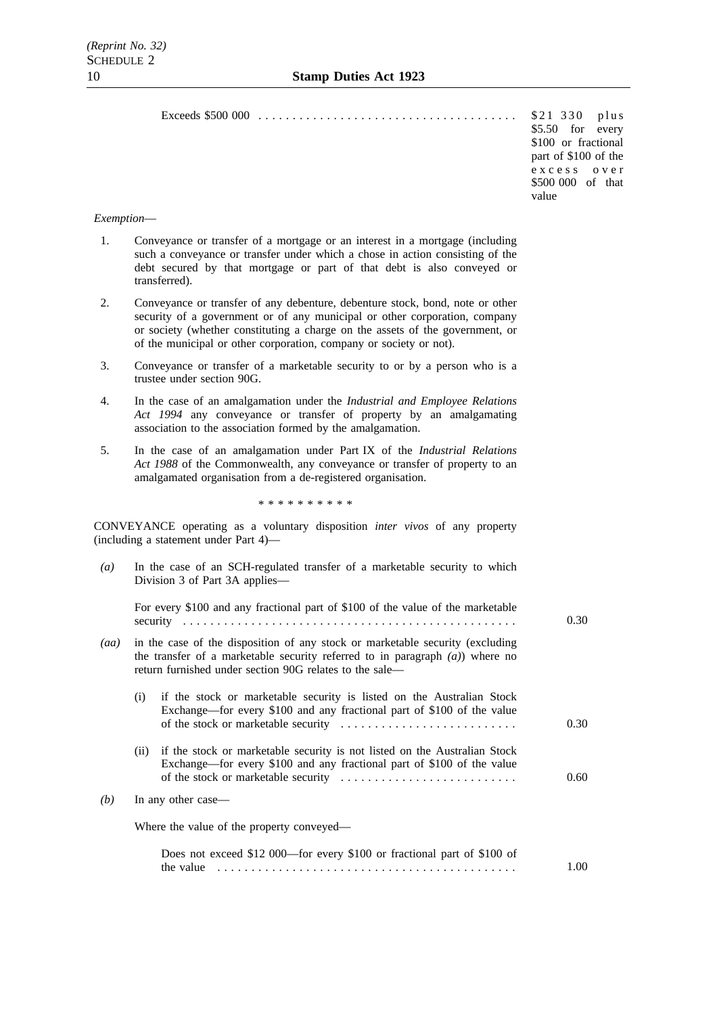Exceeds \$500 000 . . . . . . . . . . . . . . . . . . . . . . . . . . . . . . . . . . . . . . \$21 330 plus

\$21 330 plus<br>\$5.50 for every \$100 or fractional part of \$100 of the excess over \$500 000 of that value

### *Exemption*—

- 1. Conveyance or transfer of a mortgage or an interest in a mortgage (including such a conveyance or transfer under which a chose in action consisting of the debt secured by that mortgage or part of that debt is also conveyed or transferred).
- 2. Conveyance or transfer of any debenture, debenture stock, bond, note or other security of a government or of any municipal or other corporation, company or society (whether constituting a charge on the assets of the government, or of the municipal or other corporation, company or society or not).
- 3. Conveyance or transfer of a marketable security to or by a person who is a trustee under section 90G.
- 4. In the case of an amalgamation under the *Industrial and Employee Relations Act 1994* any conveyance or transfer of property by an amalgamating association to the association formed by the amalgamation.
- 5. In the case of an amalgamation under Part IX of the *Industrial Relations Act 1988* of the Commonwealth, any conveyance or transfer of property to an amalgamated organisation from a de-registered organisation.

\*\*\*\*\*\*\*\*\*\*

CONVEYANCE operating as a voluntary disposition *inter vivos* of any property (including a statement under Part 4)—

| $\left(a\right)$ | In the case of an SCH-regulated transfer of a marketable security to which<br>Division 3 of Part 3A applies—                                                                                                                |                                                                                                                                                     |      |  |
|------------------|-----------------------------------------------------------------------------------------------------------------------------------------------------------------------------------------------------------------------------|-----------------------------------------------------------------------------------------------------------------------------------------------------|------|--|
|                  |                                                                                                                                                                                                                             | For every \$100 and any fractional part of \$100 of the value of the marketable                                                                     | 0.30 |  |
| (aa)             | in the case of the disposition of any stock or marketable security (excluding<br>the transfer of a marketable security referred to in paragraph $(a)$ ) where no<br>return furnished under section 90G relates to the sale— |                                                                                                                                                     |      |  |
|                  | (i)                                                                                                                                                                                                                         | if the stock or marketable security is listed on the Australian Stock<br>Exchange—for every \$100 and any fractional part of \$100 of the value     | 0.30 |  |
|                  | (ii)                                                                                                                                                                                                                        | if the stock or marketable security is not listed on the Australian Stock<br>Exchange—for every \$100 and any fractional part of \$100 of the value | 0.60 |  |
| (b)              |                                                                                                                                                                                                                             | In any other case—                                                                                                                                  |      |  |
|                  |                                                                                                                                                                                                                             | Where the value of the property conveyed—                                                                                                           |      |  |
|                  |                                                                                                                                                                                                                             | Does not exceed \$12 000—for every \$100 or fractional part of \$100 of<br>the value                                                                | 1.00 |  |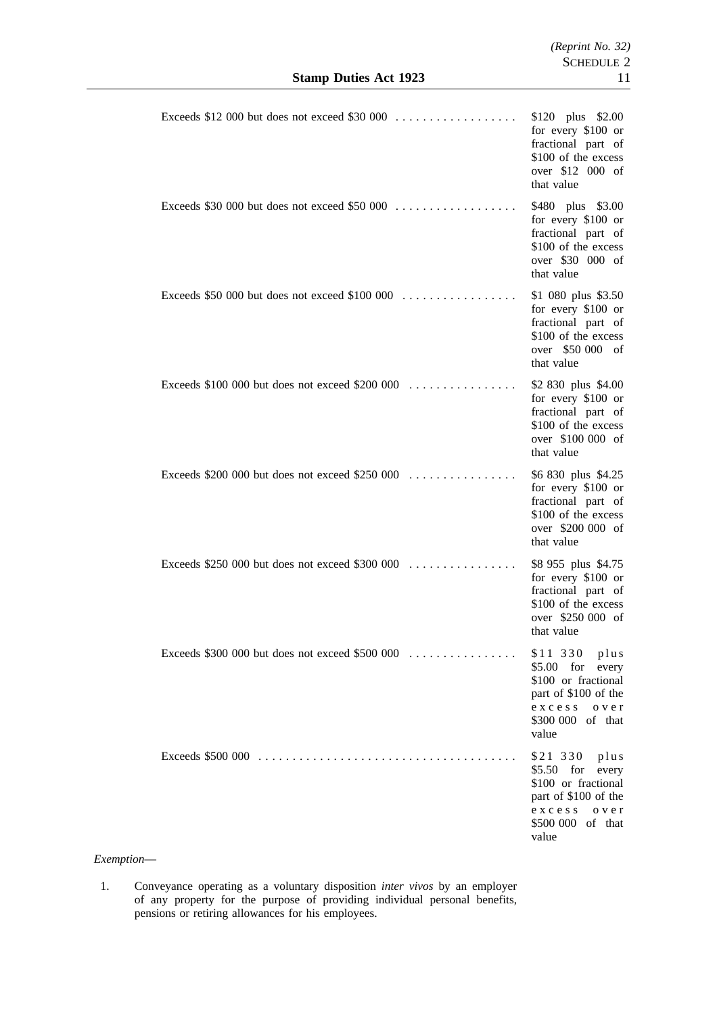|                                                                                  | \$120 plus \$2.00<br>for every \$100 or<br>fractional part of<br>\$100 of the excess<br>over \$12 000 of<br>that value                  |
|----------------------------------------------------------------------------------|-----------------------------------------------------------------------------------------------------------------------------------------|
| Exceeds \$30 000 but does not exceed \$50 000 $\dots$                            | \$480 plus \$3.00<br>for every \$100 or<br>fractional part of<br>\$100 of the excess<br>over \$30 000 of<br>that value                  |
| Exceeds \$50 000 but does not exceed \$100 000 $\dots$                           | \$1 080 plus \$3.50<br>for every \$100 or<br>fractional part of<br>\$100 of the excess<br>over \$50 000 of<br>that value                |
|                                                                                  | \$2 830 plus \$4.00<br>for every \$100 or<br>fractional part of<br>\$100 of the excess<br>over \$100 000 of<br>that value               |
| Exceeds $$200,000$ but does not exceed $$250,000$                                | \$6 830 plus \$4.25<br>for every \$100 or<br>fractional part of<br>\$100 of the excess<br>over \$200 000 of<br>that value               |
| Exceeds \$250 000 but does not exceed \$300 000 $\dots\dots\dots\dots\dots\dots$ | \$8 955 plus \$4.75<br>for every \$100 or<br>fractional part of<br>\$100 of the excess<br>over \$250 000 of<br>that value               |
| Exceeds \$300 000 but does not exceed \$500 000                                  | \$11 330 plus<br>$$5.00$ for every<br>\$100 or fractional<br>part of \$100 of the<br>excess<br>o v e r<br>\$300 000 of that<br>value    |
|                                                                                  | \$21 330 plus<br>$$5.50$ for<br>every<br>\$100 or fractional<br>part of \$100 of the<br>excess<br>o v e r<br>\$500 000 of that<br>value |

*Exemption*—

1. Conveyance operating as a voluntary disposition *inter vivos* by an employer of any property for the purpose of providing individual personal benefits, pensions or retiring allowances for his employees.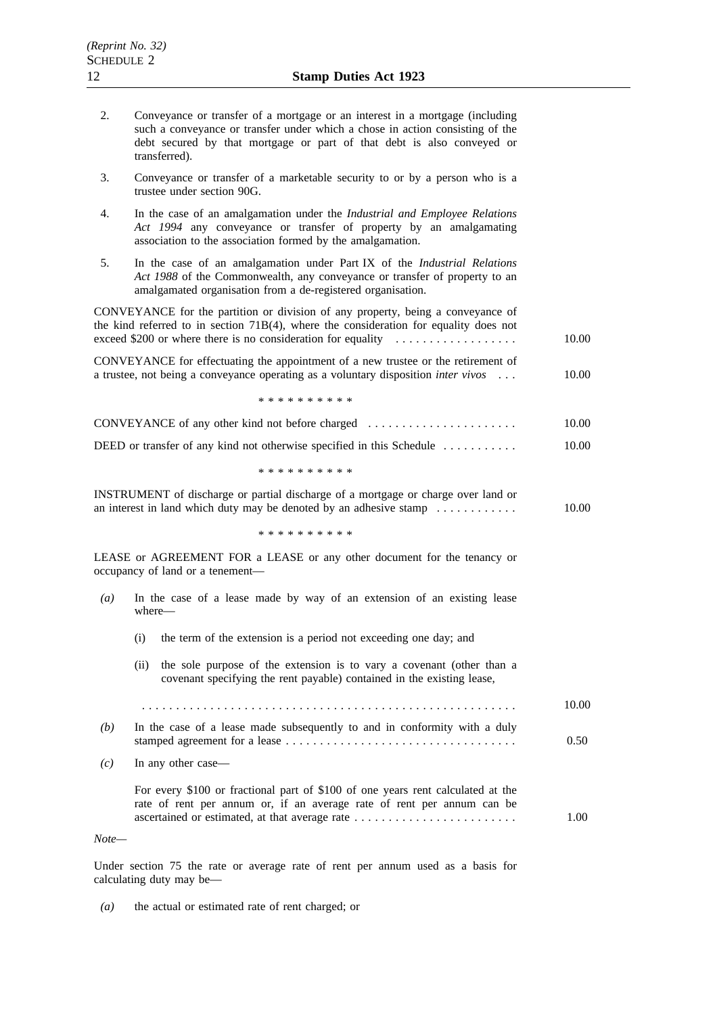| 2.               | Conveyance or transfer of a mortgage or an interest in a mortgage (including<br>such a conveyance or transfer under which a chose in action consisting of the<br>debt secured by that mortgage or part of that debt is also conveyed or<br>transferred).                     |       |
|------------------|------------------------------------------------------------------------------------------------------------------------------------------------------------------------------------------------------------------------------------------------------------------------------|-------|
| 3.               | Conveyance or transfer of a marketable security to or by a person who is a<br>trustee under section 90G.                                                                                                                                                                     |       |
| 4.               | In the case of an amalgamation under the Industrial and Employee Relations<br>Act 1994 any conveyance or transfer of property by an amalgamating<br>association to the association formed by the amalgamation.                                                               |       |
| 5.               | In the case of an amalgamation under Part IX of the Industrial Relations<br>Act 1988 of the Commonwealth, any conveyance or transfer of property to an<br>amalgamated organisation from a de-registered organisation.                                                        |       |
|                  | CONVEYANCE for the partition or division of any property, being a conveyance of<br>the kind referred to in section $71B(4)$ , where the consideration for equality does not<br>exceed \$200 or where there is no consideration for equality $\dots\dots\dots\dots\dots\dots$ | 10.00 |
|                  | CONVEYANCE for effectuating the appointment of a new trustee or the retirement of<br>a trustee, not being a conveyance operating as a voluntary disposition <i>inter vivos</i>                                                                                               | 10.00 |
|                  | * * * * * * * * * *                                                                                                                                                                                                                                                          |       |
|                  | CONVEYANCE of any other kind not before charged                                                                                                                                                                                                                              | 10.00 |
|                  | DEED or transfer of any kind not otherwise specified in this Schedule $\dots \dots \dots$                                                                                                                                                                                    | 10.00 |
|                  | * * * * * * * * * *                                                                                                                                                                                                                                                          |       |
|                  | INSTRUMENT of discharge or partial discharge of a mortgage or charge over land or<br>an interest in land which duty may be denoted by an adhesive stamp $\dots \dots \dots$                                                                                                  | 10.00 |
|                  | * * * * * * * * * *                                                                                                                                                                                                                                                          |       |
|                  | LEASE or AGREEMENT FOR a LEASE or any other document for the tenancy or<br>occupancy of land or a tenement-                                                                                                                                                                  |       |
| $\left(a\right)$ | In the case of a lease made by way of an extension of an existing lease<br>where-                                                                                                                                                                                            |       |
|                  | the term of the extension is a period not exceeding one day; and<br>(i)                                                                                                                                                                                                      |       |
|                  | the sole purpose of the extension is to vary a covenant (other than a<br>(ii)<br>covenant specifying the rent payable) contained in the existing lease,                                                                                                                      |       |
|                  |                                                                                                                                                                                                                                                                              | 10.00 |
| (b)              | In the case of a lease made subsequently to and in conformity with a duly                                                                                                                                                                                                    | 0.50  |
| (c)              | In any other case—                                                                                                                                                                                                                                                           |       |
|                  | For every \$100 or fractional part of \$100 of one years rent calculated at the<br>rate of rent per annum or, if an average rate of rent per annum can be<br>ascertained or estimated, at that average rate                                                                  | 1.00  |
| Note—            |                                                                                                                                                                                                                                                                              |       |

Under section 75 the rate or average rate of rent per annum used as a basis for calculating duty may be—

*(a)* the actual or estimated rate of rent charged; or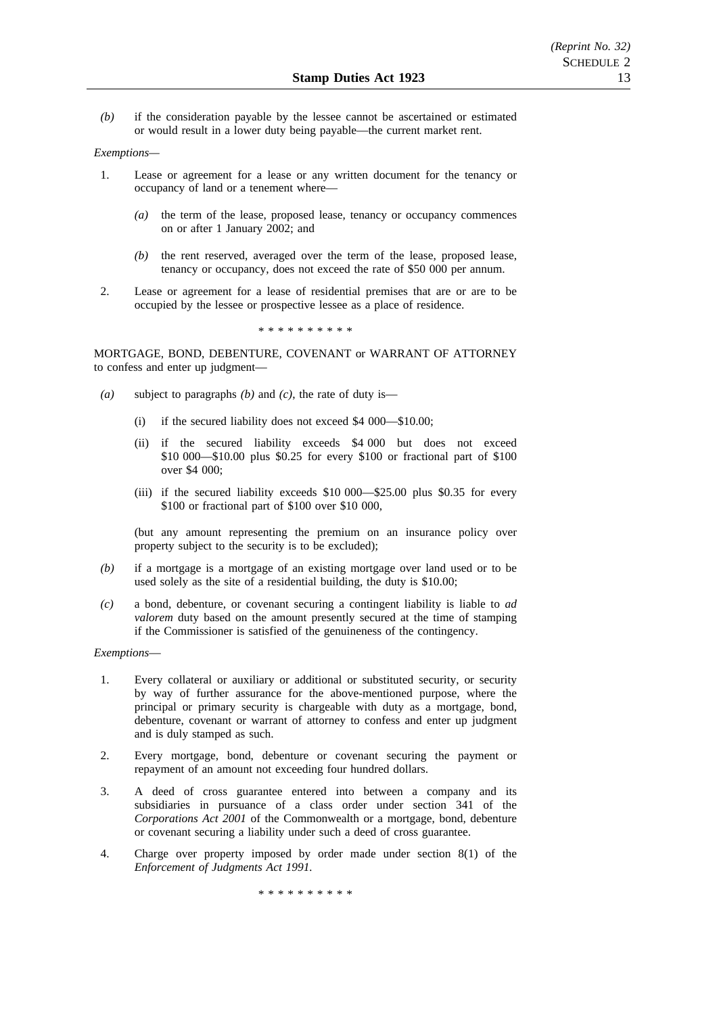*(b)* if the consideration payable by the lessee cannot be ascertained or estimated or would result in a lower duty being payable—the current market rent.

### *Exemptions—*

- 1. Lease or agreement for a lease or any written document for the tenancy or occupancy of land or a tenement where—
	- *(a)* the term of the lease, proposed lease, tenancy or occupancy commences on or after 1 January 2002; and
	- *(b)* the rent reserved, averaged over the term of the lease, proposed lease, tenancy or occupancy, does not exceed the rate of \$50 000 per annum.
- 2. Lease or agreement for a lease of residential premises that are or are to be occupied by the lessee or prospective lessee as a place of residence.

\*\*\*\*\*\*\*\*\*\*

MORTGAGE, BOND, DEBENTURE, COVENANT or WARRANT OF ATTORNEY to confess and enter up judgment—

- *(a)* subject to paragraphs *(b)* and *(c)*, the rate of duty is—
	- (i) if the secured liability does not exceed \$4 000—\$10.00;
	- (ii) if the secured liability exceeds \$4 000 but does not exceed \$10 000—\$10.00 plus \$0.25 for every \$100 or fractional part of \$100 over \$4 000;
	- (iii) if the secured liability exceeds \$10 000—\$25.00 plus \$0.35 for every \$100 or fractional part of \$100 over \$10 000,

(but any amount representing the premium on an insurance policy over property subject to the security is to be excluded);

- *(b)* if a mortgage is a mortgage of an existing mortgage over land used or to be used solely as the site of a residential building, the duty is \$10.00;
- *(c)* a bond, debenture, or covenant securing a contingent liability is liable to *ad valorem* duty based on the amount presently secured at the time of stamping if the Commissioner is satisfied of the genuineness of the contingency.

## *Exemptions*—

- 1. Every collateral or auxiliary or additional or substituted security, or security by way of further assurance for the above-mentioned purpose, where the principal or primary security is chargeable with duty as a mortgage, bond, debenture, covenant or warrant of attorney to confess and enter up judgment and is duly stamped as such.
- 2. Every mortgage, bond, debenture or covenant securing the payment or repayment of an amount not exceeding four hundred dollars.
- 3. A deed of cross guarantee entered into between a company and its subsidiaries in pursuance of a class order under section 341 of the *Corporations Act 2001* of the Commonwealth or a mortgage, bond, debenture or covenant securing a liability under such a deed of cross guarantee.
- 4. Charge over property imposed by order made under section 8(1) of the *Enforcement of Judgments Act 1991.*

\*\*\*\*\*\*\*\*\*\*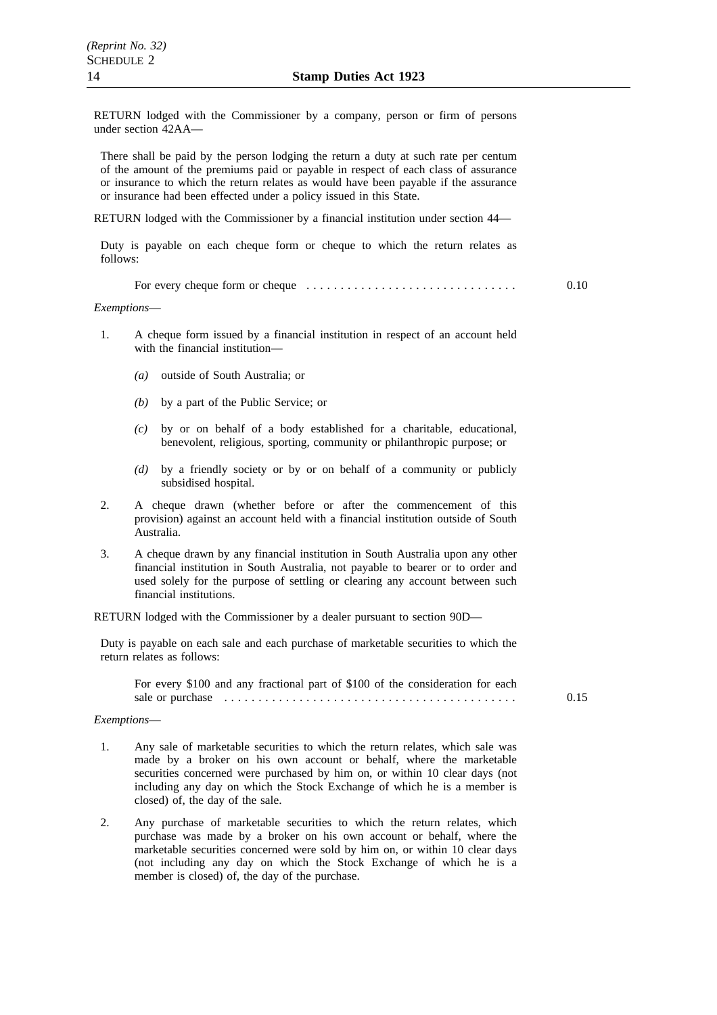RETURN lodged with the Commissioner by a company, person or firm of persons under section 42AA—

There shall be paid by the person lodging the return a duty at such rate per centum of the amount of the premiums paid or payable in respect of each class of assurance or insurance to which the return relates as would have been payable if the assurance or insurance had been effected under a policy issued in this State.

RETURN lodged with the Commissioner by a financial institution under section 44—

Duty is payable on each cheque form or cheque to which the return relates as follows:

For every cheque form or cheque  $\dots \dots \dots \dots \dots \dots \dots \dots$  0.10

*Exemptions*—

- 1. A cheque form issued by a financial institution in respect of an account held with the financial institution—
	- *(a)* outside of South Australia; or
	- *(b)* by a part of the Public Service; or
	- *(c)* by or on behalf of a body established for a charitable, educational, benevolent, religious, sporting, community or philanthropic purpose; or
	- *(d)* by a friendly society or by or on behalf of a community or publicly subsidised hospital.
- 2. A cheque drawn (whether before or after the commencement of this provision) against an account held with a financial institution outside of South Australia.
- 3. A cheque drawn by any financial institution in South Australia upon any other financial institution in South Australia, not payable to bearer or to order and used solely for the purpose of settling or clearing any account between such financial institutions.

RETURN lodged with the Commissioner by a dealer pursuant to section 90D—

Duty is payable on each sale and each purchase of marketable securities to which the return relates as follows:

For every \$100 and any fractional part of \$100 of the consideration for each sale or purchase ........................................... 0.15

#### *Exemptions*—

- 1. Any sale of marketable securities to which the return relates, which sale was made by a broker on his own account or behalf, where the marketable securities concerned were purchased by him on, or within 10 clear days (not including any day on which the Stock Exchange of which he is a member is closed) of, the day of the sale.
- 2. Any purchase of marketable securities to which the return relates, which purchase was made by a broker on his own account or behalf, where the marketable securities concerned were sold by him on, or within 10 clear days (not including any day on which the Stock Exchange of which he is a member is closed) of, the day of the purchase.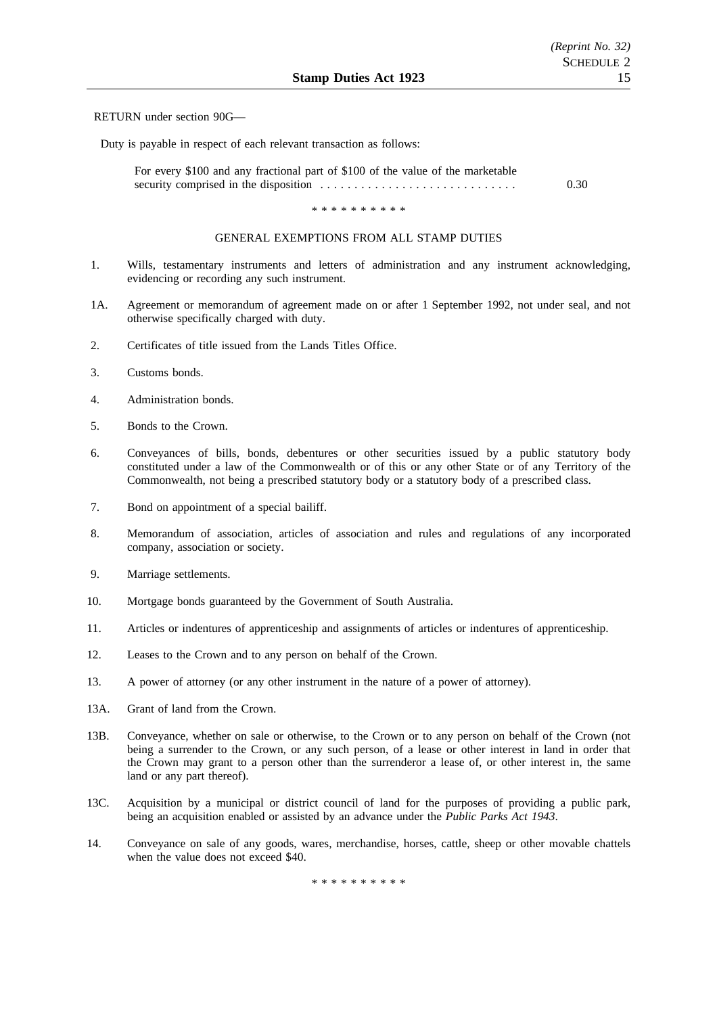### RETURN under section 90G—

Duty is payable in respect of each relevant transaction as follows:

| For every \$100 and any fractional part of \$100 of the value of the marketable |                   |
|---------------------------------------------------------------------------------|-------------------|
|                                                                                 | 0.30 <sub>1</sub> |

\*\*\*\*\*\*\*\*\*\*

## GENERAL EXEMPTIONS FROM ALL STAMP DUTIES

- 1. Wills, testamentary instruments and letters of administration and any instrument acknowledging, evidencing or recording any such instrument.
- 1A. Agreement or memorandum of agreement made on or after 1 September 1992, not under seal, and not otherwise specifically charged with duty.
- 2. Certificates of title issued from the Lands Titles Office.
- 3. Customs bonds.
- 4. Administration bonds.
- 5. Bonds to the Crown.
- 6. Conveyances of bills, bonds, debentures or other securities issued by a public statutory body constituted under a law of the Commonwealth or of this or any other State or of any Territory of the Commonwealth, not being a prescribed statutory body or a statutory body of a prescribed class.
- 7. Bond on appointment of a special bailiff.
- 8. Memorandum of association, articles of association and rules and regulations of any incorporated company, association or society.
- 9. Marriage settlements.
- 10. Mortgage bonds guaranteed by the Government of South Australia.
- 11. Articles or indentures of apprenticeship and assignments of articles or indentures of apprenticeship.
- 12. Leases to the Crown and to any person on behalf of the Crown.
- 13. A power of attorney (or any other instrument in the nature of a power of attorney).
- 13A. Grant of land from the Crown.
- 13B. Conveyance, whether on sale or otherwise, to the Crown or to any person on behalf of the Crown (not being a surrender to the Crown, or any such person, of a lease or other interest in land in order that the Crown may grant to a person other than the surrenderor a lease of, or other interest in, the same land or any part thereof).
- 13C. Acquisition by a municipal or district council of land for the purposes of providing a public park, being an acquisition enabled or assisted by an advance under the *Public Parks Act 1943*.
- 14. Conveyance on sale of any goods, wares, merchandise, horses, cattle, sheep or other movable chattels when the value does not exceed \$40.

\*\*\*\*\*\*\*\*\*\*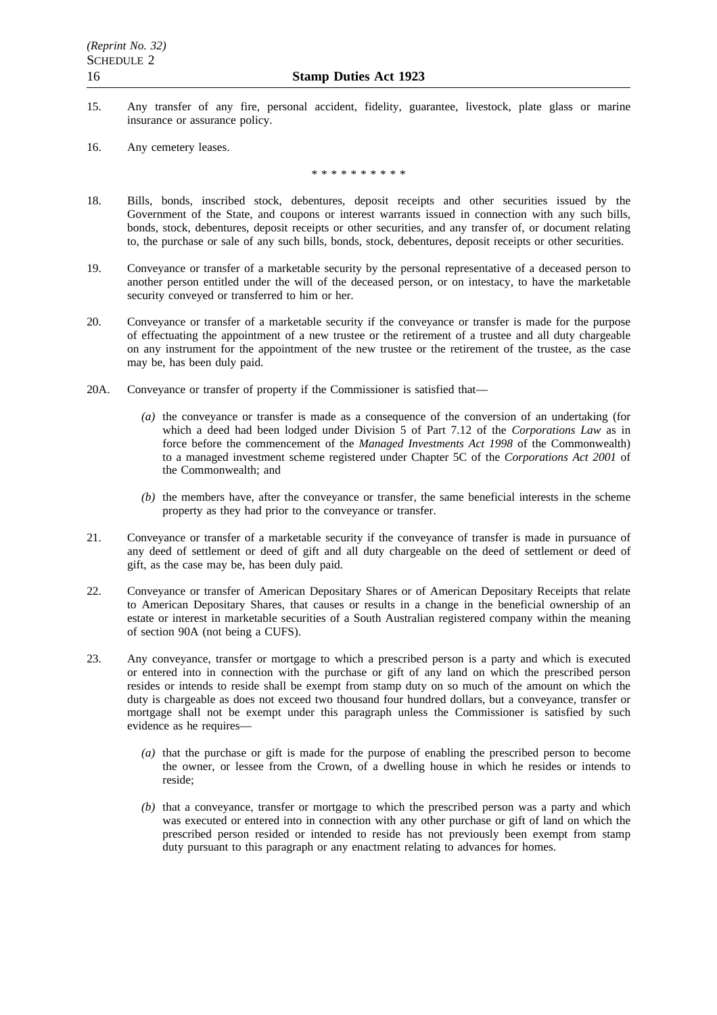- 15. Any transfer of any fire, personal accident, fidelity, guarantee, livestock, plate glass or marine insurance or assurance policy.
- 16. Any cemetery leases.

\*\*\*\*\*\*\*\*\*\*

- 18. Bills, bonds, inscribed stock, debentures, deposit receipts and other securities issued by the Government of the State, and coupons or interest warrants issued in connection with any such bills, bonds, stock, debentures, deposit receipts or other securities, and any transfer of, or document relating to, the purchase or sale of any such bills, bonds, stock, debentures, deposit receipts or other securities.
- 19. Conveyance or transfer of a marketable security by the personal representative of a deceased person to another person entitled under the will of the deceased person, or on intestacy, to have the marketable security conveyed or transferred to him or her.
- 20. Conveyance or transfer of a marketable security if the conveyance or transfer is made for the purpose of effectuating the appointment of a new trustee or the retirement of a trustee and all duty chargeable on any instrument for the appointment of the new trustee or the retirement of the trustee, as the case may be, has been duly paid.
- 20A. Conveyance or transfer of property if the Commissioner is satisfied that—
	- *(a)* the conveyance or transfer is made as a consequence of the conversion of an undertaking (for which a deed had been lodged under Division 5 of Part 7.12 of the *Corporations Law* as in force before the commencement of the *Managed Investments Act 1998* of the Commonwealth) to a managed investment scheme registered under Chapter 5C of the *Corporations Act 2001* of the Commonwealth; and
	- *(b)* the members have, after the conveyance or transfer, the same beneficial interests in the scheme property as they had prior to the conveyance or transfer.
- 21. Conveyance or transfer of a marketable security if the conveyance of transfer is made in pursuance of any deed of settlement or deed of gift and all duty chargeable on the deed of settlement or deed of gift, as the case may be, has been duly paid.
- 22. Conveyance or transfer of American Depositary Shares or of American Depositary Receipts that relate to American Depositary Shares, that causes or results in a change in the beneficial ownership of an estate or interest in marketable securities of a South Australian registered company within the meaning of section 90A (not being a CUFS).
- 23. Any conveyance, transfer or mortgage to which a prescribed person is a party and which is executed or entered into in connection with the purchase or gift of any land on which the prescribed person resides or intends to reside shall be exempt from stamp duty on so much of the amount on which the duty is chargeable as does not exceed two thousand four hundred dollars, but a conveyance, transfer or mortgage shall not be exempt under this paragraph unless the Commissioner is satisfied by such evidence as he requires—
	- *(a)* that the purchase or gift is made for the purpose of enabling the prescribed person to become the owner, or lessee from the Crown, of a dwelling house in which he resides or intends to reside;
	- *(b)* that a conveyance, transfer or mortgage to which the prescribed person was a party and which was executed or entered into in connection with any other purchase or gift of land on which the prescribed person resided or intended to reside has not previously been exempt from stamp duty pursuant to this paragraph or any enactment relating to advances for homes.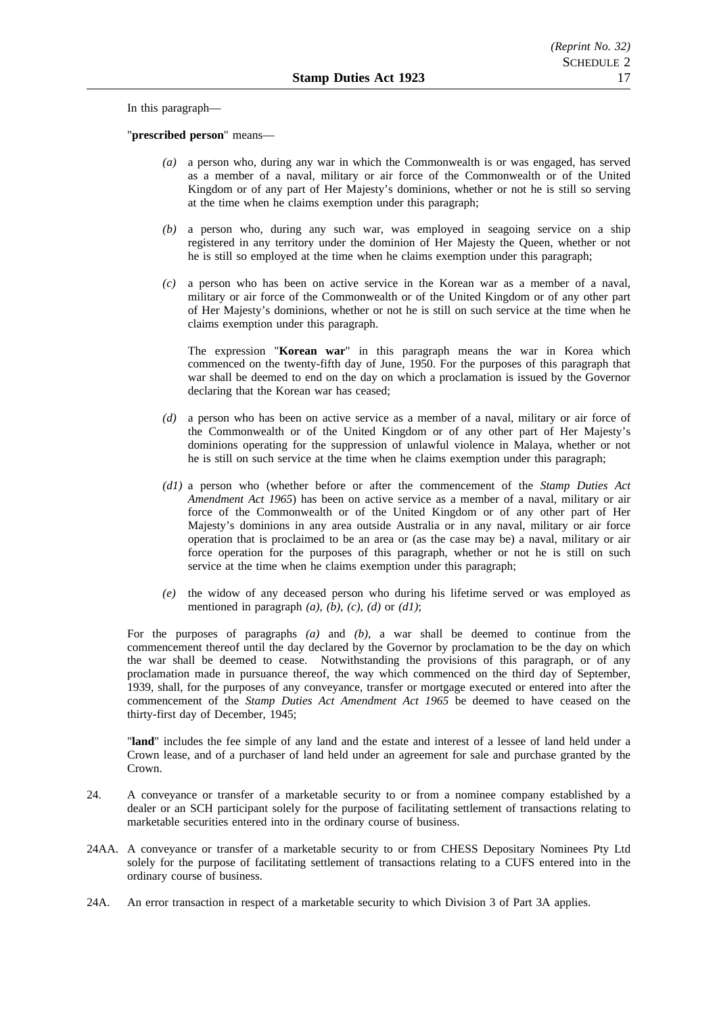In this paragraph—

"**prescribed person**" means—

- *(a)* a person who, during any war in which the Commonwealth is or was engaged, has served as a member of a naval, military or air force of the Commonwealth or of the United Kingdom or of any part of Her Majesty's dominions, whether or not he is still so serving at the time when he claims exemption under this paragraph;
- *(b)* a person who, during any such war, was employed in seagoing service on a ship registered in any territory under the dominion of Her Majesty the Queen, whether or not he is still so employed at the time when he claims exemption under this paragraph;
- *(c)* a person who has been on active service in the Korean war as a member of a naval, military or air force of the Commonwealth or of the United Kingdom or of any other part of Her Majesty's dominions, whether or not he is still on such service at the time when he claims exemption under this paragraph.

The expression "**Korean war**" in this paragraph means the war in Korea which commenced on the twenty-fifth day of June, 1950. For the purposes of this paragraph that war shall be deemed to end on the day on which a proclamation is issued by the Governor declaring that the Korean war has ceased;

- *(d)* a person who has been on active service as a member of a naval, military or air force of the Commonwealth or of the United Kingdom or of any other part of Her Majesty's dominions operating for the suppression of unlawful violence in Malaya, whether or not he is still on such service at the time when he claims exemption under this paragraph;
- *(d1)* a person who (whether before or after the commencement of the *Stamp Duties Act Amendment Act 1965*) has been on active service as a member of a naval, military or air force of the Commonwealth or of the United Kingdom or of any other part of Her Majesty's dominions in any area outside Australia or in any naval, military or air force operation that is proclaimed to be an area or (as the case may be) a naval, military or air force operation for the purposes of this paragraph, whether or not he is still on such service at the time when he claims exemption under this paragraph;
- *(e)* the widow of any deceased person who during his lifetime served or was employed as mentioned in paragraph *(a)*, *(b)*, *(c)*, *(d)* or *(d1)*;

For the purposes of paragraphs *(a)* and *(b)*, a war shall be deemed to continue from the commencement thereof until the day declared by the Governor by proclamation to be the day on which the war shall be deemed to cease. Notwithstanding the provisions of this paragraph, or of any proclamation made in pursuance thereof, the way which commenced on the third day of September, 1939, shall, for the purposes of any conveyance, transfer or mortgage executed or entered into after the commencement of the *Stamp Duties Act Amendment Act 1965* be deemed to have ceased on the thirty-first day of December, 1945;

"**land**" includes the fee simple of any land and the estate and interest of a lessee of land held under a Crown lease, and of a purchaser of land held under an agreement for sale and purchase granted by the Crown.

- 24. A conveyance or transfer of a marketable security to or from a nominee company established by a dealer or an SCH participant solely for the purpose of facilitating settlement of transactions relating to marketable securities entered into in the ordinary course of business.
- 24AA. A conveyance or transfer of a marketable security to or from CHESS Depositary Nominees Pty Ltd solely for the purpose of facilitating settlement of transactions relating to a CUFS entered into in the ordinary course of business.
- 24A. An error transaction in respect of a marketable security to which Division 3 of Part 3A applies.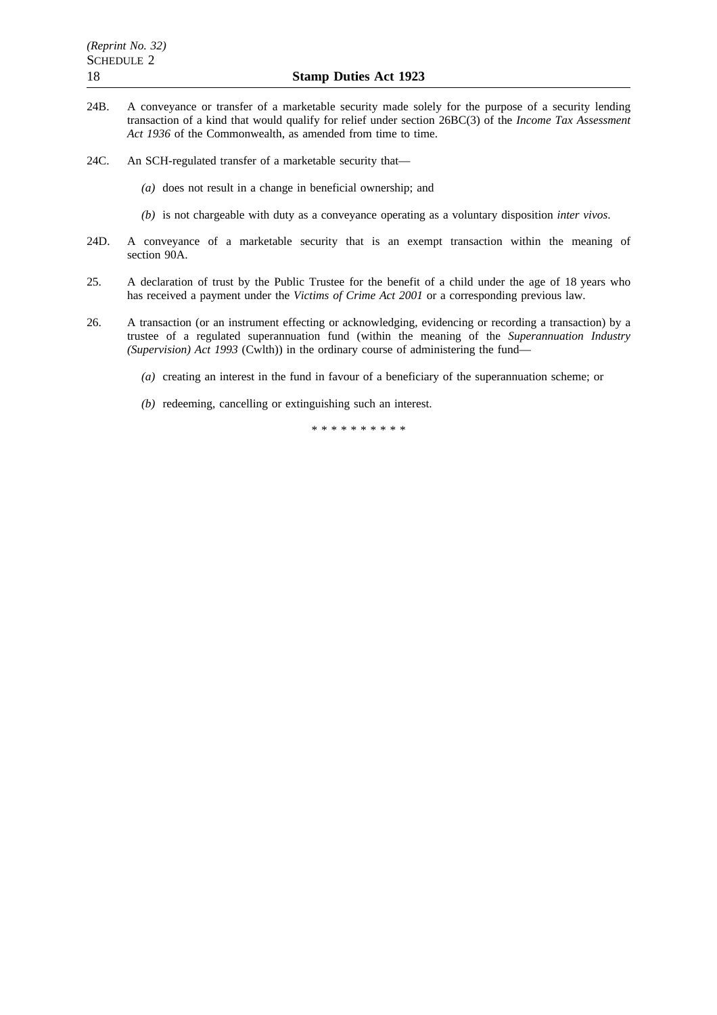- 24B. A conveyance or transfer of a marketable security made solely for the purpose of a security lending transaction of a kind that would qualify for relief under section 26BC(3) of the *Income Tax Assessment* Act 1936 of the Commonwealth, as amended from time to time.
- 24C. An SCH-regulated transfer of a marketable security that—
	- *(a)* does not result in a change in beneficial ownership; and
	- *(b)* is not chargeable with duty as a conveyance operating as a voluntary disposition *inter vivos*.
- 24D. A conveyance of a marketable security that is an exempt transaction within the meaning of section 90A.
- 25. A declaration of trust by the Public Trustee for the benefit of a child under the age of 18 years who has received a payment under the *Victims of Crime Act 2001* or a corresponding previous law.
- 26. A transaction (or an instrument effecting or acknowledging, evidencing or recording a transaction) by a trustee of a regulated superannuation fund (within the meaning of the *Superannuation Industry (Supervision) Act 1993* (Cwlth)) in the ordinary course of administering the fund—
	- *(a)* creating an interest in the fund in favour of a beneficiary of the superannuation scheme; or
	- *(b)* redeeming, cancelling or extinguishing such an interest.

\*\*\*\*\*\*\*\*\*\*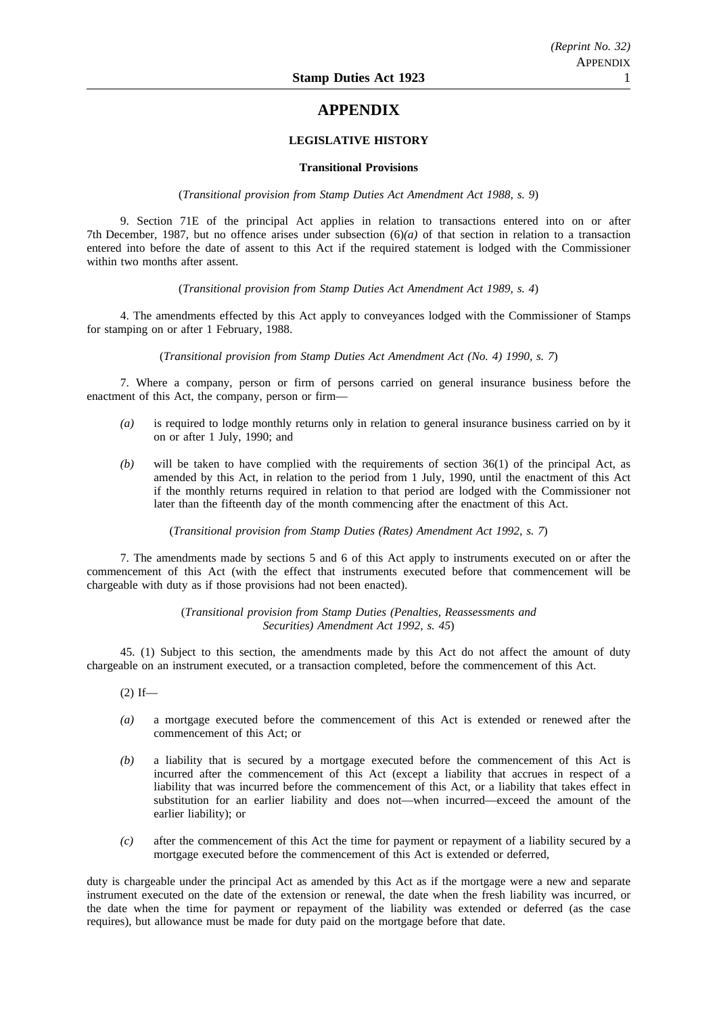# **APPENDIX**

# **LEGISLATIVE HISTORY**

### **Transitional Provisions**

(*Transitional provision from Stamp Duties Act Amendment Act 1988, s. 9*)

9. Section 71E of the principal Act applies in relation to transactions entered into on or after 7th December, 1987, but no offence arises under subsection (6)*(a)* of that section in relation to a transaction entered into before the date of assent to this Act if the required statement is lodged with the Commissioner within two months after assent.

(*Transitional provision from Stamp Duties Act Amendment Act 1989, s. 4*)

4. The amendments effected by this Act apply to conveyances lodged with the Commissioner of Stamps for stamping on or after 1 February, 1988.

(*Transitional provision from Stamp Duties Act Amendment Act (No. 4) 1990, s. 7*)

7. Where a company, person or firm of persons carried on general insurance business before the enactment of this Act, the company, person or firm—

- *(a)* is required to lodge monthly returns only in relation to general insurance business carried on by it on or after 1 July, 1990; and
- *(b)* will be taken to have complied with the requirements of section 36(1) of the principal Act, as amended by this Act, in relation to the period from 1 July, 1990, until the enactment of this Act if the monthly returns required in relation to that period are lodged with the Commissioner not later than the fifteenth day of the month commencing after the enactment of this Act.

(*Transitional provision from Stamp Duties (Rates) Amendment Act 1992, s. 7*)

7. The amendments made by sections 5 and 6 of this Act apply to instruments executed on or after the commencement of this Act (with the effect that instruments executed before that commencement will be chargeable with duty as if those provisions had not been enacted).

> (*Transitional provision from Stamp Duties (Penalties, Reassessments and Securities) Amendment Act 1992, s. 45*)

45. (1) Subject to this section, the amendments made by this Act do not affect the amount of duty chargeable on an instrument executed, or a transaction completed, before the commencement of this Act.

 $(2)$  If—

- *(a)* a mortgage executed before the commencement of this Act is extended or renewed after the commencement of this Act; or
- *(b)* a liability that is secured by a mortgage executed before the commencement of this Act is incurred after the commencement of this Act (except a liability that accrues in respect of a liability that was incurred before the commencement of this Act, or a liability that takes effect in substitution for an earlier liability and does not—when incurred—exceed the amount of the earlier liability); or
- *(c)* after the commencement of this Act the time for payment or repayment of a liability secured by a mortgage executed before the commencement of this Act is extended or deferred,

duty is chargeable under the principal Act as amended by this Act as if the mortgage were a new and separate instrument executed on the date of the extension or renewal, the date when the fresh liability was incurred, or the date when the time for payment or repayment of the liability was extended or deferred (as the case requires), but allowance must be made for duty paid on the mortgage before that date.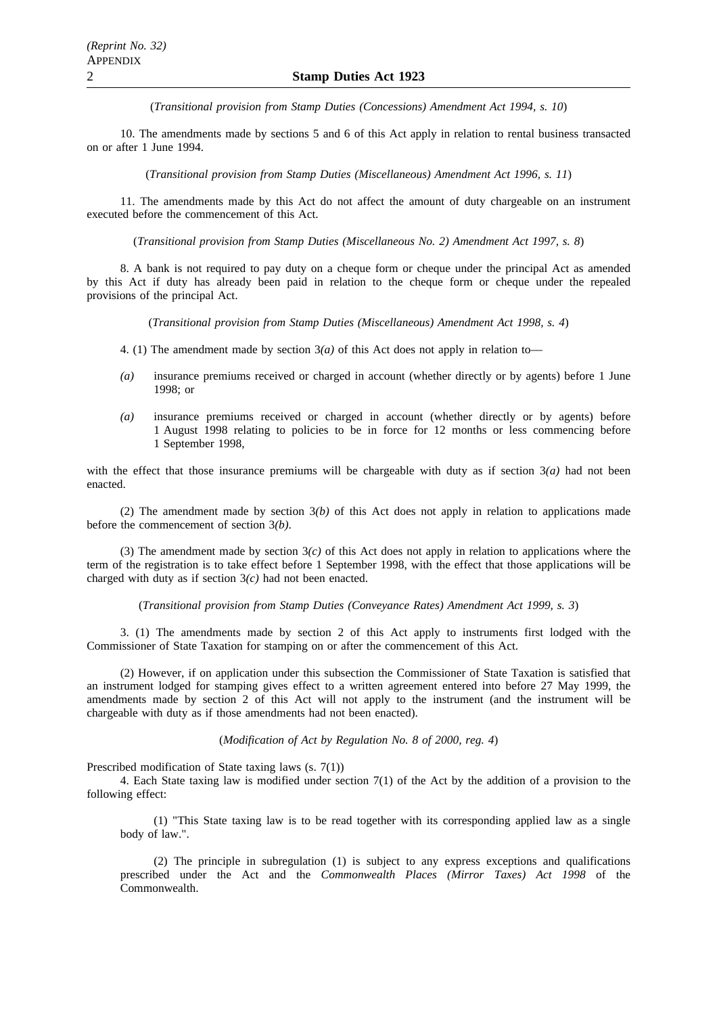(*Transitional provision from Stamp Duties (Concessions) Amendment Act 1994, s. 10*)

10. The amendments made by sections 5 and 6 of this Act apply in relation to rental business transacted on or after 1 June 1994.

(*Transitional provision from Stamp Duties (Miscellaneous) Amendment Act 1996, s. 11*)

11. The amendments made by this Act do not affect the amount of duty chargeable on an instrument executed before the commencement of this Act.

(*Transitional provision from Stamp Duties (Miscellaneous No. 2) Amendment Act 1997, s. 8*)

8. A bank is not required to pay duty on a cheque form or cheque under the principal Act as amended by this Act if duty has already been paid in relation to the cheque form or cheque under the repealed provisions of the principal Act.

(*Transitional provision from Stamp Duties (Miscellaneous) Amendment Act 1998, s. 4*)

- 4. (1) The amendment made by section  $3(a)$  of this Act does not apply in relation to-
- *(a)* insurance premiums received or charged in account (whether directly or by agents) before 1 June 1998; or
- *(a)* insurance premiums received or charged in account (whether directly or by agents) before 1 August 1998 relating to policies to be in force for 12 months or less commencing before 1 September 1998,

with the effect that those insurance premiums will be chargeable with duty as if section  $3(a)$  had not been enacted.

(2) The amendment made by section 3*(b)* of this Act does not apply in relation to applications made before the commencement of section 3*(b)*.

(3) The amendment made by section  $3(c)$  of this Act does not apply in relation to applications where the term of the registration is to take effect before 1 September 1998, with the effect that those applications will be charged with duty as if section 3*(c)* had not been enacted.

(*Transitional provision from Stamp Duties (Conveyance Rates) Amendment Act 1999, s. 3*)

3. (1) The amendments made by section 2 of this Act apply to instruments first lodged with the Commissioner of State Taxation for stamping on or after the commencement of this Act.

(2) However, if on application under this subsection the Commissioner of State Taxation is satisfied that an instrument lodged for stamping gives effect to a written agreement entered into before 27 May 1999, the amendments made by section 2 of this Act will not apply to the instrument (and the instrument will be chargeable with duty as if those amendments had not been enacted).

(*Modification of Act by Regulation No. 8 of 2000, reg. 4*)

Prescribed modification of State taxing laws (s. 7(1))

4. Each State taxing law is modified under section 7(1) of the Act by the addition of a provision to the following effect:

(1) "This State taxing law is to be read together with its corresponding applied law as a single body of law.".

(2) The principle in subregulation (1) is subject to any express exceptions and qualifications prescribed under the Act and the *Commonwealth Places (Mirror Taxes) Act 1998* of the Commonwealth.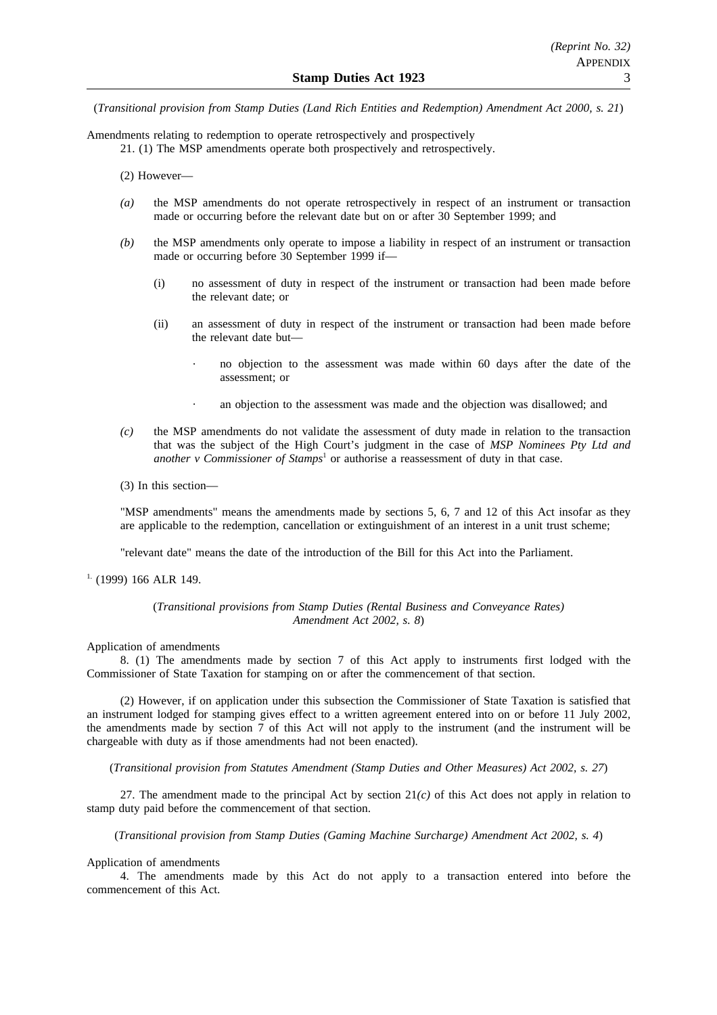(*Transitional provision from Stamp Duties (Land Rich Entities and Redemption) Amendment Act 2000, s. 21*)

Amendments relating to redemption to operate retrospectively and prospectively

21. (1) The MSP amendments operate both prospectively and retrospectively.

(2) However—

- *(a)* the MSP amendments do not operate retrospectively in respect of an instrument or transaction made or occurring before the relevant date but on or after 30 September 1999; and
- *(b)* the MSP amendments only operate to impose a liability in respect of an instrument or transaction made or occurring before 30 September 1999 if—
	- (i) no assessment of duty in respect of the instrument or transaction had been made before the relevant date; or
	- (ii) an assessment of duty in respect of the instrument or transaction had been made before the relevant date but
		- no objection to the assessment was made within 60 days after the date of the assessment; or
		- an objection to the assessment was made and the objection was disallowed; and
- *(c)* the MSP amendments do not validate the assessment of duty made in relation to the transaction that was the subject of the High Court's judgment in the case of *MSP Nominees Pty Ltd and another v Commissioner of Stamps<sup>1</sup>* or authorise a reassessment of duty in that case.
- (3) In this section—

"MSP amendments" means the amendments made by sections 5, 6, 7 and 12 of this Act insofar as they are applicable to the redemption, cancellation or extinguishment of an interest in a unit trust scheme;

"relevant date" means the date of the introduction of the Bill for this Act into the Parliament.

## $1.$  (1999) 166 ALR 149.

# (*Transitional provisions from Stamp Duties (Rental Business and Conveyance Rates) Amendment Act 2002, s. 8*)

### Application of amendments

8. (1) The amendments made by section 7 of this Act apply to instruments first lodged with the Commissioner of State Taxation for stamping on or after the commencement of that section.

(2) However, if on application under this subsection the Commissioner of State Taxation is satisfied that an instrument lodged for stamping gives effect to a written agreement entered into on or before 11 July 2002, the amendments made by section 7 of this Act will not apply to the instrument (and the instrument will be chargeable with duty as if those amendments had not been enacted).

(*Transitional provision from Statutes Amendment (Stamp Duties and Other Measures) Act 2002, s. 27*)

27. The amendment made to the principal Act by section 21*(c)* of this Act does not apply in relation to stamp duty paid before the commencement of that section.

(*Transitional provision from Stamp Duties (Gaming Machine Surcharge) Amendment Act 2002, s. 4*)

Application of amendments

4. The amendments made by this Act do not apply to a transaction entered into before the commencement of this Act.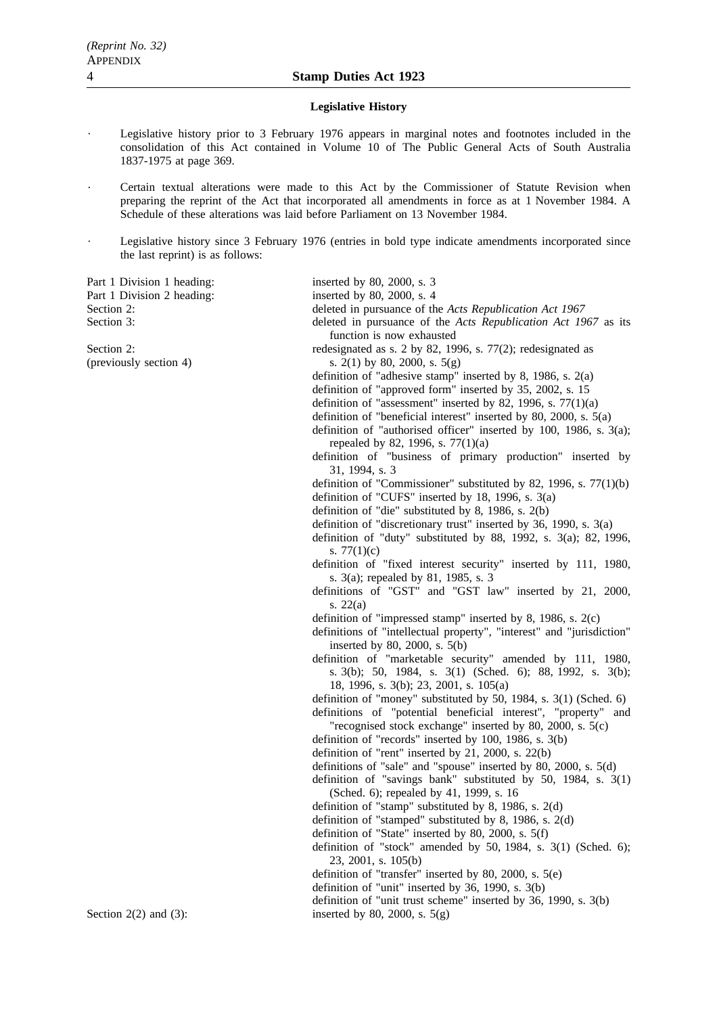#### **Legislative History**

- Legislative history prior to 3 February 1976 appears in marginal notes and footnotes included in the consolidation of this Act contained in Volume 10 of The Public General Acts of South Australia 1837-1975 at page 369.
- Certain textual alterations were made to this Act by the Commissioner of Statute Revision when preparing the reprint of the Act that incorporated all amendments in force as at 1 November 1984. A Schedule of these alterations was laid before Parliament on 13 November 1984.
- Legislative history since 3 February 1976 (entries in bold type indicate amendments incorporated since the last reprint) is as follows:

Part 1 Division 1 heading: inserted by 80, 2000, s. 3

Part 1 Division 2 heading: inserted by 80, 2000, s. 4 Section 2: deleted in pursuance of the *Acts Republication Act 1967* Section 3: deleted in pursuance of the *Acts Republication Act 1967* as its function is now exhausted Section 2: redesignated as s. 2 by 82, 1996, s. 77(2); redesignated as (previously section 4) s.  $2(1)$  by 80, 2000, s.  $5(g)$ definition of "adhesive stamp" inserted by 8, 1986, s. 2(a) definition of "approved form" inserted by 35, 2002, s. 15 definition of "assessment" inserted by 82, 1996, s.  $77(1)(a)$ definition of "beneficial interest" inserted by 80, 2000, s. 5(a) definition of "authorised officer" inserted by 100, 1986, s. 3(a); repealed by 82, 1996, s. 77(1)(a) definition of "business of primary production" inserted by 31, 1994, s. 3 definition of "Commissioner" substituted by 82, 1996, s. 77(1)(b) definition of "CUFS" inserted by 18, 1996, s. 3(a) definition of "die" substituted by 8, 1986, s. 2(b) definition of "discretionary trust" inserted by 36, 1990, s. 3(a) definition of "duty" substituted by 88, 1992, s. 3(a); 82, 1996, s. 77(1)(c) definition of "fixed interest security" inserted by 111, 1980, s. 3(a); repealed by 81, 1985, s. 3 definitions of "GST" and "GST law" inserted by 21, 2000, s. 22(a) definition of "impressed stamp" inserted by 8, 1986, s. 2(c) definitions of "intellectual property", "interest" and "jurisdiction" inserted by 80, 2000, s. 5(b) definition of "marketable security" amended by 111, 1980, s. 3(b); 50, 1984, s. 3(1) (Sched. 6); 88, 1992, s. 3(b); 18, 1996, s. 3(b); 23, 2001, s. 105(a) definition of "money" substituted by 50, 1984, s. 3(1) (Sched. 6) definitions of "potential beneficial interest", "property" and "recognised stock exchange" inserted by 80, 2000, s. 5(c) definition of "records" inserted by 100, 1986, s. 3(b) definition of "rent" inserted by 21, 2000, s. 22(b) definitions of "sale" and "spouse" inserted by 80, 2000, s. 5(d) definition of "savings bank" substituted by 50, 1984, s. 3(1) (Sched. 6); repealed by 41, 1999, s. 16 definition of "stamp" substituted by 8, 1986, s. 2(d) definition of "stamped" substituted by 8, 1986, s. 2(d) definition of "State" inserted by 80, 2000, s. 5(f) definition of "stock" amended by 50, 1984, s. 3(1) (Sched. 6); 23, 2001, s. 105(b) definition of "transfer" inserted by 80, 2000, s. 5(e)

- definition of "unit" inserted by 36, 1990, s. 3(b)
- definition of "unit trust scheme" inserted by 36, 1990, s. 3(b)

Section  $2(2)$  and  $(3)$ : inserted by 80, 2000, s.  $5(g)$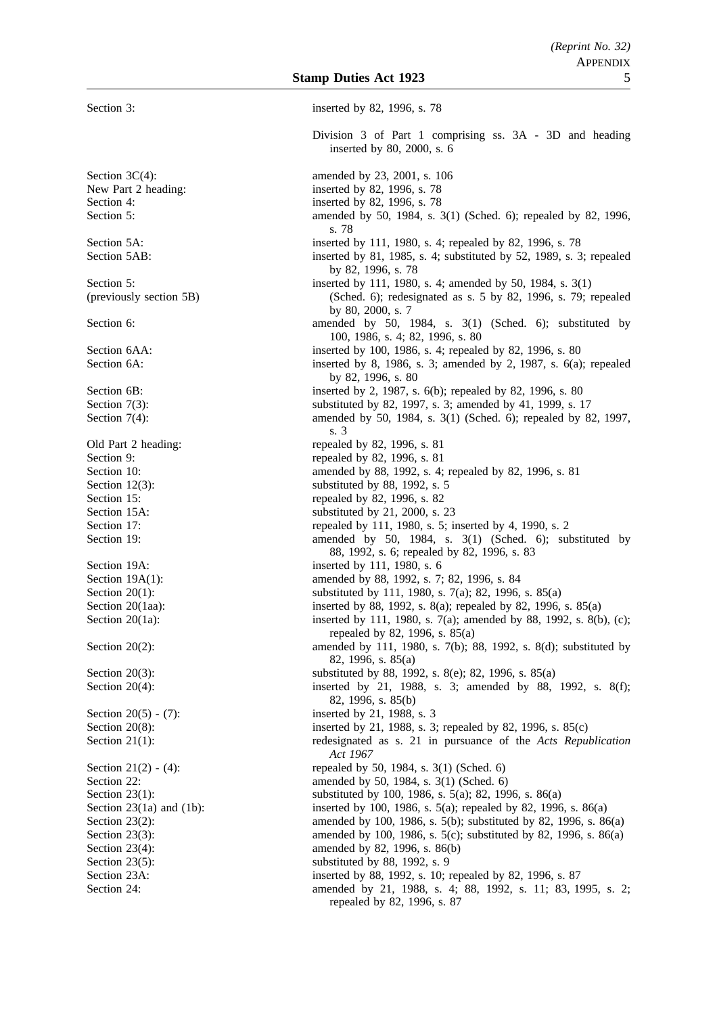Section 3: inserted by 82, 1996, s. 78 Division 3 of Part 1 comprising ss. 3A - 3D and heading inserted by 80, 2000, s. 6 Section 3C(4): amended by 23, 2001, s. 106 New Part 2 heading: inserted by 82, 1996, s. 78 Section 4: inserted by 82, 1996, s. 78 Section 5: amended by 50, 1984, s. 3(1) (Sched. 6); repealed by 82, 1996, s. 78 Section 5A: inserted by 111, 1980, s. 4; repealed by 82, 1996, s. 78 Section 5AB: inserted by 81, 1985, s. 4; substituted by 52, 1989, s. 3; repealed by 82, 1996, s. 78 Section 5: inserted by 111, 1980, s. 4; amended by 50, 1984, s. 3(1) (previously section 5B) (Sched. 6); redesignated as s. 5 by 82, 1996, s. 79; repealed by 80, 2000, s. 7 Section 6: amended by 50, 1984, s. 3(1) (Sched. 6); substituted by 50, 1984, s. 3(1) (Sched. 6); substituted by 100, 1986, s. 4; 82, 1996, s. 80 Section 6AA: inserted by 100, 1986, s. 4; repealed by 82, 1996, s. 80 Section 6A: inserted by 8, 1986, s. 3; amended by 2, 1987, s. 6(a); repealed by 82, 1996, s. 80 Section 6B: inserted by 2, 1987, s. 6(b); repealed by 82, 1996, s. 80 Section 7(3): substituted by 82, 1997, s. 3; amended by 41, 1999, s. 17 Section 7(4): amended by 50, 1984, s. 3(1) (Sched. 6); repealed by 82, 1997, s. 3 Old Part 2 heading:<br>
Section 9:<br>
repealed by 82, 1996, s. 81<br>
repealed by 82, 1996, s. 81 Section 9: repealed by 82, 1996, s. 81<br>Section 10: amended by 88, 1992, s. 4: amended by 88, 1992, s. 4; repealed by 82, 1996, s. 81 Section 12(3): substituted by 88, 1992, s. 5 Section 15: repealed by 82, 1996, s. 82 Section 15A: substituted by 21, 2000, s. 23 Section 17: repealed by 111, 1980, s. 5; inserted by 4, 1990, s. 2 Section 19: **amended** by 50, 1984, s. 3(1) (Sched. 6); substituted by 88, 1992, s. 6; repealed by 82, 1996, s. 83 Section 19A: inserted by 111, 1980, s. 6 Section 19A(1): amended by 88, 1992, s. 7; 82, 1996, s. 84 Section 20(1): substituted by 111, 1980, s. 7(a); 82, 1996, s. 85(a) Section 20(1aa): inserted by 88, 1992, s. 8(a); repealed by 82, 1996, s. 85(a) Section 20(1a): inserted by 111, 1980, s. 7(a); amended by 88, 1992, s. 8(b), (c); repealed by 82, 1996, s. 85(a) Section 20(2): amended by 111, 1980, s. 7(b); 88, 1992, s. 8(d); substituted by 82, 1996, s. 85(a) Section 20(3): substituted by 88, 1992, s. 8(e); 82, 1996, s. 85(a) Section 20(4): inserted by 21, 1988, s. 3; amended by 88, 1992, s. 8(f); 82, 1996, s. 85(b) Section 20(5) - (7): inserted by 21, 1988, s. 3 Section 20(8): inserted by 21, 1988, s. 3; repealed by 82, 1996, s. 85(c) Section 21(1): redesignated as s. 21 in pursuance of the *Acts Republication Act 1967* Section 21(2) - (4): repealed by 50, 1984, s. 3(1) (Sched. 6) Section 22: **amended** by 50, 1984, s. 3(1) (Sched. 6) Section 23(1): substituted by 100, 1986, s. 5(a); 82, 1996, s. 86(a) Section 23(1a) and (1b): inserted by 100, 1986, s. 5(a); repealed by 82, 1996, s. 86(a) Section 23(2): amended by 100, 1986, s. 5(b); substituted by 82, 1996, s. 86(a) Section 23(3): amended by 100, 1986, s. 5(c); substituted by 82, 1996, s. 86(a) Section 23(4): amended by 82, 1996, s. 86(b) Section 23(5): substituted by 88, 1992, s. 9 Section 23A: inserted by 88, 1992, s. 10; repealed by 82, 1996, s. 87 Section 24: **amended** by 21, 1988, s. 4; 88, 1992, s. 11; 83, 1995, s. 2; repealed by 82, 1996, s. 87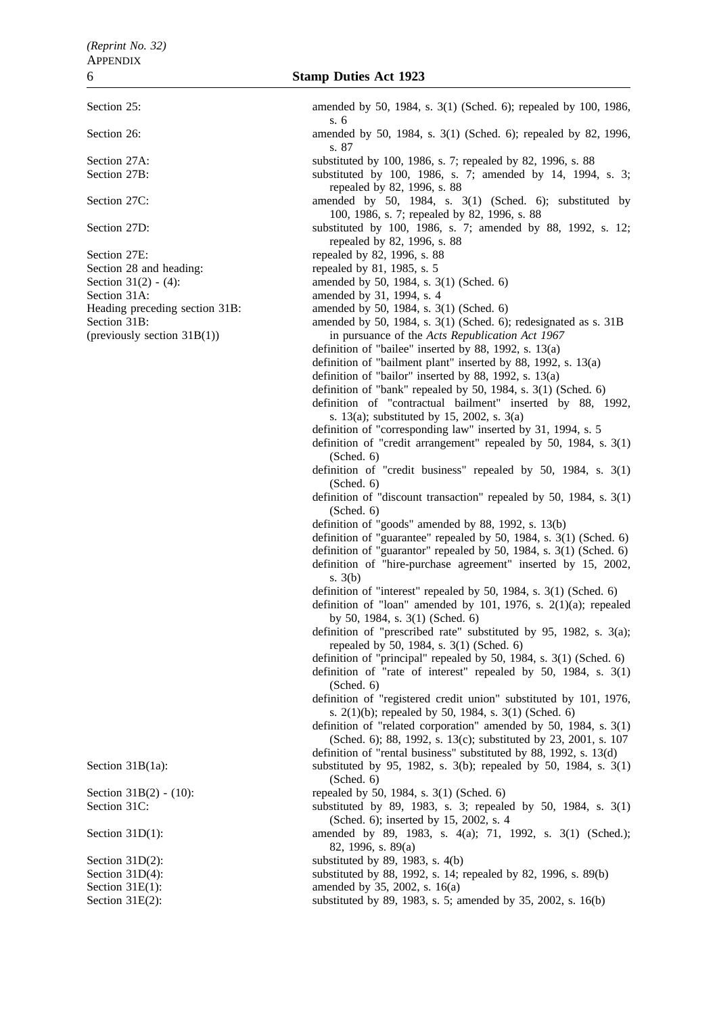Section 27E: repealed by 82, 1996, s. 88 Section 28 and heading: repealed by 81, 1985, s. 5 Section 31A: amended by 31, 1994, s. 4 Heading preceding section 31B: amended by 50, 1984, s. 3(1) (Sched. 6)

Section 25: **amended** by 50, 1984, s. 3(1) (Sched. 6); repealed by 100, 1986, s. 6

- Section 26: **amended** by 50, 1984, s. 3(1) (Sched. 6); repealed by 82, 1996, s. 87
- Section 27A: substituted by 100, 1986, s. 7; repealed by 82, 1996, s. 88
- Section 27B: substituted by 100, 1986, s. 7; amended by 14, 1994, s. 3; repealed by 82, 1996, s. 88
- Section 27C: amended by 50, 1984, s. 3(1) (Sched. 6); substituted by 50, 1984, s. 3(1) (Sched. 6); substituted by 100, 1986, s. 7; repealed by 82, 1996, s. 88
- Section 27D: substituted by 100, 1986, s. 7; amended by 88, 1992, s. 12; repealed by 82, 1996, s. 88
	-
	-
- Section 31(2) (4): amended by 50, 1984, s. 3(1) (Sched. 6)
	-
	-
- Section 31B: amended by 50, 1984, s. 3(1) (Sched. 6); redesignated as s. 31B (previously section 31B(1)) in pursuance of the *Acts Republication Act 1967*
	- definition of "bailee" inserted by 88, 1992, s. 13(a)
	- definition of "bailment plant" inserted by 88, 1992, s. 13(a)
	- definition of "bailor" inserted by 88, 1992, s. 13(a)
	- definition of "bank" repealed by 50, 1984, s. 3(1) (Sched. 6)
	- definition of "contractual bailment" inserted by 88, 1992, s. 13(a); substituted by 15, 2002, s. 3(a)
	- definition of "corresponding law" inserted by 31, 1994, s. 5
	- definition of "credit arrangement" repealed by 50, 1984, s. 3(1) (Sched. 6)
	- definition of "credit business" repealed by 50, 1984, s. 3(1) (Sched. 6)
	- definition of "discount transaction" repealed by 50, 1984, s. 3(1) (Sched. 6)
	- definition of "goods" amended by 88, 1992, s. 13(b)
	- definition of "guarantee" repealed by 50, 1984, s. 3(1) (Sched. 6)
	- definition of "guarantor" repealed by 50, 1984, s. 3(1) (Sched. 6)
	- definition of "hire-purchase agreement" inserted by 15, 2002, s. 3(b)
	- definition of "interest" repealed by 50, 1984, s. 3(1) (Sched. 6)
	- definition of "loan" amended by 101, 1976, s. 2(1)(a); repealed by 50, 1984, s. 3(1) (Sched. 6)
	- definition of "prescribed rate" substituted by 95, 1982, s. 3(a); repealed by 50, 1984, s. 3(1) (Sched. 6)
	- definition of "principal" repealed by 50, 1984, s. 3(1) (Sched. 6)
	- definition of "rate of interest" repealed by 50, 1984, s. 3(1) (Sched. 6)
	- definition of "registered credit union" substituted by 101, 1976, s. 2(1)(b); repealed by 50, 1984, s. 3(1) (Sched. 6)
	- definition of "related corporation" amended by 50, 1984, s. 3(1) (Sched. 6); 88, 1992, s. 13(c); substituted by 23, 2001, s. 107
	- definition of "rental business" substituted by 88, 1992, s. 13(d)
- Section 31B(1a): substituted by 95, 1982, s. 3(b); repealed by 50, 1984, s. 3(1) (Sched. 6)
- Section 31B(2) (10): repealed by 50, 1984, s. 3(1) (Sched. 6)
- Section 31C: substituted by 89, 1983, s. 3; repealed by 50, 1984, s. 3(1) (Sched. 6); inserted by 15, 2002, s. 4
- Section 31D(1): amended by 89, 1983, s. 4(a); 71, 1992, s. 3(1) (Sched.); 82, 1996, s. 89(a)
- Section 31D(2): substituted by 89, 1983, s. 4(b)
- Section 31D(4): substituted by 88, 1992, s. 14; repealed by 82, 1996, s. 89(b)
- Section 31E(1): amended by 35, 2002, s. 16(a)
- Section 31E(2): substituted by 89, 1983, s. 5; amended by 35, 2002, s. 16(b)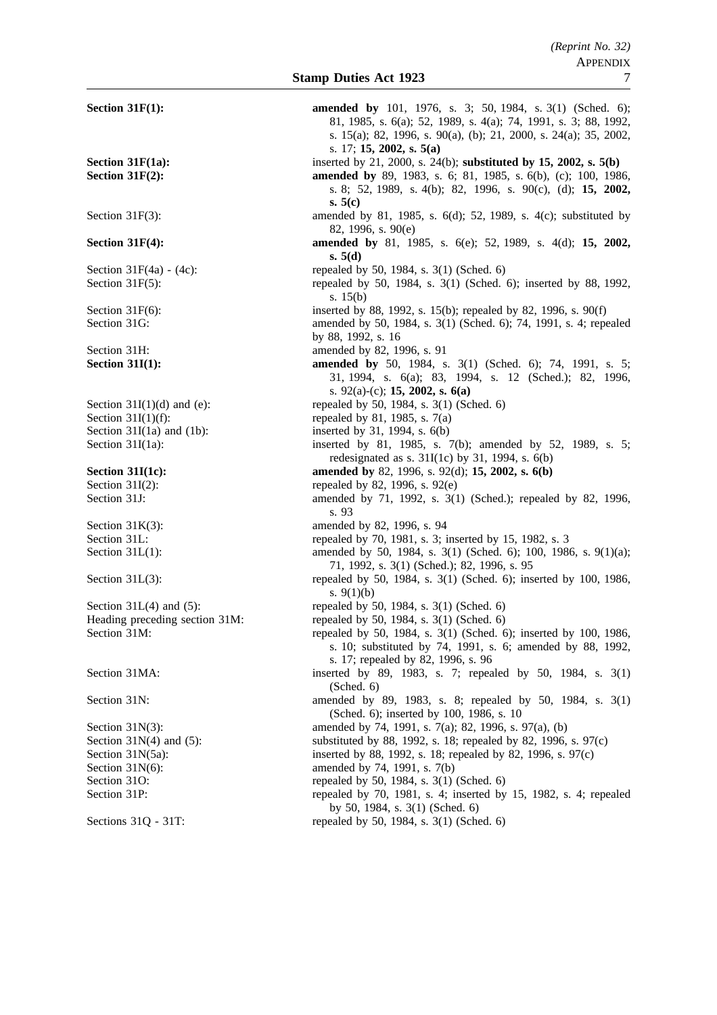| Section $31F(1)$ :             | amended by 101, 1976, s. 3; 50, 1984, s. 3(1) (Sched. 6);<br>81, 1985, s. 6(a); 52, 1989, s. 4(a); 74, 1991, s. 3; 88, 1992,<br>s. 15(a); 82, 1996, s. 90(a), (b); 21, 2000, s. 24(a); 35, 2002,<br>s. 17; 15, 2002, s. $5(a)$ |
|--------------------------------|--------------------------------------------------------------------------------------------------------------------------------------------------------------------------------------------------------------------------------|
| Section 31F(1a):               | inserted by 21, 2000, s. 24(b); substituted by 15, 2002, s. 5(b)                                                                                                                                                               |
| Section $31F(2)$ :             | <b>amended by</b> 89, 1983, s. 6; 81, 1985, s. 6(b), (c); 100, 1986,<br>s. 8; 52, 1989, s. 4(b); 82, 1996, s. 90(c), (d); 15, 2002,<br>s. $5(c)$                                                                               |
| Section $31F(3)$ :             | amended by 81, 1985, s. 6(d); 52, 1989, s. 4(c); substituted by<br>82, 1996, s. 90(e)                                                                                                                                          |
| Section $31F(4)$ :             | amended by 81, 1985, s. 6(e); 52, 1989, s. 4(d); 15, 2002,<br>s. $5(d)$                                                                                                                                                        |
| Section $31F(4a) - (4c)$ :     | repealed by 50, 1984, s. 3(1) (Sched. 6)                                                                                                                                                                                       |
| Section $31F(5)$ :             | repealed by 50, 1984, s. 3(1) (Sched. 6); inserted by 88, 1992,<br>s. $15(b)$                                                                                                                                                  |
| Section $31F(6)$ :             | inserted by 88, 1992, s. 15(b); repealed by 82, 1996, s. 90(f)                                                                                                                                                                 |
| Section 31G:                   | amended by 50, 1984, s. 3(1) (Sched. 6); 74, 1991, s. 4; repealed<br>by 88, 1992, s. 16                                                                                                                                        |
| Section 31H:                   | amended by 82, 1996, s. 91                                                                                                                                                                                                     |
| <b>Section 31I(1):</b>         | <b>amended by</b> 50, 1984, s. 3(1) (Sched. 6); 74, 1991, s. 5;<br>31, 1994, s. 6(a); 83, 1994, s. 12 (Sched.); 82, 1996,<br>s. 92(a)-(c); 15, 2002, s. 6(a)                                                                   |
| Section $31I(1)(d)$ and (e):   | repealed by 50, 1984, s. 3(1) (Sched. 6)                                                                                                                                                                                       |
| Section $31I(1)(f)$ :          | repealed by 81, 1985, s. 7(a)                                                                                                                                                                                                  |
| Section $31I(1a)$ and $(1b)$ : | inserted by 31, 1994, s. 6(b)                                                                                                                                                                                                  |
| Section $31I(1a)$ :            | inserted by 81, 1985, s. 7(b); amended by 52, 1989, s. 5;<br>redesignated as s. $31I(1c)$ by 31, 1994, s. $6(b)$                                                                                                               |
| Section $31I(1c)$ :            | amended by 82, 1996, s. 92(d); 15, 2002, s. 6(b)                                                                                                                                                                               |
| Section $31I(2)$ :             | repealed by 82, 1996, s. 92(e)                                                                                                                                                                                                 |
| Section 31J:                   | amended by 71, 1992, s. 3(1) (Sched.); repealed by 82, 1996,<br>s. 93                                                                                                                                                          |
| Section $31K(3)$ :             | amended by 82, 1996, s. 94                                                                                                                                                                                                     |
| Section 31L:                   | repealed by 70, 1981, s. 3; inserted by 15, 1982, s. 3                                                                                                                                                                         |
| Section $31L(1)$ :             | amended by 50, 1984, s. 3(1) (Sched. 6); 100, 1986, s. 9(1)(a);<br>71, 1992, s. 3(1) (Sched.); 82, 1996, s. 95                                                                                                                 |
| Section $31L(3)$ :             | repealed by 50, 1984, s. 3(1) (Sched. 6); inserted by 100, 1986,<br>s. $9(1)(b)$                                                                                                                                               |
| Section $31L(4)$ and $(5)$ :   | repealed by 50, 1984, s. 3(1) (Sched. 6)                                                                                                                                                                                       |
| Heading preceding section 31M: | repealed by 50, 1984, s. 3(1) (Sched. 6)                                                                                                                                                                                       |
| Section 31M:                   | repealed by 50, 1984, s. 3(1) (Sched. 6); inserted by 100, 1986,<br>s. 10; substituted by 74, 1991, s. 6; amended by 88, 1992,<br>s. 17; repealed by 82, 1996, s. 96                                                           |
| Section 31MA:                  | inserted by 89, 1983, s. 7; repealed by 50, 1984, s. 3(1)<br>(Sched. 6)                                                                                                                                                        |
| Section 31N:                   | amended by 89, 1983, s. 8; repealed by 50, 1984, s. 3(1)<br>(Sched. 6); inserted by 100, 1986, s. 10                                                                                                                           |
| Section $31N(3)$ :             | amended by 74, 1991, s. 7(a); 82, 1996, s. 97(a), (b)                                                                                                                                                                          |
| Section $31N(4)$ and $(5)$ :   | substituted by 88, 1992, s. 18; repealed by 82, 1996, s. 97(c)                                                                                                                                                                 |
| Section $31N(5a)$ :            | inserted by 88, 1992, s. 18; repealed by 82, 1996, s. 97(c)                                                                                                                                                                    |
| Section $31N(6)$ :             | amended by 74, 1991, s. 7(b)                                                                                                                                                                                                   |
| Section 31O:                   | repealed by 50, 1984, s. 3(1) (Sched. 6)                                                                                                                                                                                       |
| Section 31P:                   | repealed by 70, 1981, s. 4; inserted by 15, 1982, s. 4; repealed<br>by 50, 1984, s. $3(1)$ (Sched. 6)                                                                                                                          |
| Sections 31Q - 31T:            | repealed by 50, 1984, s. 3(1) (Sched. 6)                                                                                                                                                                                       |
|                                |                                                                                                                                                                                                                                |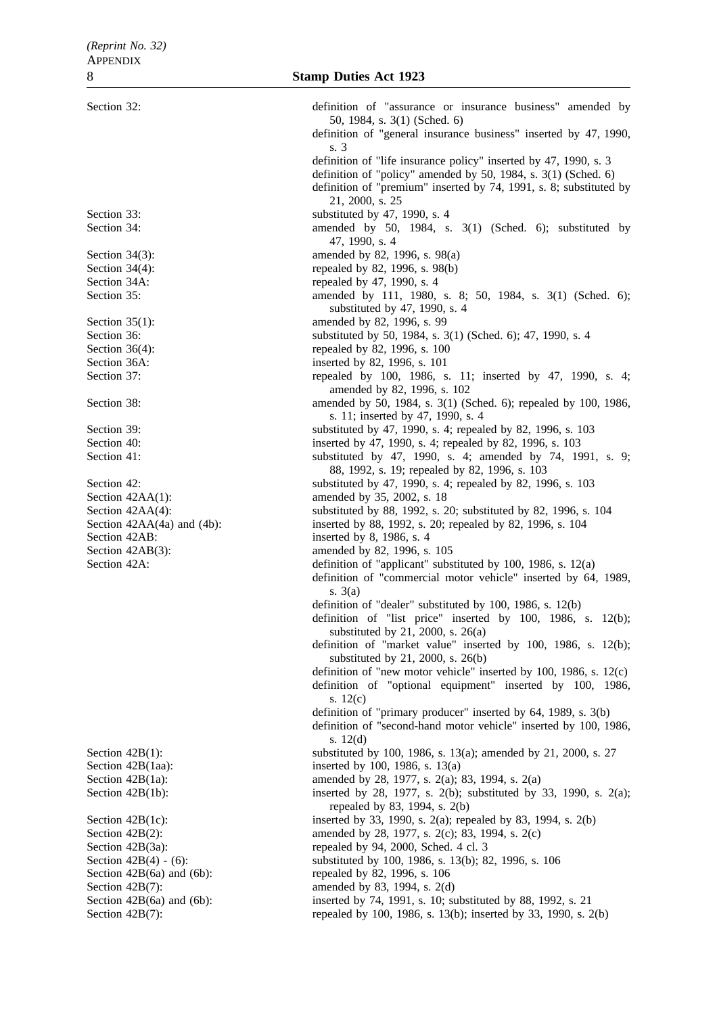Section 32: definition of "assurance or insurance business" amended by s. 3 21, 2000, s. 25 Section 33: substituted by 47, 1990, s. 4 Section 34: **amended** by 50, 1984, s. 3(1) (Sched. 6); substituted by 47, 1990, s. 4 Section 34(3): amended by 82, 1996, s. 98(a) Section 34(4): repealed by 82, 1996, s. 98(b) Section 34A: repealed by 47, 1990, s. 4 Section 35: **amended** by 111, 1980, s. 8; 50, 1984, s. 3(1) (Sched. 6); Section 35(1): amended by 82, 1996, s. 99 Section 36: substituted by 50, 1984, s. 3(1) (Sched. 6); 47, 1990, s. 4 Section 36(4): repealed by 82, 1996, s. 100 Section 36A: inserted by 82, 1996, s. 101 Section 37: repealed by 100, 1986, s. 11; inserted by 47, 1990, s. 4; Section 38: **amended** by 50, 1984, s. 3(1) (Sched. 6); repealed by 100, 1986, Section 39: substituted by 47, 1990, s. 4; repealed by 82, 1996, s. 103 Section 40: inserted by 47, 1990, s. 4; repealed by 82, 1996, s. 103 Section 41: substituted by 47, 1990, s. 4; amended by 74, 1991, s. 9; Section 42: substituted by 47, 1990, s. 4; repealed by 82, 1996, s. 103 Section 42AA(1): amended by 35, 2002, s. 18 Section 42AA(4): substituted by 88, 1992, s. 20; substituted by 82, 1996, s. 104 Section 42AA(4a) and (4b): inserted by 88, 1992, s. 20; repealed by 82, 1996, s. 104 Section 42AB: inserted by 8, 1986, s. 4 Section 42AB(3): amended by 82, 1996, s. 105 Section 42A: definition of "applicant" substituted by 100, 1986, s. 12(a) s. 3(a) s. 12(c) s. 12(d) Section 42B(1): substituted by 100, 1986, s. 13(a); amended by 21, 2000, s. 27 Section 42B(1aa): inserted by 100, 1986, s. 13(a) Section 42B(1a): amended by 28, 1977, s. 2(a); 83, 1994, s. 2(a) Section 42B(1b): inserted by 28, 1977, s. 2(b); substituted by 33, 1990, s. 2(a); Section 42B(1c): inserted by 33, 1990, s. 2(a); repealed by 83, 1994, s. 2(b) Section 42B(2): amended by 28, 1977, s. 2(c); 83, 1994, s. 2(c) Section  $42B(3a)$ : repealed by 94, 2000, Sched. 4 cl. 3 Section 42B(4) - (6): substituted by 100, 1986, s. 13(b); 82, 1996, s. 106 Section 42B(6a) and (6b): repealed by 82, 1996, s. 106 Section 42B(7): amended by 83, 1994, s. 2(d) Section 42B(6a) and (6b): inserted by 74, 1991, s. 10; substituted by 88, 1992, s. 21 Section 42B(7): repealed by 100, 1986, s. 13(b); inserted by 33, 1990, s. 2(b)

50, 1984, s. 3(1) (Sched. 6) definition of "general insurance business" inserted by 47, 1990, definition of "life insurance policy" inserted by 47, 1990, s. 3 definition of "policy" amended by 50, 1984, s. 3(1) (Sched. 6) definition of "premium" inserted by 74, 1991, s. 8; substituted by substituted by 47, 1990, s. 4 amended by 82, 1996, s. 102 s. 11; inserted by 47, 1990, s. 4 88, 1992, s. 19; repealed by 82, 1996, s. 103 definition of "commercial motor vehicle" inserted by 64, 1989, definition of "dealer" substituted by 100, 1986, s. 12(b) definition of "list price" inserted by 100, 1986, s. 12(b); substituted by 21, 2000, s. 26(a) definition of "market value" inserted by 100, 1986, s. 12(b); substituted by 21, 2000, s. 26(b) definition of "new motor vehicle" inserted by 100, 1986, s. 12(c) definition of "optional equipment" inserted by 100, 1986, definition of "primary producer" inserted by 64, 1989, s. 3(b) definition of "second-hand motor vehicle" inserted by 100, 1986, repealed by 83, 1994, s. 2(b)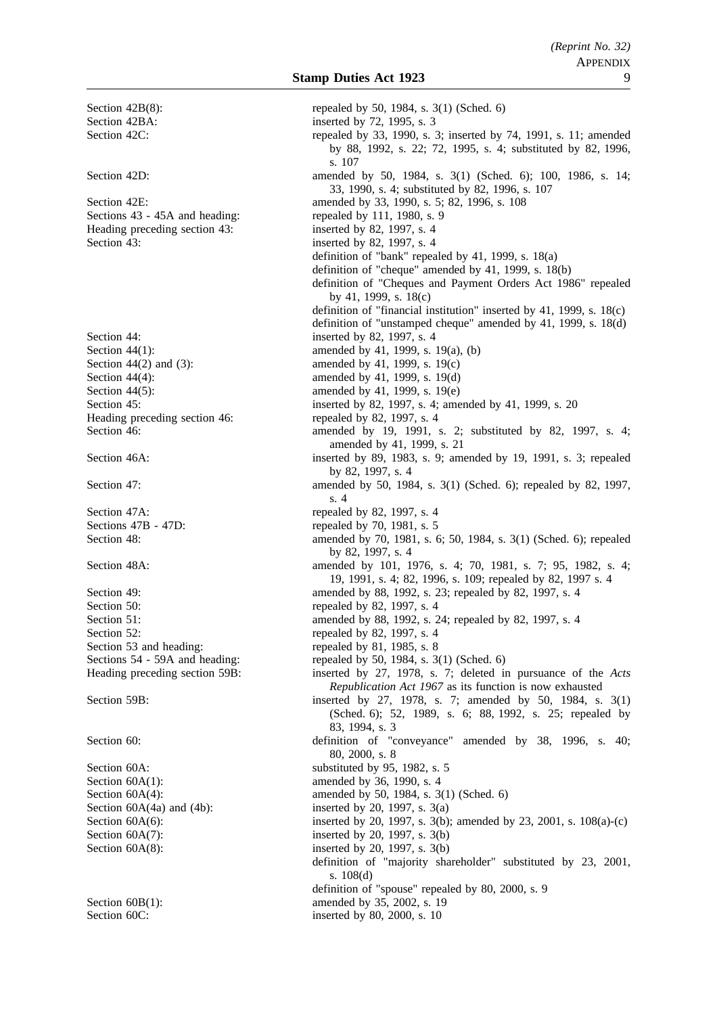Section 42BA: inserted by 72, 1995, s. 3 Heading preceding section 43: Section 43: inserted by 82, 1997, s. 4 Section 44: inserted by 82, 1997, s. 4 Heading preceding section 46: repealed by 82, 1997, s. 4<br>Section 46: amended by 19, 1991, Section 47A: repealed by 82, 1997, s. 4<br>Sections 47B - 47D: repealed by 70, 1981, s. 5 Section 50: repealed by 82, 1997, s. 4 Section 52: repealed by 82, 1997, s. 4 Section 53 and heading: repealed by 81, 1985, s. 8 Section  $60A(1)$ : amended by 36, 1990, s. 4 Section 60C: inserted by 80, 2000, s. 10

Section 42B(8): repealed by 50, 1984, s. 3(1) (Sched. 6) Section 42C: repealed by 33, 1990, s. 3; inserted by 74, 1991, s. 11; amended by 88, 1992, s. 22; 72, 1995, s. 4; substituted by 82, 1996, s. 107 Section 42D: amended by 50, 1984, s. 3(1) (Sched. 6); 100, 1986, s. 14; 33, 1990, s. 4; substituted by 82, 1996, s. 107 Section 42E: **amended** by 33, 1990, s. 5; 82, 1996, s. 108 Sections 43 - 45A and heading: repealed by 111, 1980, s. 9<br>Heading preceding section 43: inserted by 82, 1997, s. 4 definition of "bank" repealed by 41, 1999, s. 18(a) definition of "cheque" amended by 41, 1999, s. 18(b) definition of "Cheques and Payment Orders Act 1986" repealed by 41, 1999, s. 18(c) definition of "financial institution" inserted by 41, 1999, s. 18(c) definition of "unstamped cheque" amended by 41, 1999, s. 18(d) Section 44(1): amended by 41, 1999, s. 19(a), (b) Section 44(2) and (3):  $\qquad \qquad \text{amended by 41, 1999, s. 19(c)}$ Section 44(4): amended by 41, 1999, s. 19(d) Section 44(5): amended by 41, 1999, s. 19(e) Section 45: inserted by 82, 1997, s. 4; amended by 41, 1999, s. 20 amended by 19, 1991, s. 2; substituted by 82, 1997, s. 4; amended by 41, 1999, s. 21 Section 46A: inserted by 89, 1983, s. 9; amended by 19, 1991, s. 3; repealed by 82, 1997, s. 4 Section 47: **amended** by 50, 1984, s. 3(1) (Sched. 6); repealed by 82, 1997, s. 4 repealed by 70, 1981, s. 5 Section 48: **amended** by 70, 1981, s. 6; 50, 1984, s. 3(1) (Sched. 6); repealed by 82, 1997, s. 4 Section 48A: amended by 101, 1976, s. 4; 70, 1981, s. 7; 95, 1982, s. 4; 9. 19, 1991, s. 4; 82, 1996, s. 109; repealed by 82, 1997 s. 4 Section 49: **amended** by 88, 1992, s. 23; repealed by 82, 1997, s. 4 Section 51: **amended** by 88, 1992, s. 24; repealed by 82, 1997, s. 4 Sections 54 - 59A and heading: repealed by 50, 1984, s. 3(1) (Sched. 6) Heading preceding section 59B: inserted by 27, 1978, s. 7; deleted in pursuance of the *Acts Republication Act 1967* as its function is now exhausted Section 59B: inserted by 27, 1978, s. 7; amended by 50, 1984, s. 3(1) (Sched. 6); 52, 1989, s. 6; 88, 1992, s. 25; repealed by 83, 1994, s. 3 Section 60: definition of "conveyance" amended by 38, 1996, s. 40; 80, 2000, s. 8 Section 60A: substituted by 95, 1982, s. 5 Section 60A(4): amended by 50, 1984, s. 3(1) (Sched. 6) Section  $60A(4a)$  and  $(4b)$ : inserted by 20, 1997, s.  $3(a)$ Section 60A(6): inserted by 20, 1997, s. 3(b); amended by 23, 2001, s. 108(a)-(c) Section  $60A(7)$ : inserted by 20, 1997, s. 3(b) Section  $60A(8)$ : inserted by 20, 1997, s. 3(b) definition of "majority shareholder" substituted by 23, 2001, s. 108(d) definition of "spouse" repealed by 80, 2000, s. 9 Section 60B(1): amended by 35, 2002, s. 19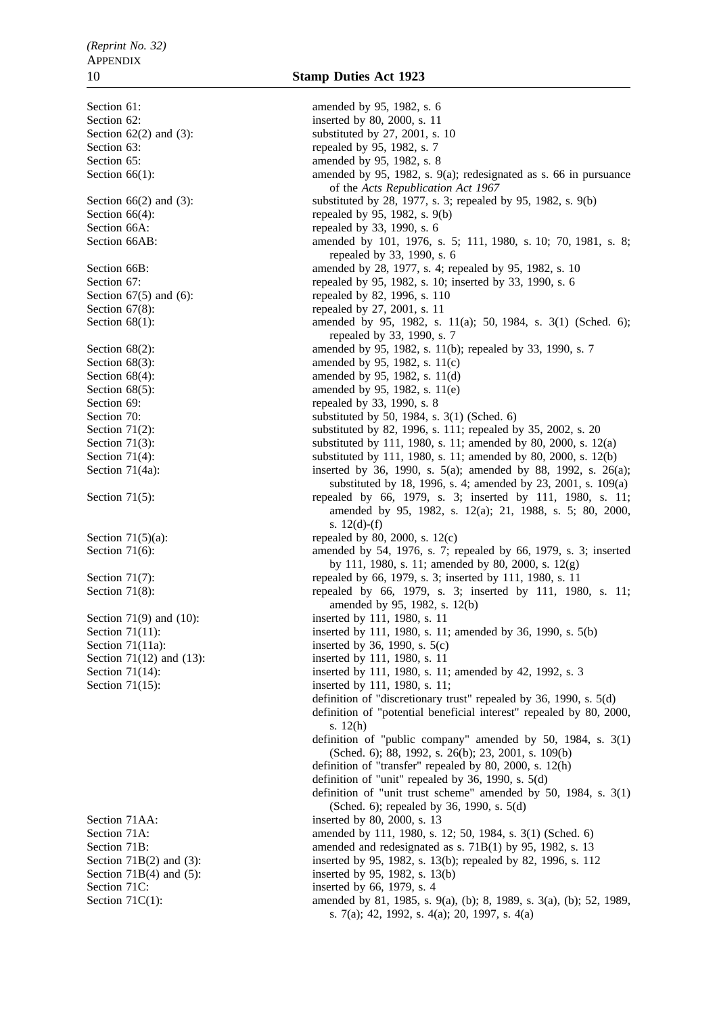Section 61: amended by 95, 1982, s. 6

Section 62: inserted by 80, 2000, s. 11 Section  $62(2)$  and  $(3)$ : substituted by  $27, 2001, s. 10$ Section 63: repealed by 95, 1982, s. 7 Section 65: **amended** by 95, 1982, s. 8 Section 66(1): amended by 95, 1982, s. 9(a); redesignated as s. 66 in pursuance of the *Acts Republication Act 1967* Section 66(2) and (3): substituted by 28, 1977, s. 3; repealed by 95, 1982, s. 9(b) Section 66(4): repealed by 95, 1982, s. 9(b) Section 66A: repealed by 33, 1990, s. 6 Section 66AB: amended by 101, 1976, s. 5; 111, 1980, s. 10; 70, 1981, s. 8; repealed by 33, 1990, s. 6 Section 66B: amended by 28, 1977, s. 4; repealed by 95, 1982, s. 10 Section 67: repealed by 95, 1982, s. 10; inserted by 33, 1990, s. 6<br>Section 67(5) and (6): repealed by 82, 1996, s. 110 repealed by 82, 1996, s. 110 Section 67(8): repealed by 27, 2001, s. 11 Section 68(1): amended by 95, 1982, s. 11(a); 50, 1984, s. 3(1) (Sched. 6); repealed by 33, 1990, s. 7 Section 68(2): amended by 95, 1982, s. 11(b); repealed by 33, 1990, s. 7 Section 68(3): amended by 95, 1982, s. 11(c) Section 68(4): amended by 95, 1982, s. 11(d) Section  $68(5)$ : amended by 95, 1982, s. 11(e) Section 69: repealed by 33, 1990, s. 8 Section 70: substituted by 50, 1984, s. 3(1) (Sched. 6) Section 71(2): substituted by 82, 1996, s. 111; repealed by 35, 2002, s. 20 Section 71(3): substituted by 111, 1980, s. 11; amended by 80, 2000, s. 12(a) Section 71(4): substituted by 111, 1980, s. 11; amended by 80, 2000, s. 12(b) Section 71(4a): inserted by 36, 1990, s. 5(a); amended by 88, 1992, s. 26(a); Section 71(4a); substituted by 18, 1996, s. 4; amended by 23, 2001, s. 109(a) Section 71(5): repealed by 66, 1979, s. 3; inserted by 111, 1980, s. 11; amended by 95, 1982, s. 12(a); 21, 1988, s. 5; 80, 2000, s. 12(d)-(f) Section  $71(5)(a)$ : repealed by 80, 2000, s. 12(c) Section 71(6): amended by 54, 1976, s. 7; repealed by 66, 1979, s. 3; inserted by 111, 1980, s. 11; amended by 80, 2000, s. 12(g) Section 71(7): repealed by 66, 1979, s. 3; inserted by 111, 1980, s. 11 Section 71(8): repealed by 66, 1979, s. 3; inserted by 111, 1980, s. 11; amended by 95, 1982, s. 12(b) Section 71(9) and (10): inserted by 111, 1980, s. 11 Section 71(11): inserted by 111, 1980, s. 11; amended by 36, 1990, s. 5(b) Section 71(11a): inserted by 36, 1990, s. 5(c) Section 71(12) and (13): inserted by 111, 1980, s. 11 Section 71(14): inserted by 111, 1980, s. 11; amended by 42, 1992, s. 3 Section 71(15): inserted by 111, 1980, s. 11; definition of "discretionary trust" repealed by 36, 1990, s. 5(d) definition of "potential beneficial interest" repealed by 80, 2000, s. 12(h) definition of "public company" amended by 50, 1984, s. 3(1) (Sched. 6); 88, 1992, s. 26(b); 23, 2001, s. 109(b) definition of "transfer" repealed by 80, 2000, s. 12(h) definition of "unit" repealed by 36, 1990, s. 5(d) definition of "unit trust scheme" amended by 50, 1984, s. 3(1) (Sched. 6); repealed by 36, 1990, s. 5(d) Section 71AA: inserted by 80, 2000, s. 13 Section 71A: amended by 111, 1980, s. 12; 50, 1984, s. 3(1) (Sched. 6)<br>Section 71B: amended and redesignated as s. 71B(1) by 95, 1982, s. 13 Section 71B: amended and redesignated as s. 71B(1) by 95, 1982, s. 13<br>Section 71B(2) and (3): inserted by 95, 1982, s. 13(b); repealed by 82, 1996, s. 11 inserted by 95, 1982, s. 13(b); repealed by 82, 1996, s.  $112$ Section 71B(4) and (5): inserted by 95, 1982, s. 13(b) Section 71C: inserted by 66, 1979, s. 4 Section 71C(1): amended by 81, 1985, s. 9(a), (b); 8, 1989, s. 3(a), (b); 52, 1989, s. 7(a); 42, 1992, s. 4(a); 20, 1997, s. 4(a)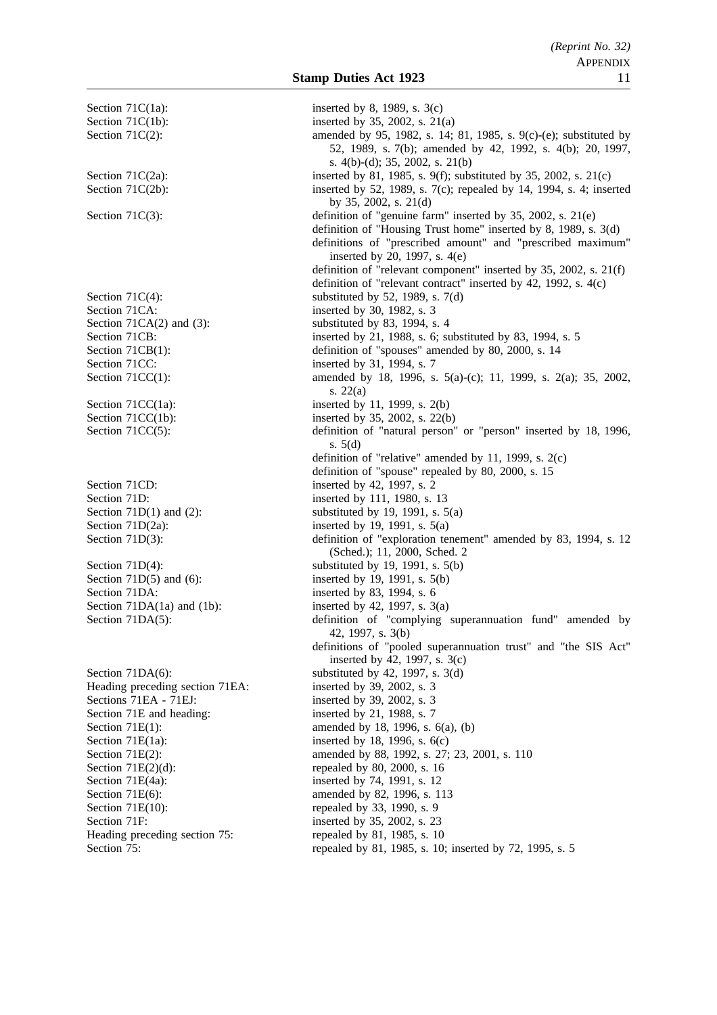Section 71 $C(1a)$ : inserted by 8, 1989, s.  $3(c)$ Section 71 $C(1b)$ : inserted by 35, 2002, s. 21(a) Section 71 $C(4)$ : substituted by 52, 1989, s. 7(d) Section 71CA: inserted by 30, 1982, s. 3 Section  $71CA(2)$  and  $(3)$ : substituted by 83, 1994, s. 4 Section 71CC: inserted by 31, 1994, s. 7 Section  $71CC(1a)$ : inserted by 11, 1999, s. 2(b) Section 71CC(1b): inserted by 35, 2002, s. 22(b) Section 71CD: inserted by 42, 1997, s. 2 Section 71D: inserted by 111, 1980, s. 13 Section 71D(1) and (2): substituted by 19, 1991, s.  $5(a)$ Section 71D(2a): inserted by 19, 1991, s. 5(a) Section  $71D(4)$ : substituted by 19, 1991, s.  $5(b)$ Section  $71D(5)$  and  $(6)$ : inserted by 19, 1991, s.  $5(b)$ Section 71DA: inserted by 83, 1994, s. 6 Section 71DA(1a) and (1b): inserted by 42, 1997, s.  $3(a)$ Section 71DA(6): substituted by 42, 1997, s. 3(d) Heading preceding section 71EA: inserted by 39, 2002, s. 3 Sections 71EA - 71EJ: inserted by 39, 2002, s. 3 Section 71E and heading: inserted by 21, 1988, s. 7 Section 71 $E(1a)$ : inserted by 18, 1996, s.  $6(c)$ Section  $71E(2)(d)$ : repealed by 80, 2000, s. 16 Section 71E(4a): inserted by 74, 1991, s. 12 Section 71E(6): amended by 82, 1996, s. 113 Section  $71E(10)$ : repealed by 33, 1990, s. 9 Section 71F: inserted by 35, 2002, s. 23 Heading preceding section 75: repealed by 81, 1985, s. 10

Section 71C(2): amended by 95, 1982, s. 14; 81, 1985, s. 9(c)-(e); substituted by 52, 1989, s. 7(b); amended by 42, 1992, s. 4(b); 20, 1997, s. 4(b)-(d); 35, 2002, s. 21(b) Section 71 $C(2a)$ : inserted by 81, 1985, s. 9(f); substituted by 35, 2002, s. 21(c) Section 71C(2b): inserted by 52, 1989, s. 7(c); repealed by 14, 1994, s. 4; inserted by 35, 2002, s. 21(d) Section 71C(3): definition of "genuine farm" inserted by 35, 2002, s. 21(e) definition of "Housing Trust home" inserted by 8, 1989, s. 3(d) definitions of "prescribed amount" and "prescribed maximum" inserted by 20, 1997, s. 4(e) definition of "relevant component" inserted by 35, 2002, s. 21(f) definition of "relevant contract" inserted by 42, 1992, s. 4(c) Section 71CB: inserted by 21, 1988, s. 6; substituted by 83, 1994, s. 5 Section 71CB(1): definition of "spouses" amended by 80, 2000, s. 14 Section 71CC(1): amended by 18, 1996, s. 5(a)-(c); 11, 1999, s. 2(a); 35, 2002, s. 22(a) Section 71CC(5): definition of "natural person" or "person" inserted by 18, 1996, s. 5(d) definition of "relative" amended by 11, 1999, s. 2(c) definition of "spouse" repealed by 80, 2000, s. 15 Section 71D(3): definition of "exploration tenement" amended by 83, 1994, s. 12 (Sched.); 11, 2000, Sched. 2 Section 71DA(5): definition of "complying superannuation fund" amended by 42, 1997, s. 3(b) definitions of "pooled superannuation trust" and "the SIS Act" inserted by 42, 1997, s. 3(c) Section 71E(1): amended by 18, 1996, s. 6(a), (b) Section 71E(2): amended by 88, 1992, s. 27; 23, 2001, s. 110 Section 75: repealed by 81, 1985, s. 10; inserted by 72, 1995, s. 5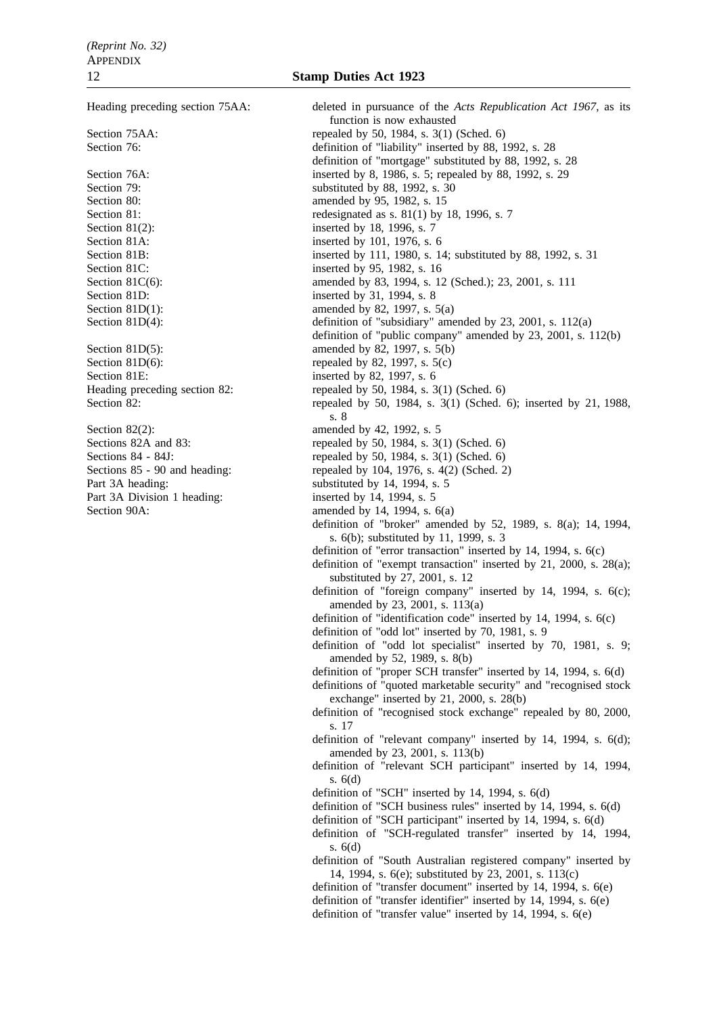Section 81D(6): repealed by 82, 1997, s.  $5(c)$ Section 81E: inserted by 82, 1997, s. 6<br>Heading preceding section 82: repealed by 50, 1984, s. 3

Part 3A heading: substituted by 14, 1994, s. 5 Part 3A Division 1 heading: inserted by 14, 1994, s. 5 Section 90A:  $\frac{36}{4}$  amended by 14, 1994, s. 6(a)

Heading preceding section 75AA: deleted in pursuance of the *Acts Republication Act 1967*, as its function is now exhausted Section 75AA: repealed by 50, 1984, s. 3(1) (Sched. 6) Section 76: definition of "liability" inserted by 88, 1992, s. 28 definition of "mortgage" substituted by 88, 1992, s. 28 Section 76A: inserted by 8, 1986, s. 5; repealed by 88, 1992, s. 29 Section 79: substituted by 88, 1992, s. 30 Section 80: **amended** by 95, 1982, s. 15 Section 81: redesignated as s. 81(1) by 18, 1996, s. 7 Section 81(2): inserted by 18, 1996, s. 7 Section 81A: inserted by 101, 1976, s. 6 Section 81B: inserted by 111, 1980, s. 14; substituted by 88, 1992, s. 31 Section 81C: inserted by 95, 1982, s. 16 Section 81C(6): amended by 83, 1994, s. 12 (Sched.); 23, 2001, s. 111 Section 81D: inserted by 31, 1994, s. 8 Section 81D(1): amended by 82, 1997, s. 5(a) Section 81D(4): definition of "subsidiary" amended by 23, 2001, s. 112(a) definition of "public company" amended by 23, 2001, s. 112(b) Section 81D(5): amended by 82, 1997, s. 5(b) repealed by 50, 1984, s.  $3(1)$  (Sched. 6) Section 82: repealed by 50, 1984, s. 3(1) (Sched. 6); inserted by 21, 1988, s. 8 Section 82(2): amended by 42, 1992, s. 5 Sections 82A and 83: repealed by 50, 1984, s. 3(1) (Sched. 6) Sections 84 - 84J:<br>
Sections 85 - 90 and heading:<br>
repealed by 50, 1984, s. 3(1) (Sched. 6)<br>
repealed by 104, 1976, s. 4(2) (Sched. 2 repealed by 104, 1976, s.  $4(2)$  (Sched. 2) definition of "broker" amended by 52, 1989, s. 8(a); 14, 1994, s. 6(b); substituted by 11, 1999, s. 3 definition of "error transaction" inserted by 14, 1994, s. 6(c) definition of "exempt transaction" inserted by 21, 2000, s. 28(a); substituted by 27, 2001, s. 12 definition of "foreign company" inserted by 14, 1994, s. 6(c); amended by 23, 2001, s. 113(a) definition of "identification code" inserted by 14, 1994, s. 6(c) definition of "odd lot" inserted by 70, 1981, s. 9 definition of "odd lot specialist" inserted by 70, 1981, s. 9; amended by 52, 1989, s. 8(b) definition of "proper SCH transfer" inserted by 14, 1994, s. 6(d) definitions of "quoted marketable security" and "recognised stock exchange" inserted by 21, 2000, s. 28(b) definition of "recognised stock exchange" repealed by 80, 2000, s. 17 definition of "relevant company" inserted by 14, 1994, s. 6(d); amended by 23, 2001, s. 113(b) definition of "relevant SCH participant" inserted by 14, 1994, s. 6(d) definition of "SCH" inserted by 14, 1994, s. 6(d) definition of "SCH business rules" inserted by 14, 1994, s. 6(d) definition of "SCH participant" inserted by 14, 1994, s. 6(d) definition of "SCH-regulated transfer" inserted by 14, 1994, s. 6(d) definition of "South Australian registered company" inserted by 14, 1994, s. 6(e); substituted by 23, 2001, s. 113(c) definition of "transfer document" inserted by 14, 1994, s. 6(e) definition of "transfer identifier" inserted by 14, 1994, s. 6(e) definition of "transfer value" inserted by 14, 1994, s. 6(e)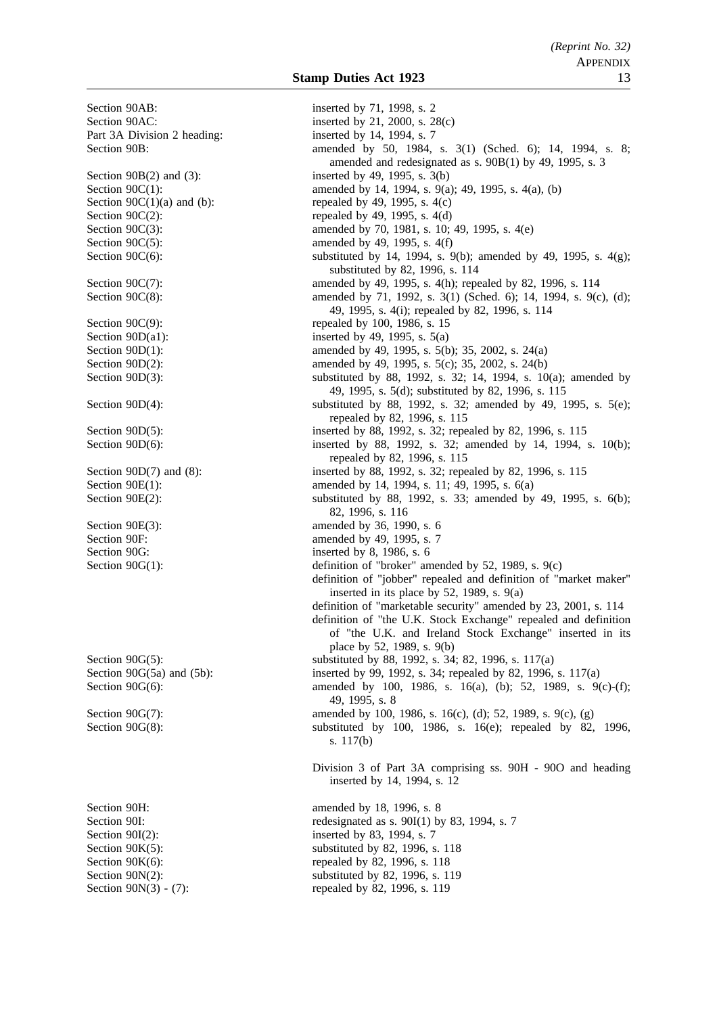Part 3A Division 2 heading: inserted by 14, 1994, s. 7 Section 90G: inserted by 8, 1986, s. 6 Section 90I(2): inserted by 83, 1994, s. 7 Section 90N(3) - (7): repealed by 82, 1996, s. 119

Section 90AB: inserted by 71, 1998, s. 2 Section 90AC: inserted by 21, 2000, s. 28(c) Section 90B: amended by 50, 1984, s. 3(1) (Sched. 6); 14, 1994, s. 8; amended and redesignated as s. 90B(1) by 49, 1995, s. 3 Section  $90B(2)$  and  $(3)$ : inserted by 49, 1995, s.  $3(b)$ Section 90C(1): amended by 14, 1994, s. 9(a); 49, 1995, s. 4(a), (b) Section  $90C(1)(a)$  and (b): repealed by 49, 1995, s. 4(c) Section  $90C(2)$ : repealed by 49, 1995, s. 4(d) Section 90C(3): amended by 70, 1981, s. 10; 49, 1995, s. 4(e) Section  $90C(5)$ : amended by 49, 1995, s. 4(f) Section 90C(6): substituted by 14, 1994, s. 9(b); amended by 49, 1995, s. 4(g); substituted by 82, 1996, s. 114 Section 90C(7): amended by 49, 1995, s. 4(h); repealed by 82, 1996, s. 114 Section 90C(8): amended by 71, 1992, s. 3(1) (Sched. 6); 14, 1994, s. 9(c), (d); 49, 1995, s. 4(i); repealed by 82, 1996, s. 114 Section 90C(9): repealed by 100, 1986, s. 15 Section 90D(a1): inserted by 49, 1995, s.  $5(a)$ Section 90D(1): amended by 49, 1995, s. 5(b); 35, 2002, s. 24(a) Section 90D(2): amended by 49, 1995, s. 5(c); 35, 2002, s. 24(b) Section 90D(3): substituted by 88, 1992, s. 32; 14, 1994, s. 10(a); amended by 49, 1995, s. 5(d); substituted by 82, 1996, s. 115 Section 90D(4): substituted by 88, 1992, s. 32; amended by 49, 1995, s. 5(e); repealed by 82, 1996, s. 115 Section 90D(5):<br>Section 90D(6):<br>Section 90D(6):<br>Section 90D(6):<br>Section 90D(6):<br>Section 90D(6):<br>Section 90D(6): inserted by 88, 1992, s. 32; amended by 14, 1994, s. 10(b); repealed by 82, 1996, s. 115 Section 90D(7) and (8): inserted by 88, 1992, s. 32; repealed by 82, 1996, s. 115 Section 90E(1): amended by 14, 1994, s. 11; 49, 1995, s. 6(a) Section 90E(2): substituted by 88, 1992, s. 33; amended by 49, 1995, s. 6(b); 82, 1996, s. 116 Section 90E(3): amended by 36, 1990, s. 6 Section 90F: amended by 49, 1995, s. 7 Section 90G(1): definition of "broker" amended by 52, 1989, s. 9(c) definition of "jobber" repealed and definition of "market maker" inserted in its place by 52, 1989, s. 9(a) definition of "marketable security" amended by 23, 2001, s. 114 definition of "the U.K. Stock Exchange" repealed and definition of "the U.K. and Ireland Stock Exchange" inserted in its place by 52, 1989, s. 9(b) Section 90G(5): substituted by 88, 1992, s. 34; 82, 1996, s. 117(a) Section 90G(5a) and (5b): inserted by 99, 1992, s. 34; repealed by 82, 1996, s. 117(a) Section 90G(6): amended by 100, 1986, s. 16(a), (b); 52, 1989, s. 9(c)-(f); 49, 1995, s. 8 Section 90G(7): amended by 100, 1986, s. 16(c), (d); 52, 1989, s. 9(c), (g) Section 90G(8): substituted by 100, 1986, s. 16(e); repealed by 82, 1996, s. 117(b) Division 3 of Part 3A comprising ss. 90H - 90O and heading inserted by 14, 1994, s. 12 Section 90H: amended by 18, 1996, s. 8 Section 90I: redesignated as s. 90I(1) by 83, 1994, s. 7 Section 90K(5): substituted by 82, 1996, s. 118 Section 90K(6): repealed by 82, 1996, s. 118 Section 90N(2): substituted by 82, 1996, s. 119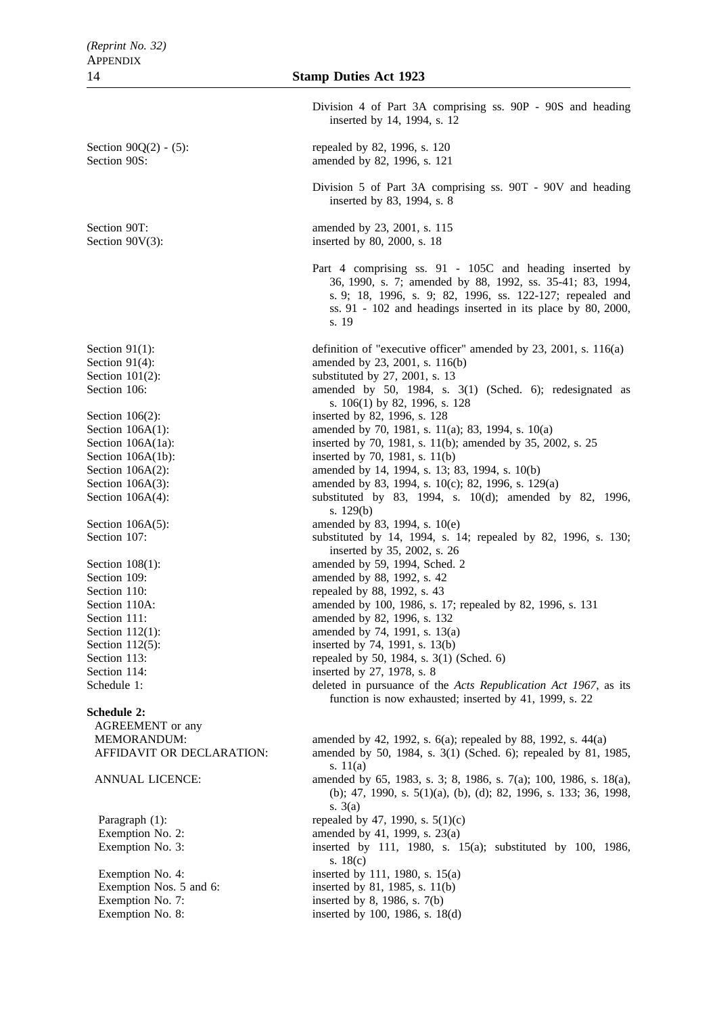Section 90Q(2) - (5): repealed by 82, 1996, s. 120 Section 90S: **amended** by 82, 1996, s. 121 Section 90T: amended by 23, 2001, s. 115 Section  $90V(3)$ : inserted by 80, 2000, s. 18 Section 106(2): inserted by 82, 1996, s. 128 Section 109: **amended** by 88, 1992, s. 42 Section 110: repealed by 88, 1992, s. 43 Section 114: inserted by 27, 1978, s. 8 **Schedule 2:** AGREEMENT or any

Division 4 of Part 3A comprising ss. 90P - 90S and heading inserted by 14, 1994, s. 12 Division 5 of Part 3A comprising ss. 90T - 90V and heading inserted by 83, 1994, s. 8 Part 4 comprising ss. 91 - 105C and heading inserted by 36, 1990, s. 7; amended by 88, 1992, ss. 35-41; 83, 1994, s. 9; 18, 1996, s. 9; 82, 1996, ss. 122-127; repealed and ss. 91 - 102 and headings inserted in its place by 80, 2000, s. 19 Section 91(1): definition of "executive officer" amended by 23, 2001, s. 116(a) Section 91(4): amended by 23, 2001, s. 116(b) Section  $101(2)$ : substituted by 27, 2001, s. 13 Section 106: amended by 50, 1984, s. 3(1) (Sched. 6); redesignated as s. 106(1) by 82, 1996, s. 128 Section 106A(1): amended by 70, 1981, s. 11(a); 83, 1994, s. 10(a) Section 106A(1a): inserted by 70, 1981, s. 11(b); amended by 35, 2002, s. 25 Section 106A(1b): inserted by 70, 1981, s. 11(b) Section 106A(2): amended by 14, 1994, s. 13; 83, 1994, s. 10(b) Section 106A(3): amended by 83, 1994, s. 10(c); 82, 1996, s. 129(a) Section 106A(4): substituted by 83, 1994, s. 10(d); amended by 82, 1996, s. 129(b) Section 106A(5): amended by 83, 1994, s. 10(e) Section 107: substituted by 14, 1994, s. 14; repealed by 82, 1996, s. 130; inserted by 35, 2002, s. 26 Section 108(1): amended by 59, 1994, Sched. 2 Section 110A: amended by 100, 1986, s. 17; repealed by 82, 1996, s. 131 Section 111: **amended** by 82, 1996, s. 132 Section 112(1): amended by 74, 1991, s. 13(a) Section 112(5): inserted by 74, 1991, s. 13(b) Section 113: repealed by 50, 1984, s. 3(1) (Sched. 6) Schedule 1: deleted in pursuance of the *Acts Republication Act 1967*, as its function is now exhausted; inserted by 41, 1999, s. 22 MEMORANDUM: amended by 42, 1992, s. 6(a); repealed by 88, 1992, s. 44(a) AFFIDAVIT OR DECLARATION: amended by 50, 1984, s. 3(1) (Sched. 6); repealed by 81, 1985, s. 11(a) ANNUAL LICENCE: amended by 65, 1983, s. 3; 8, 1986, s. 7(a); 100, 1986, s. 18(a), (b); 47, 1990, s. 5(1)(a), (b), (d); 82, 1996, s. 133; 36, 1998, s. 3(a) Paragraph  $(1)$ : repealed by 47, 1990, s.  $5(1)(c)$ Exemption No. 2: amended by 41, 1999, s. 23(a) Exemption No. 3: inserted by 111, 1980, s. 15(a); substituted by 100, 1986, s. 18(c) Exemption No. 4: inserted by 111, 1980, s.  $15(a)$ Exemption Nos. 5 and 6: inserted by 81, 1985, s. 11(b) Exemption No. 7: inserted by 8, 1986, s. 7(b) Exemption No. 8: inserted by 100, 1986, s. 18(d)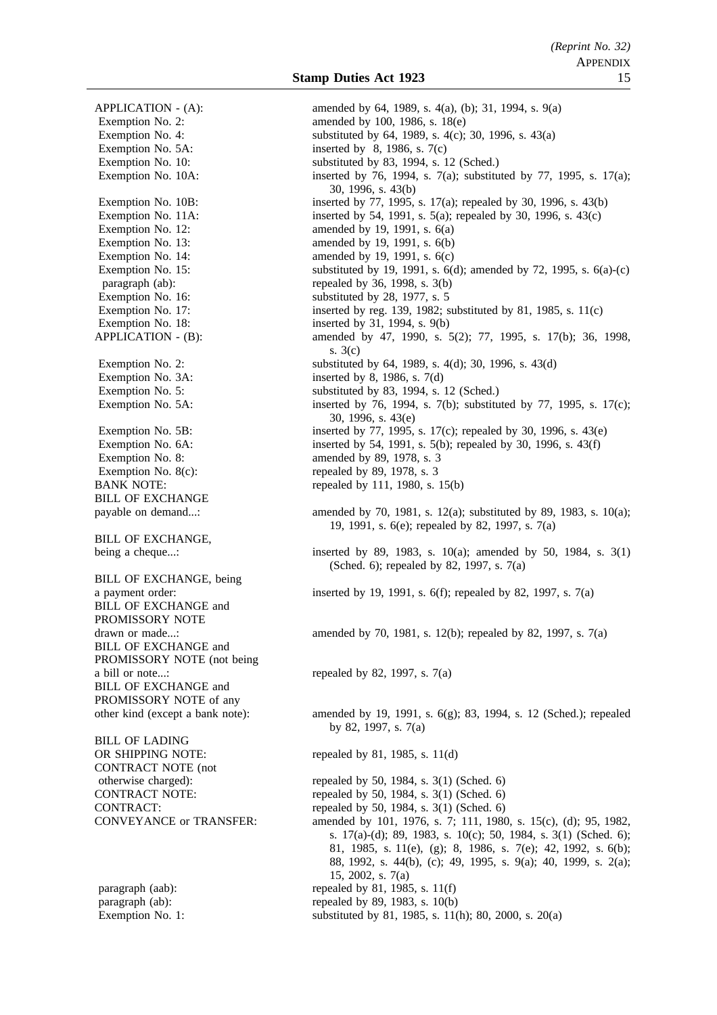Exemption No. 5A: inserted by 8, 1986, s. 7(c) Exemption No. 16: substituted by 28, 1977, s. 5 Exemption No. 18: inserted by 31, 1994, s. 9(b) Exemption No. 3A: inserted by 8, 1986, s. 7(d) Exemption No. 8: amended by 89, 1978, s. 3 Exemption No.  $8(c)$ : repealed by 89, 1978, s. 3 BILL OF EXCHANGE BILL OF EXCHANGE, BILL OF EXCHANGE, being BILL OF EXCHANGE and PROMISSORY NOTE BILL OF EXCHANGE and PROMISSORY NOTE (not being a bill or note...: repealed by 82, 1997, s.  $7(a)$ BILL OF EXCHANGE and PROMISSORY NOTE of any BILL OF LADING OR SHIPPING NOTE: repealed by 81, 1985, s. 11(d) CONTRACT NOTE (not

APPLICATION - (A): amended by 64, 1989, s. 4(a), (b); 31, 1994, s. 9(a) Exemption No. 2:  $\qquad \qquad \text{amended by } 100, 1986, s. 18(e)$ Exemption No. 4: substituted by 64, 1989, s. 4(c); 30, 1996, s. 43(a) Exemption No. 10: substituted by 83, 1994, s. 12 (Sched.) Exemption No. 10A: inserted by 76, 1994, s. 7(a); substituted by 77, 1995, s. 17(a); 30, 1996, s. 43(b) Exemption No. 10B: inserted by 77, 1995, s. 17(a); repealed by 30, 1996, s. 43(b) Exemption No. 11A: inserted by 54, 1991, s. 5(a); repealed by 30, 1996, s. 43(c) Exemption No. 12:  $\qquad \qquad \text{amended by 19, 1991, s. 6(a)}$ Exemption No. 13: amended by 19, 1991, s. 6(b) Exemption No. 14: amended by 19, 1991, s. 6(c) Exemption No. 15: substituted by 19, 1991, s. 6(d); amended by 72, 1995, s. 6(a)-(c) paragraph (ab): repealed by 36, 1998, s. 3(b) Exemption No. 17: inserted by reg. 139, 1982; substituted by 81, 1985, s. 11(c) APPLICATION - (B): amended by 47, 1990, s. 5(2); 77, 1995, s. 17(b); 36, 1998, s. 3(c) Exemption No. 2: substituted by 64, 1989, s. 4(d); 30, 1996, s. 43(d) Exemption No. 5: substituted by 83, 1994, s. 12 (Sched.) Exemption No. 5A: inserted by 76, 1994, s. 7(b); substituted by 77, 1995, s. 17(c); 30, 1996, s. 43(e) Exemption No. 5B: inserted by 77, 1995, s. 17(c); repealed by 30, 1996, s. 43(e) Exemption No.  $6A$ : inserted by 54, 1991, s. 5(b); repealed by 30, 1996, s. 43(f) BANK NOTE: repealed by 111, 1980, s. 15(b) payable on demand...: amended by 70, 1981, s. 12(a); substituted by 89, 1983, s. 10(a); 19, 1991, s. 6(e); repealed by 82, 1997, s. 7(a) being a cheque...: inserted by 89, 1983, s. 10(a); amended by 50, 1984, s. 3(1) (Sched. 6); repealed by 82, 1997, s. 7(a) a payment order: inserted by 19, 1991, s. 6(f); repealed by 82, 1997, s. 7(a) drawn or made...: amended by 70, 1981, s. 12(b); repealed by 82, 1997, s. 7(a)

other kind (except a bank note): amended by 19, 1991, s. 6(g); 83, 1994, s. 12 (Sched.); repealed by 82, 1997, s. 7(a)

otherwise charged): repealed by 50, 1984, s. 3(1) (Sched. 6) CONTRACT NOTE: repealed by 50, 1984, s. 3(1) (Sched. 6) CONTRACT: repealed by 50, 1984, s. 3(1) (Sched. 6) CONVEYANCE or TRANSFER: amended by 101, 1976, s. 7; 111, 1980, s. 15(c), (d); 95, 1982, s. 17(a)-(d); 89, 1983, s. 10(c); 50, 1984, s. 3(1) (Sched. 6); 81, 1985, s. 11(e), (g); 8, 1986, s. 7(e); 42, 1992, s. 6(b); 88, 1992, s. 44(b), (c); 49, 1995, s. 9(a); 40, 1999, s. 2(a); 15, 2002, s. 7(a) paragraph (aab): repealed by 81, 1985, s.  $11(f)$ paragraph (ab): repealed by 89, 1983, s. 10(b) Exemption No. 1: substituted by 81, 1985, s. 11(h); 80, 2000, s. 20(a)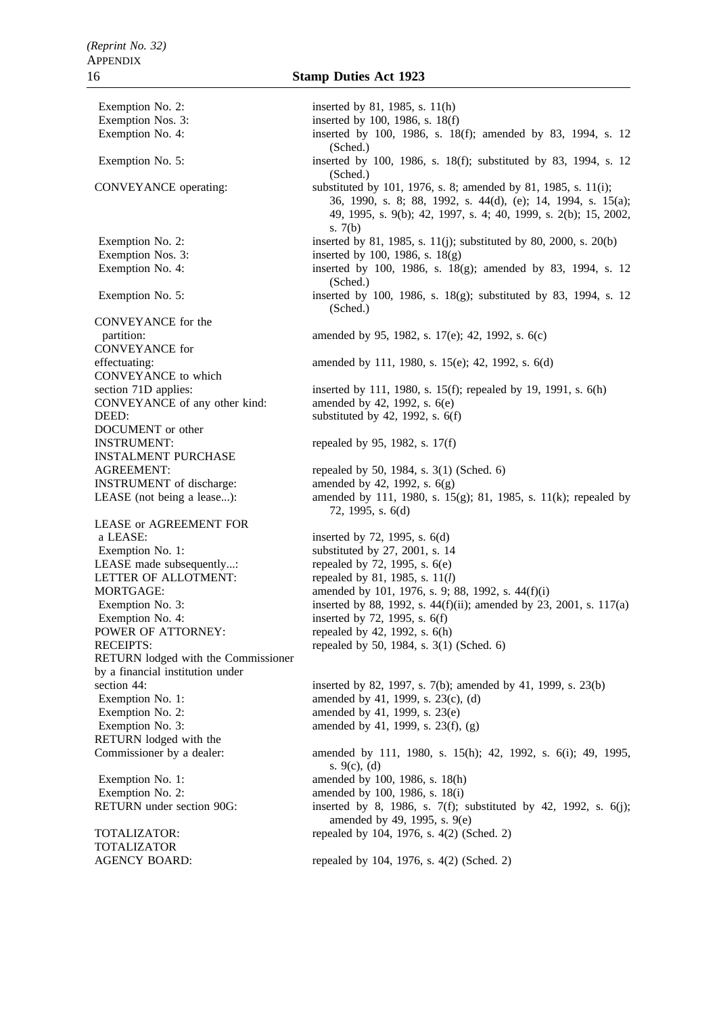Exemption No. 2: inserted by 81, 1985, s. 11(h) Exemption Nos. 3: inserted by 100, 1986, s. 18(f) Exemption Nos. 3: inserted by 100, 1986, s.  $18(g)$ CONVEYANCE for the CONVEYANCE for CONVEYANCE to which CONVEYANCE of any other kind: DEED: substituted by 42, 1992, s. 6(f) DOCUMENT or other INSTRUMENT: repealed by 95, 1982, s.  $17(f)$ INSTALMENT PURCHASE AGREEMENT: repealed by 50, 1984, s. 3(1) (Sched. 6) **INSTRUMENT** of discharge:  $\omega$  amended by 42, 1992, s.  $6(g)$ LEASE or AGREEMENT FOR a LEASE: inserted by 72, 1995, s. 6(d) Exemption No. 1: substituted by 27, 2001, s. 14 LEASE made subsequently...: repealed by  $72$ ,  $1995$ , s.  $6(e)$ LETTER OF ALLOTMENT: repealed by 81, 1985, s. 11(*l*) Exemption No. 4: inserted by 72, 1995, s. 6(f) POWER OF ATTORNEY: repealed by 42, 1992, s. 6(h) RECEIPTS: repealed by 50, 1984, s. 3(1) (Sched. 6) RETURN lodged with the Commissioner by a financial institution under Exemption No. 1: amended by 41, 1999, s. 23(c), (d) Exemption No. 2:  $\qquad \qquad \text{amended by 41, 1999, s. 23(e)}$ Exemption No. 3: amended by 41, 1999, s.  $23(f)$ , (g) RETURN lodged with the Exemption No. 1: amended by 100, 1986, s. 18(h)

TOTALIZATOR

Exemption No. 4: inserted by 100, 1986, s. 18(f); amended by 83, 1994, s. 12 (Sched.) Exemption No. 5: inserted by 100, 1986, s. 18(f); substituted by 83, 1994, s. 12 (Sched.) CONVEYANCE operating: substituted by 101, 1976, s. 8; amended by 81, 1985, s. 11(i); 36, 1990, s. 8; 88, 1992, s. 44(d), (e); 14, 1994, s. 15(a); 49, 1995, s. 9(b); 42, 1997, s. 4; 40, 1999, s. 2(b); 15, 2002, s. 7(b) Exemption No. 2: inserted by 81, 1985, s. 11(j); substituted by 80, 2000, s. 20(b) Exemption No. 4: inserted by 100, 1986, s. 18(g); amended by 83, 1994, s. 12 (Sched.) Exemption No. 5: inserted by 100, 1986, s. 18(g); substituted by 83, 1994, s. 12 (Sched.) partition: amended by 95, 1982, s. 17(e); 42, 1992, s. 6(c) effectuating: amended by 111, 1980, s. 15(e); 42, 1992, s. 6(d) section 71D applies: inserted by 111, 1980, s. 15(f); repealed by 19, 1991, s. 6(h)<br>CONVEYANCE of any other kind: amended by 42, 1992, s. 6(e) LEASE (not being a lease...): amended by 111, 1980, s.  $15(g)$ ; 81, 1985, s. 11(k); repealed by 72, 1995, s. 6(d) MORTGAGE: amended by 101, 1976, s. 9; 88, 1992, s. 44(f)(i) Exemption No. 3: inserted by 88, 1992, s. 44(f)(ii); amended by 23, 2001, s. 117(a) section 44: inserted by 82, 1997, s. 7(b); amended by 41, 1999, s. 23(b) Commissioner by a dealer: amended by 111, 1980, s. 15(h); 42, 1992, s. 6(i); 49, 1995, s. 9(c), (d) Exemption No. 2: amended by 100, 1986, s. 18(i) RETURN under section 90G: inserted by 8, 1986, s. 7(f); substituted by 42, 1992, s. 6(j); amended by 49, 1995, s. 9(e) TOTALIZATOR: repealed by 104, 1976, s. 4(2) (Sched. 2) AGENCY BOARD: repealed by 104, 1976, s. 4(2) (Sched. 2)